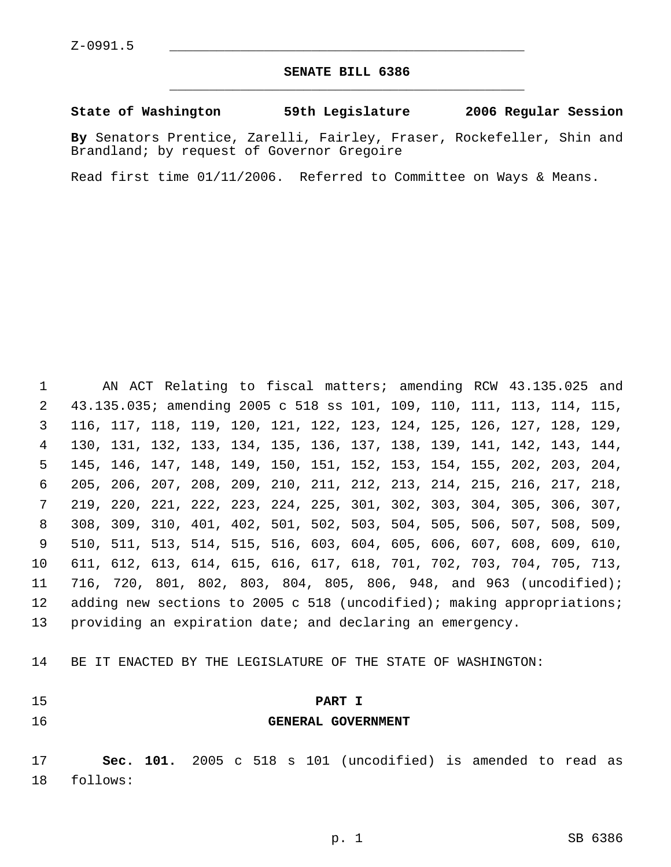### **SENATE BILL 6386** \_\_\_\_\_\_\_\_\_\_\_\_\_\_\_\_\_\_\_\_\_\_\_\_\_\_\_\_\_\_\_\_\_\_\_\_\_\_\_\_\_\_\_\_\_

**State of Washington 59th Legislature 2006 Regular Session**

**By** Senators Prentice, Zarelli, Fairley, Fraser, Rockefeller, Shin and Brandland; by request of Governor Gregoire

Read first time 01/11/2006. Referred to Committee on Ways & Means.

 AN ACT Relating to fiscal matters; amending RCW 43.135.025 and 43.135.035; amending 2005 c 518 ss 101, 109, 110, 111, 113, 114, 115, 116, 117, 118, 119, 120, 121, 122, 123, 124, 125, 126, 127, 128, 129, 130, 131, 132, 133, 134, 135, 136, 137, 138, 139, 141, 142, 143, 144, 145, 146, 147, 148, 149, 150, 151, 152, 153, 154, 155, 202, 203, 204, 205, 206, 207, 208, 209, 210, 211, 212, 213, 214, 215, 216, 217, 218, 219, 220, 221, 222, 223, 224, 225, 301, 302, 303, 304, 305, 306, 307, 308, 309, 310, 401, 402, 501, 502, 503, 504, 505, 506, 507, 508, 509, 510, 511, 513, 514, 515, 516, 603, 604, 605, 606, 607, 608, 609, 610, 611, 612, 613, 614, 615, 616, 617, 618, 701, 702, 703, 704, 705, 713, 716, 720, 801, 802, 803, 804, 805, 806, 948, and 963 (uncodified); 12 adding new sections to 2005 c 518 (uncodified); making appropriations; providing an expiration date; and declaring an emergency.

BE IT ENACTED BY THE LEGISLATURE OF THE STATE OF WASHINGTON:

- 
- 

 **PART I GENERAL GOVERNMENT**

 **Sec. 101.** 2005 c 518 s 101 (uncodified) is amended to read as follows: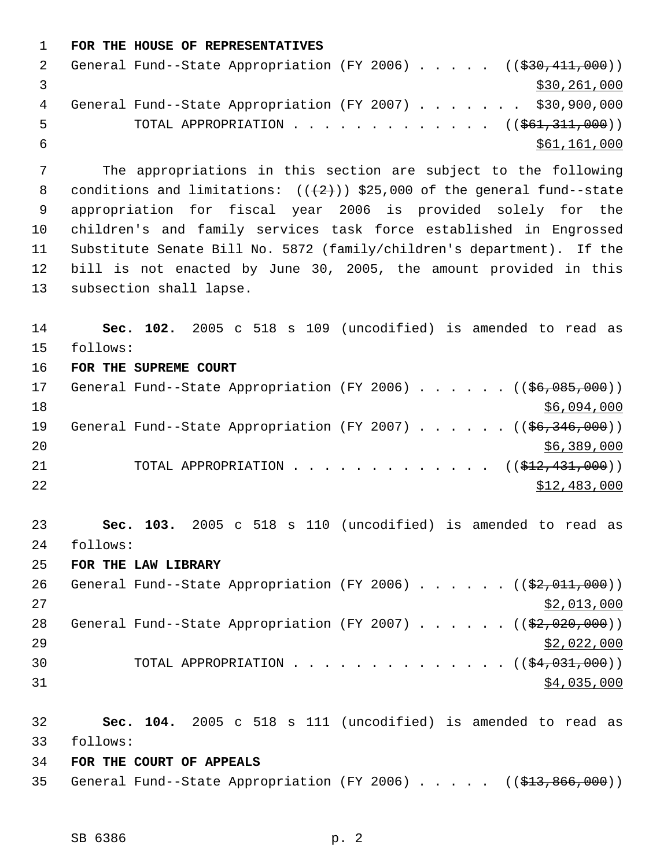```
 1 FOR THE HOUSE OF REPRESENTATIVES
```

|            |                                                          |  | General Fund--State Appropriation (FY 2006) $($ $($ \$30,411,000)) |  |  |  |  |  |              |  |
|------------|----------------------------------------------------------|--|--------------------------------------------------------------------|--|--|--|--|--|--------------|--|
|            |                                                          |  |                                                                    |  |  |  |  |  | \$30,261,000 |  |
| 4          | General Fund--State Appropriation (FY 2007) \$30,900,000 |  |                                                                    |  |  |  |  |  |              |  |
| . 5        |                                                          |  | TOTAL APPROPRIATION $\ldots$ , ( $(\frac{661}{311}, 000)$ )        |  |  |  |  |  |              |  |
| $\sqrt{2}$ |                                                          |  |                                                                    |  |  |  |  |  | \$61,161,000 |  |
|            |                                                          |  |                                                                    |  |  |  |  |  |              |  |

 The appropriations in this section are subject to the following 8 conditions and limitations:  $((+2))$  \$25,000 of the general fund--state appropriation for fiscal year 2006 is provided solely for the children's and family services task force established in Engrossed Substitute Senate Bill No. 5872 (family/children's department). If the bill is not enacted by June 30, 2005, the amount provided in this subsection shall lapse.

 **Sec. 102.** 2005 c 518 s 109 (uncodified) is amended to read as follows: **FOR THE SUPREME COURT**

17 General Fund--State Appropriation (FY 2006) . . . . . . ((\$6,085,000))  $$6,094,000$ 19 General Fund--State Appropriation (FY 2007) . . . . . . ((\$6,346,000)) \$6,389,000 21 TOTAL APPROPRIATION . . . . . . . . . . . . ((<del>\$12,431,000</del>))  $\frac{$12,483,000}{2}$ 

 **Sec. 103.** 2005 c 518 s 110 (uncodified) is amended to read as follows:

**FOR THE LAW LIBRARY**

26 General Fund--State Appropriation (FY 2006) . . . . . . ((\$2,011,000)) \$2,013,000 28 General Fund--State Appropriation (FY 2007) . . . . . ((\$2,020,000)) \$2,022,000 30 TOTAL APPROPRIATION  $\cdots$ ,  $\cdots$ ,  $\cdots$ ,  $\cdots$ ,  $\cdots$ ,  $\cdots$ ,  $\cdots$ ,  $\cdots$ \$4,035,000

 **Sec. 104.** 2005 c 518 s 111 (uncodified) is amended to read as follows:

**FOR THE COURT OF APPEALS**

35 General Fund--State Appropriation (FY 2006) . . . . . ((\$13,866,000))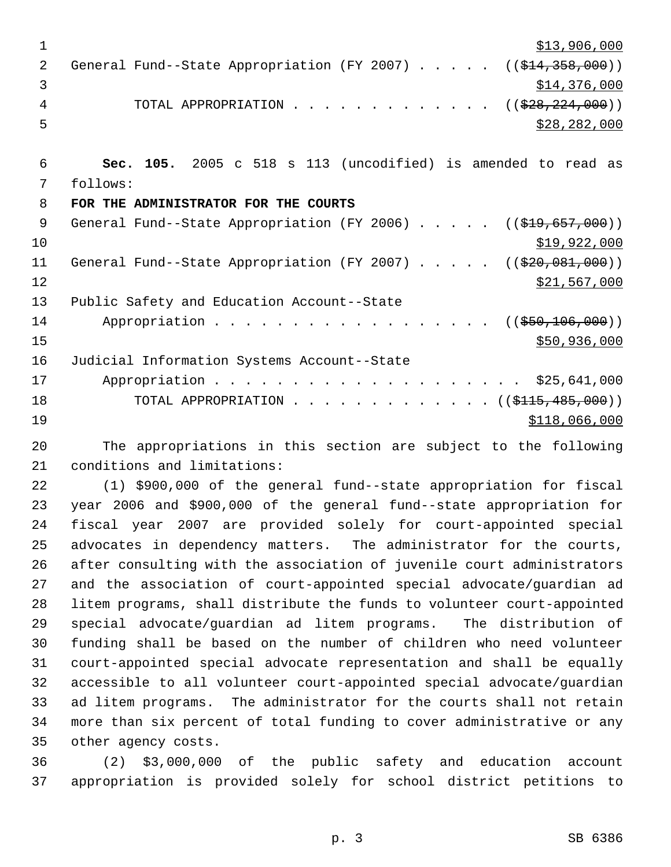| 1              | \$13,906,000                                                                     |
|----------------|----------------------------------------------------------------------------------|
| $\overline{2}$ | General Fund--State Appropriation (FY 2007)<br>((\$14,358,000))                  |
| 3              | \$14,376,000                                                                     |
| 4              | ((\$28, 224, 000))<br>TOTAL APPROPRIATION                                        |
| 5              | \$28, 282, 000                                                                   |
|                |                                                                                  |
| 6              | Sec. 105. 2005 c 518 s 113 (uncodified) is amended to read as                    |
| 7              | follows:                                                                         |
| 8              | FOR THE ADMINISTRATOR FOR THE COURTS                                             |
| 9              | General Fund--State Appropriation (FY 2006) $($ $($ $\frac{2096}{12}, 657, 000)$ |
| 10             | \$19,922,000                                                                     |
| 11             | General Fund--State Appropriation (FY 2007)<br>((\$20,081,000))                  |
| 12             | \$21,567,000                                                                     |
| 13             | Public Safety and Education Account--State                                       |
| 14             | $($ (\$50,106,000))<br>Appropriation                                             |
| 15             | \$50,936,000                                                                     |
| 16             | Judicial Information Systems Account--State                                      |
| 17             | Appropriation \$25,641,000                                                       |
| 18             | TOTAL APPROPRIATION ( $(\frac{\xi}{115}, 485, 000)$ )                            |
| 19             | \$118,066,000                                                                    |
|                |                                                                                  |

 The appropriations in this section are subject to the following conditions and limitations:

 (1) \$900,000 of the general fund--state appropriation for fiscal year 2006 and \$900,000 of the general fund--state appropriation for fiscal year 2007 are provided solely for court-appointed special advocates in dependency matters. The administrator for the courts, after consulting with the association of juvenile court administrators and the association of court-appointed special advocate/guardian ad litem programs, shall distribute the funds to volunteer court-appointed special advocate/guardian ad litem programs. The distribution of funding shall be based on the number of children who need volunteer court-appointed special advocate representation and shall be equally accessible to all volunteer court-appointed special advocate/guardian ad litem programs. The administrator for the courts shall not retain more than six percent of total funding to cover administrative or any other agency costs.

 (2) \$3,000,000 of the public safety and education account appropriation is provided solely for school district petitions to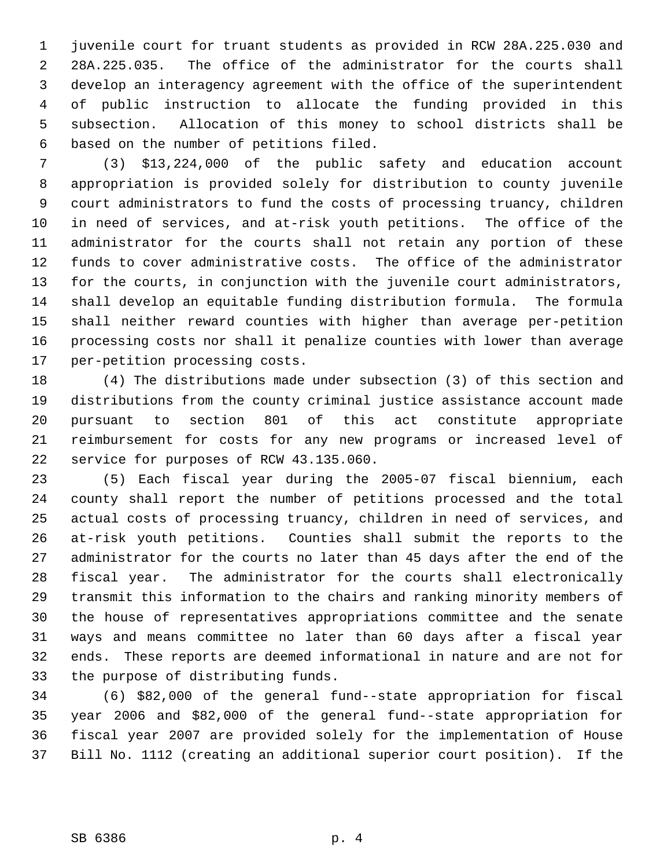juvenile court for truant students as provided in RCW 28A.225.030 and 28A.225.035. The office of the administrator for the courts shall develop an interagency agreement with the office of the superintendent of public instruction to allocate the funding provided in this subsection. Allocation of this money to school districts shall be based on the number of petitions filed.

 (3) \$13,224,000 of the public safety and education account appropriation is provided solely for distribution to county juvenile court administrators to fund the costs of processing truancy, children in need of services, and at-risk youth petitions. The office of the administrator for the courts shall not retain any portion of these funds to cover administrative costs. The office of the administrator for the courts, in conjunction with the juvenile court administrators, shall develop an equitable funding distribution formula. The formula shall neither reward counties with higher than average per-petition processing costs nor shall it penalize counties with lower than average per-petition processing costs.

 (4) The distributions made under subsection (3) of this section and distributions from the county criminal justice assistance account made pursuant to section 801 of this act constitute appropriate reimbursement for costs for any new programs or increased level of service for purposes of RCW 43.135.060.

 (5) Each fiscal year during the 2005-07 fiscal biennium, each county shall report the number of petitions processed and the total actual costs of processing truancy, children in need of services, and at-risk youth petitions. Counties shall submit the reports to the administrator for the courts no later than 45 days after the end of the fiscal year. The administrator for the courts shall electronically transmit this information to the chairs and ranking minority members of the house of representatives appropriations committee and the senate ways and means committee no later than 60 days after a fiscal year ends. These reports are deemed informational in nature and are not for the purpose of distributing funds.

 (6) \$82,000 of the general fund--state appropriation for fiscal year 2006 and \$82,000 of the general fund--state appropriation for fiscal year 2007 are provided solely for the implementation of House Bill No. 1112 (creating an additional superior court position). If the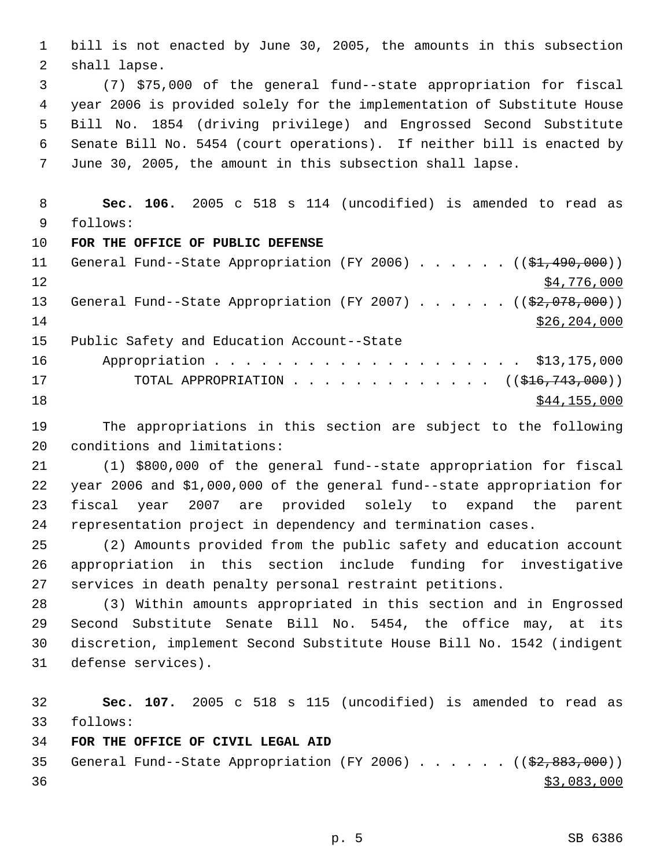bill is not enacted by June 30, 2005, the amounts in this subsection shall lapse.

 (7) \$75,000 of the general fund--state appropriation for fiscal year 2006 is provided solely for the implementation of Substitute House Bill No. 1854 (driving privilege) and Engrossed Second Substitute Senate Bill No. 5454 (court operations). If neither bill is enacted by June 30, 2005, the amount in this subsection shall lapse.

 **Sec. 106.** 2005 c 518 s 114 (uncodified) is amended to read as follows:

**FOR THE OFFICE OF PUBLIC DEFENSE**

11 General Fund--State Appropriation (FY 2006) . . . . . . ((\$1,490,000))  $\frac{12}{ }$   $\frac{12}{ }$   $\frac{12}{ }$   $\frac{12}{ }$   $\frac{12}{ }$   $\frac{12}{ }$   $\frac{12}{ }$   $\frac{12}{ }$   $\frac{12}{ }$   $\frac{12}{ }$   $\frac{12}{ }$   $\frac{12}{ }$   $\frac{12}{ }$   $\frac{12}{ }$   $\frac{12}{ }$   $\frac{12}{ }$   $\frac{12}{ }$   $\frac{12}{ }$   $\frac{12}{ }$   $\frac{12}{ }$   $\frac{12}{ }$   $\frac{12}{ }$  13 General Fund--State Appropriation (FY 2007) . . . . . ((\$2,078,000))  $$26,204,000$  Public Safety and Education Account--State 16 Appropriation . . . . . . . . . . . . . . . . . . \$13,175,000 17 TOTAL APPROPRIATION . . . . . . . . . . . . ((<del>\$16,743,000</del>)) \$44,155,000

 The appropriations in this section are subject to the following conditions and limitations:

 (1) \$800,000 of the general fund--state appropriation for fiscal year 2006 and \$1,000,000 of the general fund--state appropriation for fiscal year 2007 are provided solely to expand the parent representation project in dependency and termination cases.

 (2) Amounts provided from the public safety and education account appropriation in this section include funding for investigative services in death penalty personal restraint petitions.

 (3) Within amounts appropriated in this section and in Engrossed Second Substitute Senate Bill No. 5454, the office may, at its discretion, implement Second Substitute House Bill No. 1542 (indigent defense services).

 **Sec. 107.** 2005 c 518 s 115 (uncodified) is amended to read as follows:

# **FOR THE OFFICE OF CIVIL LEGAL AID**

35 General Fund--State Appropriation (FY 2006)  $\ldots$  . . . . (( $\frac{2}{32}$ , 883, 000))  $\frac{$3,083,000}{2}$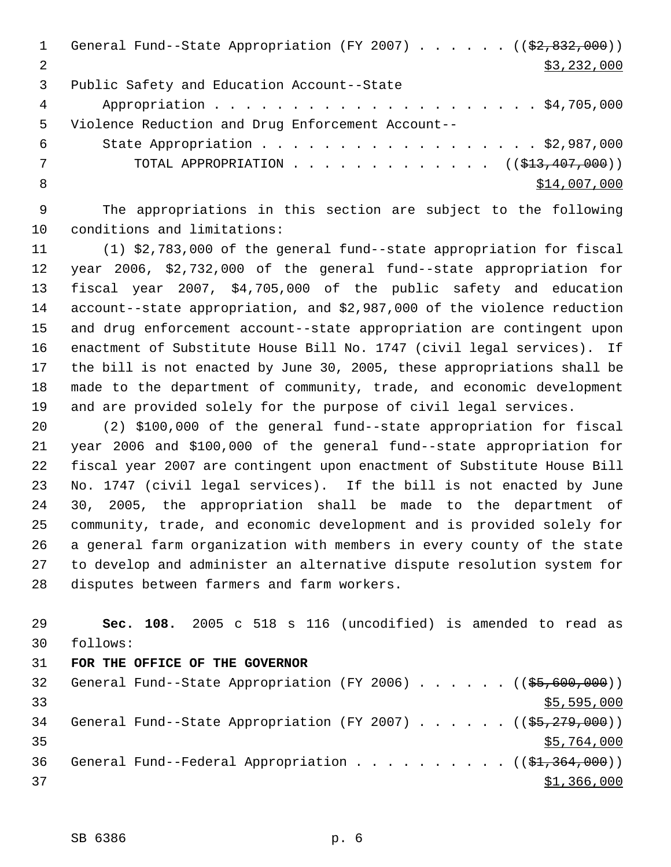1 General Fund--State Appropriation (FY 2007) . . . . . ((\$2,832,000))  $\frac{1}{2}$  \$3,232,000 Public Safety and Education Account--State Appropriation . . . . . . . . . . . . . . . . . . . . . \$4,705,000 Violence Reduction and Drug Enforcement Account-- State Appropriation . . . . . . . . . . . . . . . . . . \$2,987,000 7 TOTAL APPROPRIATION . . . . . . . . . . . . ((\$<del>13,407,000</del>))  $8 \div 14,007,000$ 

 The appropriations in this section are subject to the following conditions and limitations:

 (1) \$2,783,000 of the general fund--state appropriation for fiscal year 2006, \$2,732,000 of the general fund--state appropriation for fiscal year 2007, \$4,705,000 of the public safety and education account--state appropriation, and \$2,987,000 of the violence reduction and drug enforcement account--state appropriation are contingent upon enactment of Substitute House Bill No. 1747 (civil legal services). If the bill is not enacted by June 30, 2005, these appropriations shall be made to the department of community, trade, and economic development and are provided solely for the purpose of civil legal services.

 (2) \$100,000 of the general fund--state appropriation for fiscal year 2006 and \$100,000 of the general fund--state appropriation for fiscal year 2007 are contingent upon enactment of Substitute House Bill No. 1747 (civil legal services). If the bill is not enacted by June 30, 2005, the appropriation shall be made to the department of community, trade, and economic development and is provided solely for a general farm organization with members in every county of the state to develop and administer an alternative dispute resolution system for disputes between farmers and farm workers.

 **Sec. 108.** 2005 c 518 s 116 (uncodified) is amended to read as follows:

## **FOR THE OFFICE OF THE GOVERNOR**

| 32 |  |  |  |  |  | General Fund--State Appropriation (FY 2006) $($ $($ \$5,600,000)) |
|----|--|--|--|--|--|-------------------------------------------------------------------|
| 33 |  |  |  |  |  | \$5,595,000                                                       |
| 34 |  |  |  |  |  | General Fund--State Appropriation (FY 2007) $($ $($ \$5,279,000)) |
| 35 |  |  |  |  |  | \$5,764,000                                                       |
| 36 |  |  |  |  |  | General Fund--Federal Appropriation $($ $($ \$1,364,000) $)$      |
| 37 |  |  |  |  |  | \$1,366,000                                                       |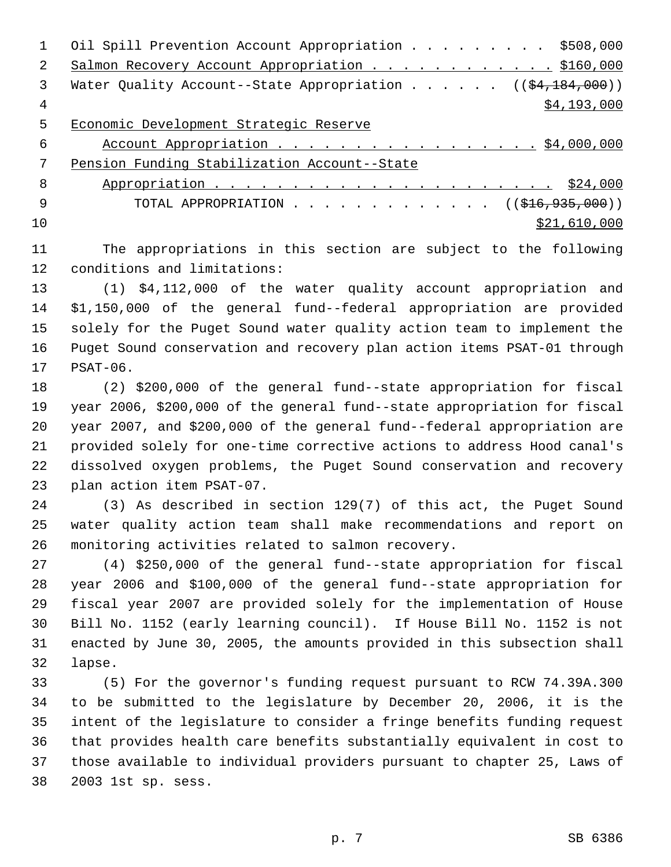|     | Oil Spill Prevention Account Appropriation \$508,000                               |
|-----|------------------------------------------------------------------------------------|
| 2   | Salmon Recovery Account Appropriation \$160,000                                    |
| 3   | Water Quality Account--State Appropriation ( $(\frac{24}{184}, \frac{184}{100})$ ) |
| 4   | \$4,193,000                                                                        |
| 5   | Economic Development Strategic Reserve                                             |
| 6   | Account Appropriation $\frac{54,000,000}{2}$                                       |
| 7   | Pension Funding Stabilization Account--State                                       |
| 8   |                                                                                    |
| - 9 | TOTAL APPROPRIATION ( $(\frac{1616}{935}, 000)$ )                                  |
| 10  | \$21,610,000                                                                       |

 The appropriations in this section are subject to the following conditions and limitations:

 (1) \$4,112,000 of the water quality account appropriation and \$1,150,000 of the general fund--federal appropriation are provided solely for the Puget Sound water quality action team to implement the Puget Sound conservation and recovery plan action items PSAT-01 through PSAT-06.

 (2) \$200,000 of the general fund--state appropriation for fiscal year 2006, \$200,000 of the general fund--state appropriation for fiscal year 2007, and \$200,000 of the general fund--federal appropriation are provided solely for one-time corrective actions to address Hood canal's dissolved oxygen problems, the Puget Sound conservation and recovery plan action item PSAT-07.

 (3) As described in section 129(7) of this act, the Puget Sound water quality action team shall make recommendations and report on monitoring activities related to salmon recovery.

 (4) \$250,000 of the general fund--state appropriation for fiscal year 2006 and \$100,000 of the general fund--state appropriation for fiscal year 2007 are provided solely for the implementation of House Bill No. 1152 (early learning council). If House Bill No. 1152 is not enacted by June 30, 2005, the amounts provided in this subsection shall lapse.

 (5) For the governor's funding request pursuant to RCW 74.39A.300 to be submitted to the legislature by December 20, 2006, it is the intent of the legislature to consider a fringe benefits funding request that provides health care benefits substantially equivalent in cost to those available to individual providers pursuant to chapter 25, Laws of 2003 1st sp. sess.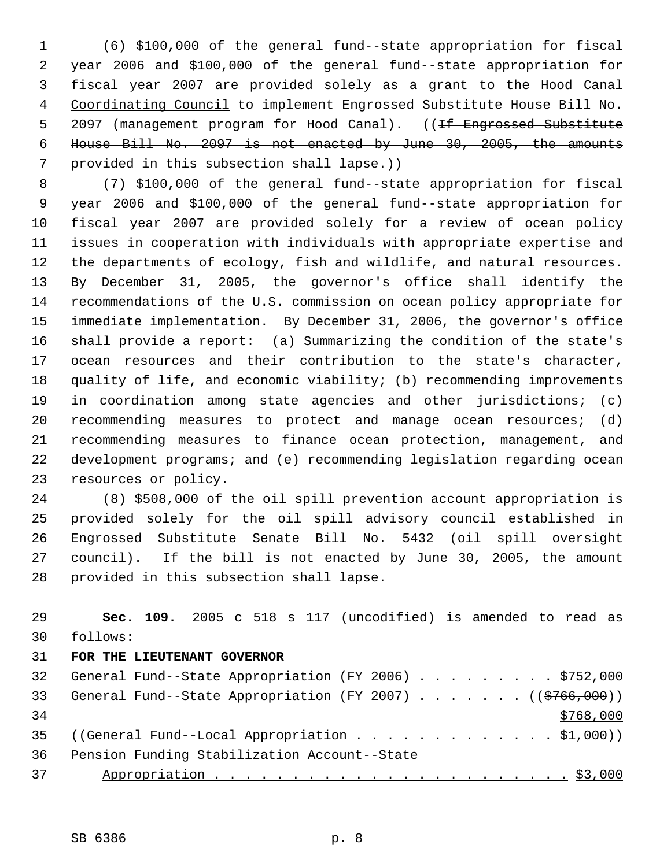(6) \$100,000 of the general fund--state appropriation for fiscal year 2006 and \$100,000 of the general fund--state appropriation for fiscal year 2007 are provided solely as a grant to the Hood Canal Coordinating Council to implement Engrossed Substitute House Bill No. 5 2097 (management program for Hood Canal). ((<del>If Engrossed Substitute</del> House Bill No. 2097 is not enacted by June 30, 2005, the amounts 7 provided in this subsection shall lapse.))

 (7) \$100,000 of the general fund--state appropriation for fiscal year 2006 and \$100,000 of the general fund--state appropriation for fiscal year 2007 are provided solely for a review of ocean policy issues in cooperation with individuals with appropriate expertise and the departments of ecology, fish and wildlife, and natural resources. By December 31, 2005, the governor's office shall identify the recommendations of the U.S. commission on ocean policy appropriate for immediate implementation. By December 31, 2006, the governor's office shall provide a report: (a) Summarizing the condition of the state's ocean resources and their contribution to the state's character, quality of life, and economic viability; (b) recommending improvements in coordination among state agencies and other jurisdictions; (c) recommending measures to protect and manage ocean resources; (d) recommending measures to finance ocean protection, management, and development programs; and (e) recommending legislation regarding ocean resources or policy.

 (8) \$508,000 of the oil spill prevention account appropriation is provided solely for the oil spill advisory council established in Engrossed Substitute Senate Bill No. 5432 (oil spill oversight council). If the bill is not enacted by June 30, 2005, the amount provided in this subsection shall lapse.

 **Sec. 109.** 2005 c 518 s 117 (uncodified) is amended to read as follows: **FOR THE LIEUTENANT GOVERNOR** 32 General Fund--State Appropriation (FY 2006) . . . . . . . . \$752,000 33 General Fund--State Appropriation (FY 2007) . . . . . . ((\$766,000)) 35 ((General Fund--Local Appropriation  $\cdots$ ,  $\cdots$ ,  $\cdots$ ,  $\cdots$ ,  $\sharp$ 1,000)) Pension Funding Stabilization Account--State Appropriation . . . . . . . . . . . . . . . . . . . . . . . \$3,000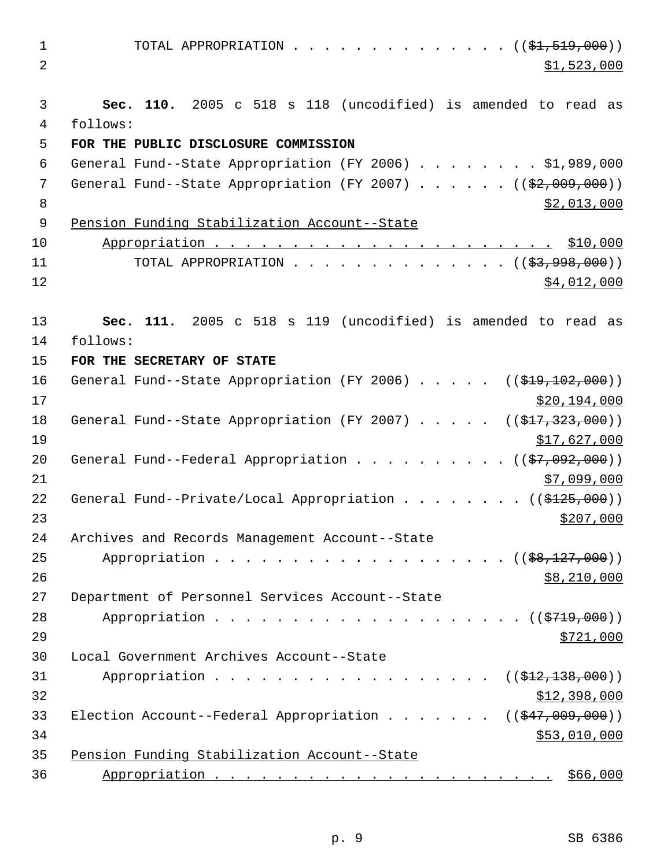| $\mathbf{1}$ | TOTAL APPROPRIATION $($ $(\frac{1}{21}, 519, 000))$                        |
|--------------|----------------------------------------------------------------------------|
| 2            | \$1,523,000                                                                |
| 3            | Sec. 110. 2005 c 518 s 118 (uncodified) is amended to read as              |
| 4            | follows:                                                                   |
| 5            | FOR THE PUBLIC DISCLOSURE COMMISSION                                       |
| $\epsilon$   | General Fund--State Appropriation (FY 2006) \$1,989,000                    |
| 7            | General Fund--State Appropriation (FY 2007) $($ $($ $\frac{209}{100})$     |
| 8            | \$2,013,000                                                                |
| 9            | Pension Funding Stabilization Account--State                               |
| 10           |                                                                            |
| 11           | TOTAL APPROPRIATION ( $(\frac{2}{3}, 998, 000)$ )                          |
| 12           | \$4,012,000                                                                |
| 13           | Sec. 111. 2005 c 518 s 119 (uncodified) is amended to read as              |
| 14           | follows:                                                                   |
| 15           | FOR THE SECRETARY OF STATE                                                 |
| 16           | General Fund--State Appropriation (FY 2006) $($ $($ \$19,102,000))         |
| 17           | \$20,194,000                                                               |
| 18           | General Fund--State Appropriation (FY 2007) $($ $($ \$17,323,000))         |
| 19           | \$17,627,000                                                               |
| 20           | General Fund--Federal Appropriation ( $(\frac{27}{92}, 092, 000)$ )        |
| 21           | \$7,099,000                                                                |
| 22           | General Fund--Private/Local Appropriation ((\$125,000))                    |
| 23           | \$207,000                                                                  |
| 24           | Archives and Records Management Account--State                             |
| 25           | Appropriation $($ $(*8,127,000))$                                          |
| 26           | \$8,210,000                                                                |
| 27           | Department of Personnel Services Account--State                            |
| 28           |                                                                            |
| 29           | \$721,000                                                                  |
| 30           | Local Government Archives Account--State                                   |
| 31           | Appropriation<br>((\$412,138,000))                                         |
| 32           | \$12,398,000                                                               |
| 33           | Election Account--Federal Appropriation ( $(\frac{247,009,000}{\cdots})$ ) |
| 34           | \$53,010,000                                                               |
| 35           | Pension Funding Stabilization Account--State                               |
| 36           |                                                                            |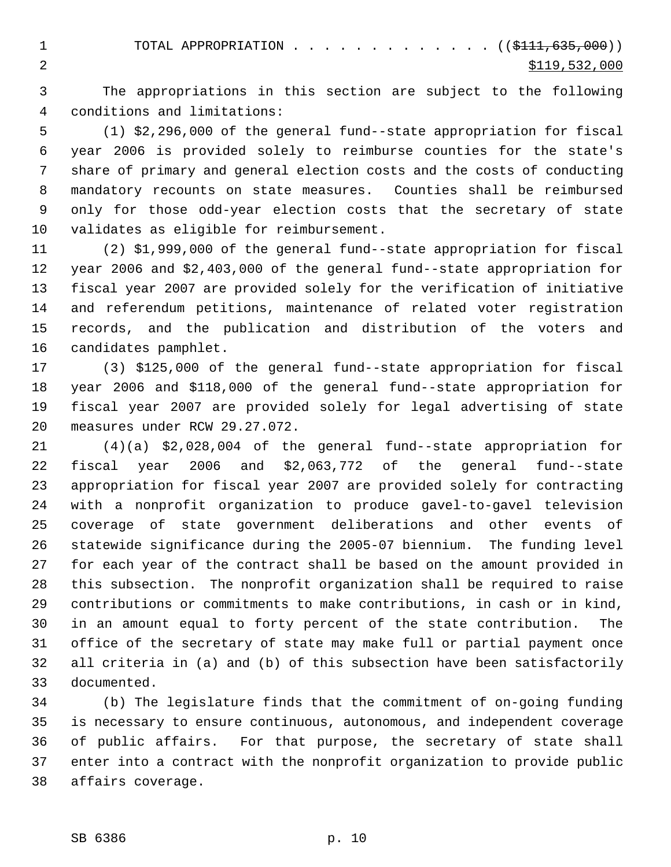1 TOTAL APPROPRIATION . . . . . . . . . . . . ((\$<del>111,635,000</del>)) 2 \$119,532,000

 The appropriations in this section are subject to the following conditions and limitations:

 (1) \$2,296,000 of the general fund--state appropriation for fiscal year 2006 is provided solely to reimburse counties for the state's share of primary and general election costs and the costs of conducting mandatory recounts on state measures. Counties shall be reimbursed only for those odd-year election costs that the secretary of state validates as eligible for reimbursement.

 (2) \$1,999,000 of the general fund--state appropriation for fiscal year 2006 and \$2,403,000 of the general fund--state appropriation for fiscal year 2007 are provided solely for the verification of initiative and referendum petitions, maintenance of related voter registration records, and the publication and distribution of the voters and candidates pamphlet.

 (3) \$125,000 of the general fund--state appropriation for fiscal year 2006 and \$118,000 of the general fund--state appropriation for fiscal year 2007 are provided solely for legal advertising of state measures under RCW 29.27.072.

 (4)(a) \$2,028,004 of the general fund--state appropriation for fiscal year 2006 and \$2,063,772 of the general fund--state appropriation for fiscal year 2007 are provided solely for contracting with a nonprofit organization to produce gavel-to-gavel television coverage of state government deliberations and other events of statewide significance during the 2005-07 biennium. The funding level for each year of the contract shall be based on the amount provided in this subsection. The nonprofit organization shall be required to raise contributions or commitments to make contributions, in cash or in kind, in an amount equal to forty percent of the state contribution. The office of the secretary of state may make full or partial payment once all criteria in (a) and (b) of this subsection have been satisfactorily documented.

 (b) The legislature finds that the commitment of on-going funding is necessary to ensure continuous, autonomous, and independent coverage of public affairs. For that purpose, the secretary of state shall enter into a contract with the nonprofit organization to provide public affairs coverage.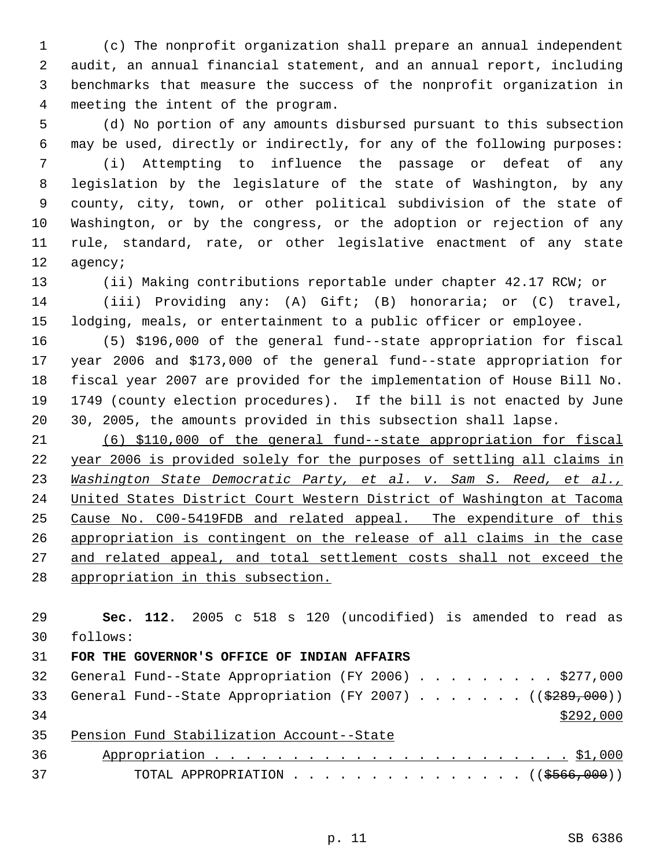(c) The nonprofit organization shall prepare an annual independent audit, an annual financial statement, and an annual report, including benchmarks that measure the success of the nonprofit organization in meeting the intent of the program.

 (d) No portion of any amounts disbursed pursuant to this subsection may be used, directly or indirectly, for any of the following purposes: (i) Attempting to influence the passage or defeat of any legislation by the legislature of the state of Washington, by any county, city, town, or other political subdivision of the state of Washington, or by the congress, or the adoption or rejection of any rule, standard, rate, or other legislative enactment of any state agency;

 (ii) Making contributions reportable under chapter 42.17 RCW; or (iii) Providing any: (A) Gift; (B) honoraria; or (C) travel, lodging, meals, or entertainment to a public officer or employee.

 (5) \$196,000 of the general fund--state appropriation for fiscal year 2006 and \$173,000 of the general fund--state appropriation for fiscal year 2007 are provided for the implementation of House Bill No. 1749 (county election procedures). If the bill is not enacted by June 30, 2005, the amounts provided in this subsection shall lapse.

 (6) \$110,000 of the general fund--state appropriation for fiscal year 2006 is provided solely for the purposes of settling all claims in *Washington State Democratic Party, et al. v. Sam S. Reed, et al.,* United States District Court Western District of Washington at Tacoma Cause No. C00-5419FDB and related appeal. The expenditure of this appropriation is contingent on the release of all claims in the case 27 and related appeal, and total settlement costs shall not exceed the appropriation in this subsection.

 **Sec. 112.** 2005 c 518 s 120 (uncodified) is amended to read as follows: **FOR THE GOVERNOR'S OFFICE OF INDIAN AFFAIRS** 32 General Fund--State Appropriation (FY 2006) . . . . . . . . \$277,000 33 General Fund--State Appropriation (FY 2007) . . . . . . ((\$289,000)) Pension Fund Stabilization Account--State Appropriation . . . . . . . . . . . . . . . . . . . . . . . \$1,000 37 TOTAL APPROPRIATION . . . . . . . . . . . . . . ((\$566,000))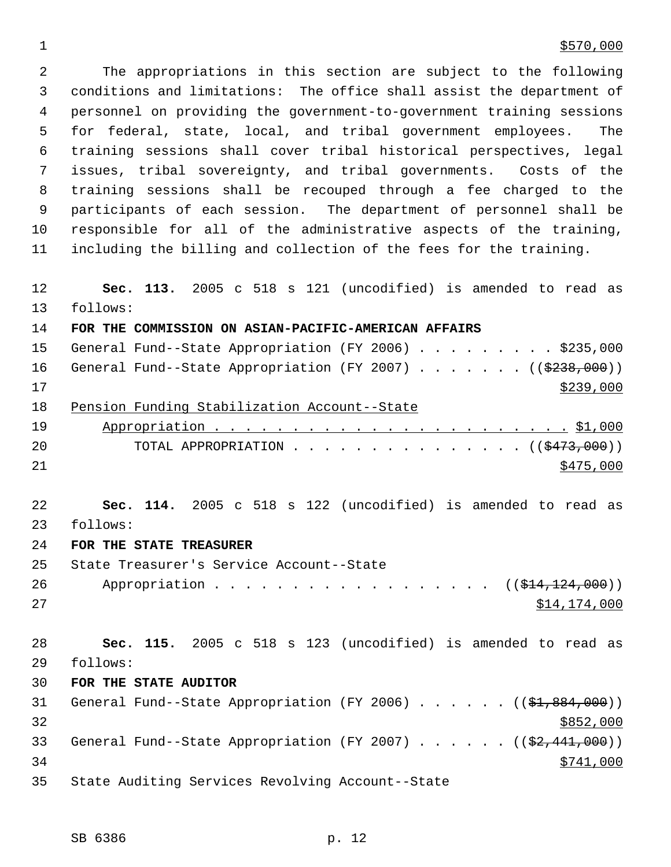### $1 \frac{$570,000}{ }$

 The appropriations in this section are subject to the following conditions and limitations: The office shall assist the department of personnel on providing the government-to-government training sessions for federal, state, local, and tribal government employees. The training sessions shall cover tribal historical perspectives, legal issues, tribal sovereignty, and tribal governments. Costs of the training sessions shall be recouped through a fee charged to the participants of each session. The department of personnel shall be responsible for all of the administrative aspects of the training, including the billing and collection of the fees for the training. **Sec. 113.** 2005 c 518 s 121 (uncodified) is amended to read as

follows:

### **FOR THE COMMISSION ON ASIAN-PACIFIC-AMERICAN AFFAIRS**

|    | 15 General Fund--State Appropriation (FY 2006) \$235,000   |
|----|------------------------------------------------------------|
| 16 | General Fund--State Appropriation (FY 2007) ((\$238,000))  |
| 17 | \$239,000                                                  |
| 18 | Pension Funding Stabilization Account--State               |
| 19 |                                                            |
| 20 | TOTAL APPROPRIATION $\ldots$ , ( $(\frac{1}{2473}, 000)$ ) |
| 21 | \$475,000                                                  |
|    |                                                            |

 **Sec. 114.** 2005 c 518 s 122 (uncodified) is amended to read as follows:

### **FOR THE STATE TREASURER**

 State Treasurer's Service Account--State 26 Appropriation . . . . . . . . . . . . . . . . ((\$14,124,000)) \$14,174,000

 **Sec. 115.** 2005 c 518 s 123 (uncodified) is amended to read as follows:

#### **FOR THE STATE AUDITOR**

31 General Fund--State Appropriation (FY 2006)  $\ldots$  . . . . ((\$1,884,000)) 33 General Fund--State Appropriation (FY 2007) . . . . . ((\$2,441,000))  $\frac{$741,000}{}$ State Auditing Services Revolving Account--State

SB 6386 p. 12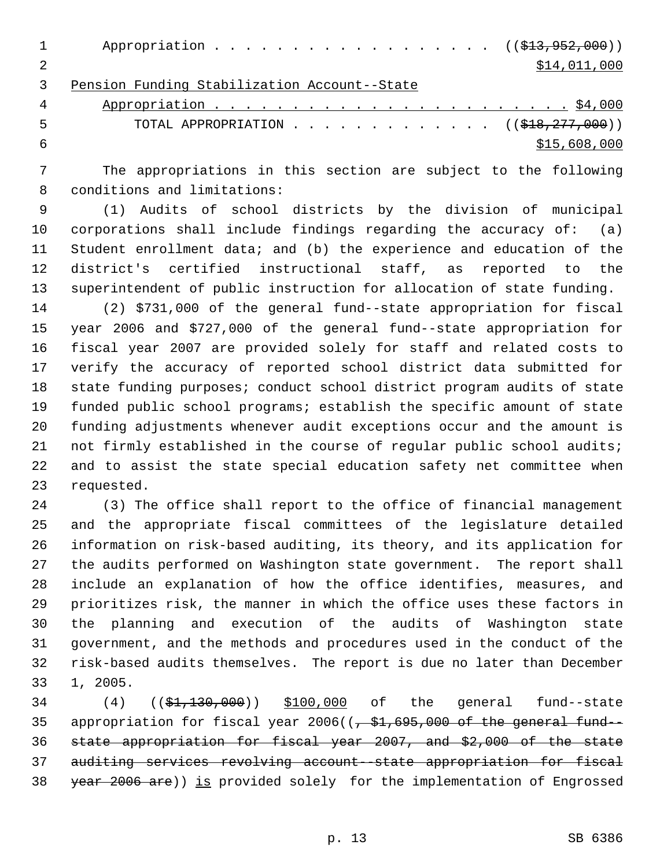| $1 \quad \cdots$ | Appropriation $($ $(*13,952,000))$             |              |
|------------------|------------------------------------------------|--------------|
| $\overline{2}$   |                                                | \$14,011,000 |
|                  | 3 Pension Funding Stabilization Account--State |              |

| -5 | TOTAL APPROPRIATION ( $(\frac{\text{S18}, 277, 000}{\text{F18}, 277, 000})$ ) |
|----|-------------------------------------------------------------------------------|
|    | \$15,608,000                                                                  |

 The appropriations in this section are subject to the following conditions and limitations:

 (1) Audits of school districts by the division of municipal corporations shall include findings regarding the accuracy of: (a) Student enrollment data; and (b) the experience and education of the district's certified instructional staff, as reported to the superintendent of public instruction for allocation of state funding.

 (2) \$731,000 of the general fund--state appropriation for fiscal year 2006 and \$727,000 of the general fund--state appropriation for fiscal year 2007 are provided solely for staff and related costs to verify the accuracy of reported school district data submitted for state funding purposes; conduct school district program audits of state funded public school programs; establish the specific amount of state funding adjustments whenever audit exceptions occur and the amount is not firmly established in the course of regular public school audits; and to assist the state special education safety net committee when requested.

 (3) The office shall report to the office of financial management and the appropriate fiscal committees of the legislature detailed information on risk-based auditing, its theory, and its application for the audits performed on Washington state government. The report shall include an explanation of how the office identifies, measures, and prioritizes risk, the manner in which the office uses these factors in the planning and execution of the audits of Washington state government, and the methods and procedures used in the conduct of the risk-based audits themselves. The report is due no later than December 1, 2005.

34 (4) ((\$1,130,000)) \$100,000 of the general fund--state 35 appropriation for fiscal year ( $\left(-\frac{1}{2}, 695, 000\right)$  of the general fund-- state appropriation for fiscal year 2007, and \$2,000 of the state auditing services revolving account--state appropriation for fiscal 38 year 2006 are)) is provided solely for the implementation of Engrossed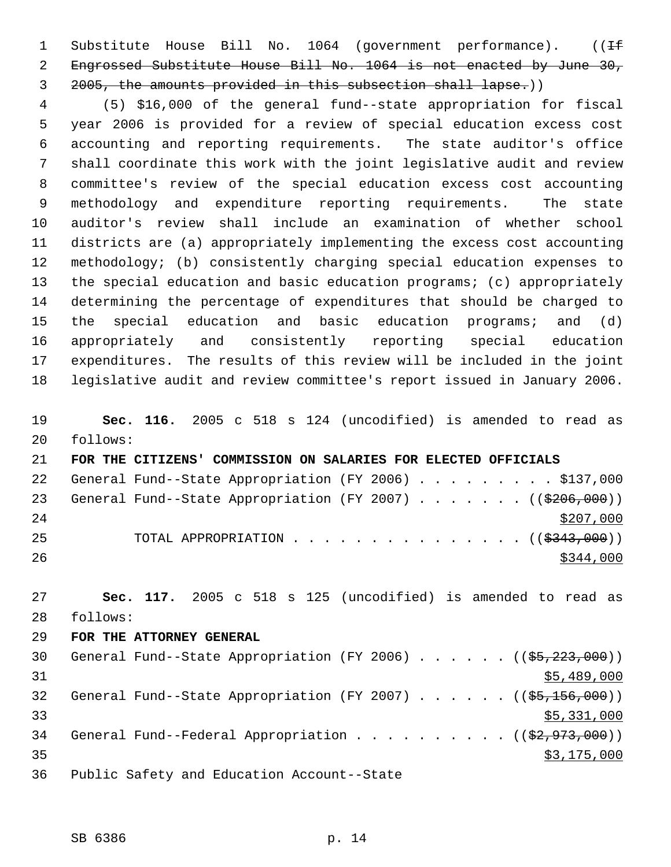1 Substitute House Bill No. 1064 (government performance). ((If Engrossed Substitute House Bill No. 1064 is not enacted by June 30, 2005, the amounts provided in this subsection shall lapse.))

 (5) \$16,000 of the general fund--state appropriation for fiscal year 2006 is provided for a review of special education excess cost accounting and reporting requirements. The state auditor's office shall coordinate this work with the joint legislative audit and review committee's review of the special education excess cost accounting methodology and expenditure reporting requirements. The state auditor's review shall include an examination of whether school districts are (a) appropriately implementing the excess cost accounting methodology; (b) consistently charging special education expenses to the special education and basic education programs; (c) appropriately determining the percentage of expenditures that should be charged to the special education and basic education programs; and (d) appropriately and consistently reporting special education expenditures. The results of this review will be included in the joint legislative audit and review committee's report issued in January 2006.

 **Sec. 116.** 2005 c 518 s 124 (uncodified) is amended to read as follows:

| FOR THE CITIZENS' COMMISSION ON SALARIES FOR ELECTED OFFICIALS<br>21 |                                                       |
|----------------------------------------------------------------------|-------------------------------------------------------|
| 22                                                                   | General Fund--State Appropriation (FY 2006) \$137,000 |
| 23 General Fund--State Appropriation (FY 2007) ((\$206,000))         |                                                       |
| 24                                                                   | \$207,000                                             |
| 25                                                                   | TOTAL APPROPRIATION ( $(\frac{2343}{100})$ )          |
| 26                                                                   | \$344,000                                             |

 **Sec. 117.** 2005 c 518 s 125 (uncodified) is amended to read as follows:

## **FOR THE ATTORNEY GENERAL**

| 30 | General Fund--State Appropriation (FY 2006) $($ $($ \$5,223,000)) |
|----|-------------------------------------------------------------------|
| 31 | \$5,489,000                                                       |
| 32 | General Fund--State Appropriation (FY 2007) $($ $($ \$5,156,000)) |
| 33 | \$5,331,000                                                       |
| 34 | General Fund--Federal Appropriation $($ $($ \$2,973,000) $)$      |
| 35 | \$3,175,000                                                       |
| 36 | Public Safety and Education Account--State                        |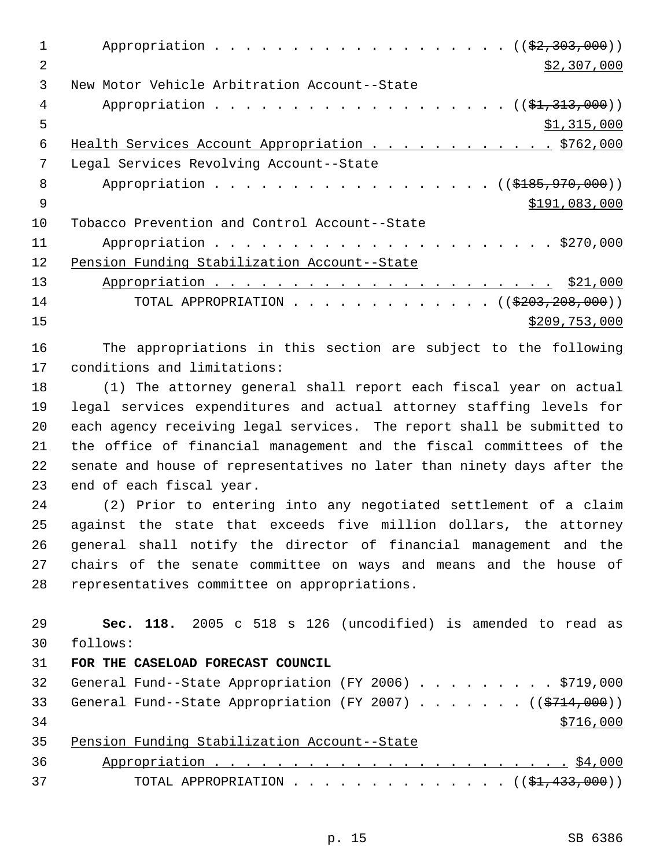1 Appropriation . . . . . . . . . . . . . . . . . (  $(\frac{2}{2}, \frac{303}{100})$  ) 2  $\frac{1}{2}$   $\frac{1}{2}$   $\frac{307}{000}$  New Motor Vehicle Arbitration Account--State 4 Appropriation . . . . . . . . . . . . . . . . . (  $(\frac{21}{21}, \frac{313}{100})$  )  $5 \times 1,315,000$ 6 Health Services Account Appropriation . . . . . . . . . . . \$762,000 Legal Services Revolving Account--State 8 Appropriation . . . . . . . . . . . . . . . . (  $(\frac{18}{3185}, \frac{970}{1000})$  ) \$191,083,000 Tobacco Prevention and Control Account--State Appropriation . . . . . . . . . . . . . . . . . . . . . . \$270,000 Pension Funding Stabilization Account--State Appropriation . . . . . . . . . . . . . . . . . . . . . . \$21,000 14 TOTAL APPROPRIATION . . . . . . . . . . . . ((\$203,208,000)) \$209,753,000

 The appropriations in this section are subject to the following conditions and limitations:

 (1) The attorney general shall report each fiscal year on actual legal services expenditures and actual attorney staffing levels for each agency receiving legal services. The report shall be submitted to the office of financial management and the fiscal committees of the senate and house of representatives no later than ninety days after the end of each fiscal year.

 (2) Prior to entering into any negotiated settlement of a claim against the state that exceeds five million dollars, the attorney general shall notify the director of financial management and the chairs of the senate committee on ways and means and the house of representatives committee on appropriations.

 **Sec. 118.** 2005 c 518 s 126 (uncodified) is amended to read as follows: **FOR THE CASELOAD FORECAST COUNCIL** 32 General Fund--State Appropriation (FY 2006) . . . . . . . . \$719,000 33 General Fund--State Appropriation (FY 2007) . . . . . . ((\$714,000)) Pension Funding Stabilization Account--State Appropriation . . . . . . . . . . . . . . . . . . . . . . . \$4,000 37 TOTAL APPROPRIATION . . . . . . . . . . . . . (  $(\frac{21}{1000})$  )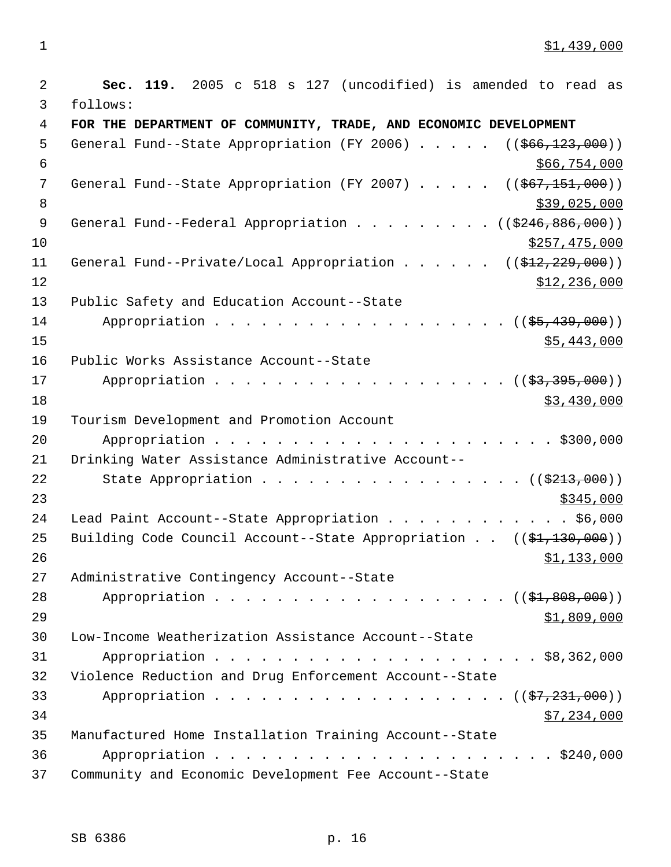1 \$1,439,000

| $\overline{2}$ | Sec. 119. 2005 c 518 s 127 (uncodified) is amended to read as                 |
|----------------|-------------------------------------------------------------------------------|
| 3              | follows:                                                                      |
| 4              | FOR THE DEPARTMENT OF COMMUNITY, TRADE, AND ECONOMIC DEVELOPMENT              |
| 5              | General Fund--State Appropriation (FY 2006) $($ $($ $\frac{666}{123},000)$ )  |
| 6              | \$66,754,000                                                                  |
| 7              | General Fund--State Appropriation (FY 2007) $($ $($ $667, 151, 000)$ )        |
| 8              | \$39,025,000                                                                  |
| 9              | General Fund--Federal Appropriation ( $(\frac{246}{8246}, \frac{886}{100})$ ) |
| 10             | \$257,475,000                                                                 |
| 11             | General Fund--Private/Local Appropriation ( $(\frac{212}{7229}, 000)$ )       |
| 12             | \$12,236,000                                                                  |
| 13             | Public Safety and Education Account--State                                    |
| 14             | Appropriation $($ $(\frac{25}{7}, \frac{439}{100})$                           |
| 15             | \$5,443,000                                                                   |
| 16             | Public Works Assistance Account--State                                        |
| 17             | Appropriation ( (\$3,395,000))                                                |
| 18             | \$3,430,000                                                                   |
| 19             | Tourism Development and Promotion Account                                     |
| 20             |                                                                               |
| 21             | Drinking Water Assistance Administrative Account--                            |
| 22             | State Appropriation $($ $(\frac{2213}{1000}))$                                |
| 23             | \$345,000                                                                     |
| 24             | Lead Paint Account--State Appropriation \$6,000                               |
| 25             | Building Code Council Account--State Appropriation $((\frac{21}{130}, 000))$  |
| 26             | \$1,133,000                                                                   |
| 27             | Administrative Contingency Account--State                                     |
| 28             | Appropriation $($ $(\frac{21}{200}, \frac{200}{200})$                         |
| 29             | \$1,809,000                                                                   |
| 30             | Low-Income Weatherization Assistance Account--State                           |
| 31             |                                                                               |
| 32             | Violence Reduction and Drug Enforcement Account--State                        |
| 33             | Appropriation $($ $(\frac{27}{7231},000))$                                    |
| 34             | \$7,234,000                                                                   |
| 35             | Manufactured Home Installation Training Account--State                        |
| 36             |                                                                               |
| 37             | Community and Economic Development Fee Account--State                         |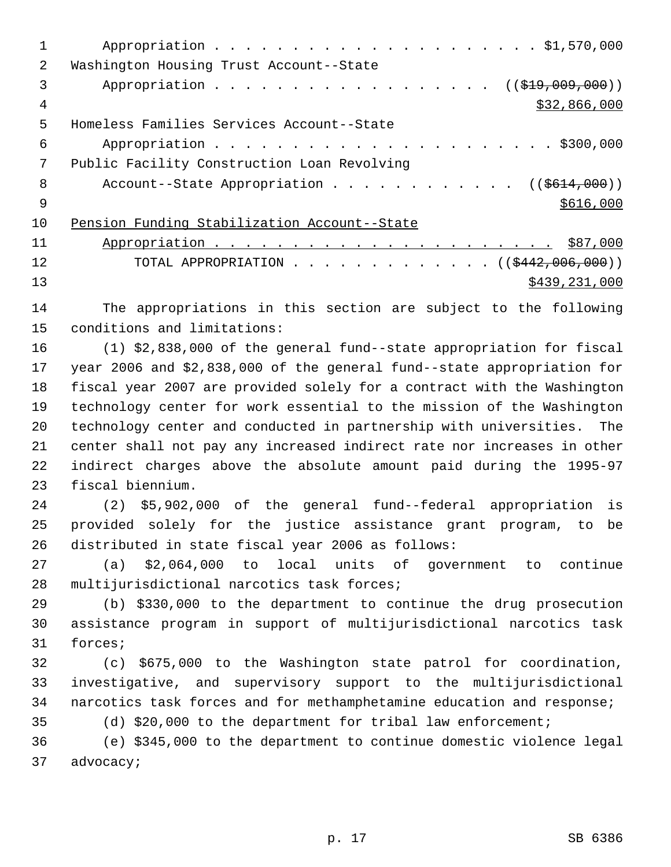| 2  | Washington Housing Trust Account--State               |
|----|-------------------------------------------------------|
| 3  | Appropriation ( $(\frac{219}{100}, 009, 000)$ )       |
| 4  | \$32,866,000                                          |
| 5  | Homeless Families Services Account--State             |
| 6  |                                                       |
|    | Public Facility Construction Loan Revolving           |
| 8  | Account--State Appropriation ( $(\frac{2614}{100})$ ) |
| 9  | \$616,000                                             |
| 10 | Pension Funding Stabilization Account--State          |
| 11 |                                                       |
| 12 | TOTAL APPROPRIATION ( $ ($442,006,000)$ )             |
| 13 | \$439,231,000                                         |

 The appropriations in this section are subject to the following conditions and limitations:

 (1) \$2,838,000 of the general fund--state appropriation for fiscal year 2006 and \$2,838,000 of the general fund--state appropriation for fiscal year 2007 are provided solely for a contract with the Washington technology center for work essential to the mission of the Washington technology center and conducted in partnership with universities. The center shall not pay any increased indirect rate nor increases in other indirect charges above the absolute amount paid during the 1995-97 fiscal biennium.

 (2) \$5,902,000 of the general fund--federal appropriation is provided solely for the justice assistance grant program, to be distributed in state fiscal year 2006 as follows:

 (a) \$2,064,000 to local units of government to continue multijurisdictional narcotics task forces;

 (b) \$330,000 to the department to continue the drug prosecution assistance program in support of multijurisdictional narcotics task forces;

 (c) \$675,000 to the Washington state patrol for coordination, investigative, and supervisory support to the multijurisdictional narcotics task forces and for methamphetamine education and response;

(d) \$20,000 to the department for tribal law enforcement;

 (e) \$345,000 to the department to continue domestic violence legal advocacy;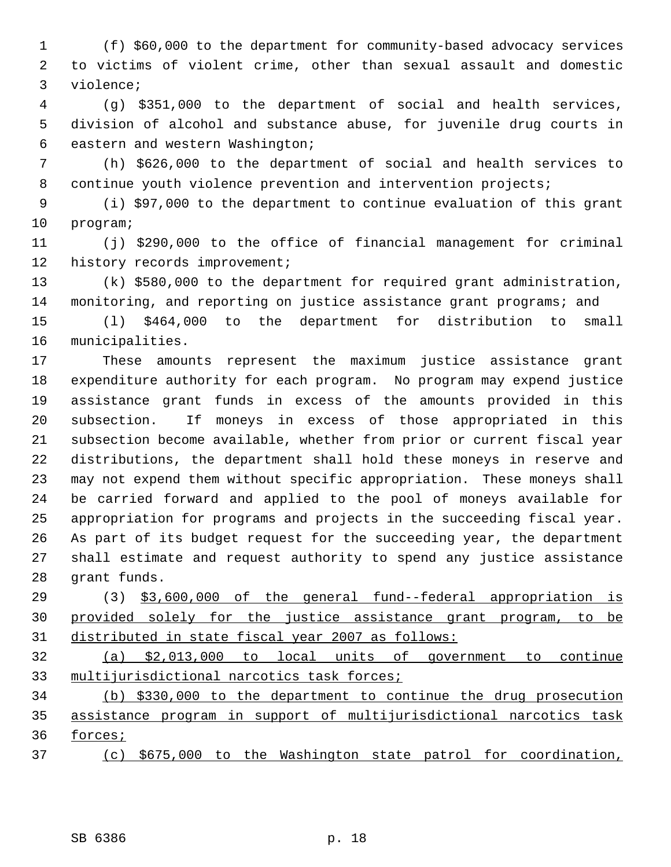(f) \$60,000 to the department for community-based advocacy services to victims of violent crime, other than sexual assault and domestic violence;

 (g) \$351,000 to the department of social and health services, division of alcohol and substance abuse, for juvenile drug courts in eastern and western Washington;

 (h) \$626,000 to the department of social and health services to continue youth violence prevention and intervention projects;

 (i) \$97,000 to the department to continue evaluation of this grant program;

 (j) \$290,000 to the office of financial management for criminal 12 history records improvement;

 (k) \$580,000 to the department for required grant administration, monitoring, and reporting on justice assistance grant programs; and

 (l) \$464,000 to the department for distribution to small municipalities.

 These amounts represent the maximum justice assistance grant expenditure authority for each program. No program may expend justice assistance grant funds in excess of the amounts provided in this subsection. If moneys in excess of those appropriated in this subsection become available, whether from prior or current fiscal year distributions, the department shall hold these moneys in reserve and may not expend them without specific appropriation. These moneys shall be carried forward and applied to the pool of moneys available for appropriation for programs and projects in the succeeding fiscal year. As part of its budget request for the succeeding year, the department shall estimate and request authority to spend any justice assistance grant funds.

 (3) \$3,600,000 of the general fund--federal appropriation is provided solely for the justice assistance grant program, to be distributed in state fiscal year 2007 as follows:

 (a) \$2,013,000 to local units of government to continue 33 multijurisdictional narcotics task forces;

 (b) \$330,000 to the department to continue the drug prosecution assistance program in support of multijurisdictional narcotics task forces;

(c) \$675,000 to the Washington state patrol for coordination,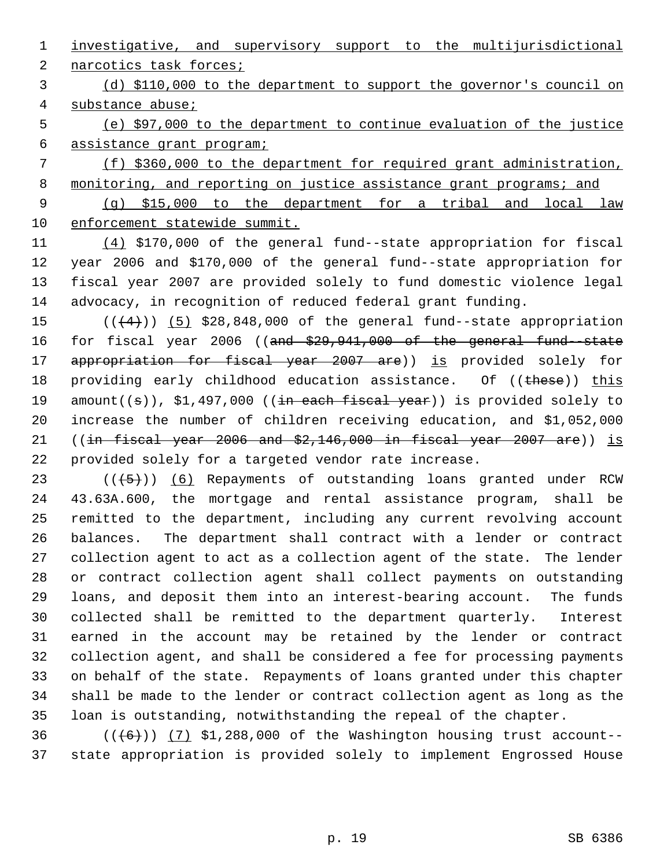investigative, and supervisory support to the multijurisdictional

2 narcotics task forces;

 (d) \$110,000 to the department to support the governor's council on substance abuse;

 (e) \$97,000 to the department to continue evaluation of the justice assistance grant program;

 (f) \$360,000 to the department for required grant administration, 8 monitoring, and reporting on justice assistance grant programs; and (g) \$15,000 to the department for a tribal and local law enforcement statewide summit.

 (4) \$170,000 of the general fund--state appropriation for fiscal year 2006 and \$170,000 of the general fund--state appropriation for fiscal year 2007 are provided solely to fund domestic violence legal advocacy, in recognition of reduced federal grant funding.

15  $((+4))$   $(5)$  \$28,848,000 of the general fund--state appropriation 16 for fiscal year 2006 ((and \$29,941,000 of the general fund-state 17 appropriation for fiscal year 2007 are)) is provided solely for 18 providing early childhood education assistance. Of ((these)) this 19 amount( $(s)$ ), \$1,497,000 ((in each fiscal year)) is provided solely to increase the number of children receiving education, and \$1,052,000 21 ((in fiscal year 2006 and  $$2,146,000$  in fiscal year 2007 are)) is provided solely for a targeted vendor rate increase.

 $((+5))$   $(6)$  Repayments of outstanding loans granted under RCW 43.63A.600, the mortgage and rental assistance program, shall be remitted to the department, including any current revolving account balances. The department shall contract with a lender or contract collection agent to act as a collection agent of the state. The lender or contract collection agent shall collect payments on outstanding loans, and deposit them into an interest-bearing account. The funds collected shall be remitted to the department quarterly. Interest earned in the account may be retained by the lender or contract collection agent, and shall be considered a fee for processing payments on behalf of the state. Repayments of loans granted under this chapter shall be made to the lender or contract collection agent as long as the loan is outstanding, notwithstanding the repeal of the chapter.

 ( $(\overline{(+6)})$ ) (7) \$1,288,000 of the Washington housing trust account--state appropriation is provided solely to implement Engrossed House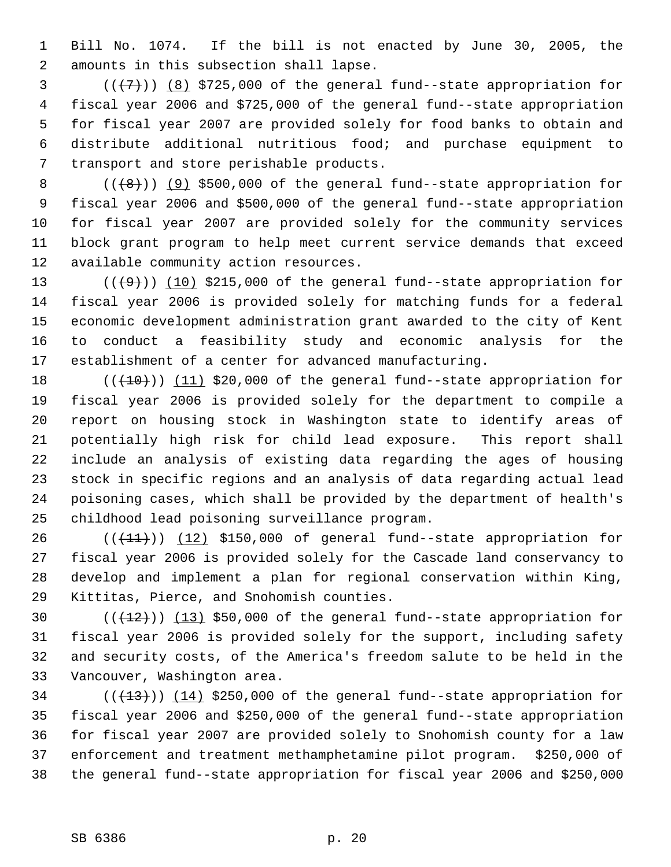Bill No. 1074. If the bill is not enacted by June 30, 2005, the amounts in this subsection shall lapse.

 $(1, 7)$  (( $(1, 7)$ )) (8) \$725,000 of the general fund--state appropriation for fiscal year 2006 and \$725,000 of the general fund--state appropriation for fiscal year 2007 are provided solely for food banks to obtain and distribute additional nutritious food; and purchase equipment to transport and store perishable products.

 $((\{8\})$  (9) \$500,000 of the general fund--state appropriation for fiscal year 2006 and \$500,000 of the general fund--state appropriation for fiscal year 2007 are provided solely for the community services block grant program to help meet current service demands that exceed available community action resources.

 $((+9))$   $(10)$  \$215,000 of the general fund--state appropriation for fiscal year 2006 is provided solely for matching funds for a federal economic development administration grant awarded to the city of Kent to conduct a feasibility study and economic analysis for the establishment of a center for advanced manufacturing.

 $((+10))$   $(11)$  \$20,000 of the general fund--state appropriation for fiscal year 2006 is provided solely for the department to compile a report on housing stock in Washington state to identify areas of potentially high risk for child lead exposure. This report shall include an analysis of existing data regarding the ages of housing stock in specific regions and an analysis of data regarding actual lead poisoning cases, which shall be provided by the department of health's childhood lead poisoning surveillance program.

 $((+11))$   $(12)$  \$150,000 of general fund--state appropriation for fiscal year 2006 is provided solely for the Cascade land conservancy to develop and implement a plan for regional conservation within King, Kittitas, Pierce, and Snohomish counties.

 $((+12))$   $(13)$  \$50,000 of the general fund--state appropriation for fiscal year 2006 is provided solely for the support, including safety and security costs, of the America's freedom salute to be held in the Vancouver, Washington area.

 $((+13))$   $(14)$  \$250,000 of the general fund--state appropriation for fiscal year 2006 and \$250,000 of the general fund--state appropriation for fiscal year 2007 are provided solely to Snohomish county for a law enforcement and treatment methamphetamine pilot program. \$250,000 of the general fund--state appropriation for fiscal year 2006 and \$250,000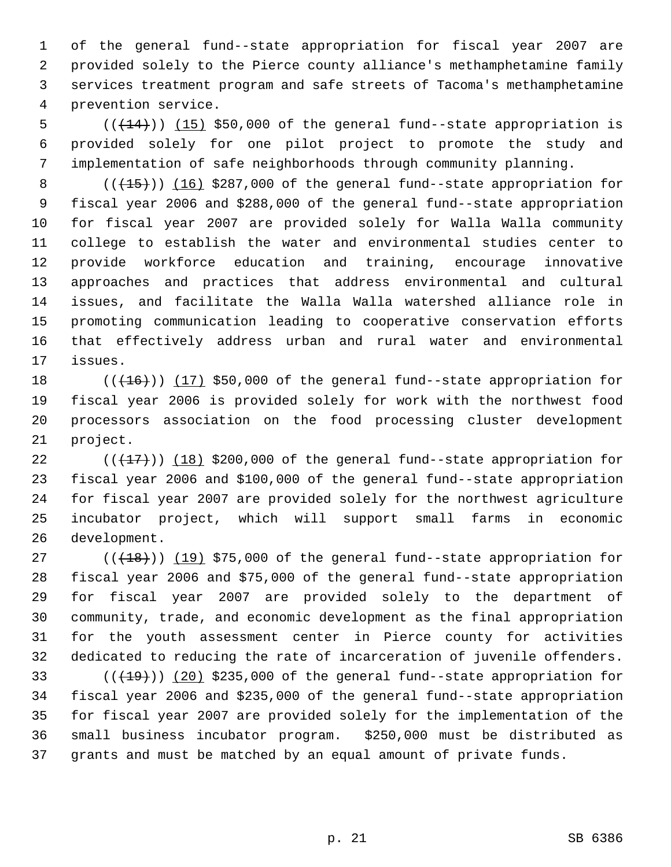of the general fund--state appropriation for fiscal year 2007 are provided solely to the Pierce county alliance's methamphetamine family services treatment program and safe streets of Tacoma's methamphetamine prevention service.

5  $((+14))$   $(15)$  \$50,000 of the general fund--state appropriation is provided solely for one pilot project to promote the study and implementation of safe neighborhoods through community planning.

 $((+15))$   $(16)$  \$287,000 of the general fund--state appropriation for fiscal year 2006 and \$288,000 of the general fund--state appropriation for fiscal year 2007 are provided solely for Walla Walla community college to establish the water and environmental studies center to provide workforce education and training, encourage innovative approaches and practices that address environmental and cultural issues, and facilitate the Walla Walla watershed alliance role in promoting communication leading to cooperative conservation efforts that effectively address urban and rural water and environmental issues.

 $((+16))$  (17) \$50,000 of the general fund--state appropriation for fiscal year 2006 is provided solely for work with the northwest food processors association on the food processing cluster development project.

 $((+17))$   $(18)$  \$200,000 of the general fund--state appropriation for fiscal year 2006 and \$100,000 of the general fund--state appropriation for fiscal year 2007 are provided solely for the northwest agriculture incubator project, which will support small farms in economic development.

 $((+18))$   $(19)$  \$75,000 of the general fund--state appropriation for fiscal year 2006 and \$75,000 of the general fund--state appropriation for fiscal year 2007 are provided solely to the department of community, trade, and economic development as the final appropriation for the youth assessment center in Pierce county for activities dedicated to reducing the rate of incarceration of juvenile offenders.

 $((+19))$   $(20)$  \$235,000 of the general fund--state appropriation for fiscal year 2006 and \$235,000 of the general fund--state appropriation for fiscal year 2007 are provided solely for the implementation of the small business incubator program. \$250,000 must be distributed as grants and must be matched by an equal amount of private funds.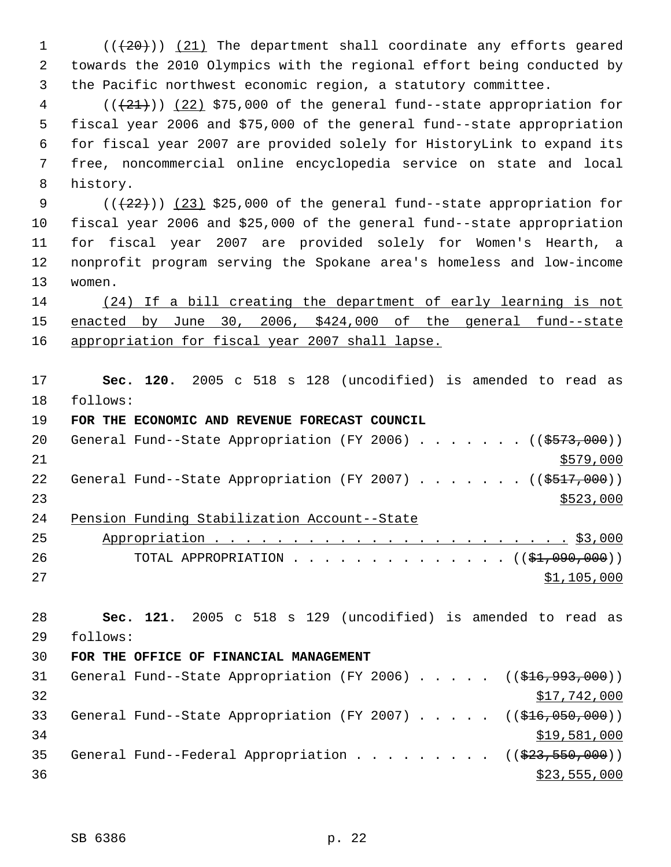$((+20))$   $(21)$  The department shall coordinate any efforts geared towards the 2010 Olympics with the regional effort being conducted by the Pacific northwest economic region, a statutory committee.

 ( $(\frac{21}{2})$ )  $(22)$  \$75,000 of the general fund--state appropriation for fiscal year 2006 and \$75,000 of the general fund--state appropriation for fiscal year 2007 are provided solely for HistoryLink to expand its free, noncommercial online encyclopedia service on state and local history.

 $((22))$   $(23)$  \$25,000 of the general fund--state appropriation for fiscal year 2006 and \$25,000 of the general fund--state appropriation for fiscal year 2007 are provided solely for Women's Hearth, a nonprofit program serving the Spokane area's homeless and low-income women.

 (24) If a bill creating the department of early learning is not enacted by June 30, 2006, \$424,000 of the general fund--state appropriation for fiscal year 2007 shall lapse.

 **Sec. 120.** 2005 c 518 s 128 (uncodified) is amended to read as follows:

**FOR THE ECONOMIC AND REVENUE FORECAST COUNCIL**

| 20 |  | General Fund--State Appropriation (FY 2006) ( $(\frac{2573}{100})$ ) |  |  |  |  |           |
|----|--|----------------------------------------------------------------------|--|--|--|--|-----------|
| 21 |  |                                                                      |  |  |  |  | \$579,000 |
| 22 |  | General Fund--State Appropriation (FY 2007) ( $(\frac{2517}{100})$ ) |  |  |  |  |           |
| 23 |  |                                                                      |  |  |  |  | \$523,000 |
| 24 |  | Pension Funding Stabilization Account--State                         |  |  |  |  |           |

| 25 |                                             |  |
|----|---------------------------------------------|--|
| 26 | TOTAL APPROPRIATION $($ $($ \$1,090,000 $)$ |  |
| 27 | \$1,105,000                                 |  |

 **Sec. 121.** 2005 c 518 s 129 (uncodified) is amended to read as follows:

## **FOR THE OFFICE OF FINANCIAL MANAGEMENT**

|  |  |  |  |  | \$17,742,000                                                                                                                                                                                                                         |
|--|--|--|--|--|--------------------------------------------------------------------------------------------------------------------------------------------------------------------------------------------------------------------------------------|
|  |  |  |  |  |                                                                                                                                                                                                                                      |
|  |  |  |  |  | \$19,581,000                                                                                                                                                                                                                         |
|  |  |  |  |  |                                                                                                                                                                                                                                      |
|  |  |  |  |  | \$23,555,000                                                                                                                                                                                                                         |
|  |  |  |  |  | General Fund--State Appropriation (FY 2006) $($ $($ \$16,993,000))<br>General Fund--State Appropriation (FY 2007) $($ $($ $\frac{206}{16}, 0.000)$ )<br>General Fund--Federal Appropriation ( $(\frac{223}{523}, \frac{550}{500})$ ) |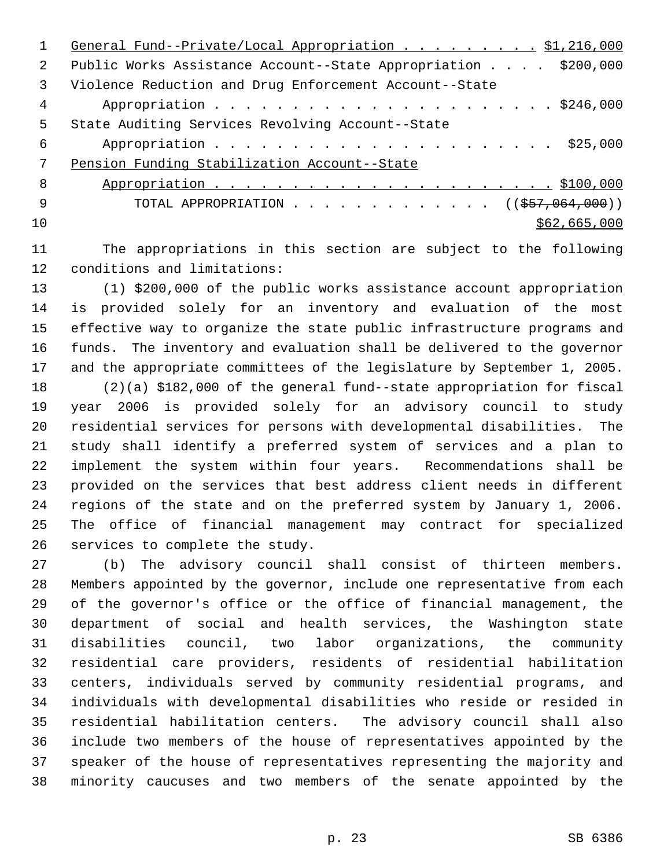|               | General Fund--Private/Local Appropriation \$1,216,000          |
|---------------|----------------------------------------------------------------|
| $\mathcal{L}$ | Public Works Assistance Account--State Appropriation \$200,000 |
| 3             | Violence Reduction and Drug Enforcement Account--State         |
| 4             |                                                                |
| 5             | State Auditing Services Revolving Account--State               |
| 6             |                                                                |
| 7             | Pension Funding Stabilization Account--State                   |
| 8             |                                                                |
| -9            | TOTAL APPROPRIATION $\ldots$ , ( $(\frac{257}{1000})$ )        |
| 10            | \$62,665,000                                                   |
|               |                                                                |

 The appropriations in this section are subject to the following conditions and limitations:

 (1) \$200,000 of the public works assistance account appropriation is provided solely for an inventory and evaluation of the most effective way to organize the state public infrastructure programs and funds. The inventory and evaluation shall be delivered to the governor and the appropriate committees of the legislature by September 1, 2005.

 (2)(a) \$182,000 of the general fund--state appropriation for fiscal year 2006 is provided solely for an advisory council to study residential services for persons with developmental disabilities. The study shall identify a preferred system of services and a plan to implement the system within four years. Recommendations shall be provided on the services that best address client needs in different regions of the state and on the preferred system by January 1, 2006. The office of financial management may contract for specialized services to complete the study.

 (b) The advisory council shall consist of thirteen members. Members appointed by the governor, include one representative from each of the governor's office or the office of financial management, the department of social and health services, the Washington state disabilities council, two labor organizations, the community residential care providers, residents of residential habilitation centers, individuals served by community residential programs, and individuals with developmental disabilities who reside or resided in residential habilitation centers. The advisory council shall also include two members of the house of representatives appointed by the speaker of the house of representatives representing the majority and minority caucuses and two members of the senate appointed by the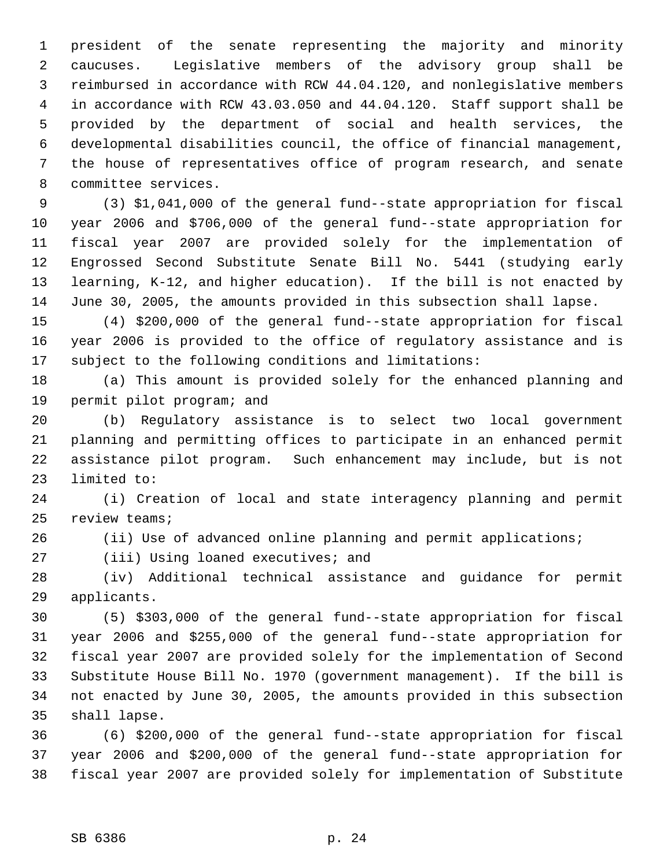president of the senate representing the majority and minority caucuses. Legislative members of the advisory group shall be reimbursed in accordance with RCW 44.04.120, and nonlegislative members in accordance with RCW 43.03.050 and 44.04.120. Staff support shall be provided by the department of social and health services, the developmental disabilities council, the office of financial management, the house of representatives office of program research, and senate committee services.

 (3) \$1,041,000 of the general fund--state appropriation for fiscal year 2006 and \$706,000 of the general fund--state appropriation for fiscal year 2007 are provided solely for the implementation of Engrossed Second Substitute Senate Bill No. 5441 (studying early learning, K-12, and higher education). If the bill is not enacted by June 30, 2005, the amounts provided in this subsection shall lapse.

 (4) \$200,000 of the general fund--state appropriation for fiscal year 2006 is provided to the office of regulatory assistance and is subject to the following conditions and limitations:

 (a) This amount is provided solely for the enhanced planning and permit pilot program; and

 (b) Regulatory assistance is to select two local government planning and permitting offices to participate in an enhanced permit assistance pilot program. Such enhancement may include, but is not limited to:

 (i) Creation of local and state interagency planning and permit review teams;

(ii) Use of advanced online planning and permit applications;

27 (iii) Using loaned executives; and

 (iv) Additional technical assistance and guidance for permit applicants.

 (5) \$303,000 of the general fund--state appropriation for fiscal year 2006 and \$255,000 of the general fund--state appropriation for fiscal year 2007 are provided solely for the implementation of Second Substitute House Bill No. 1970 (government management). If the bill is not enacted by June 30, 2005, the amounts provided in this subsection shall lapse.

 (6) \$200,000 of the general fund--state appropriation for fiscal year 2006 and \$200,000 of the general fund--state appropriation for fiscal year 2007 are provided solely for implementation of Substitute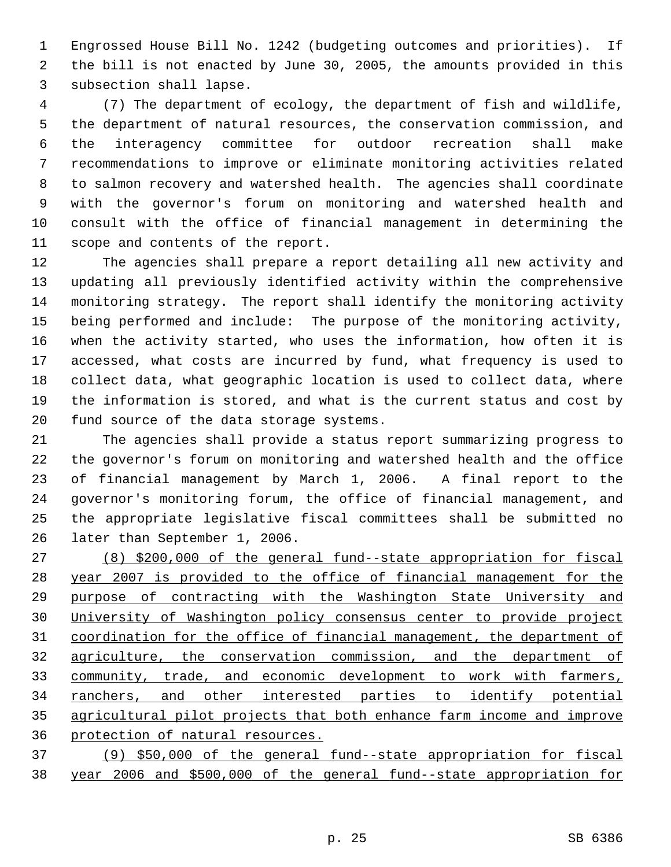Engrossed House Bill No. 1242 (budgeting outcomes and priorities). If the bill is not enacted by June 30, 2005, the amounts provided in this subsection shall lapse.

 (7) The department of ecology, the department of fish and wildlife, the department of natural resources, the conservation commission, and the interagency committee for outdoor recreation shall make recommendations to improve or eliminate monitoring activities related to salmon recovery and watershed health. The agencies shall coordinate with the governor's forum on monitoring and watershed health and consult with the office of financial management in determining the scope and contents of the report.

 The agencies shall prepare a report detailing all new activity and updating all previously identified activity within the comprehensive monitoring strategy. The report shall identify the monitoring activity being performed and include: The purpose of the monitoring activity, when the activity started, who uses the information, how often it is accessed, what costs are incurred by fund, what frequency is used to collect data, what geographic location is used to collect data, where the information is stored, and what is the current status and cost by fund source of the data storage systems.

 The agencies shall provide a status report summarizing progress to the governor's forum on monitoring and watershed health and the office of financial management by March 1, 2006. A final report to the governor's monitoring forum, the office of financial management, and the appropriate legislative fiscal committees shall be submitted no later than September 1, 2006.

 (8) \$200,000 of the general fund--state appropriation for fiscal year 2007 is provided to the office of financial management for the purpose of contracting with the Washington State University and University of Washington policy consensus center to provide project coordination for the office of financial management, the department of agriculture, the conservation commission, and the department of community, trade, and economic development to work with farmers, 34 ranchers, and other interested parties to identify potential agricultural pilot projects that both enhance farm income and improve protection of natural resources.

 (9) \$50,000 of the general fund--state appropriation for fiscal year 2006 and \$500,000 of the general fund--state appropriation for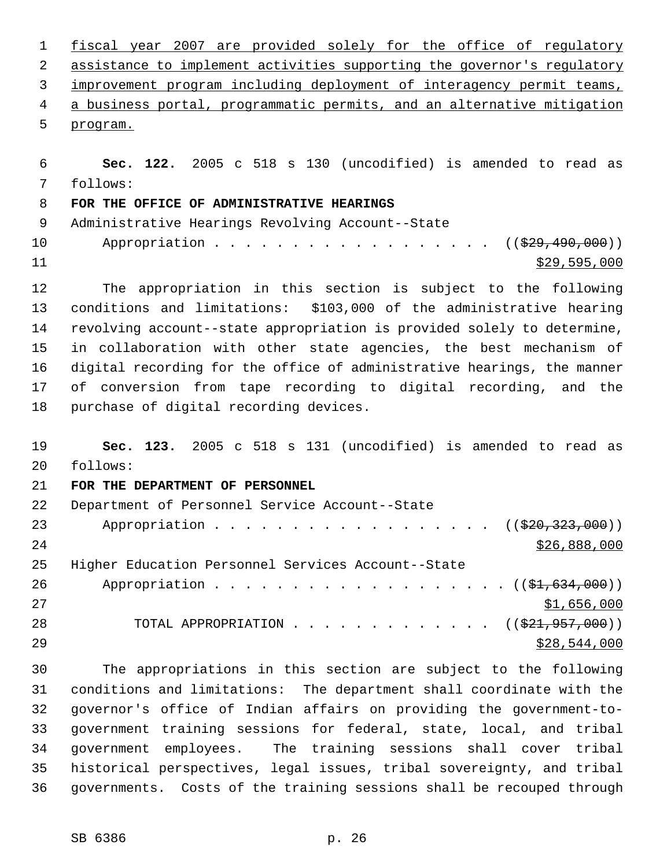fiscal year 2007 are provided solely for the office of regulatory 2 assistance to implement activities supporting the governor's regulatory improvement program including deployment of interagency permit teams, a business portal, programmatic permits, and an alternative mitigation program. **Sec. 122.** 2005 c 518 s 130 (uncodified) is amended to read as follows: **FOR THE OFFICE OF ADMINISTRATIVE HEARINGS** Administrative Hearings Revolving Account--State 10 Appropriation . . . . . . . . . . . . . . . . ((\$29,490,000)) \$29,595,000 The appropriation in this section is subject to the following conditions and limitations: \$103,000 of the administrative hearing revolving account--state appropriation is provided solely to determine, in collaboration with other state agencies, the best mechanism of digital recording for the office of administrative hearings, the manner of conversion from tape recording to digital recording, and the purchase of digital recording devices. **Sec. 123.** 2005 c 518 s 131 (uncodified) is amended to read as follows: **FOR THE DEPARTMENT OF PERSONNEL** Department of Personnel Service Account--State 23 Appropriation . . . . . . . . . . . . . . . . ((\$20,323,000)) \$26,888,000 Higher Education Personnel Services Account--State 26 Appropriation . . . . . . . . . . . . . . . . . (  $(\frac{21}{634}, 634, 000)$  ) \$1,656,000 28 TOTAL APPROPRIATION . . . . . . . . . . . . ((\$21,957,000)) \$28,544,000 The appropriations in this section are subject to the following conditions and limitations: The department shall coordinate with the governor's office of Indian affairs on providing the government-to- government training sessions for federal, state, local, and tribal government employees. The training sessions shall cover tribal historical perspectives, legal issues, tribal sovereignty, and tribal governments. Costs of the training sessions shall be recouped through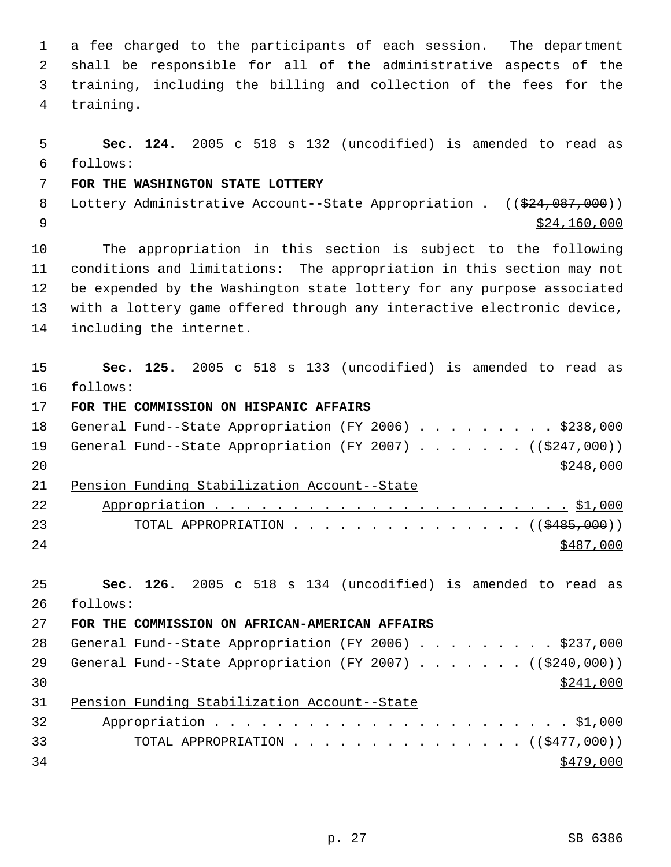a fee charged to the participants of each session. The department shall be responsible for all of the administrative aspects of the training, including the billing and collection of the fees for the training.

 **Sec. 124.** 2005 c 518 s 132 (uncodified) is amended to read as follows: **FOR THE WASHINGTON STATE LOTTERY** 8 Lottery Administrative Account--State Appropriation . ((\$24,087,000))  $\frac{1}{2}$  \$24,160,000 The appropriation in this section is subject to the following conditions and limitations: The appropriation in this section may not be expended by the Washington state lottery for any purpose associated with a lottery game offered through any interactive electronic device, including the internet. **Sec. 125.** 2005 c 518 s 133 (uncodified) is amended to read as follows: **FOR THE COMMISSION ON HISPANIC AFFAIRS**  18 General Fund--State Appropriation (FY 2006) . . . . . . . . \$238,000 19 General Fund--State Appropriation (FY 2007) . . . . . . ((\$247,000)) Pension Funding Stabilization Account--State Appropriation . . . . . . . . . . . . . . . . . . . . . . . \$1,000 23 TOTAL APPROPRIATION . . . . . . . . . . . . . . . ((\$485,000)) **Sec. 126.** 2005 c 518 s 134 (uncodified) is amended to read as follows: **FOR THE COMMISSION ON AFRICAN-AMERICAN AFFAIRS** 28 General Fund--State Appropriation (FY 2006) . . . . . . . . . \$237,000 29 General Fund--State Appropriation (FY 2007) . . . . . . ((\$240,000))  $\frac{$241,000}{ }$  Pension Funding Stabilization Account--State Appropriation . . . . . . . . . . . . . . . . . . . . . . . \$1,000 33 TOTAL APPROPRIATION . . . . . . . . . . . . . . ((<del>\$477,000</del>))  $\frac{$479,000}{9}$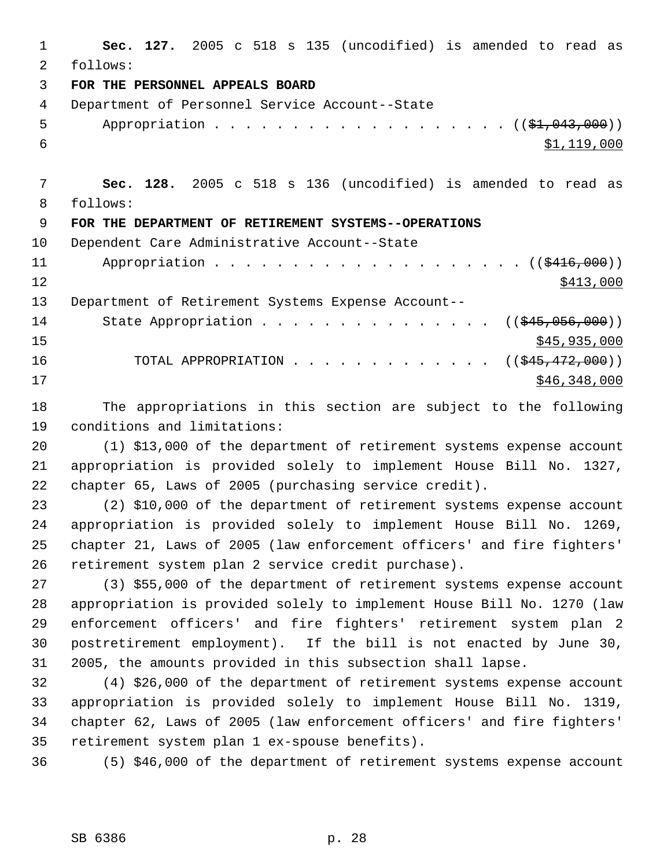**Sec. 127.** 2005 c 518 s 135 (uncodified) is amended to read as follows: **FOR THE PERSONNEL APPEALS BOARD** Department of Personnel Service Account--State 5 Appropriation . . . . . . . . . . . . . . . . . (  $(\frac{1}{2}, 043, 000)$  )  $$1,119,000$  **Sec. 128.** 2005 c 518 s 136 (uncodified) is amended to read as follows: **FOR THE DEPARTMENT OF RETIREMENT SYSTEMS--OPERATIONS** Dependent Care Administrative Account--State 11 Appropriation . . . . . . . . . . . . . . . . . . ((\$416,000))  $\frac{$413,000}{ }$  Department of Retirement Systems Expense Account-- 14 State Appropriation . . . . . . . . . . . . . . ((\$45,056,000))  $\frac{$45,935,000}{2}$ 16 TOTAL APPROPRIATION . . . . . . . . . . . . . ((\$45,472,000)) \$46,348,000

 The appropriations in this section are subject to the following conditions and limitations:

 (1) \$13,000 of the department of retirement systems expense account appropriation is provided solely to implement House Bill No. 1327, chapter 65, Laws of 2005 (purchasing service credit).

 (2) \$10,000 of the department of retirement systems expense account appropriation is provided solely to implement House Bill No. 1269, chapter 21, Laws of 2005 (law enforcement officers' and fire fighters' retirement system plan 2 service credit purchase).

 (3) \$55,000 of the department of retirement systems expense account appropriation is provided solely to implement House Bill No. 1270 (law enforcement officers' and fire fighters' retirement system plan 2 postretirement employment). If the bill is not enacted by June 30, 2005, the amounts provided in this subsection shall lapse.

 (4) \$26,000 of the department of retirement systems expense account appropriation is provided solely to implement House Bill No. 1319, chapter 62, Laws of 2005 (law enforcement officers' and fire fighters' retirement system plan 1 ex-spouse benefits).

(5) \$46,000 of the department of retirement systems expense account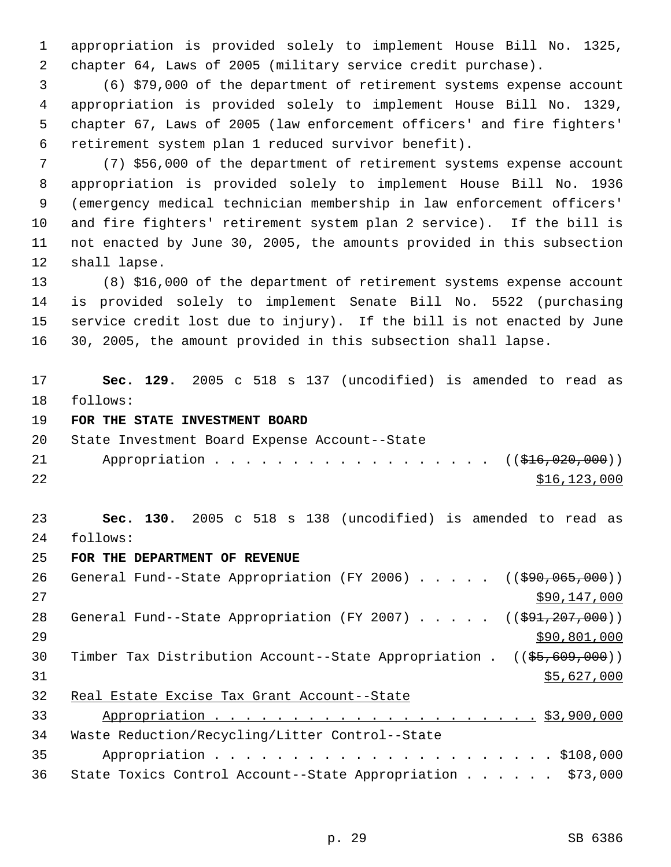appropriation is provided solely to implement House Bill No. 1325, chapter 64, Laws of 2005 (military service credit purchase).

 (6) \$79,000 of the department of retirement systems expense account appropriation is provided solely to implement House Bill No. 1329, chapter 67, Laws of 2005 (law enforcement officers' and fire fighters' retirement system plan 1 reduced survivor benefit).

 (7) \$56,000 of the department of retirement systems expense account appropriation is provided solely to implement House Bill No. 1936 (emergency medical technician membership in law enforcement officers' and fire fighters' retirement system plan 2 service). If the bill is not enacted by June 30, 2005, the amounts provided in this subsection shall lapse.

 (8) \$16,000 of the department of retirement systems expense account is provided solely to implement Senate Bill No. 5522 (purchasing service credit lost due to injury). If the bill is not enacted by June 30, 2005, the amount provided in this subsection shall lapse.

 **Sec. 129.** 2005 c 518 s 137 (uncodified) is amended to read as follows:

**FOR THE STATE INVESTMENT BOARD**

|    | 20 State Investment Board Expense Account--State |              |
|----|--------------------------------------------------|--------------|
|    | 21 Appropriation ((\$16,020,000))                |              |
| 22 |                                                  | \$16,123,000 |

 **Sec. 130.** 2005 c 518 s 138 (uncodified) is amended to read as follows:

**FOR THE DEPARTMENT OF REVENUE**

26 General Fund--State Appropriation (FY 2006) . . . . . ((\$90,065,000)) \$90,147,000 28 General Fund--State Appropriation (FY 2007) . . . . . ((\$91,207,000))  $\frac{$90,801,000}{2}$  Timber Tax Distribution Account--State Appropriation . ((\$5,609,000))  $$5,627,000$  Real Estate Excise Tax Grant Account--State Appropriation . . . . . . . . . . . . . . . . . . . . . \$3,900,000 Waste Reduction/Recycling/Litter Control--State Appropriation . . . . . . . . . . . . . . . . . . . . . . \$108,000

State Toxics Control Account--State Appropriation . . . . . . \$73,000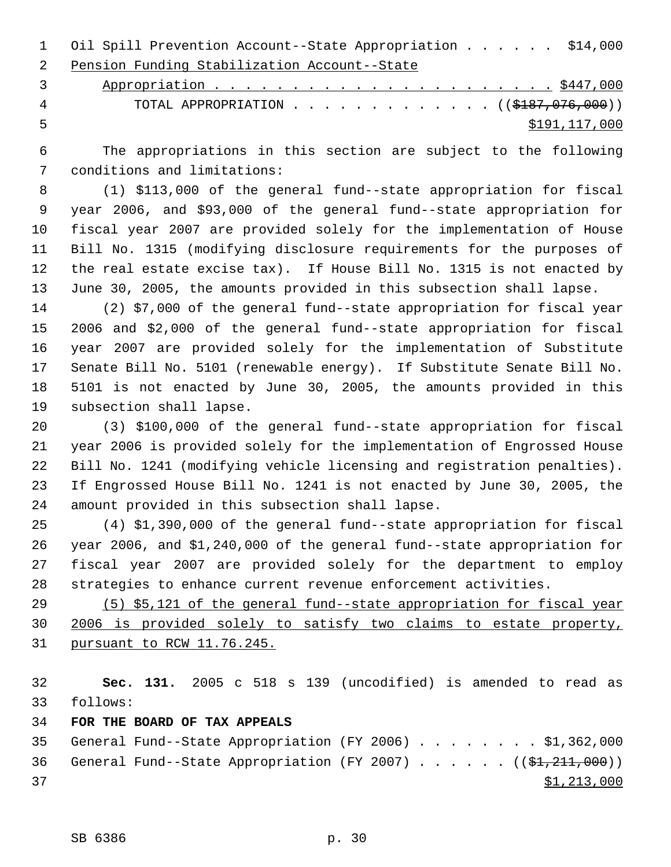Oil Spill Prevention Account--State Appropriation . . . . . . \$14,000 Pension Funding Stabilization Account--State

 Appropriation . . . . . . . . . . . . . . . . . . . . . . \$447,000 4 TOTAL APPROPRIATION . . . . . . . . . . . . ((\$187,076,000)) \$191,117,000

 The appropriations in this section are subject to the following conditions and limitations:

 (1) \$113,000 of the general fund--state appropriation for fiscal year 2006, and \$93,000 of the general fund--state appropriation for fiscal year 2007 are provided solely for the implementation of House Bill No. 1315 (modifying disclosure requirements for the purposes of the real estate excise tax). If House Bill No. 1315 is not enacted by June 30, 2005, the amounts provided in this subsection shall lapse.

 (2) \$7,000 of the general fund--state appropriation for fiscal year 2006 and \$2,000 of the general fund--state appropriation for fiscal year 2007 are provided solely for the implementation of Substitute Senate Bill No. 5101 (renewable energy). If Substitute Senate Bill No. 5101 is not enacted by June 30, 2005, the amounts provided in this subsection shall lapse.

 (3) \$100,000 of the general fund--state appropriation for fiscal year 2006 is provided solely for the implementation of Engrossed House Bill No. 1241 (modifying vehicle licensing and registration penalties). If Engrossed House Bill No. 1241 is not enacted by June 30, 2005, the amount provided in this subsection shall lapse.

 (4) \$1,390,000 of the general fund--state appropriation for fiscal year 2006, and \$1,240,000 of the general fund--state appropriation for fiscal year 2007 are provided solely for the department to employ strategies to enhance current revenue enforcement activities.

 (5) \$5,121 of the general fund--state appropriation for fiscal year 2006 is provided solely to satisfy two claims to estate property, pursuant to RCW 11.76.245.

 **Sec. 131.** 2005 c 518 s 139 (uncodified) is amended to read as follows:

**FOR THE BOARD OF TAX APPEALS**

 General Fund--State Appropriation (FY 2006) . . . . . . . . \$1,362,000 36 General Fund--State Appropriation (FY 2007)  $\ldots$  . . . . ((\$1,211,000))  $\frac{1}{21}$ , 213,000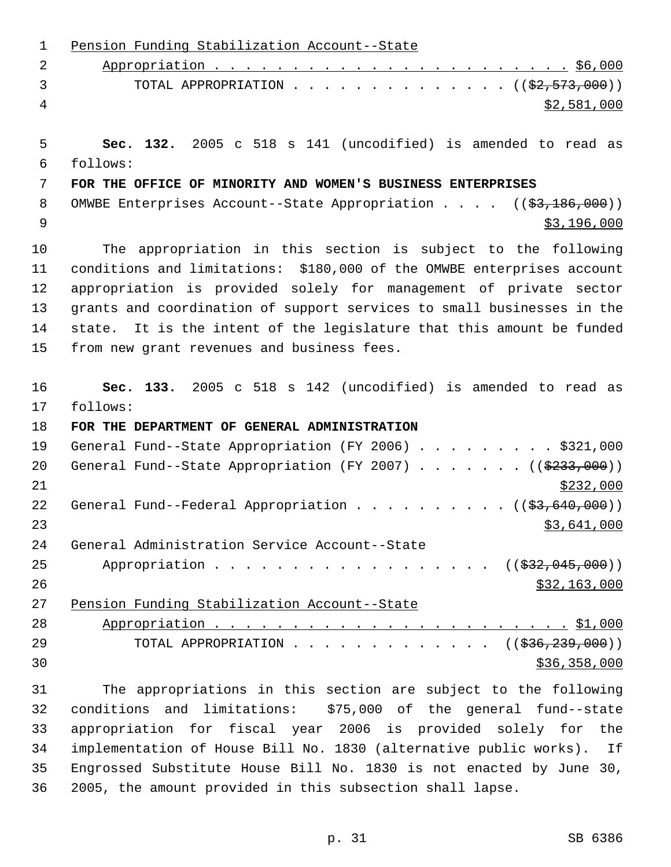| $\mathbf 1$ | Pension Funding Stabilization Account--State                                           |
|-------------|----------------------------------------------------------------------------------------|
| 2           |                                                                                        |
| 3           | TOTAL APPROPRIATION $($ $(\frac{2}{2}, 573, 000))$                                     |
| 4           | \$2,581,000                                                                            |
| 5           | Sec. 132. 2005 c 518 s 141 (uncodified) is amended to read as                          |
| 6           | follows:                                                                               |
| 7           | FOR THE OFFICE OF MINORITY AND WOMEN'S BUSINESS ENTERPRISES                            |
| 8<br>9      | OMWBE Enterprises Account--State Appropriation $($ $($ \$3,186,000) $)$<br>\$3,196,000 |
| 10          | The appropriation in this section is subject to the following                          |
| 11          | conditions and limitations: \$180,000 of the OMWBE enterprises account                 |
| 12          | appropriation is provided solely for management of private sector                      |
| 13          | grants and coordination of support services to small businesses in the                 |
| 14          | state. It is the intent of the legislature that this amount be funded                  |
| 15          | from new grant revenues and business fees.                                             |
| 16          | Sec. 133. 2005 c 518 s 142 (uncodified) is amended to read as                          |
| 17          | follows:                                                                               |
| 18          | FOR THE DEPARTMENT OF GENERAL ADMINISTRATION                                           |
| 19          | General Fund--State Appropriation (FY 2006) \$321,000                                  |
| 20          | General Fund--State Appropriation (FY 2007) ( $(\frac{2333}{100})$ )                   |
| 21          | \$232,000                                                                              |
| 22          | General Fund--Federal Appropriation $($ $($ \$3,640,000) $)$                           |
| 23          | \$3,641,000                                                                            |
| 24          | General Administration Service Account--State                                          |
| 25          | Appropriation ((\$32,045,000))                                                         |
| 26          | \$32,163,000                                                                           |
| 27          | Pension Funding Stabilization Account--State                                           |
| 28          |                                                                                        |
| 29          | TOTAL APPROPRIATION ( $(\frac{236}{236}, \frac{239}{239}, 000)$ )                      |
| 30          | \$36,358,000                                                                           |
| 31          | The appropriations in this section are subject to the following                        |
| 32          | conditions and limitations: \$75,000 of the general fund--state                        |
| 33          | appropriation for fiscal year 2006 is provided solely for the                          |
| 34          | implementation of House Bill No. 1830 (alternative public works). If                   |
| 35          | Engrossed Substitute House Bill No. 1830 is not enacted by June 30,                    |
| 36          | 2005, the amount provided in this subsection shall lapse.                              |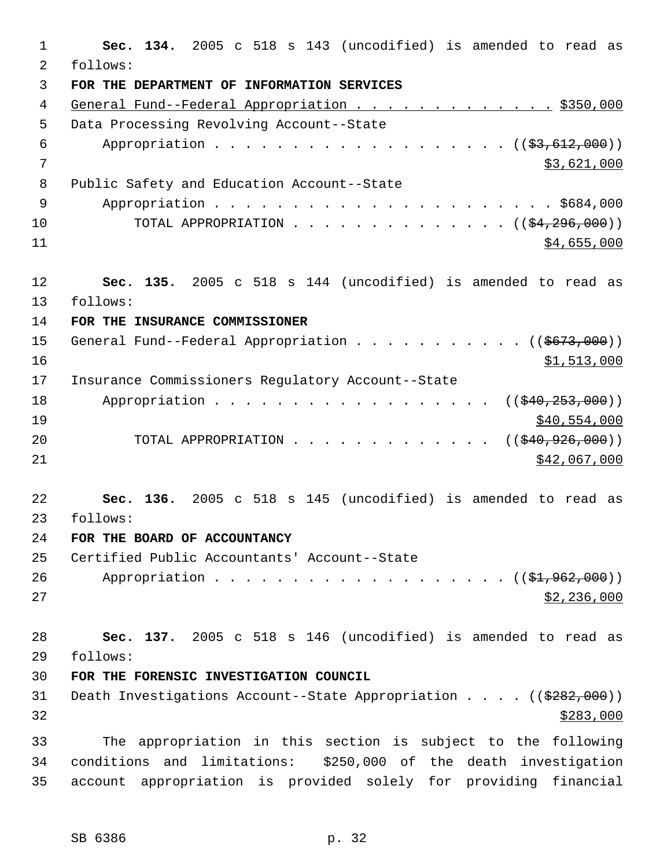**Sec. 134.** 2005 c 518 s 143 (uncodified) is amended to read as follows: **FOR THE DEPARTMENT OF INFORMATION SERVICES** 4 General Fund--Federal Appropriation . . . . . . . . . . . . . \$350,000 Data Processing Revolving Account--State 6 Appropriation . . . . . . . . . . . . . . . . . (  $(\frac{2}{5}, \frac{612}{600})$  ) \$3,621,000 Public Safety and Education Account--State Appropriation . . . . . . . . . . . . . . . . . . . . . . \$684,000 10 TOTAL APPROPRIATION . . . . . . . . . . . . . ((<del>\$4,296,000</del>))  $84,655,000$  **Sec. 135.** 2005 c 518 s 144 (uncodified) is amended to read as follows: **FOR THE INSURANCE COMMISSIONER** 15 General Fund--Federal Appropriation . . . . . . . . . . ((\$673,000))  $\frac{$1,513,000}{2}$  Insurance Commissioners Regulatory Account--State 18 Appropriation . . . . . . . . . . . . . . . . ((\$40,253,000))  $\frac{$40,554,000}{540,554,000}$ 20 TOTAL APPROPRIATION . . . . . . . . . . . . ((\$40,926,000)) \$42,067,000 **Sec. 136.** 2005 c 518 s 145 (uncodified) is amended to read as follows: **FOR THE BOARD OF ACCOUNTANCY** Certified Public Accountants' Account--State 26 Appropriation . . . . . . . . . . . . . . . . . (  $(\frac{21,962,000}{1})$   $$2,236,000$  **Sec. 137.** 2005 c 518 s 146 (uncodified) is amended to read as follows: **FOR THE FORENSIC INVESTIGATION COUNCIL** 31 Death Investigations Account--State Appropriation . . . . ((\$282,000)) The appropriation in this section is subject to the following conditions and limitations: \$250,000 of the death investigation account appropriation is provided solely for providing financial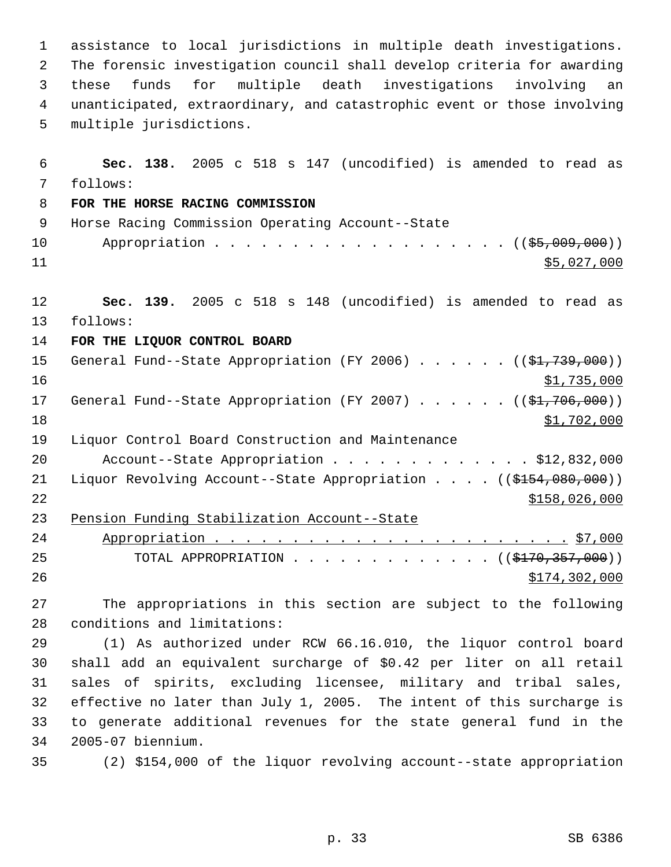assistance to local jurisdictions in multiple death investigations. The forensic investigation council shall develop criteria for awarding these funds for multiple death investigations involving an unanticipated, extraordinary, and catastrophic event or those involving multiple jurisdictions.

 **Sec. 138.** 2005 c 518 s 147 (uncodified) is amended to read as follows: **FOR THE HORSE RACING COMMISSION** Horse Racing Commission Operating Account--State 10 Appropriation . . . . . . . . . . . . . . . . . ((\$5,009,000)) \$5,027,000 **Sec. 139.** 2005 c 518 s 148 (uncodified) is amended to read as follows: **FOR THE LIQUOR CONTROL BOARD** 15 General Fund--State Appropriation (FY 2006) . . . . . . ((\$1,739,000)) \$1,735,000 17 General Fund--State Appropriation (FY 2007) . . . . . . ((\$1,706,000))  $\frac{$1,702,000}{9}$  Liquor Control Board Construction and Maintenance Account--State Appropriation . . . . . . . . . . . . . \$12,832,000 21 Liquor Revolving Account--State Appropriation . . . . ((\$154,080,000)) \$158,026,000 Pension Funding Stabilization Account--State Appropriation . . . . . . . . . . . . . . . . . . . . . . . \$7,000 25 TOTAL APPROPRIATION . . . . . . . . . . . . ((\$<del>170,357,000</del>)) 26 \$174,302,000

 The appropriations in this section are subject to the following conditions and limitations:

 (1) As authorized under RCW 66.16.010, the liquor control board shall add an equivalent surcharge of \$0.42 per liter on all retail sales of spirits, excluding licensee, military and tribal sales, effective no later than July 1, 2005. The intent of this surcharge is to generate additional revenues for the state general fund in the 2005-07 biennium.

(2) \$154,000 of the liquor revolving account--state appropriation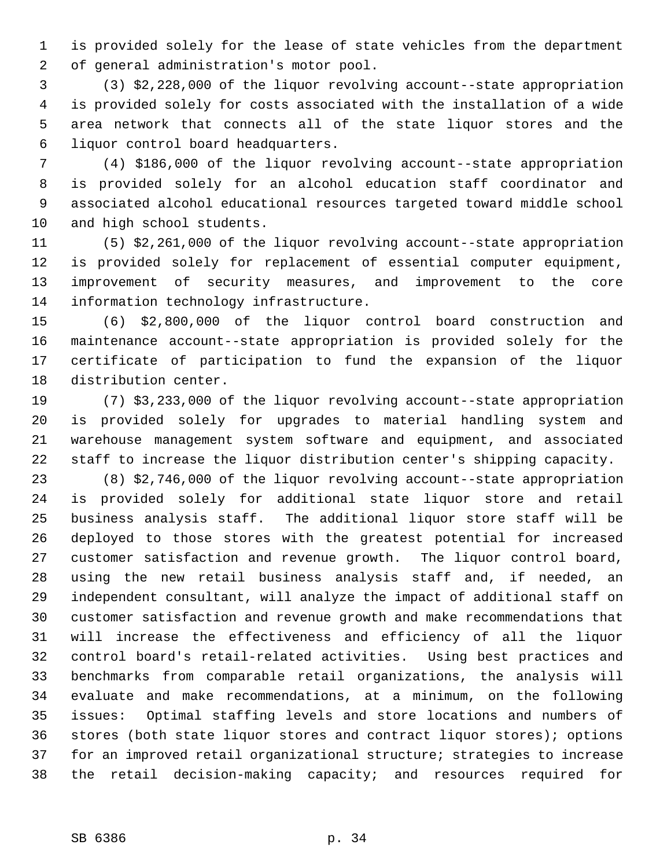is provided solely for the lease of state vehicles from the department of general administration's motor pool.

 (3) \$2,228,000 of the liquor revolving account--state appropriation is provided solely for costs associated with the installation of a wide area network that connects all of the state liquor stores and the liquor control board headquarters.

 (4) \$186,000 of the liquor revolving account--state appropriation is provided solely for an alcohol education staff coordinator and associated alcohol educational resources targeted toward middle school and high school students.

 (5) \$2,261,000 of the liquor revolving account--state appropriation is provided solely for replacement of essential computer equipment, improvement of security measures, and improvement to the core information technology infrastructure.

 (6) \$2,800,000 of the liquor control board construction and maintenance account--state appropriation is provided solely for the certificate of participation to fund the expansion of the liquor distribution center.

 (7) \$3,233,000 of the liquor revolving account--state appropriation is provided solely for upgrades to material handling system and warehouse management system software and equipment, and associated staff to increase the liquor distribution center's shipping capacity.

 (8) \$2,746,000 of the liquor revolving account--state appropriation is provided solely for additional state liquor store and retail business analysis staff. The additional liquor store staff will be deployed to those stores with the greatest potential for increased customer satisfaction and revenue growth. The liquor control board, using the new retail business analysis staff and, if needed, an independent consultant, will analyze the impact of additional staff on customer satisfaction and revenue growth and make recommendations that will increase the effectiveness and efficiency of all the liquor control board's retail-related activities. Using best practices and benchmarks from comparable retail organizations, the analysis will evaluate and make recommendations, at a minimum, on the following issues: Optimal staffing levels and store locations and numbers of stores (both state liquor stores and contract liquor stores); options for an improved retail organizational structure; strategies to increase the retail decision-making capacity; and resources required for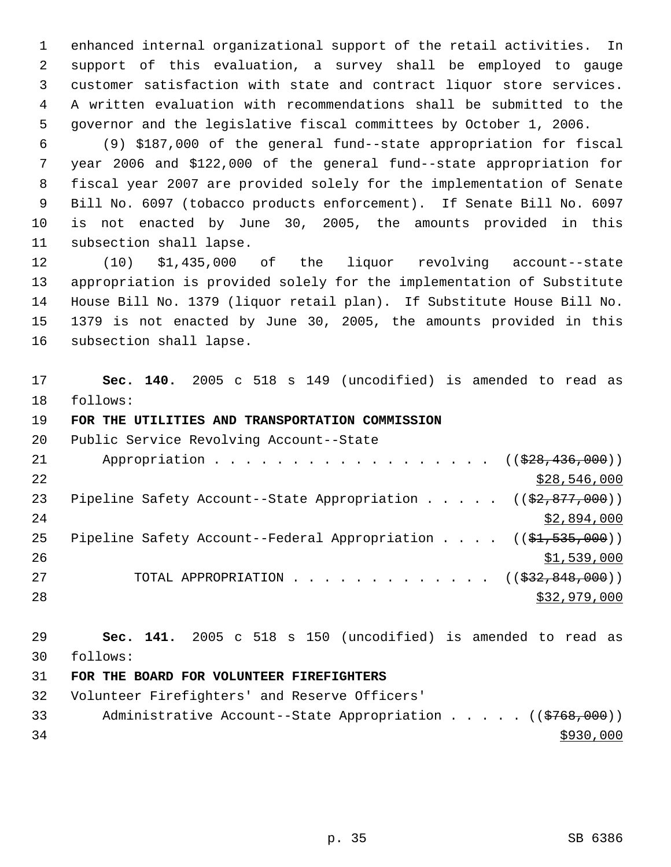enhanced internal organizational support of the retail activities. In support of this evaluation, a survey shall be employed to gauge customer satisfaction with state and contract liquor store services. A written evaluation with recommendations shall be submitted to the governor and the legislative fiscal committees by October 1, 2006.

 (9) \$187,000 of the general fund--state appropriation for fiscal year 2006 and \$122,000 of the general fund--state appropriation for fiscal year 2007 are provided solely for the implementation of Senate Bill No. 6097 (tobacco products enforcement). If Senate Bill No. 6097 is not enacted by June 30, 2005, the amounts provided in this subsection shall lapse.

 (10) \$1,435,000 of the liquor revolving account--state appropriation is provided solely for the implementation of Substitute House Bill No. 1379 (liquor retail plan). If Substitute House Bill No. 1379 is not enacted by June 30, 2005, the amounts provided in this subsection shall lapse.

 **Sec. 140.** 2005 c 518 s 149 (uncodified) is amended to read as follows:

#### **FOR THE UTILITIES AND TRANSPORTATION COMMISSION**

| 20 | Public Service Revolving Account--State                                                      |
|----|----------------------------------------------------------------------------------------------|
| 21 | Appropriation ( $(\frac{228}{728}, \frac{436}{100})$ )                                       |
| 22 | \$28,546,000                                                                                 |
| 23 | Pipeline Safety Account--State Appropriation $($ $($ \$2,877,000))                           |
| 24 | \$2,894,000                                                                                  |
| 25 | Pipeline Safety Account--Federal Appropriation $($ $($ $\frac{1}{21}$ , $\frac{535}{100}$ )) |
| 26 | \$1,539,000                                                                                  |
| 27 | TOTAL APPROPRIATION $\ldots$ , ( $(\frac{232}{632}, \frac{848}{600})$ )                      |
| 28 | \$32,979,000                                                                                 |

 **Sec. 141.** 2005 c 518 s 150 (uncodified) is amended to read as follows:

#### **FOR THE BOARD FOR VOLUNTEER FIREFIGHTERS**

Volunteer Firefighters' and Reserve Officers'

33 Administrative Account--State Appropriation . . . . . ((\$768,000))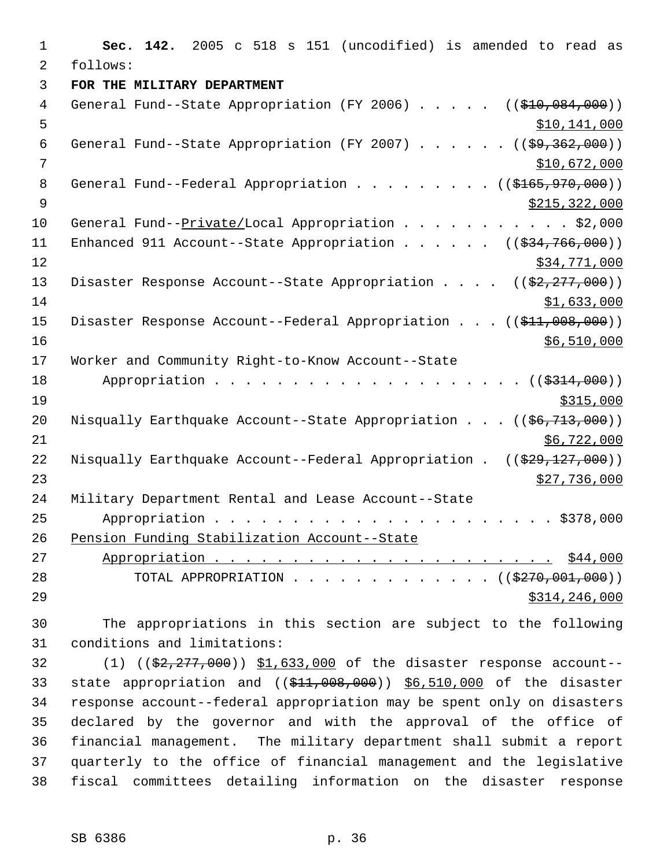1 **Sec. 142.** 2005 c 518 s 151 (uncodified) is amended to read as 2 follows: 3 **FOR THE MILITARY DEPARTMENT** 4 General Fund--State Appropriation (FY 2006) . . . . . ((\$10,084,000))  $5$  \$10,141,000 6 General Fund--State Appropriation (FY 2007) . . . . . . ((\$9,362,000)) 7 \$10,672,000 8 General Fund--Federal Appropriation . . . . . . . . ((\$165,970,000))  $\frac{1}{2}$  \$215,322,000 10 General Fund--Private/Local Appropriation . . . . . . . . . . \$2,000 11 Enhanced 911 Account--State Appropriation . . . . . ((\$34,766,000))  $12$  \$34,771,000 13 Disaster Response Account--State Appropriation . . . . ((\$2,277,000))  $14$  \$1,633,000 15 Disaster Response Account--Federal Appropriation . . . ((\$11,008,000))  $16$   $\frac{$6,510,000}{ }$ 17 Worker and Community Right-to-Know Account--State 18 Appropriation . . . . . . . . . . . . . . . . . . ((\$314,000))  $19$  \$315,000 20 Nisqually Earthquake Account--State Appropriation . . . ((\$6,713,000))  $21$   $$6,722,000$ 22 Nisqually Earthquake Account--Federal Appropriation . ((\$29,127,000))  $\frac{1}{23}$   $\frac{1}{27}$ , 736, 000 24 Military Department Rental and Lease Account--State 25 Appropriation . . . . . . . . . . . . . . . . . . . . . . \$378,000 26 Pension Funding Stabilization Account--State 27 Appropriation . . . . . . . . . . . . . . . . . . . . . . \$44,000 28 TOTAL APPROPRIATION . . . . . . . . . . . . . ((\$270,001,000)) 29 \$314,246,000

30 The appropriations in this section are subject to the following 31 conditions and limitations:

32 (1) ((\$2,277,000)) \$1,633,000 of the disaster response account--33 state appropriation and ((\$11,008,000)) \$6,510,000 of the disaster response account--federal appropriation may be spent only on disasters declared by the governor and with the approval of the office of financial management. The military department shall submit a report quarterly to the office of financial management and the legislative fiscal committees detailing information on the disaster response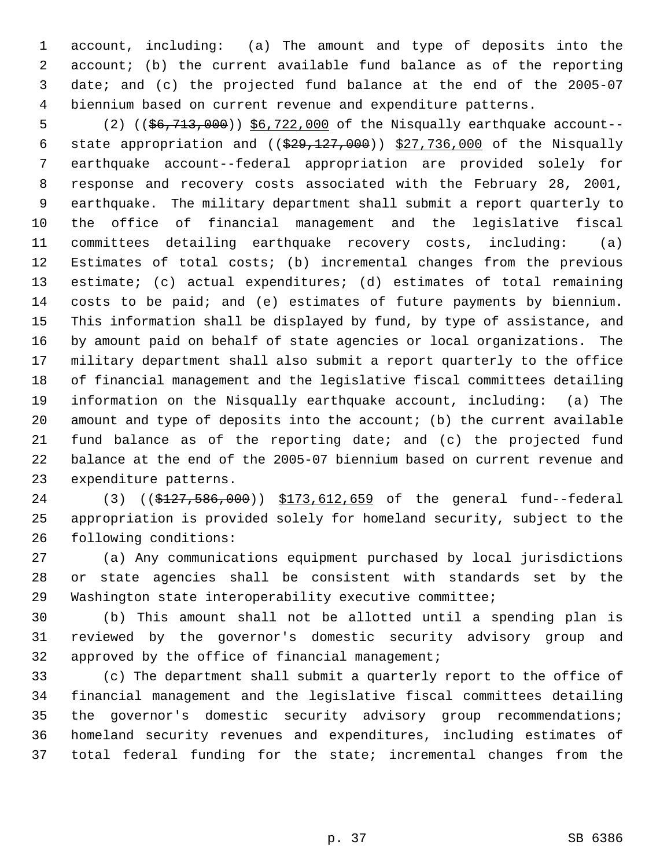account, including: (a) The amount and type of deposits into the account; (b) the current available fund balance as of the reporting date; and (c) the projected fund balance at the end of the 2005-07 biennium based on current revenue and expenditure patterns.

 (2) ((\$6,713,000)) \$6,722,000 of the Nisqually earthquake account-- 6 state appropriation and  $((\$29,127,000))$   $\$27,736,000$  of the Nisqually earthquake account--federal appropriation are provided solely for response and recovery costs associated with the February 28, 2001, earthquake. The military department shall submit a report quarterly to the office of financial management and the legislative fiscal committees detailing earthquake recovery costs, including: (a) Estimates of total costs; (b) incremental changes from the previous estimate; (c) actual expenditures; (d) estimates of total remaining costs to be paid; and (e) estimates of future payments by biennium. This information shall be displayed by fund, by type of assistance, and by amount paid on behalf of state agencies or local organizations. The military department shall also submit a report quarterly to the office of financial management and the legislative fiscal committees detailing information on the Nisqually earthquake account, including: (a) The 20 amount and type of deposits into the account; (b) the current available fund balance as of the reporting date; and (c) the projected fund balance at the end of the 2005-07 biennium based on current revenue and expenditure patterns.

24 (3) ((\$127,586,000)) \$173,612,659 of the general fund--federal appropriation is provided solely for homeland security, subject to the following conditions:

 (a) Any communications equipment purchased by local jurisdictions or state agencies shall be consistent with standards set by the Washington state interoperability executive committee;

 (b) This amount shall not be allotted until a spending plan is reviewed by the governor's domestic security advisory group and approved by the office of financial management;

 (c) The department shall submit a quarterly report to the office of financial management and the legislative fiscal committees detailing the governor's domestic security advisory group recommendations; homeland security revenues and expenditures, including estimates of total federal funding for the state; incremental changes from the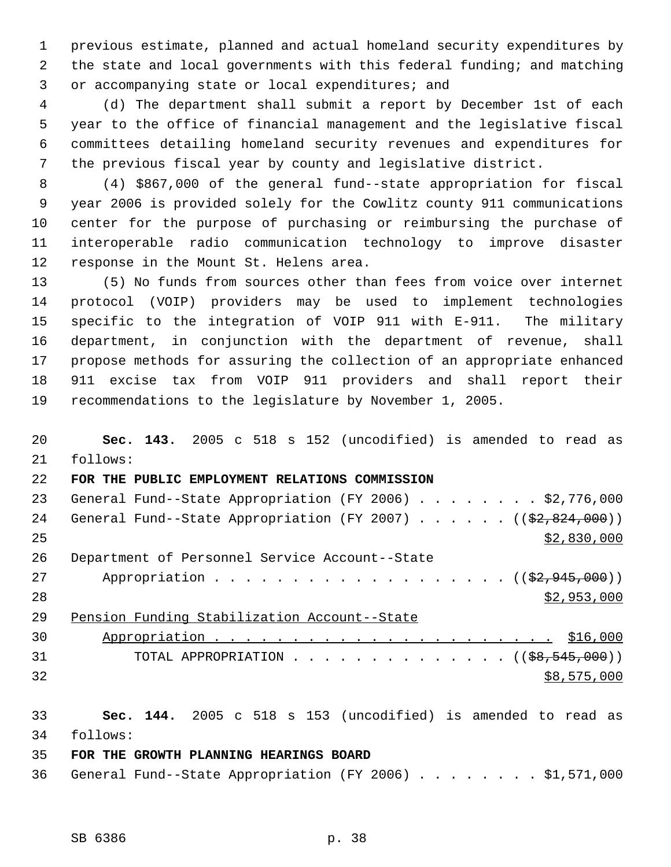previous estimate, planned and actual homeland security expenditures by the state and local governments with this federal funding; and matching or accompanying state or local expenditures; and

 (d) The department shall submit a report by December 1st of each year to the office of financial management and the legislative fiscal committees detailing homeland security revenues and expenditures for the previous fiscal year by county and legislative district.

 (4) \$867,000 of the general fund--state appropriation for fiscal year 2006 is provided solely for the Cowlitz county 911 communications center for the purpose of purchasing or reimbursing the purchase of interoperable radio communication technology to improve disaster response in the Mount St. Helens area.

 (5) No funds from sources other than fees from voice over internet protocol (VOIP) providers may be used to implement technologies specific to the integration of VOIP 911 with E-911. The military department, in conjunction with the department of revenue, shall propose methods for assuring the collection of an appropriate enhanced 911 excise tax from VOIP 911 providers and shall report their recommendations to the legislature by November 1, 2005.

 **Sec. 143.** 2005 c 518 s 152 (uncodified) is amended to read as follows: **FOR THE PUBLIC EMPLOYMENT RELATIONS COMMISSION** 23 General Fund--State Appropriation (FY 2006) . . . . . . . . \$2,776,000 24 General Fund--State Appropriation (FY 2007) . . . . . . ((\$2,824,000)) \$2,830,000 Department of Personnel Service Account--State 27 Appropriation . . . . . . . . . . . . . . . . . (  $(\frac{2}{2}, 945, 000)$  )  $$2,953,000$  Pension Funding Stabilization Account--State Appropriation . . . . . . . . . . . . . . . . . . . . . . \$16,000 31 TOTAL APPROPRIATION . . . . . . . . . . . . . ((<del>\$8,545,000</del>)) \$8,575,000 **Sec. 144.** 2005 c 518 s 153 (uncodified) is amended to read as follows: **FOR THE GROWTH PLANNING HEARINGS BOARD** General Fund--State Appropriation (FY 2006) . . . . . . . . \$1,571,000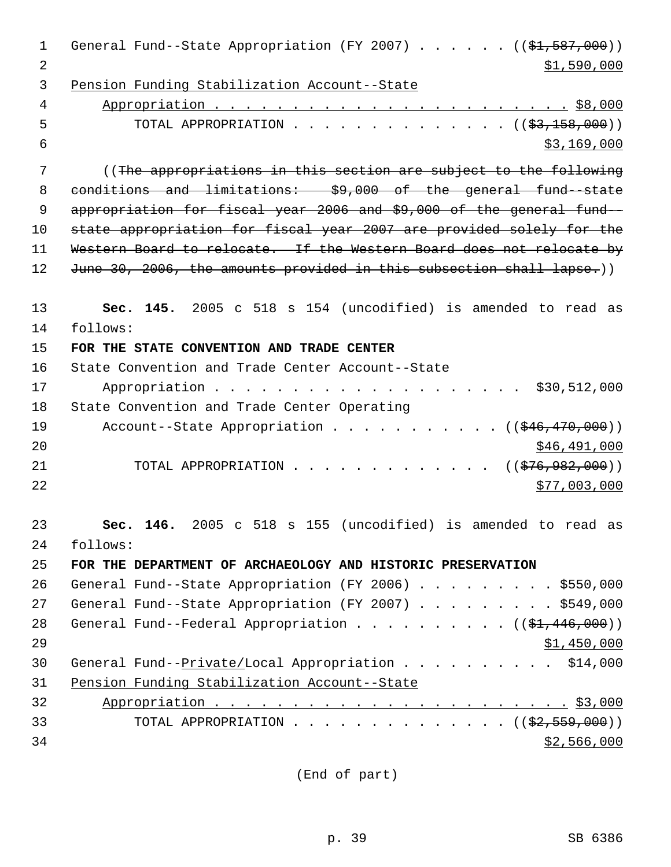| 1              | General Fund--State Appropriation (FY 2007) $($ $($ \$1,587,000))     |
|----------------|-----------------------------------------------------------------------|
| $\overline{2}$ | \$1,590,000                                                           |
| 3              | Pension Funding Stabilization Account--State                          |
| 4              |                                                                       |
| 5              | TOTAL APPROPRIATION $($ $(\frac{27}{3}, \frac{158}{900}) )$           |
| 6              | \$3,169,000                                                           |
| 7              | ((The appropriations in this section are subject to the following     |
| 8              | conditions and limitations: \$9,000 of the general fund-state         |
| 9              | appropriation for fiscal year 2006 and \$9,000 of the general fund-   |
| 10             | state appropriation for fiscal year 2007 are provided solely for the  |
| 11             | Western Board to relocate. If the Western Board does not relocate by  |
| 12             | June 30, 2006, the amounts provided in this subsection shall lapse.)) |
| 13             | Sec. 145. 2005 c 518 s 154 (uncodified) is amended to read as         |
| 14             | follows:                                                              |
| 15             | FOR THE STATE CONVENTION AND TRADE CENTER                             |
| 16             | State Convention and Trade Center Account--State                      |
| 17             | \$30,512,000                                                          |
| 18             | State Convention and Trade Center Operating                           |
| 19             | Account--State Appropriation $($ $($ $\frac{246}{170}$ , 000))        |
| 20             | \$46,491,000                                                          |
| 21             | TOTAL APPROPRIATION ( $(\frac{276}{982},000)$ )                       |
| 22             | \$77,003,000                                                          |
| 23             | Sec. 146. 2005 c 518 s 155 (uncodified) is amended to read as         |
| 24             | follows:                                                              |
| 25             | FOR THE DEPARTMENT OF ARCHAEOLOGY AND HISTORIC PRESERVATION           |
| 26             | General Fund--State Appropriation (FY 2006) \$550,000                 |
| 27             | General Fund--State Appropriation (FY 2007) \$549,000                 |
| 28             | General Fund--Federal Appropriation $($ $($ \$1,446,000) $)$          |
| 29             | \$1,450,000                                                           |
| 30             | General Fund--Private/Local Appropriation \$14,000                    |
| 31             | Pension Funding Stabilization Account--State                          |
| 32             |                                                                       |
| 33             | TOTAL APPROPRIATION ( $(\frac{2}{2}, 559, 000)$ )                     |
| 34             | \$2,566,000                                                           |
|                |                                                                       |

(End of part)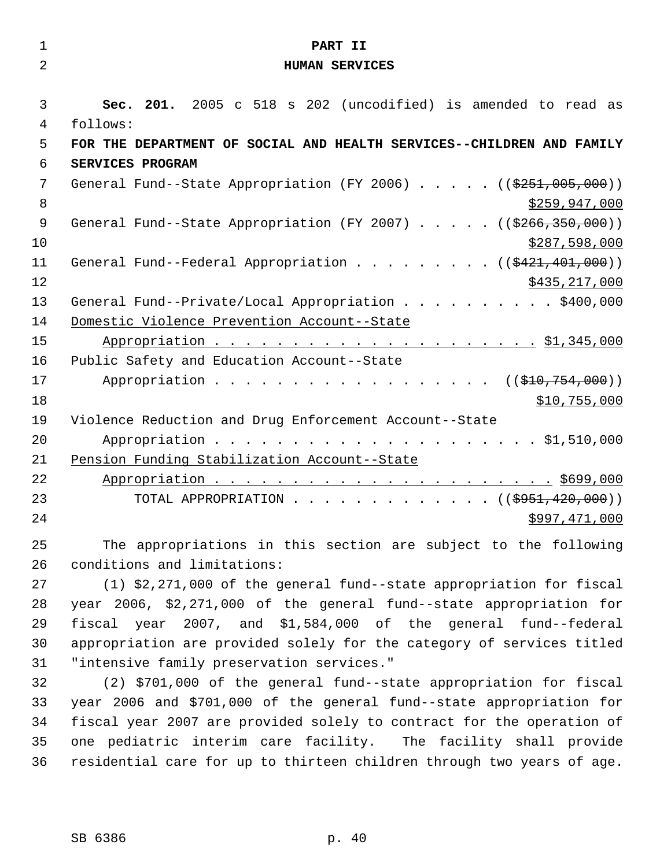| $\mathbf{1}$   | PART II                                                                        |
|----------------|--------------------------------------------------------------------------------|
| 2              | <b>HUMAN SERVICES</b>                                                          |
|                |                                                                                |
| 3              | Sec. 201. 2005 c 518 s 202 (uncodified) is amended to read as                  |
| 4              | follows:                                                                       |
| 5              | FOR THE DEPARTMENT OF SOCIAL AND HEALTH SERVICES--CHILDREN AND FAMILY          |
| 6              | SERVICES PROGRAM                                                               |
| 7              | General Fund--State Appropriation (FY 2006) ((\$251,005,000))                  |
| 8              | \$259,947,000                                                                  |
| $\overline{9}$ | General Fund--State Appropriation (FY 2007) $($ $($ $\frac{2066}{350}$ , 000)) |
| 10             | \$287,598,000                                                                  |
| 11             | General Fund--Federal Appropriation ( $(\frac{121.401.000}{100.000})$ )        |
| 12             | \$435,217,000                                                                  |
| 13             | General Fund--Private/Local Appropriation \$400,000                            |
| 14             | Domestic Violence Prevention Account--State                                    |
| 15             |                                                                                |
| 16             | Public Safety and Education Account--State                                     |
| 17             | Appropriation ( $(\frac{10}{210}, 754, 000)$ )                                 |
| 18             | \$10,755,000                                                                   |
| 19             | Violence Reduction and Drug Enforcement Account--State                         |
| 20             |                                                                                |
| 21             | Pension Funding Stabilization Account--State                                   |
| 22             |                                                                                |
| 23             | TOTAL APPROPRIATION $\ldots$ , ( $(\frac{15951}{120},000)$ )                   |
| 24             | \$997,471,000                                                                  |
|                |                                                                                |

 The appropriations in this section are subject to the following conditions and limitations:

 (1) \$2,271,000 of the general fund--state appropriation for fiscal year 2006, \$2,271,000 of the general fund--state appropriation for fiscal year 2007, and \$1,584,000 of the general fund--federal appropriation are provided solely for the category of services titled "intensive family preservation services."

 (2) \$701,000 of the general fund--state appropriation for fiscal year 2006 and \$701,000 of the general fund--state appropriation for fiscal year 2007 are provided solely to contract for the operation of one pediatric interim care facility. The facility shall provide residential care for up to thirteen children through two years of age.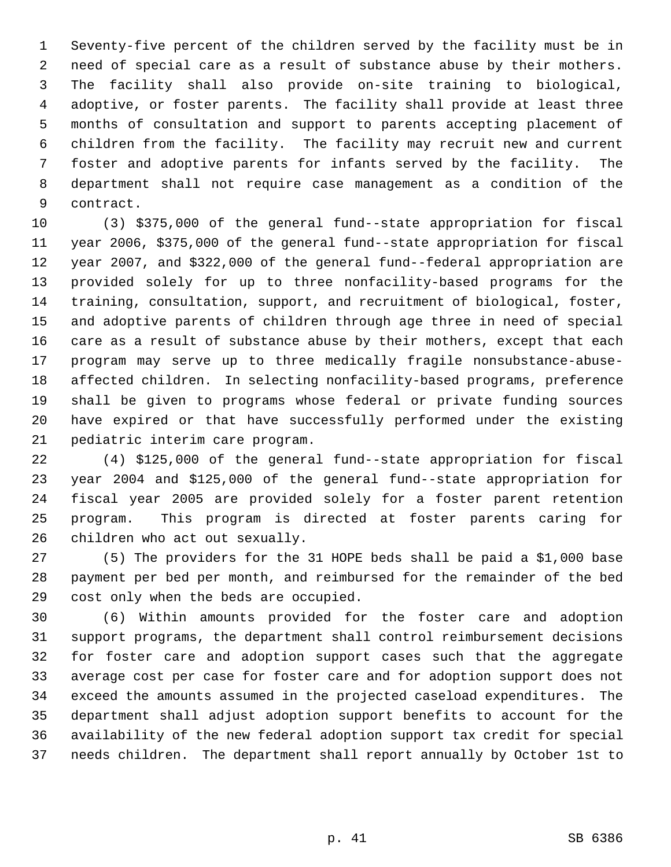Seventy-five percent of the children served by the facility must be in need of special care as a result of substance abuse by their mothers. The facility shall also provide on-site training to biological, adoptive, or foster parents. The facility shall provide at least three months of consultation and support to parents accepting placement of children from the facility. The facility may recruit new and current foster and adoptive parents for infants served by the facility. The department shall not require case management as a condition of the contract.

 (3) \$375,000 of the general fund--state appropriation for fiscal year 2006, \$375,000 of the general fund--state appropriation for fiscal year 2007, and \$322,000 of the general fund--federal appropriation are provided solely for up to three nonfacility-based programs for the training, consultation, support, and recruitment of biological, foster, and adoptive parents of children through age three in need of special care as a result of substance abuse by their mothers, except that each program may serve up to three medically fragile nonsubstance-abuse- affected children. In selecting nonfacility-based programs, preference shall be given to programs whose federal or private funding sources have expired or that have successfully performed under the existing pediatric interim care program.

 (4) \$125,000 of the general fund--state appropriation for fiscal year 2004 and \$125,000 of the general fund--state appropriation for fiscal year 2005 are provided solely for a foster parent retention program. This program is directed at foster parents caring for children who act out sexually.

 (5) The providers for the 31 HOPE beds shall be paid a \$1,000 base payment per bed per month, and reimbursed for the remainder of the bed cost only when the beds are occupied.

 (6) Within amounts provided for the foster care and adoption support programs, the department shall control reimbursement decisions for foster care and adoption support cases such that the aggregate average cost per case for foster care and for adoption support does not exceed the amounts assumed in the projected caseload expenditures. The department shall adjust adoption support benefits to account for the availability of the new federal adoption support tax credit for special needs children. The department shall report annually by October 1st to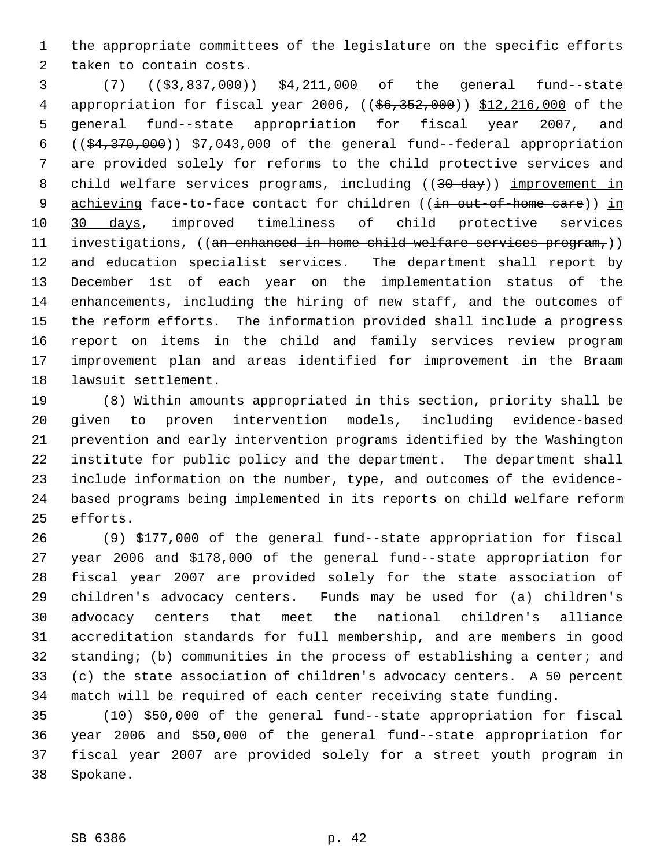the appropriate committees of the legislature on the specific efforts taken to contain costs.

3 (7) ((\$3,837,000)) \$4,211,000 of the general fund--state 4 appropriation for fiscal year 2006, ((\$6,352,000)) \$12,216,000 of the general fund--state appropriation for fiscal year 2007, and  $((\frac{24}{370},\frac{370}{100})$   $\frac{57,043,000}{100}$  of the general fund--federal appropriation are provided solely for reforms to the child protective services and 8 child welfare services programs, including ((30-day)) improvement in 9 achieving face-to-face contact for children ((in out-of-home care)) in 30 days, improved timeliness of child protective services 11 investigations, ((an enhanced in-home child welfare services program,)) and education specialist services. The department shall report by December 1st of each year on the implementation status of the enhancements, including the hiring of new staff, and the outcomes of the reform efforts. The information provided shall include a progress report on items in the child and family services review program improvement plan and areas identified for improvement in the Braam lawsuit settlement.

 (8) Within amounts appropriated in this section, priority shall be given to proven intervention models, including evidence-based prevention and early intervention programs identified by the Washington institute for public policy and the department. The department shall include information on the number, type, and outcomes of the evidence- based programs being implemented in its reports on child welfare reform efforts.

 (9) \$177,000 of the general fund--state appropriation for fiscal year 2006 and \$178,000 of the general fund--state appropriation for fiscal year 2007 are provided solely for the state association of children's advocacy centers. Funds may be used for (a) children's advocacy centers that meet the national children's alliance accreditation standards for full membership, and are members in good standing; (b) communities in the process of establishing a center; and (c) the state association of children's advocacy centers. A 50 percent match will be required of each center receiving state funding.

 (10) \$50,000 of the general fund--state appropriation for fiscal year 2006 and \$50,000 of the general fund--state appropriation for fiscal year 2007 are provided solely for a street youth program in Spokane.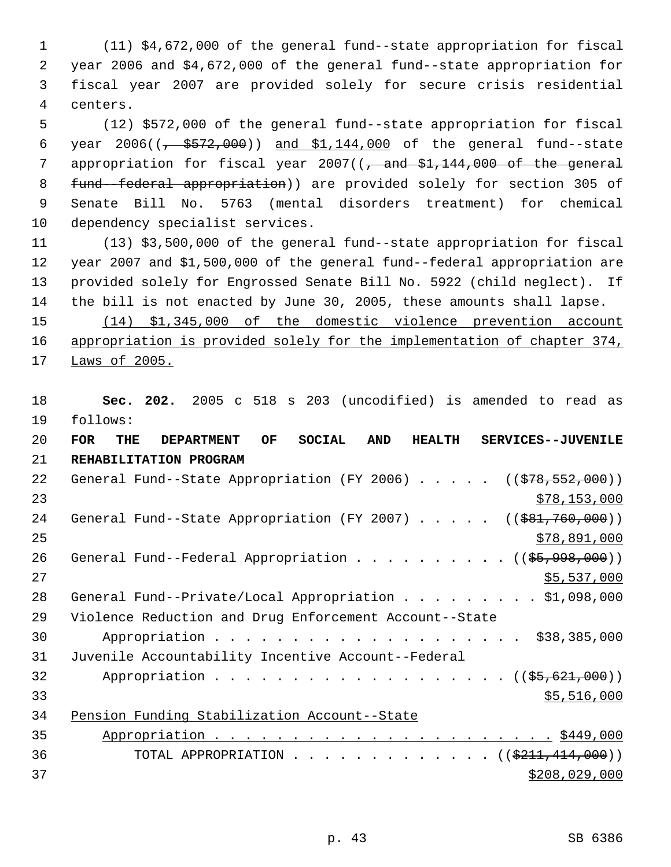(11) \$4,672,000 of the general fund--state appropriation for fiscal year 2006 and \$4,672,000 of the general fund--state appropriation for fiscal year 2007 are provided solely for secure crisis residential centers.

 (12) \$572,000 of the general fund--state appropriation for fiscal 6 year  $2006((\frac{1}{6} + \frac{2572}{600}))$  and  $\frac{1144,000}{600}$  of the general fund--state 7 appropriation for fiscal year ( $\sqrt{2}$  and  $$1,144,000$  of the general fund--federal appropriation)) are provided solely for section 305 of Senate Bill No. 5763 (mental disorders treatment) for chemical dependency specialist services.

 (13) \$3,500,000 of the general fund--state appropriation for fiscal year 2007 and \$1,500,000 of the general fund--federal appropriation are provided solely for Engrossed Senate Bill No. 5922 (child neglect). If the bill is not enacted by June 30, 2005, these amounts shall lapse.

 (14) \$1,345,000 of the domestic violence prevention account 16 appropriation is provided solely for the implementation of chapter 374, Laws of 2005.

 **Sec. 202.** 2005 c 518 s 203 (uncodified) is amended to read as follows:

| 20 | <b>FOR</b><br>OF<br><b>SOCIAL</b><br><b>AND</b><br>THE<br><b>DEPARTMENT</b><br><b>HEALTH</b><br>SERVICES--JUVENILE |
|----|--------------------------------------------------------------------------------------------------------------------|
| 21 | REHABILITATION PROGRAM                                                                                             |
| 22 | General Fund--State Appropriation (FY 2006) $($ $($ $\frac{278}{552},000)$ )                                       |
| 23 | \$78,153,000                                                                                                       |
| 24 | General Fund--State Appropriation (FY 2007) $($ $($ $$81, 760, 000)$ )                                             |
| 25 | \$78,891,000                                                                                                       |
| 26 | General Fund--Federal Appropriation ( $(\frac{25}{998}, 998, 000)$ )                                               |
| 27 | \$5,537,000                                                                                                        |
| 28 | General Fund--Private/Local Appropriation \$1,098,000                                                              |
| 29 | Violence Reduction and Drug Enforcement Account--State                                                             |
| 30 | \$38,385,000                                                                                                       |
| 31 | Juvenile Accountability Incentive Account--Federal                                                                 |
| 32 | Appropriation ((\$5,621,000))                                                                                      |
| 33 | \$5,516,000                                                                                                        |
| 34 | Pension Funding Stabilization Account--State                                                                       |
| 35 |                                                                                                                    |
| 36 | TOTAL APPROPRIATION ( $(\frac{211}{141000})$ )                                                                     |
| 37 | \$208,029,000                                                                                                      |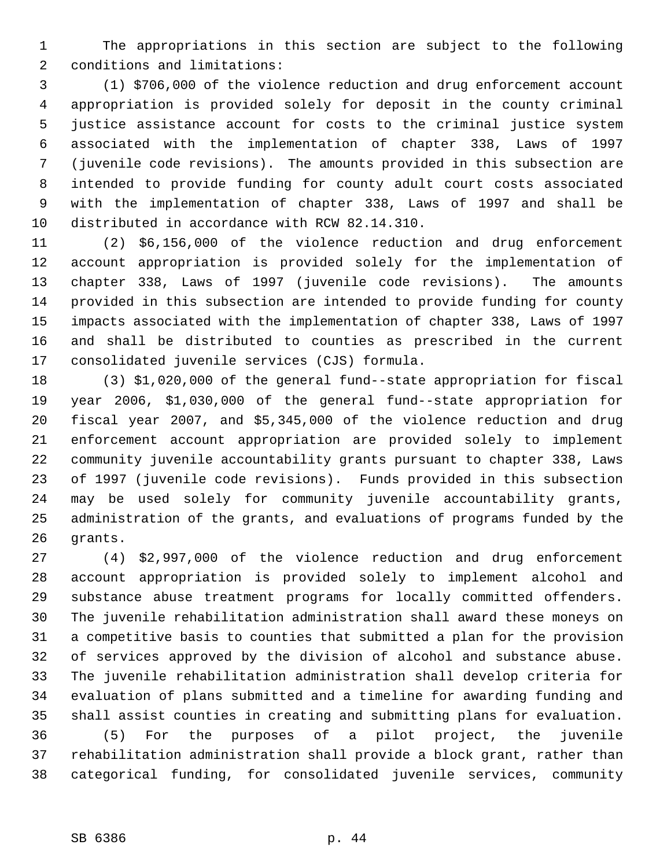The appropriations in this section are subject to the following conditions and limitations:

 (1) \$706,000 of the violence reduction and drug enforcement account appropriation is provided solely for deposit in the county criminal justice assistance account for costs to the criminal justice system associated with the implementation of chapter 338, Laws of 1997 (juvenile code revisions). The amounts provided in this subsection are intended to provide funding for county adult court costs associated with the implementation of chapter 338, Laws of 1997 and shall be distributed in accordance with RCW 82.14.310.

 (2) \$6,156,000 of the violence reduction and drug enforcement account appropriation is provided solely for the implementation of chapter 338, Laws of 1997 (juvenile code revisions). The amounts provided in this subsection are intended to provide funding for county impacts associated with the implementation of chapter 338, Laws of 1997 and shall be distributed to counties as prescribed in the current consolidated juvenile services (CJS) formula.

 (3) \$1,020,000 of the general fund--state appropriation for fiscal year 2006, \$1,030,000 of the general fund--state appropriation for fiscal year 2007, and \$5,345,000 of the violence reduction and drug enforcement account appropriation are provided solely to implement community juvenile accountability grants pursuant to chapter 338, Laws of 1997 (juvenile code revisions). Funds provided in this subsection may be used solely for community juvenile accountability grants, administration of the grants, and evaluations of programs funded by the grants.

 (4) \$2,997,000 of the violence reduction and drug enforcement account appropriation is provided solely to implement alcohol and substance abuse treatment programs for locally committed offenders. The juvenile rehabilitation administration shall award these moneys on a competitive basis to counties that submitted a plan for the provision of services approved by the division of alcohol and substance abuse. The juvenile rehabilitation administration shall develop criteria for evaluation of plans submitted and a timeline for awarding funding and shall assist counties in creating and submitting plans for evaluation. (5) For the purposes of a pilot project, the juvenile rehabilitation administration shall provide a block grant, rather than categorical funding, for consolidated juvenile services, community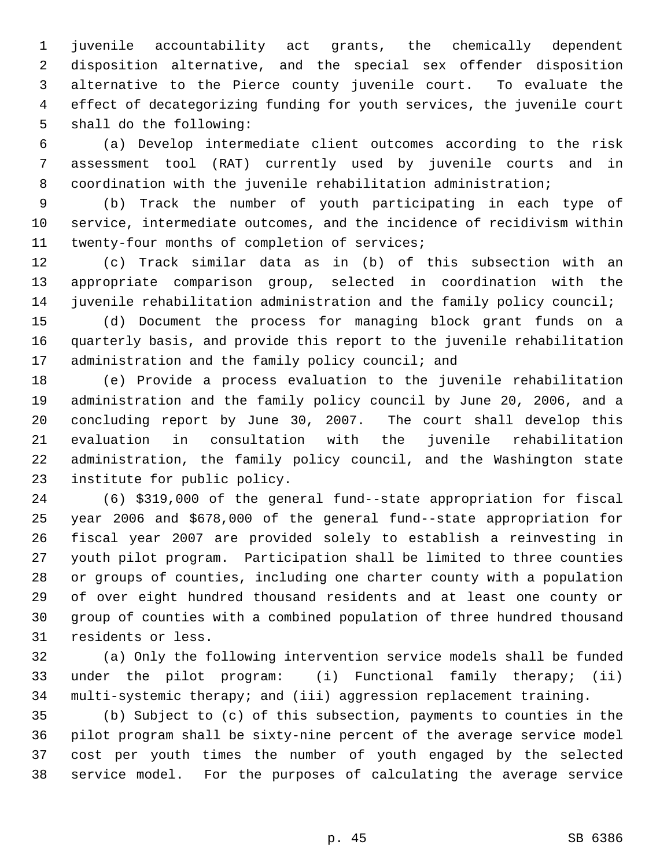juvenile accountability act grants, the chemically dependent disposition alternative, and the special sex offender disposition alternative to the Pierce county juvenile court. To evaluate the effect of decategorizing funding for youth services, the juvenile court shall do the following:

 (a) Develop intermediate client outcomes according to the risk assessment tool (RAT) currently used by juvenile courts and in coordination with the juvenile rehabilitation administration;

 (b) Track the number of youth participating in each type of service, intermediate outcomes, and the incidence of recidivism within twenty-four months of completion of services;

 (c) Track similar data as in (b) of this subsection with an appropriate comparison group, selected in coordination with the juvenile rehabilitation administration and the family policy council;

 (d) Document the process for managing block grant funds on a quarterly basis, and provide this report to the juvenile rehabilitation 17 administration and the family policy council; and

 (e) Provide a process evaluation to the juvenile rehabilitation administration and the family policy council by June 20, 2006, and a concluding report by June 30, 2007. The court shall develop this evaluation in consultation with the juvenile rehabilitation administration, the family policy council, and the Washington state institute for public policy.

 (6) \$319,000 of the general fund--state appropriation for fiscal year 2006 and \$678,000 of the general fund--state appropriation for fiscal year 2007 are provided solely to establish a reinvesting in youth pilot program. Participation shall be limited to three counties or groups of counties, including one charter county with a population of over eight hundred thousand residents and at least one county or group of counties with a combined population of three hundred thousand residents or less.

 (a) Only the following intervention service models shall be funded under the pilot program: (i) Functional family therapy; (ii) multi-systemic therapy; and (iii) aggression replacement training.

 (b) Subject to (c) of this subsection, payments to counties in the pilot program shall be sixty-nine percent of the average service model cost per youth times the number of youth engaged by the selected service model. For the purposes of calculating the average service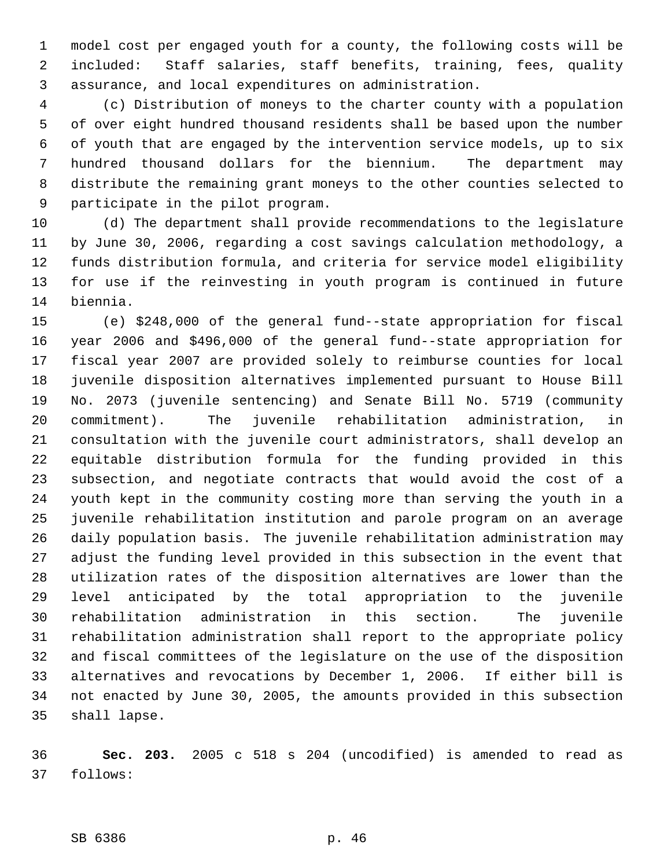model cost per engaged youth for a county, the following costs will be included: Staff salaries, staff benefits, training, fees, quality assurance, and local expenditures on administration.

 (c) Distribution of moneys to the charter county with a population of over eight hundred thousand residents shall be based upon the number of youth that are engaged by the intervention service models, up to six hundred thousand dollars for the biennium. The department may distribute the remaining grant moneys to the other counties selected to participate in the pilot program.

 (d) The department shall provide recommendations to the legislature by June 30, 2006, regarding a cost savings calculation methodology, a funds distribution formula, and criteria for service model eligibility for use if the reinvesting in youth program is continued in future biennia.

 (e) \$248,000 of the general fund--state appropriation for fiscal year 2006 and \$496,000 of the general fund--state appropriation for fiscal year 2007 are provided solely to reimburse counties for local juvenile disposition alternatives implemented pursuant to House Bill No. 2073 (juvenile sentencing) and Senate Bill No. 5719 (community commitment). The juvenile rehabilitation administration, in consultation with the juvenile court administrators, shall develop an equitable distribution formula for the funding provided in this subsection, and negotiate contracts that would avoid the cost of a youth kept in the community costing more than serving the youth in a juvenile rehabilitation institution and parole program on an average daily population basis. The juvenile rehabilitation administration may adjust the funding level provided in this subsection in the event that utilization rates of the disposition alternatives are lower than the level anticipated by the total appropriation to the juvenile rehabilitation administration in this section. The juvenile rehabilitation administration shall report to the appropriate policy and fiscal committees of the legislature on the use of the disposition alternatives and revocations by December 1, 2006. If either bill is not enacted by June 30, 2005, the amounts provided in this subsection shall lapse.

 **Sec. 203.** 2005 c 518 s 204 (uncodified) is amended to read as follows:

SB 6386 p. 46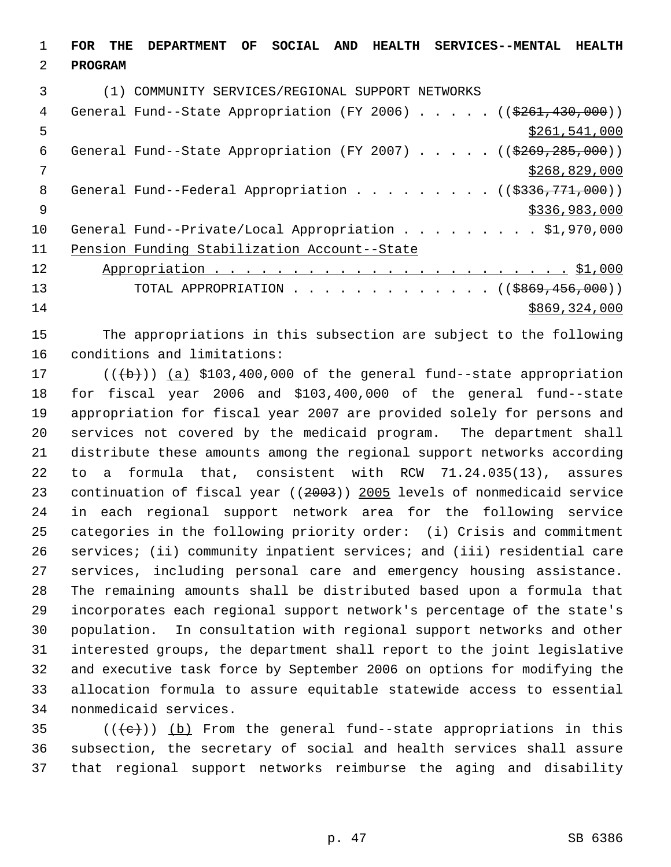**FOR THE DEPARTMENT OF SOCIAL AND HEALTH SERVICES--MENTAL HEALTH PROGRAM** (1) COMMUNITY SERVICES/REGIONAL SUPPORT NETWORKS 4 General Fund--State Appropriation (FY 2006) . . . . . ((\$261,430,000))  $\frac{$261,541,000}{2}$ 6 General Fund--State Appropriation (FY 2007) . . . . . ((\$269,285,000)) \$268,829,000 8 General Fund--Federal Appropriation . . . . . . . . . ((\$336,771,000)) \$336,983,000 10 General Fund--Private/Local Appropriation . . . . . . . . \$1,970,000 Pension Funding Stabilization Account--State Appropriation . . . . . . . . . . . . . . . . . . . . . . . \$1,000 13 TOTAL APPROPRIATION . . . . . . . . . . . . . ((\$869,456,000)) \$869,324,000

 The appropriations in this subsection are subject to the following conditions and limitations:

 $((+b))$   $(a)$  \$103,400,000 of the general fund--state appropriation for fiscal year 2006 and \$103,400,000 of the general fund--state appropriation for fiscal year 2007 are provided solely for persons and services not covered by the medicaid program. The department shall distribute these amounts among the regional support networks according to a formula that, consistent with RCW 71.24.035(13), assures continuation of fiscal year ((2003)) 2005 levels of nonmedicaid service in each regional support network area for the following service categories in the following priority order: (i) Crisis and commitment services; (ii) community inpatient services; and (iii) residential care services, including personal care and emergency housing assistance. The remaining amounts shall be distributed based upon a formula that incorporates each regional support network's percentage of the state's population. In consultation with regional support networks and other interested groups, the department shall report to the joint legislative and executive task force by September 2006 on options for modifying the allocation formula to assure equitable statewide access to essential nonmedicaid services.

35  $((\{e\})$  (b) From the general fund--state appropriations in this subsection, the secretary of social and health services shall assure that regional support networks reimburse the aging and disability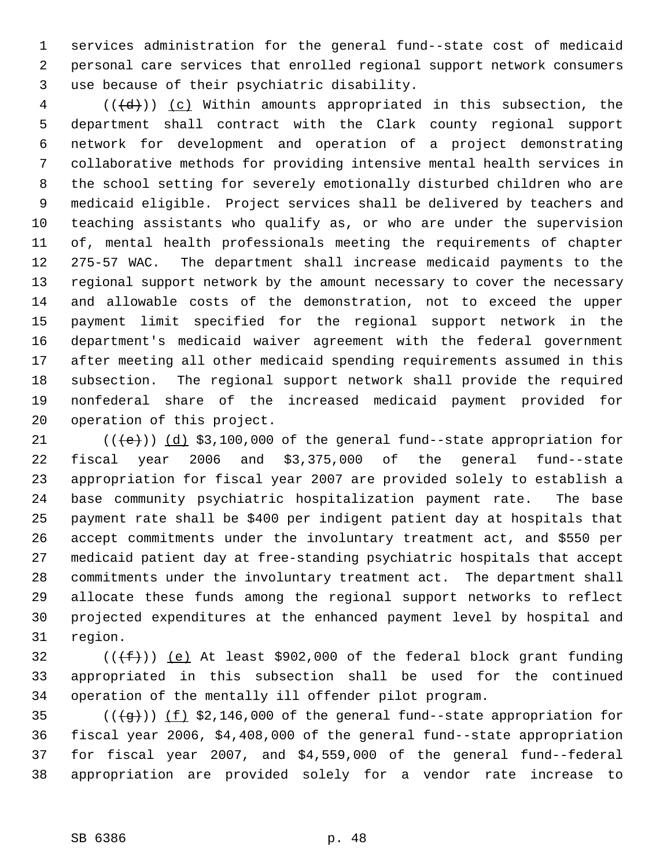services administration for the general fund--state cost of medicaid personal care services that enrolled regional support network consumers use because of their psychiatric disability.

 (( $\left(\frac{d}{d}\right)$ ) (c) Within amounts appropriated in this subsection, the department shall contract with the Clark county regional support network for development and operation of a project demonstrating collaborative methods for providing intensive mental health services in the school setting for severely emotionally disturbed children who are medicaid eligible. Project services shall be delivered by teachers and teaching assistants who qualify as, or who are under the supervision of, mental health professionals meeting the requirements of chapter 275-57 WAC. The department shall increase medicaid payments to the regional support network by the amount necessary to cover the necessary and allowable costs of the demonstration, not to exceed the upper payment limit specified for the regional support network in the department's medicaid waiver agreement with the federal government after meeting all other medicaid spending requirements assumed in this subsection. The regional support network shall provide the required nonfederal share of the increased medicaid payment provided for operation of this project.

 $((\{e\}) \, (\underline{d}) \, \$3,100,000 \, \text{of the general fund-state approximation for}$  fiscal year 2006 and \$3,375,000 of the general fund--state appropriation for fiscal year 2007 are provided solely to establish a base community psychiatric hospitalization payment rate. The base payment rate shall be \$400 per indigent patient day at hospitals that accept commitments under the involuntary treatment act, and \$550 per medicaid patient day at free-standing psychiatric hospitals that accept commitments under the involuntary treatment act. The department shall allocate these funds among the regional support networks to reflect projected expenditures at the enhanced payment level by hospital and region.

32  $((\text{+f}))(\text{e})$  At least \$902,000 of the federal block grant funding appropriated in this subsection shall be used for the continued operation of the mentally ill offender pilot program.

 $((\frac{1}{3}))(\frac{1}{2}, \frac{1}{3}, \frac{1}{6}, \frac{1}{6})$  of the general fund--state appropriation for fiscal year 2006, \$4,408,000 of the general fund--state appropriation for fiscal year 2007, and \$4,559,000 of the general fund--federal appropriation are provided solely for a vendor rate increase to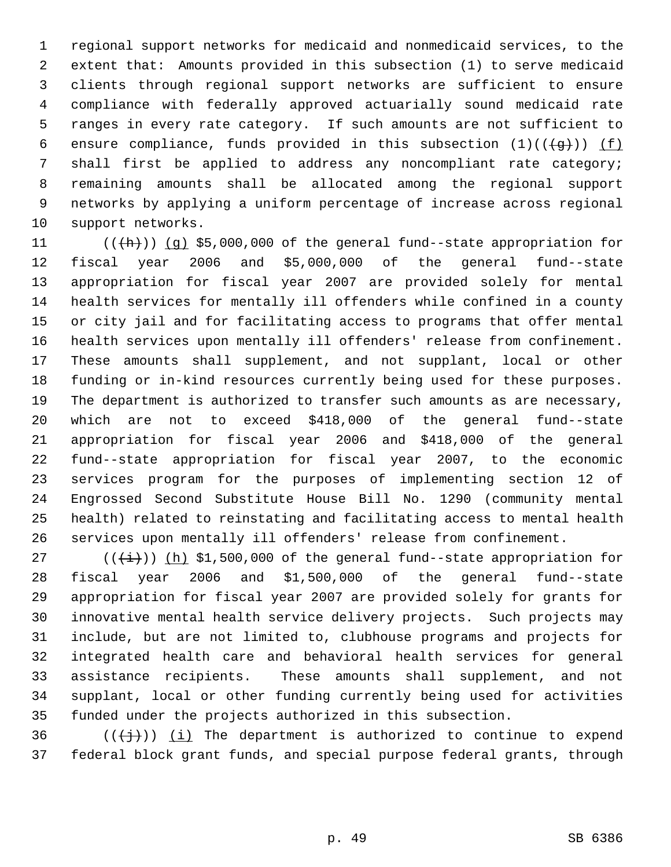regional support networks for medicaid and nonmedicaid services, to the extent that: Amounts provided in this subsection (1) to serve medicaid clients through regional support networks are sufficient to ensure compliance with federally approved actuarially sound medicaid rate ranges in every rate category. If such amounts are not sufficient to 6 ensure compliance, funds provided in this subsection  $(1)((\{q\}))$  (f) shall first be applied to address any noncompliant rate category; remaining amounts shall be allocated among the regional support networks by applying a uniform percentage of increase across regional support networks.

 $((+h)) (q)$  \$5,000,000 of the general fund--state appropriation for fiscal year 2006 and \$5,000,000 of the general fund--state appropriation for fiscal year 2007 are provided solely for mental health services for mentally ill offenders while confined in a county or city jail and for facilitating access to programs that offer mental health services upon mentally ill offenders' release from confinement. These amounts shall supplement, and not supplant, local or other funding or in-kind resources currently being used for these purposes. The department is authorized to transfer such amounts as are necessary, which are not to exceed \$418,000 of the general fund--state appropriation for fiscal year 2006 and \$418,000 of the general fund--state appropriation for fiscal year 2007, to the economic services program for the purposes of implementing section 12 of Engrossed Second Substitute House Bill No. 1290 (community mental health) related to reinstating and facilitating access to mental health services upon mentally ill offenders' release from confinement.

27 ( $(\frac{1}{1})$ ) (h) \$1,500,000 of the general fund--state appropriation for fiscal year 2006 and \$1,500,000 of the general fund--state appropriation for fiscal year 2007 are provided solely for grants for innovative mental health service delivery projects. Such projects may include, but are not limited to, clubhouse programs and projects for integrated health care and behavioral health services for general assistance recipients. These amounts shall supplement, and not supplant, local or other funding currently being used for activities funded under the projects authorized in this subsection.

36 ( $(\{\dagger\})$  (i) The department is authorized to continue to expend federal block grant funds, and special purpose federal grants, through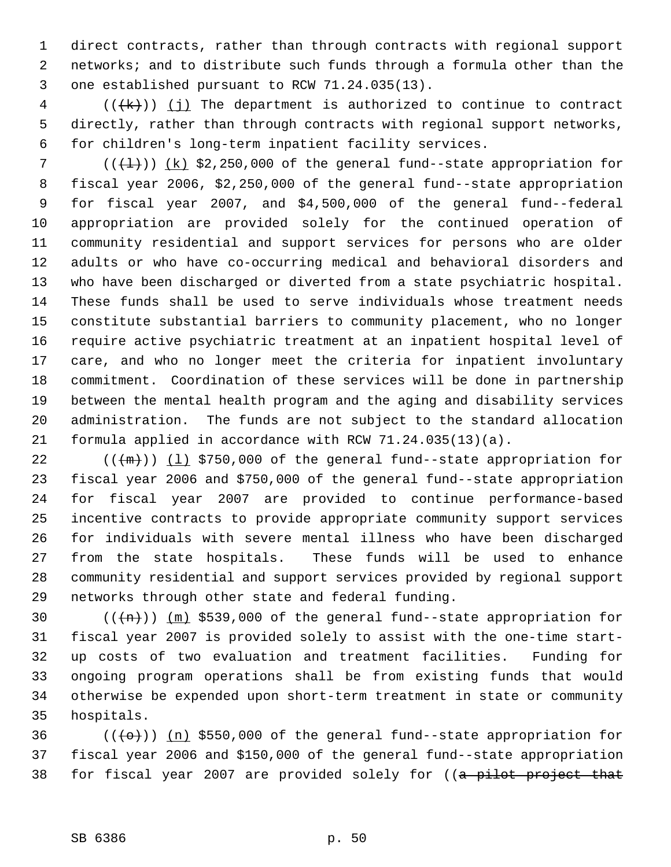direct contracts, rather than through contracts with regional support networks; and to distribute such funds through a formula other than the one established pursuant to RCW 71.24.035(13).

 (( $\frac{1}{k}$ )) (j) The department is authorized to continue to contract directly, rather than through contracts with regional support networks, for children's long-term inpatient facility services.

7 ( $(\{\pm\})$ )  $(k)$  \$2,250,000 of the general fund--state appropriation for fiscal year 2006, \$2,250,000 of the general fund--state appropriation for fiscal year 2007, and \$4,500,000 of the general fund--federal appropriation are provided solely for the continued operation of community residential and support services for persons who are older adults or who have co-occurring medical and behavioral disorders and who have been discharged or diverted from a state psychiatric hospital. These funds shall be used to serve individuals whose treatment needs constitute substantial barriers to community placement, who no longer require active psychiatric treatment at an inpatient hospital level of care, and who no longer meet the criteria for inpatient involuntary commitment. Coordination of these services will be done in partnership between the mental health program and the aging and disability services administration. The funds are not subject to the standard allocation formula applied in accordance with RCW 71.24.035(13)(a).

 $((+m))$   $(1)$  \$750,000 of the general fund--state appropriation for fiscal year 2006 and \$750,000 of the general fund--state appropriation for fiscal year 2007 are provided to continue performance-based incentive contracts to provide appropriate community support services for individuals with severe mental illness who have been discharged from the state hospitals. These funds will be used to enhance community residential and support services provided by regional support networks through other state and federal funding.

 $((+n))$   $(m)$  \$539,000 of the general fund--state appropriation for fiscal year 2007 is provided solely to assist with the one-time start- up costs of two evaluation and treatment facilities. Funding for ongoing program operations shall be from existing funds that would otherwise be expended upon short-term treatment in state or community hospitals.

36  $((+e+))$  (n) \$550,000 of the general fund--state appropriation for fiscal year 2006 and \$150,000 of the general fund--state appropriation 38 for fiscal year 2007 are provided solely for ((a pilot project that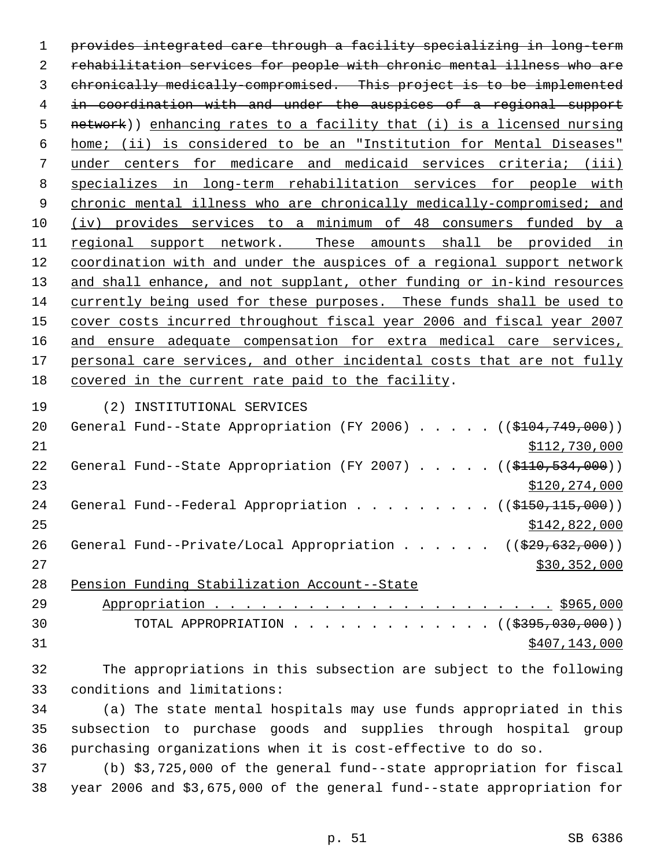provides integrated care through a facility specializing in long-term rehabilitation services for people with chronic mental illness who are chronically medically-compromised. This project is to be implemented in coordination with and under the auspices of a regional support 5 network)) enhancing rates to a facility that (i) is a licensed nursing home; (ii) is considered to be an "Institution for Mental Diseases" under centers for medicare and medicaid services criteria; (iii) specializes in long-term rehabilitation services for people with 9 chronic mental illness who are chronically medically-compromised; and (iv) provides services to a minimum of 48 consumers funded by a 11 regional support network. These amounts shall be provided in coordination with and under the auspices of a regional support network 13 and shall enhance, and not supplant, other funding or in-kind resources currently being used for these purposes. These funds shall be used to cover costs incurred throughout fiscal year 2006 and fiscal year 2007 16 and ensure adequate compensation for extra medical care services, 17 personal care services, and other incidental costs that are not fully covered in the current rate paid to the facility.

(2) INSTITUTIONAL SERVICES

| 20 | General Fund--State Appropriation (FY 2006) $($ (\$104,749,000))                   |
|----|------------------------------------------------------------------------------------|
| 21 | \$112,730,000                                                                      |
| 22 | General Fund--State Appropriation (FY 2007) ((\$110,534,000))                      |
| 23 | \$120,274,000                                                                      |
| 24 | General Fund--Federal Appropriation ( $(\frac{2150}{115},000)$ )                   |
| 25 | \$142,822,000                                                                      |
| 26 | General Fund--Private/Local Appropriation ( $(\frac{229}{632}, \frac{632}{690})$ ) |
| 27 | \$30,352,000                                                                       |
| 28 | Pension Funding Stabilization Account--State                                       |

 Appropriation . . . . . . . . . . . . . . . . . . . . . . \$965,000 30 TOTAL APPROPRIATION . . . . . . . . . . . . ((\$395,030,000)) \$407,143,000

 The appropriations in this subsection are subject to the following conditions and limitations:

 (a) The state mental hospitals may use funds appropriated in this subsection to purchase goods and supplies through hospital group purchasing organizations when it is cost-effective to do so.

 (b) \$3,725,000 of the general fund--state appropriation for fiscal year 2006 and \$3,675,000 of the general fund--state appropriation for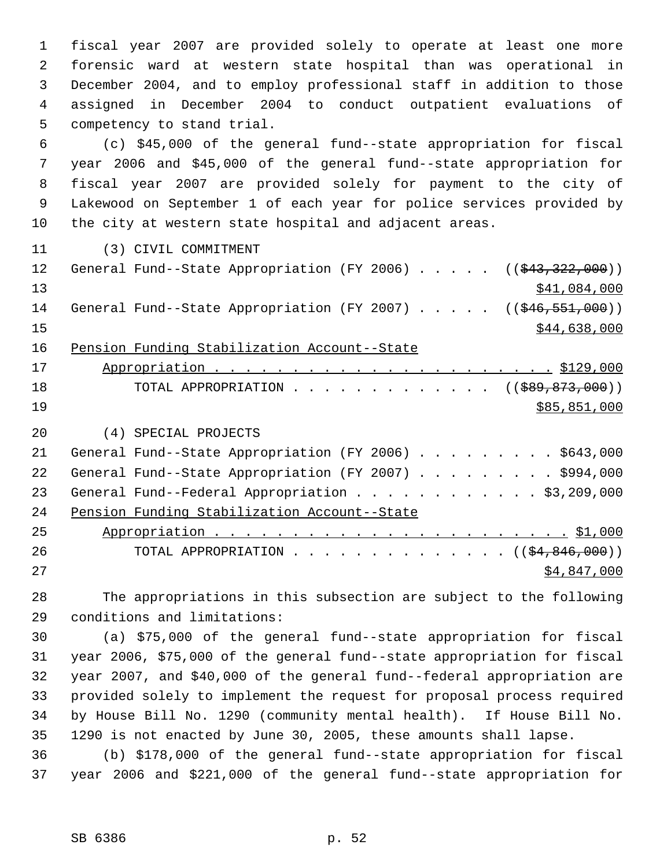fiscal year 2007 are provided solely to operate at least one more forensic ward at western state hospital than was operational in December 2004, and to employ professional staff in addition to those assigned in December 2004 to conduct outpatient evaluations of competency to stand trial.

 (c) \$45,000 of the general fund--state appropriation for fiscal year 2006 and \$45,000 of the general fund--state appropriation for fiscal year 2007 are provided solely for payment to the city of Lakewood on September 1 of each year for police services provided by the city at western state hospital and adjacent areas.

(3) CIVIL COMMITMENT

| 12 | General Fund--State Appropriation (FY 2006) $($ $($ $\frac{243}{322}$ , 000)) |
|----|-------------------------------------------------------------------------------|
| 13 | \$41,084,000                                                                  |
| 14 | General Fund--State Appropriation (FY 2007) $($ $($ $\frac{206}{551}, 000)$ ) |
| 15 | \$44,638,000                                                                  |
| 16 | Pension Funding Stabilization Account--State                                  |
| 17 |                                                                               |
| 18 |                                                                               |
| 19 | \$85,851,000                                                                  |
| 20 | (4) SPECIAL PROJECTS                                                          |
| 21 | General Fund--State Appropriation (FY 2006) \$643,000                         |
| 22 | General Fund--State Appropriation (FY 2007) \$994,000                         |
| 23 | General Fund--Federal Appropriation \$3,209,000                               |
| 24 | Pension Funding Stabilization Account--State                                  |

| 25 |                                                                |  |  |  |  |  |  |  |  |             |
|----|----------------------------------------------------------------|--|--|--|--|--|--|--|--|-------------|
| 26 | TOTAL APPROPRIATION $($ $($ $\frac{24}{34}$ , $846$ , $000)$ ) |  |  |  |  |  |  |  |  |             |
| 27 |                                                                |  |  |  |  |  |  |  |  | \$4,847,000 |

 The appropriations in this subsection are subject to the following conditions and limitations:

 (a) \$75,000 of the general fund--state appropriation for fiscal year 2006, \$75,000 of the general fund--state appropriation for fiscal year 2007, and \$40,000 of the general fund--federal appropriation are provided solely to implement the request for proposal process required by House Bill No. 1290 (community mental health). If House Bill No. 1290 is not enacted by June 30, 2005, these amounts shall lapse.

 (b) \$178,000 of the general fund--state appropriation for fiscal year 2006 and \$221,000 of the general fund--state appropriation for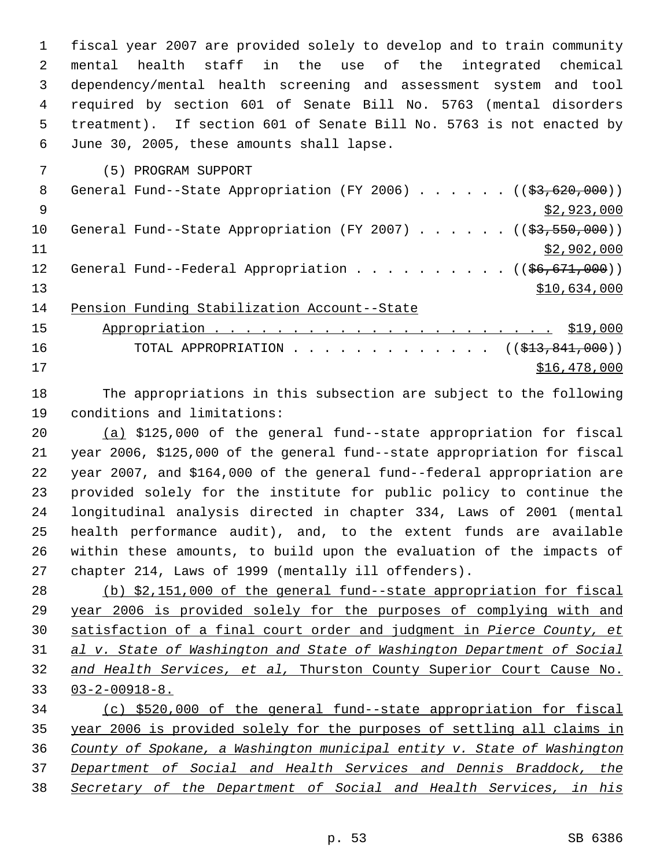fiscal year 2007 are provided solely to develop and to train community mental health staff in the use of the integrated chemical dependency/mental health screening and assessment system and tool required by section 601 of Senate Bill No. 5763 (mental disorders treatment). If section 601 of Senate Bill No. 5763 is not enacted by June 30, 2005, these amounts shall lapse.

(5) PROGRAM SUPPORT

| 8               | General Fund--State Appropriation (FY 2006) $($ $($ \$3,620,000))           |
|-----------------|-----------------------------------------------------------------------------|
| - 9             | \$2,923,000                                                                 |
| 10              | General Fund--State Appropriation (FY 2007) $($ $($ \$3,550,000))           |
| 11              | \$2,902,000                                                                 |
| 12 <sup>°</sup> | General Fund--Federal Appropriation ( $(\frac{66}{676}, \frac{671}{600})$ ) |
| 13              | \$10,634,000                                                                |
| 14              | Pension Funding Stabilization Account--State                                |
| 15              |                                                                             |
| 16              | TOTAL APPROPRIATION $\ldots$ , ( $(\frac{1}{213}, \frac{841}{1000})$ )      |

\$16,478,000

 The appropriations in this subsection are subject to the following conditions and limitations:

 (a) \$125,000 of the general fund--state appropriation for fiscal year 2006, \$125,000 of the general fund--state appropriation for fiscal year 2007, and \$164,000 of the general fund--federal appropriation are provided solely for the institute for public policy to continue the longitudinal analysis directed in chapter 334, Laws of 2001 (mental health performance audit), and, to the extent funds are available within these amounts, to build upon the evaluation of the impacts of chapter 214, Laws of 1999 (mentally ill offenders).

 (b) \$2,151,000 of the general fund--state appropriation for fiscal year 2006 is provided solely for the purposes of complying with and satisfaction of a final court order and judgment in *Pierce County, et al v. State of Washington and State of Washington Department of Social and Health Services, et al,* Thurston County Superior Court Cause No. 03-2-00918-8.

 (c) \$520,000 of the general fund--state appropriation for fiscal year 2006 is provided solely for the purposes of settling all claims in *County of Spokane, a Washington municipal entity v. State of Washington Department of Social and Health Services and Dennis Braddock, the Secretary of the Department of Social and Health Services, in his*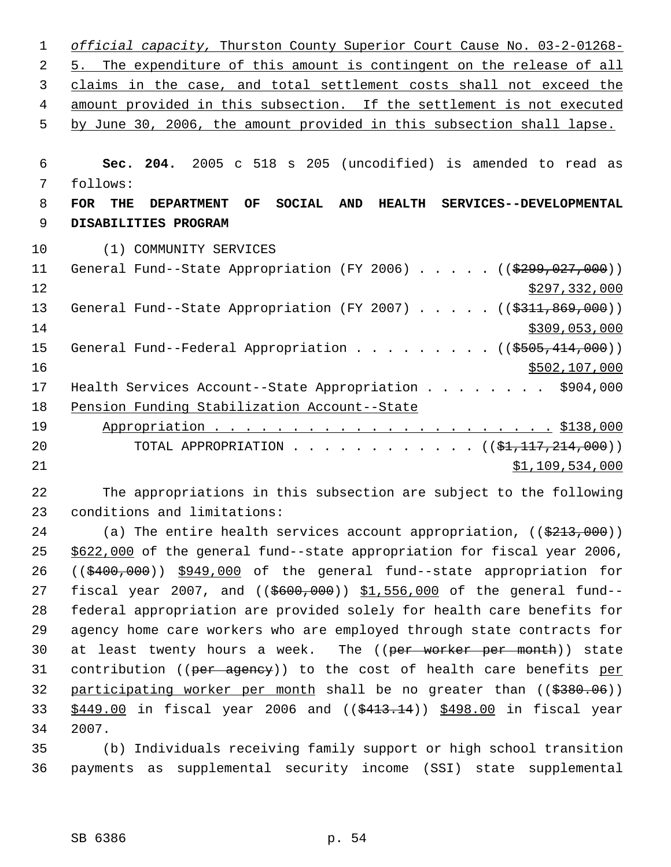| $\mathbf{1}$  | official capacity, Thurston County Superior Court Cause No. 03-2-01268-                                                                                                                                                       |
|---------------|-------------------------------------------------------------------------------------------------------------------------------------------------------------------------------------------------------------------------------|
| 2             | 5. The expenditure of this amount is contingent on the release of all                                                                                                                                                         |
| 3             | claims in the case, and total settlement costs shall not exceed the                                                                                                                                                           |
| 4             | amount provided in this subsection. If the settlement is not executed                                                                                                                                                         |
| 5             | by June 30, 2006, the amount provided in this subsection shall lapse.                                                                                                                                                         |
|               |                                                                                                                                                                                                                               |
| 6             | Sec. 204. 2005 c 518 s 205 (uncodified) is amended to read as                                                                                                                                                                 |
| 7             | follows:                                                                                                                                                                                                                      |
| 8             | SOCIAL<br><b>FOR</b><br><b>OF</b><br><b>AND</b><br><b>HEALTH</b><br>SERVICES--DEVELOPMENTAL<br>THE<br><b>DEPARTMENT</b>                                                                                                       |
| 9             | DISABILITIES PROGRAM                                                                                                                                                                                                          |
| 10            | (1) COMMUNITY SERVICES                                                                                                                                                                                                        |
| 11            | General Fund--State Appropriation (FY 2006) ((\$299,027,000))                                                                                                                                                                 |
| 12            | \$297,332,000                                                                                                                                                                                                                 |
| 13            | General Fund--State Appropriation (FY 2007) ((\$311,869,000))                                                                                                                                                                 |
| 14            | \$309,053,000                                                                                                                                                                                                                 |
| 15            | General Fund--Federal Appropriation ( $(\frac{2505}{414},000)$ )                                                                                                                                                              |
| 16            | \$502,107,000                                                                                                                                                                                                                 |
| 17            | Health Services Account--State Appropriation \$904,000                                                                                                                                                                        |
| 18            | Pension Funding Stabilization Account--State                                                                                                                                                                                  |
| 19            |                                                                                                                                                                                                                               |
| 20            | TOTAL APPROPRIATION ( $(\frac{1}{21}, \frac{117}{214}, \frac{214}{100})$ )                                                                                                                                                    |
| 21            | \$1,109,534,000                                                                                                                                                                                                               |
| $\sim$ $\sim$ | and the second contract of the second contract of the second contract of the second contract of the second contract of the second contract of the second contract of the second contract of the second contract of the second |

 The appropriations in this subsection are subject to the following conditions and limitations:

24 (a) The entire health services account appropriation, ((\$213,000)) \$622,000 of the general fund--state appropriation for fiscal year 2006, ((\$400,000)) \$949,000 of the general fund--state appropriation for 27 fiscal year 2007, and ((\$600,000)) \$1,556,000 of the general fund-- federal appropriation are provided solely for health care benefits for agency home care workers who are employed through state contracts for 30 at least twenty hours a week. The ((per worker per month)) state 31 contribution ((per agency)) to the cost of health care benefits per 32 participating worker per month shall be no greater than ((\$380.06)) 33 \$449.00 in fiscal year 2006 and ((\$413.14)) \$498.00 in fiscal year 2007.

 (b) Individuals receiving family support or high school transition payments as supplemental security income (SSI) state supplemental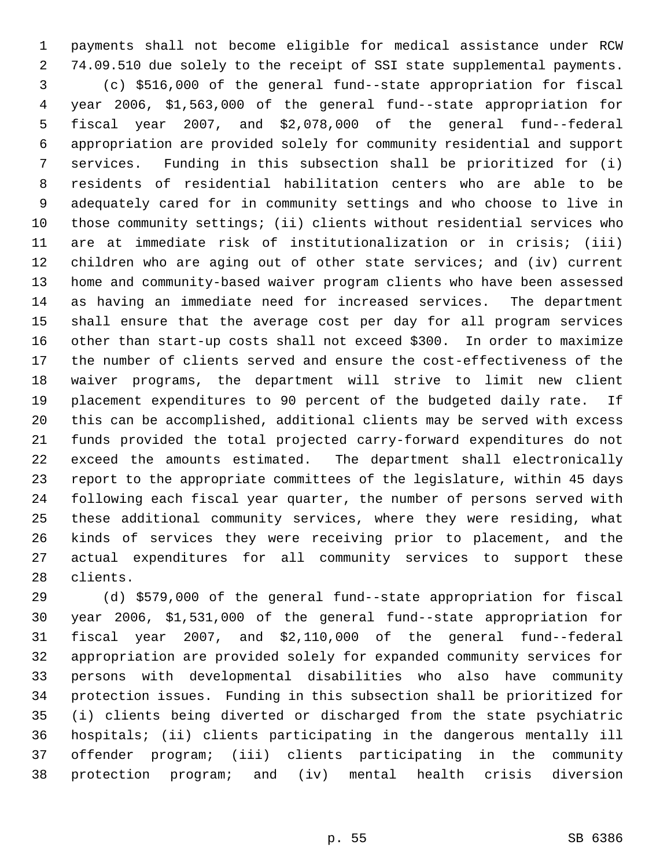payments shall not become eligible for medical assistance under RCW 74.09.510 due solely to the receipt of SSI state supplemental payments. (c) \$516,000 of the general fund--state appropriation for fiscal year 2006, \$1,563,000 of the general fund--state appropriation for fiscal year 2007, and \$2,078,000 of the general fund--federal appropriation are provided solely for community residential and support services. Funding in this subsection shall be prioritized for (i) residents of residential habilitation centers who are able to be adequately cared for in community settings and who choose to live in those community settings; (ii) clients without residential services who are at immediate risk of institutionalization or in crisis; (iii) children who are aging out of other state services; and (iv) current home and community-based waiver program clients who have been assessed as having an immediate need for increased services. The department shall ensure that the average cost per day for all program services other than start-up costs shall not exceed \$300. In order to maximize the number of clients served and ensure the cost-effectiveness of the waiver programs, the department will strive to limit new client placement expenditures to 90 percent of the budgeted daily rate. If this can be accomplished, additional clients may be served with excess funds provided the total projected carry-forward expenditures do not exceed the amounts estimated. The department shall electronically report to the appropriate committees of the legislature, within 45 days following each fiscal year quarter, the number of persons served with these additional community services, where they were residing, what kinds of services they were receiving prior to placement, and the actual expenditures for all community services to support these clients.

 (d) \$579,000 of the general fund--state appropriation for fiscal year 2006, \$1,531,000 of the general fund--state appropriation for fiscal year 2007, and \$2,110,000 of the general fund--federal appropriation are provided solely for expanded community services for persons with developmental disabilities who also have community protection issues. Funding in this subsection shall be prioritized for (i) clients being diverted or discharged from the state psychiatric hospitals; (ii) clients participating in the dangerous mentally ill offender program; (iii) clients participating in the community protection program; and (iv) mental health crisis diversion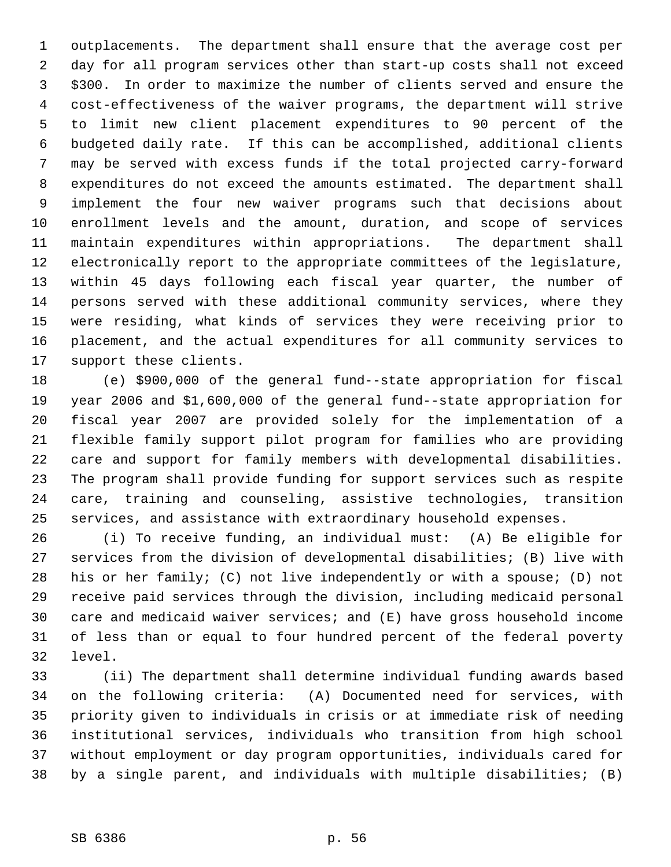outplacements. The department shall ensure that the average cost per day for all program services other than start-up costs shall not exceed \$300. In order to maximize the number of clients served and ensure the cost-effectiveness of the waiver programs, the department will strive to limit new client placement expenditures to 90 percent of the budgeted daily rate. If this can be accomplished, additional clients may be served with excess funds if the total projected carry-forward expenditures do not exceed the amounts estimated. The department shall implement the four new waiver programs such that decisions about enrollment levels and the amount, duration, and scope of services maintain expenditures within appropriations. The department shall electronically report to the appropriate committees of the legislature, within 45 days following each fiscal year quarter, the number of persons served with these additional community services, where they were residing, what kinds of services they were receiving prior to placement, and the actual expenditures for all community services to support these clients.

 (e) \$900,000 of the general fund--state appropriation for fiscal year 2006 and \$1,600,000 of the general fund--state appropriation for fiscal year 2007 are provided solely for the implementation of a flexible family support pilot program for families who are providing care and support for family members with developmental disabilities. The program shall provide funding for support services such as respite care, training and counseling, assistive technologies, transition services, and assistance with extraordinary household expenses.

 (i) To receive funding, an individual must: (A) Be eligible for services from the division of developmental disabilities; (B) live with his or her family; (C) not live independently or with a spouse; (D) not receive paid services through the division, including medicaid personal care and medicaid waiver services; and (E) have gross household income of less than or equal to four hundred percent of the federal poverty level.

 (ii) The department shall determine individual funding awards based on the following criteria: (A) Documented need for services, with priority given to individuals in crisis or at immediate risk of needing institutional services, individuals who transition from high school without employment or day program opportunities, individuals cared for by a single parent, and individuals with multiple disabilities; (B)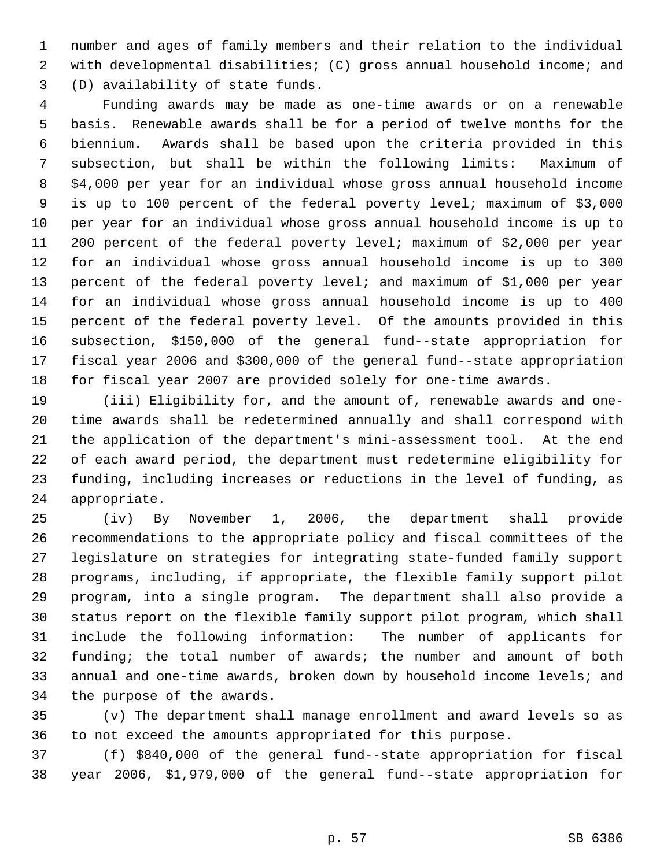number and ages of family members and their relation to the individual with developmental disabilities; (C) gross annual household income; and (D) availability of state funds.

 Funding awards may be made as one-time awards or on a renewable basis. Renewable awards shall be for a period of twelve months for the biennium. Awards shall be based upon the criteria provided in this subsection, but shall be within the following limits: Maximum of \$4,000 per year for an individual whose gross annual household income is up to 100 percent of the federal poverty level; maximum of \$3,000 per year for an individual whose gross annual household income is up to 200 percent of the federal poverty level; maximum of \$2,000 per year for an individual whose gross annual household income is up to 300 percent of the federal poverty level; and maximum of \$1,000 per year for an individual whose gross annual household income is up to 400 percent of the federal poverty level. Of the amounts provided in this subsection, \$150,000 of the general fund--state appropriation for fiscal year 2006 and \$300,000 of the general fund--state appropriation for fiscal year 2007 are provided solely for one-time awards.

 (iii) Eligibility for, and the amount of, renewable awards and one- time awards shall be redetermined annually and shall correspond with the application of the department's mini-assessment tool. At the end of each award period, the department must redetermine eligibility for funding, including increases or reductions in the level of funding, as appropriate.

 (iv) By November 1, 2006, the department shall provide recommendations to the appropriate policy and fiscal committees of the legislature on strategies for integrating state-funded family support programs, including, if appropriate, the flexible family support pilot program, into a single program. The department shall also provide a status report on the flexible family support pilot program, which shall include the following information: The number of applicants for funding; the total number of awards; the number and amount of both annual and one-time awards, broken down by household income levels; and the purpose of the awards.

 (v) The department shall manage enrollment and award levels so as to not exceed the amounts appropriated for this purpose.

 (f) \$840,000 of the general fund--state appropriation for fiscal year 2006, \$1,979,000 of the general fund--state appropriation for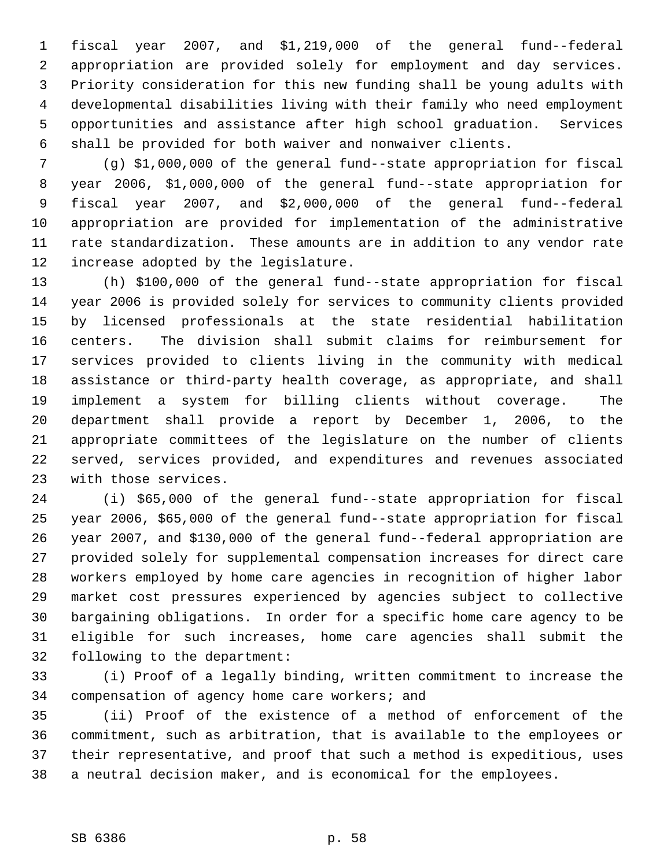fiscal year 2007, and \$1,219,000 of the general fund--federal appropriation are provided solely for employment and day services. Priority consideration for this new funding shall be young adults with developmental disabilities living with their family who need employment opportunities and assistance after high school graduation. Services shall be provided for both waiver and nonwaiver clients.

 (g) \$1,000,000 of the general fund--state appropriation for fiscal year 2006, \$1,000,000 of the general fund--state appropriation for fiscal year 2007, and \$2,000,000 of the general fund--federal appropriation are provided for implementation of the administrative rate standardization. These amounts are in addition to any vendor rate increase adopted by the legislature.

 (h) \$100,000 of the general fund--state appropriation for fiscal year 2006 is provided solely for services to community clients provided by licensed professionals at the state residential habilitation centers. The division shall submit claims for reimbursement for services provided to clients living in the community with medical assistance or third-party health coverage, as appropriate, and shall implement a system for billing clients without coverage. The department shall provide a report by December 1, 2006, to the appropriate committees of the legislature on the number of clients served, services provided, and expenditures and revenues associated with those services.

 (i) \$65,000 of the general fund--state appropriation for fiscal year 2006, \$65,000 of the general fund--state appropriation for fiscal year 2007, and \$130,000 of the general fund--federal appropriation are provided solely for supplemental compensation increases for direct care workers employed by home care agencies in recognition of higher labor market cost pressures experienced by agencies subject to collective bargaining obligations. In order for a specific home care agency to be eligible for such increases, home care agencies shall submit the following to the department:

 (i) Proof of a legally binding, written commitment to increase the compensation of agency home care workers; and

 (ii) Proof of the existence of a method of enforcement of the commitment, such as arbitration, that is available to the employees or their representative, and proof that such a method is expeditious, uses a neutral decision maker, and is economical for the employees.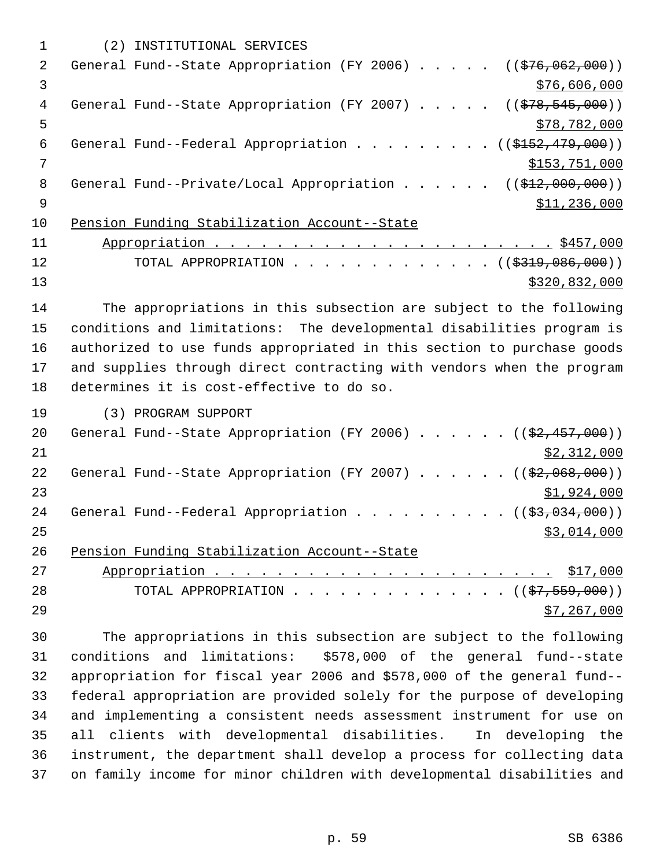|    | (2) INSTITUTIONAL SERVICES                                                              |
|----|-----------------------------------------------------------------------------------------|
| 2  | General Fund--State Appropriation (FY 2006) $($ $($ \$76,062,000))                      |
| 3  | \$76,606,000                                                                            |
| 4  | General Fund--State Appropriation (FY 2007) $($ $($ $\frac{278}{545}, \frac{545}{900})$ |
| 5  | \$78,782,000                                                                            |
| 6  | General Fund--Federal Appropriation ( $(\frac{2152}{127}, \frac{479}{100})$ )           |
| 7  | \$153,751,000                                                                           |
| 8  | General Fund--Private/Local Appropriation ( $(\frac{212,000,000)}{12,000,000})$         |
| 9  | \$11,236,000                                                                            |
| 10 | Pension Funding Stabilization Account--State                                            |
| 11 |                                                                                         |
| 12 | TOTAL APPROPRIATION ( $(\frac{2319}{1000})$ )                                           |
| 13 | \$320,832,000                                                                           |

 The appropriations in this subsection are subject to the following conditions and limitations: The developmental disabilities program is authorized to use funds appropriated in this section to purchase goods and supplies through direct contracting with vendors when the program determines it is cost-effective to do so.

(3) PROGRAM SUPPORT

| 20 | General Fund--State Appropriation (FY 2006) $($ $($ \$2,457,000))      |
|----|------------------------------------------------------------------------|
| 21 | \$2,312,000                                                            |
| 22 | General Fund--State Appropriation (FY 2007) $($ $($ $\frac{207}{100})$ |
| 23 | \$1,924,000                                                            |
| 24 | General Fund--Federal Appropriation $($ $($ \$3,034,000) $)$           |
| 25 | \$3,014,000                                                            |
| 26 | Pension Funding Stabilization Account--State                           |
| 27 |                                                                        |
| 28 | TOTAL APPROPRIATION ( $(\frac{27}{57}, \frac{559}{000})$ )             |
| 29 | \$7,267,000                                                            |

 The appropriations in this subsection are subject to the following conditions and limitations: \$578,000 of the general fund--state appropriation for fiscal year 2006 and \$578,000 of the general fund-- federal appropriation are provided solely for the purpose of developing and implementing a consistent needs assessment instrument for use on all clients with developmental disabilities. In developing the instrument, the department shall develop a process for collecting data on family income for minor children with developmental disabilities and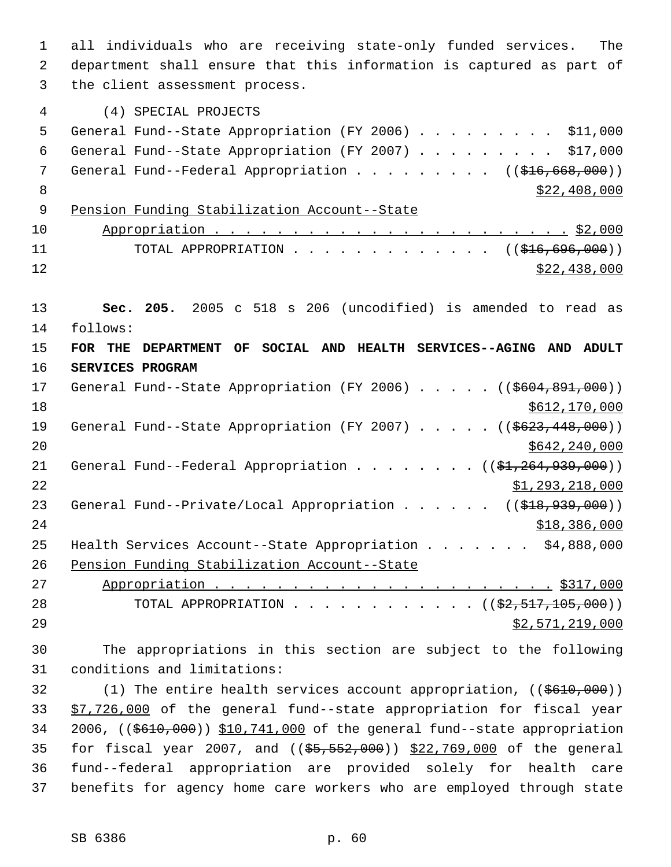1 all individuals who are receiving state-only funded services. The 2 department shall ensure that this information is captured as part of 3 the client assessment process. 4 (4) SPECIAL PROJECTS 5 General Fund--State Appropriation (FY 2006) . . . . . . . . . \$11,000 6 General Fund--State Appropriation (FY 2007) . . . . . . . . . \$17,000 7 General Fund--Federal Appropriation . . . . . . . . ((\$16,668,000))  $8 \times 22,408,000$  9 Pension Funding Stabilization Account--State 10 Appropriation . . . . . . . . . . . . . . . . . . . . . . . \$2,000 11 TOTAL APPROPRIATION . . . . . . . . . . . . ((<del>\$16,696,000</del>))  $\frac{12}{22,438,000}$ 13 **Sec. 205.** 2005 c 518 s 206 (uncodified) is amended to read as 14 follows: 15 **FOR THE DEPARTMENT OF SOCIAL AND HEALTH SERVICES--AGING AND ADULT** 16 **SERVICES PROGRAM** 17 General Fund--State Appropriation (FY 2006) . . . . . ((\$604,891,000)) 18 \$612,170,000 \$612,170,000 \$612,170,000 \$612,170,000 \$612,170,000 \$612,170,000 \$612,170,000 \$612,170,000 \$612 19 General Fund--State Appropriation (FY 2007) . . . . . ((\$623,448,000))  $20$  \$642,240,000 21 General Fund--Federal Appropriation . . . . . . . ((\$1,264,939,000)) 22  $\frac{$1,293,218,000}{2}$ 23 General Fund--Private/Local Appropriation . . . . . ((\$18,939,000))  $24$  \$18,386,000 25 Health Services Account--State Appropriation . . . . . . . \$4,888,000 26 Pension Funding Stabilization Account--State 27 Appropriation . . . . . . . . . . . . . . . . . . . . . . \$317,000 28 TOTAL APPROPRIATION . . . . . . . . . . . ((<del>\$2,517,105,000</del>))  $29$   $52,571,219,000$ 30 The appropriations in this section are subject to the following 31 conditions and limitations: 32 (1) The entire health services account appropriation, ((\$610,000)) 33 \$7,726,000 of the general fund--state appropriation for fiscal year 34 2006, ((\$610,000)) \$10,741,000 of the general fund--state appropriation 35 for fiscal year 2007, and ((\$5,552,000)) \$22,769,000 of the general 36 fund--federal appropriation are provided solely for health care

37 benefits for agency home care workers who are employed through state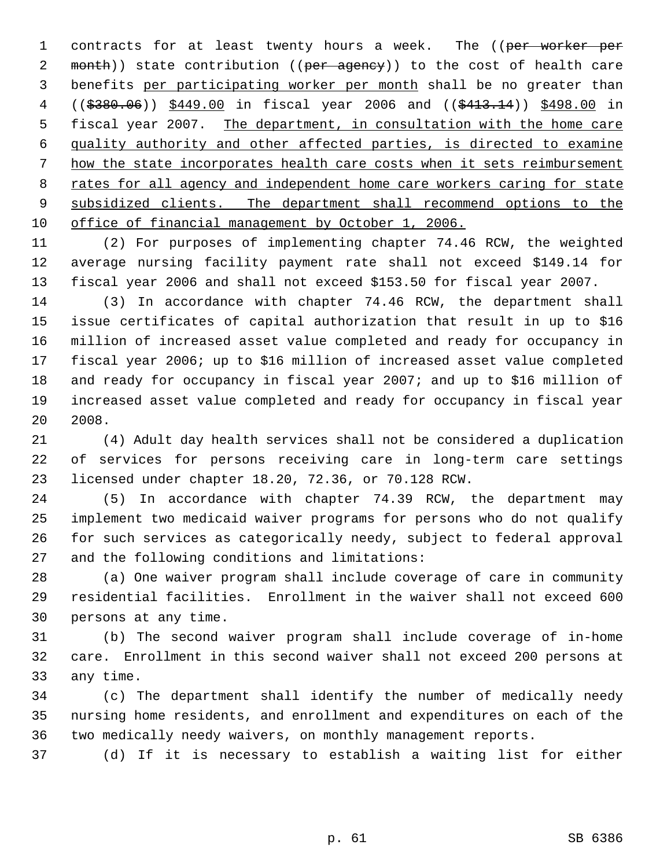1 contracts for at least twenty hours a week. The ((per worker per 2 month)) state contribution ((per agency)) to the cost of health care 3 benefits per participating worker per month shall be no greater than 4 ((\$380.06)) \$449.00 in fiscal year 2006 and ((\$413.14)) \$498.00 in fiscal year 2007. The department, in consultation with the home care quality authority and other affected parties, is directed to examine how the state incorporates health care costs when it sets reimbursement 8 rates for all agency and independent home care workers caring for state 9 subsidized clients. The department shall recommend options to the office of financial management by October 1, 2006.

 (2) For purposes of implementing chapter 74.46 RCW, the weighted average nursing facility payment rate shall not exceed \$149.14 for fiscal year 2006 and shall not exceed \$153.50 for fiscal year 2007.

 (3) In accordance with chapter 74.46 RCW, the department shall issue certificates of capital authorization that result in up to \$16 million of increased asset value completed and ready for occupancy in fiscal year 2006; up to \$16 million of increased asset value completed and ready for occupancy in fiscal year 2007; and up to \$16 million of increased asset value completed and ready for occupancy in fiscal year 2008.

 (4) Adult day health services shall not be considered a duplication of services for persons receiving care in long-term care settings licensed under chapter 18.20, 72.36, or 70.128 RCW.

 (5) In accordance with chapter 74.39 RCW, the department may implement two medicaid waiver programs for persons who do not qualify for such services as categorically needy, subject to federal approval and the following conditions and limitations:

 (a) One waiver program shall include coverage of care in community residential facilities. Enrollment in the waiver shall not exceed 600 persons at any time.

 (b) The second waiver program shall include coverage of in-home care. Enrollment in this second waiver shall not exceed 200 persons at any time.

 (c) The department shall identify the number of medically needy nursing home residents, and enrollment and expenditures on each of the two medically needy waivers, on monthly management reports.

(d) If it is necessary to establish a waiting list for either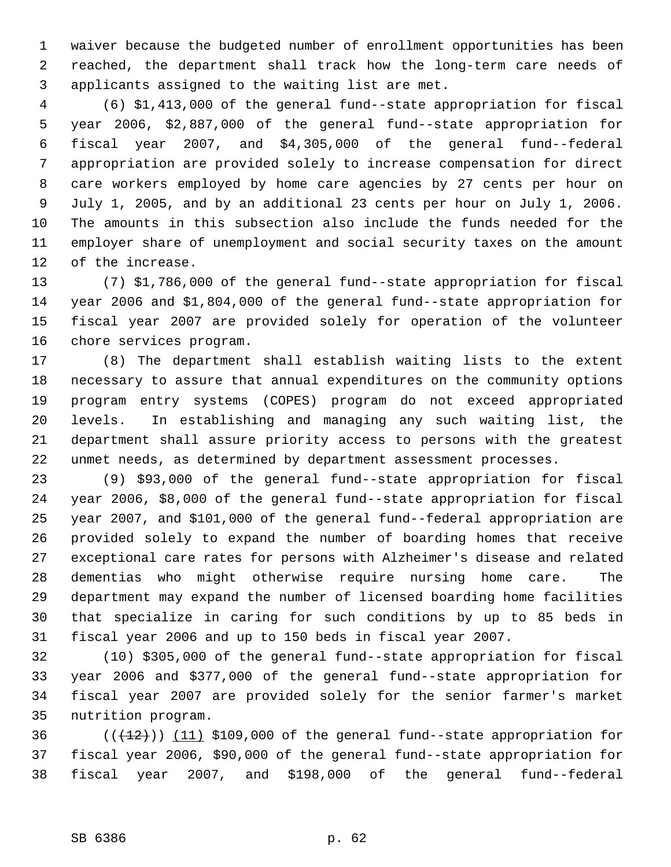waiver because the budgeted number of enrollment opportunities has been reached, the department shall track how the long-term care needs of applicants assigned to the waiting list are met.

 (6) \$1,413,000 of the general fund--state appropriation for fiscal year 2006, \$2,887,000 of the general fund--state appropriation for fiscal year 2007, and \$4,305,000 of the general fund--federal appropriation are provided solely to increase compensation for direct care workers employed by home care agencies by 27 cents per hour on July 1, 2005, and by an additional 23 cents per hour on July 1, 2006. The amounts in this subsection also include the funds needed for the employer share of unemployment and social security taxes on the amount of the increase.

 (7) \$1,786,000 of the general fund--state appropriation for fiscal year 2006 and \$1,804,000 of the general fund--state appropriation for fiscal year 2007 are provided solely for operation of the volunteer chore services program.

 (8) The department shall establish waiting lists to the extent necessary to assure that annual expenditures on the community options program entry systems (COPES) program do not exceed appropriated levels. In establishing and managing any such waiting list, the department shall assure priority access to persons with the greatest unmet needs, as determined by department assessment processes.

 (9) \$93,000 of the general fund--state appropriation for fiscal year 2006, \$8,000 of the general fund--state appropriation for fiscal year 2007, and \$101,000 of the general fund--federal appropriation are provided solely to expand the number of boarding homes that receive exceptional care rates for persons with Alzheimer's disease and related dementias who might otherwise require nursing home care. The department may expand the number of licensed boarding home facilities that specialize in caring for such conditions by up to 85 beds in fiscal year 2006 and up to 150 beds in fiscal year 2007.

 (10) \$305,000 of the general fund--state appropriation for fiscal year 2006 and \$377,000 of the general fund--state appropriation for fiscal year 2007 are provided solely for the senior farmer's market nutrition program.

36  $((+12))$  (11) \$109,000 of the general fund--state appropriation for fiscal year 2006, \$90,000 of the general fund--state appropriation for fiscal year 2007, and \$198,000 of the general fund--federal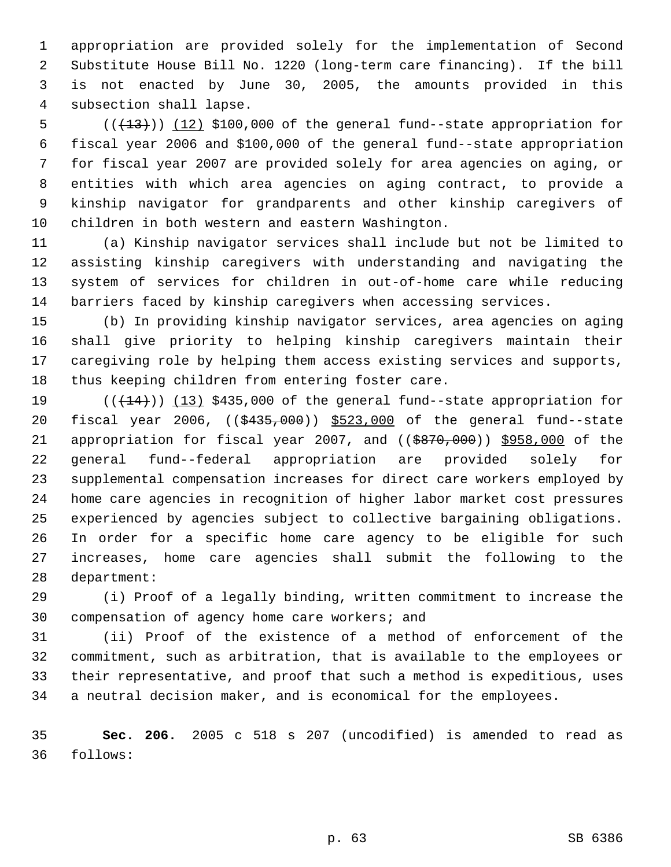appropriation are provided solely for the implementation of Second Substitute House Bill No. 1220 (long-term care financing). If the bill is not enacted by June 30, 2005, the amounts provided in this subsection shall lapse.

 $((+13))$   $(12)$  \$100,000 of the general fund--state appropriation for fiscal year 2006 and \$100,000 of the general fund--state appropriation for fiscal year 2007 are provided solely for area agencies on aging, or entities with which area agencies on aging contract, to provide a kinship navigator for grandparents and other kinship caregivers of children in both western and eastern Washington.

 (a) Kinship navigator services shall include but not be limited to assisting kinship caregivers with understanding and navigating the system of services for children in out-of-home care while reducing barriers faced by kinship caregivers when accessing services.

 (b) In providing kinship navigator services, area agencies on aging shall give priority to helping kinship caregivers maintain their caregiving role by helping them access existing services and supports, thus keeping children from entering foster care.

 $((+14))$   $(13)$  \$435,000 of the general fund--state appropriation for 20 fiscal year 2006, ((\$435,000)) \$523,000 of the general fund--state 21 appropriation for fiscal year 2007, and ((\$870,000)) \$958,000 of the general fund--federal appropriation are provided solely for supplemental compensation increases for direct care workers employed by home care agencies in recognition of higher labor market cost pressures experienced by agencies subject to collective bargaining obligations. In order for a specific home care agency to be eligible for such increases, home care agencies shall submit the following to the department:

 (i) Proof of a legally binding, written commitment to increase the compensation of agency home care workers; and

 (ii) Proof of the existence of a method of enforcement of the commitment, such as arbitration, that is available to the employees or their representative, and proof that such a method is expeditious, uses a neutral decision maker, and is economical for the employees.

 **Sec. 206.** 2005 c 518 s 207 (uncodified) is amended to read as follows: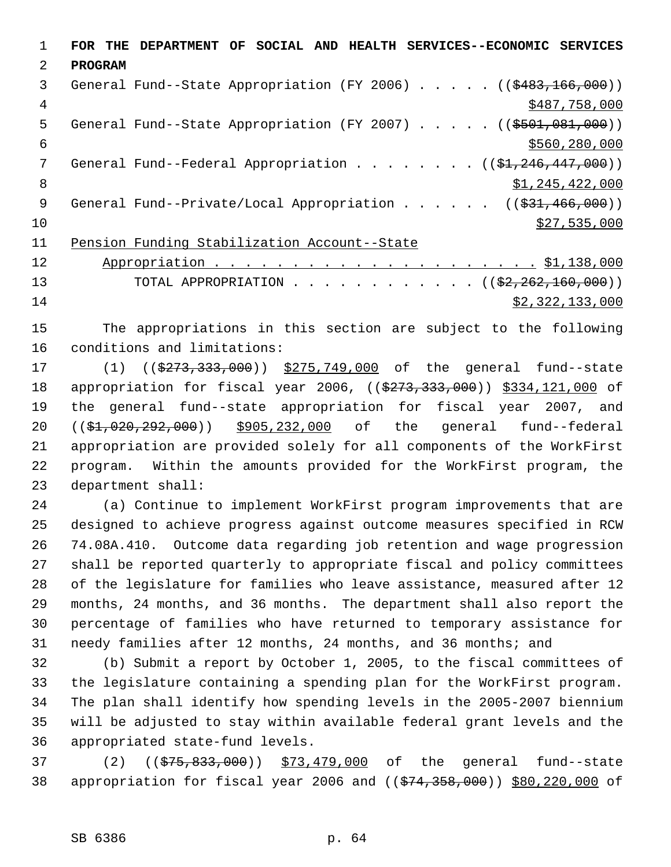**FOR THE DEPARTMENT OF SOCIAL AND HEALTH SERVICES--ECONOMIC SERVICES PROGRAM** 3 General Fund--State Appropriation (FY 2006) . . . . . ((\$483,166,000)) \$487,758,000 5 General Fund--State Appropriation (FY 2007) . . . . . ((\$501,081,000))  $\frac{$560,280,000}{5000}$ 7 General Fund--Federal Appropriation . . . . . . . ((\$1,246,447,000)) 8 \$1,245,422,000 9 General Fund--Private/Local Appropriation . . . . . ((\$31,466,000))  $\frac{10}{20}$  \$27,535,000 Pension Funding Stabilization Account--State

 Appropriation . . . . . . . . . . . . . . . . . . . . . \$1,138,000 13 TOTAL APPROPRIATION . . . . . . . . . . . . ((\$2,262,160,000)) \$2,322,133,000

 The appropriations in this section are subject to the following conditions and limitations:

17 (1) ((\$273,333,000)) \$275,749,000 of the general fund--state 18 appropriation for fiscal year 2006, ((\$273,333,000)) \$334,121,000 of the general fund--state appropriation for fiscal year 2007, and ((\$1,020,292,000)) \$905,232,000 of the general fund--federal appropriation are provided solely for all components of the WorkFirst program. Within the amounts provided for the WorkFirst program, the department shall:

 (a) Continue to implement WorkFirst program improvements that are designed to achieve progress against outcome measures specified in RCW 74.08A.410. Outcome data regarding job retention and wage progression shall be reported quarterly to appropriate fiscal and policy committees of the legislature for families who leave assistance, measured after 12 months, 24 months, and 36 months. The department shall also report the percentage of families who have returned to temporary assistance for needy families after 12 months, 24 months, and 36 months; and

 (b) Submit a report by October 1, 2005, to the fiscal committees of the legislature containing a spending plan for the WorkFirst program. The plan shall identify how spending levels in the 2005-2007 biennium will be adjusted to stay within available federal grant levels and the appropriated state-fund levels.

37 (2) ((\$75,833,000)) \$73,479,000 of the general fund--state 38 appropriation for fiscal year 2006 and ((\$74,358,000)) \$80,220,000 of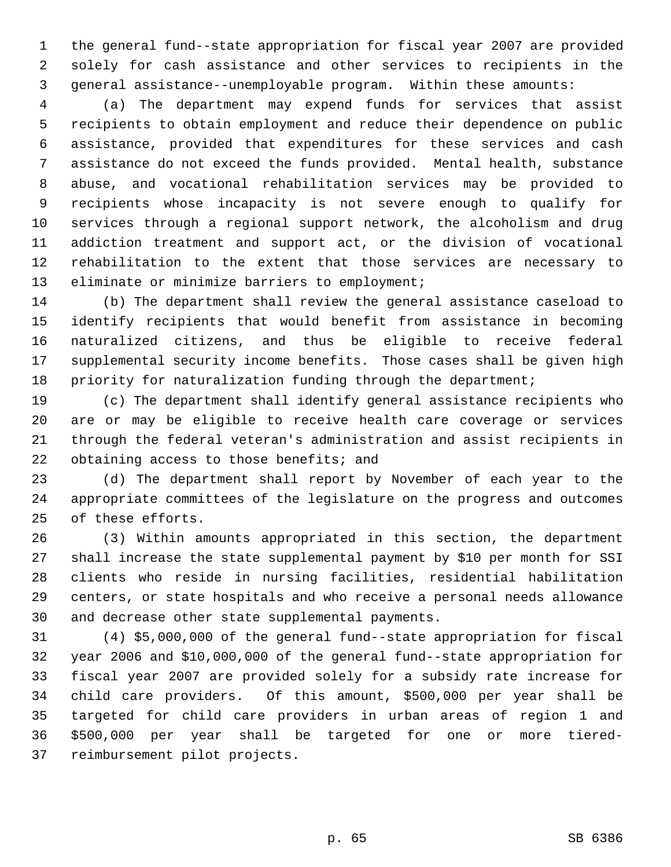the general fund--state appropriation for fiscal year 2007 are provided solely for cash assistance and other services to recipients in the general assistance--unemployable program. Within these amounts:

 (a) The department may expend funds for services that assist recipients to obtain employment and reduce their dependence on public assistance, provided that expenditures for these services and cash assistance do not exceed the funds provided. Mental health, substance abuse, and vocational rehabilitation services may be provided to recipients whose incapacity is not severe enough to qualify for services through a regional support network, the alcoholism and drug addiction treatment and support act, or the division of vocational rehabilitation to the extent that those services are necessary to 13 eliminate or minimize barriers to employment;

 (b) The department shall review the general assistance caseload to identify recipients that would benefit from assistance in becoming naturalized citizens, and thus be eligible to receive federal supplemental security income benefits. Those cases shall be given high 18 priority for naturalization funding through the department;

 (c) The department shall identify general assistance recipients who are or may be eligible to receive health care coverage or services through the federal veteran's administration and assist recipients in 22 obtaining access to those benefits; and

 (d) The department shall report by November of each year to the appropriate committees of the legislature on the progress and outcomes of these efforts.

 (3) Within amounts appropriated in this section, the department shall increase the state supplemental payment by \$10 per month for SSI clients who reside in nursing facilities, residential habilitation centers, or state hospitals and who receive a personal needs allowance and decrease other state supplemental payments.

 (4) \$5,000,000 of the general fund--state appropriation for fiscal year 2006 and \$10,000,000 of the general fund--state appropriation for fiscal year 2007 are provided solely for a subsidy rate increase for child care providers. Of this amount, \$500,000 per year shall be targeted for child care providers in urban areas of region 1 and \$500,000 per year shall be targeted for one or more tiered-reimbursement pilot projects.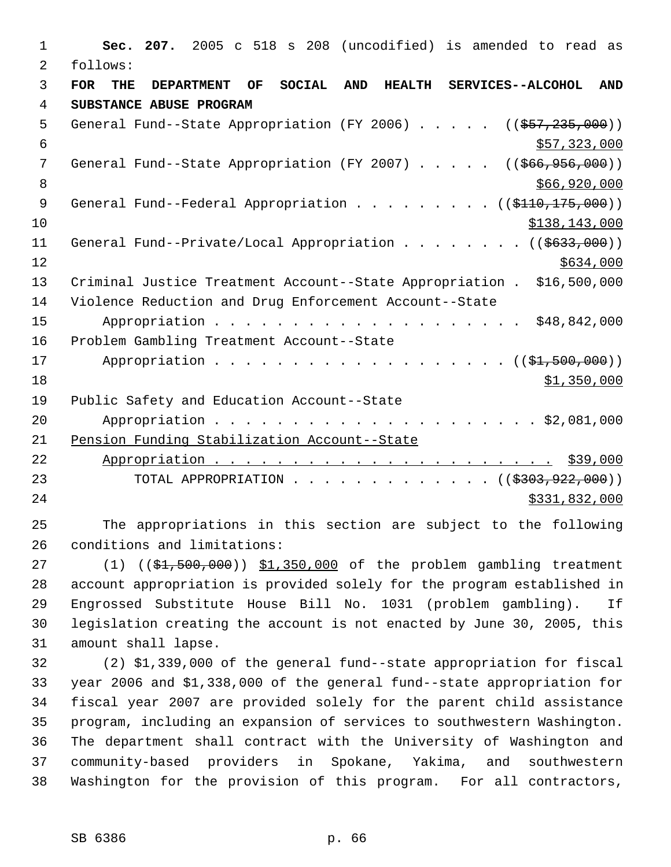**Sec. 207.** 2005 c 518 s 208 (uncodified) is amended to read as follows: **FOR THE DEPARTMENT OF SOCIAL AND HEALTH SERVICES--ALCOHOL AND SUBSTANCE ABUSE PROGRAM** 5 General Fund--State Appropriation (FY 2006) . . . . . ((\$57,235,000))  $\frac{$57,323,000}{557,323,000}$ 7 General Fund--State Appropriation (FY 2007) . . . . . ((\$66,956,000))  $$66,920,000$ 9 General Fund--Federal Appropriation . . . . . . . . ((\$110,175,000)) \$138,143,000 11 General Fund--Private/Local Appropriation . . . . . . . ((\$633,000))  $12 \frac{\text{S634}}{100}$  Criminal Justice Treatment Account--State Appropriation . \$16,500,000 Violence Reduction and Drug Enforcement Account--State Appropriation . . . . . . . . . . . . . . . . . . . . \$48,842,000 Problem Gambling Treatment Account--State 17 Appropriation . . . . . . . . . . . . . . . . . (  $(\frac{1}{21}, 500, 000)$  ) \$1,350,000 Public Safety and Education Account--State Appropriation . . . . . . . . . . . . . . . . . . . . . \$2,081,000 Pension Funding Stabilization Account--State Appropriation . . . . . . . . . . . . . . . . . . . . . . \$39,000 23 TOTAL APPROPRIATION . . . . . . . . . . . . . ((\$303,922,000)) \$331,832,000 The appropriations in this section are subject to the following

27 (1) ((\$1,500,000)) \$1,350,000 of the problem gambling treatment account appropriation is provided solely for the program established in Engrossed Substitute House Bill No. 1031 (problem gambling). If legislation creating the account is not enacted by June 30, 2005, this amount shall lapse.

 (2) \$1,339,000 of the general fund--state appropriation for fiscal year 2006 and \$1,338,000 of the general fund--state appropriation for fiscal year 2007 are provided solely for the parent child assistance program, including an expansion of services to southwestern Washington. The department shall contract with the University of Washington and community-based providers in Spokane, Yakima, and southwestern Washington for the provision of this program. For all contractors,

conditions and limitations: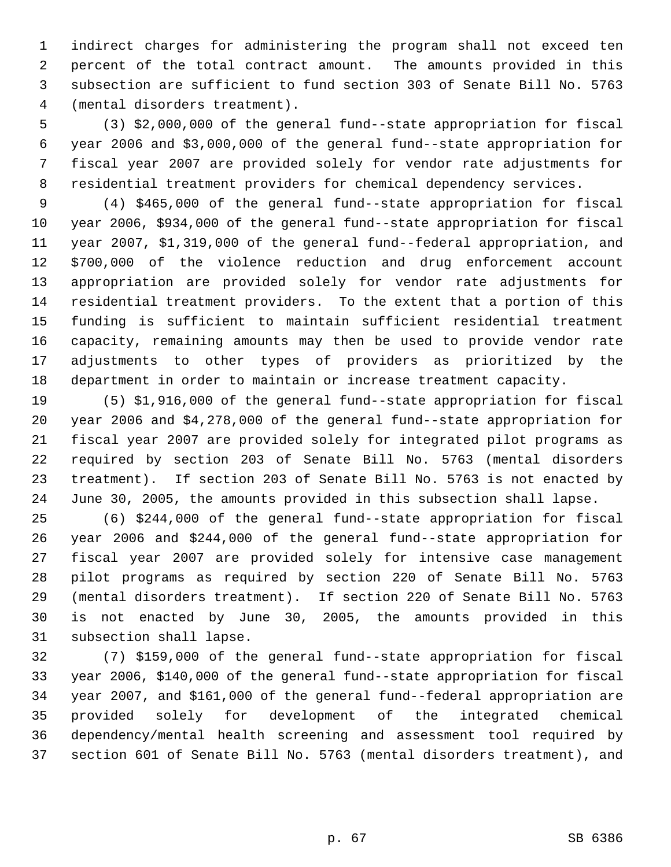indirect charges for administering the program shall not exceed ten percent of the total contract amount. The amounts provided in this subsection are sufficient to fund section 303 of Senate Bill No. 5763 (mental disorders treatment).

 (3) \$2,000,000 of the general fund--state appropriation for fiscal year 2006 and \$3,000,000 of the general fund--state appropriation for fiscal year 2007 are provided solely for vendor rate adjustments for residential treatment providers for chemical dependency services.

 (4) \$465,000 of the general fund--state appropriation for fiscal year 2006, \$934,000 of the general fund--state appropriation for fiscal year 2007, \$1,319,000 of the general fund--federal appropriation, and \$700,000 of the violence reduction and drug enforcement account appropriation are provided solely for vendor rate adjustments for residential treatment providers. To the extent that a portion of this funding is sufficient to maintain sufficient residential treatment capacity, remaining amounts may then be used to provide vendor rate adjustments to other types of providers as prioritized by the department in order to maintain or increase treatment capacity.

 (5) \$1,916,000 of the general fund--state appropriation for fiscal year 2006 and \$4,278,000 of the general fund--state appropriation for fiscal year 2007 are provided solely for integrated pilot programs as required by section 203 of Senate Bill No. 5763 (mental disorders treatment). If section 203 of Senate Bill No. 5763 is not enacted by June 30, 2005, the amounts provided in this subsection shall lapse.

 (6) \$244,000 of the general fund--state appropriation for fiscal year 2006 and \$244,000 of the general fund--state appropriation for fiscal year 2007 are provided solely for intensive case management pilot programs as required by section 220 of Senate Bill No. 5763 (mental disorders treatment). If section 220 of Senate Bill No. 5763 is not enacted by June 30, 2005, the amounts provided in this subsection shall lapse.

 (7) \$159,000 of the general fund--state appropriation for fiscal year 2006, \$140,000 of the general fund--state appropriation for fiscal year 2007, and \$161,000 of the general fund--federal appropriation are provided solely for development of the integrated chemical dependency/mental health screening and assessment tool required by section 601 of Senate Bill No. 5763 (mental disorders treatment), and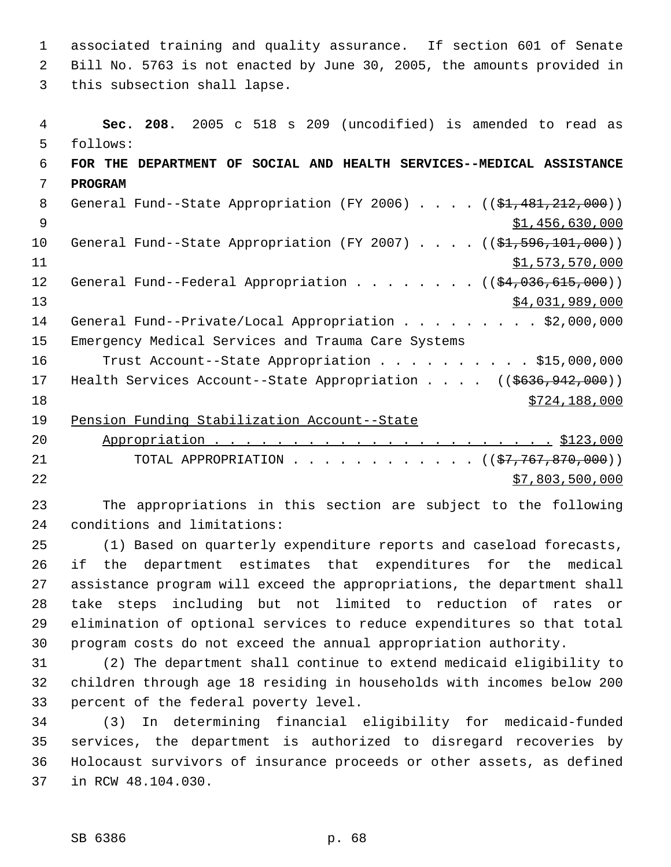associated training and quality assurance. If section 601 of Senate Bill No. 5763 is not enacted by June 30, 2005, the amounts provided in this subsection shall lapse.

 **Sec. 208.** 2005 c 518 s 209 (uncodified) is amended to read as follows: **FOR THE DEPARTMENT OF SOCIAL AND HEALTH SERVICES--MEDICAL ASSISTANCE PROGRAM** 8 General Fund--State Appropriation (FY 2006) . . . . ((\$1,481,212,000)) 9  $\texttt{51,456,630,000}$ 10 General Fund--State Appropriation (FY 2007) . . . . ((\$1,596,101,000))  $\frac{1}{51,573,570,000}$ 12 General Fund--Federal Appropriation . . . . . . . ((\$4,036,615,000))  $$4,031,989,000$ 14 General Fund--Private/Local Appropriation . . . . . . . . \$2,000,000 Emergency Medical Services and Trauma Care Systems 16 Trust Account--State Appropriation . . . . . . . . . \$15,000,000 17 Health Services Account--State Appropriation . . . . ((\$636,942,000)) \$724,188,000 19 Pension Funding Stabilization Account--State Appropriation . . . . . . . . . . . . . . . . . . . . . . \$123,000

21 TOTAL APPROPRIATION . . . . . . . . . . . ((\$7,767,870,000))  $\frac{$7,803,500,000}{2}$ 

 The appropriations in this section are subject to the following conditions and limitations:

 (1) Based on quarterly expenditure reports and caseload forecasts, if the department estimates that expenditures for the medical assistance program will exceed the appropriations, the department shall take steps including but not limited to reduction of rates or elimination of optional services to reduce expenditures so that total program costs do not exceed the annual appropriation authority.

 (2) The department shall continue to extend medicaid eligibility to children through age 18 residing in households with incomes below 200 percent of the federal poverty level.

 (3) In determining financial eligibility for medicaid-funded services, the department is authorized to disregard recoveries by Holocaust survivors of insurance proceeds or other assets, as defined in RCW 48.104.030.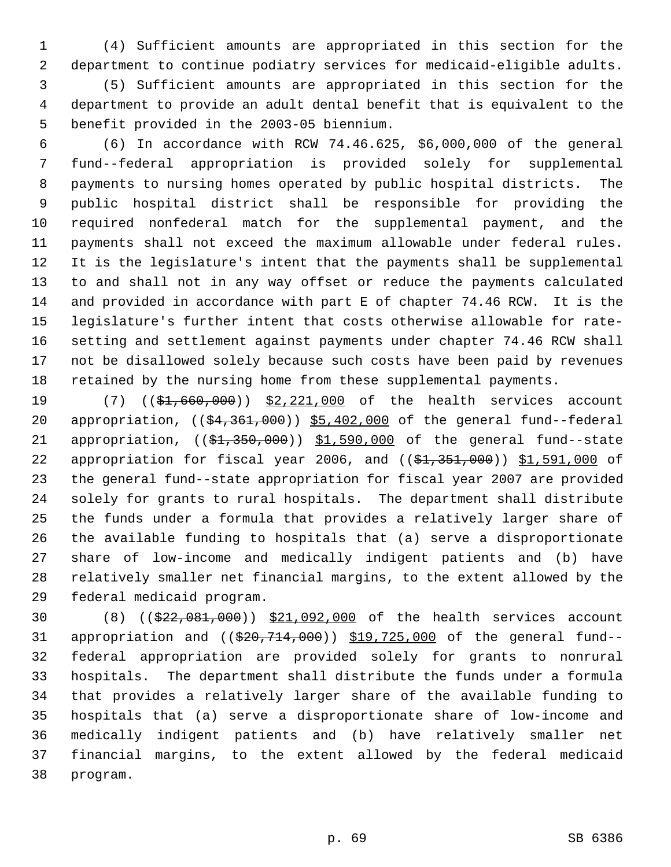(4) Sufficient amounts are appropriated in this section for the department to continue podiatry services for medicaid-eligible adults.

 (5) Sufficient amounts are appropriated in this section for the department to provide an adult dental benefit that is equivalent to the benefit provided in the 2003-05 biennium.

 (6) In accordance with RCW 74.46.625, \$6,000,000 of the general fund--federal appropriation is provided solely for supplemental payments to nursing homes operated by public hospital districts. The public hospital district shall be responsible for providing the required nonfederal match for the supplemental payment, and the payments shall not exceed the maximum allowable under federal rules. It is the legislature's intent that the payments shall be supplemental to and shall not in any way offset or reduce the payments calculated and provided in accordance with part E of chapter 74.46 RCW. It is the legislature's further intent that costs otherwise allowable for rate- setting and settlement against payments under chapter 74.46 RCW shall not be disallowed solely because such costs have been paid by revenues retained by the nursing home from these supplemental payments.

19 (7) ((\$1,660,000)) \$2,221,000 of the health services account 20 appropriation,  $((\frac{64}{361},\frac{361}{100}))$   $\frac{55,402,000}{100}$  of the general fund--federal 21 appropriation, ((\$1,350,000)) \$1,590,000 of the general fund--state 22 appropriation for fiscal year 2006, and ((\$1,351,000)) \$1,591,000 of the general fund--state appropriation for fiscal year 2007 are provided solely for grants to rural hospitals. The department shall distribute the funds under a formula that provides a relatively larger share of the available funding to hospitals that (a) serve a disproportionate share of low-income and medically indigent patients and (b) have relatively smaller net financial margins, to the extent allowed by the federal medicaid program.

 (8) ((\$22,081,000)) \$21,092,000 of the health services account 31 appropriation and ((\$20,714,000)) \$19,725,000 of the general fund-- federal appropriation are provided solely for grants to nonrural hospitals. The department shall distribute the funds under a formula that provides a relatively larger share of the available funding to hospitals that (a) serve a disproportionate share of low-income and medically indigent patients and (b) have relatively smaller net financial margins, to the extent allowed by the federal medicaid program.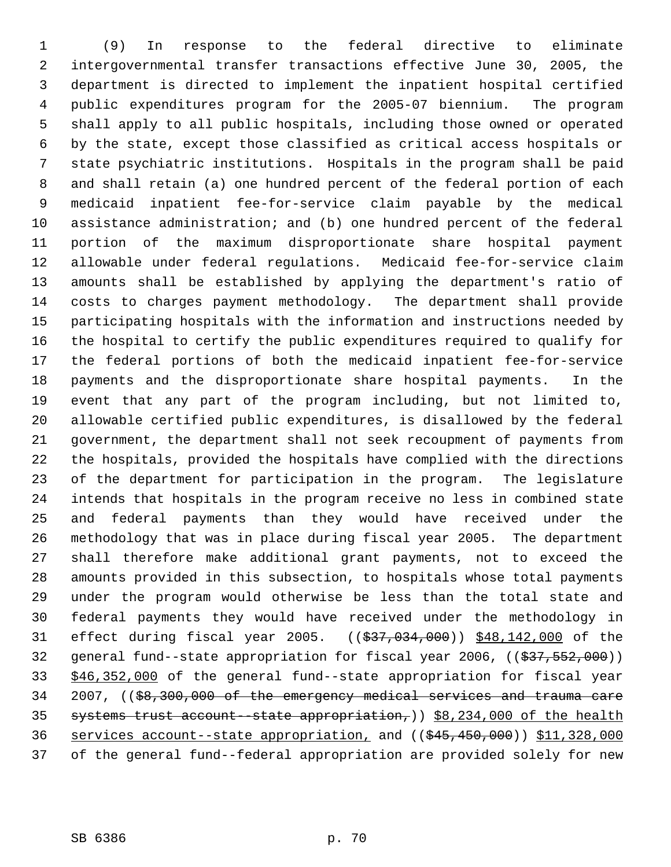(9) In response to the federal directive to eliminate intergovernmental transfer transactions effective June 30, 2005, the department is directed to implement the inpatient hospital certified public expenditures program for the 2005-07 biennium. The program shall apply to all public hospitals, including those owned or operated by the state, except those classified as critical access hospitals or state psychiatric institutions. Hospitals in the program shall be paid and shall retain (a) one hundred percent of the federal portion of each medicaid inpatient fee-for-service claim payable by the medical assistance administration; and (b) one hundred percent of the federal portion of the maximum disproportionate share hospital payment allowable under federal regulations. Medicaid fee-for-service claim amounts shall be established by applying the department's ratio of costs to charges payment methodology. The department shall provide participating hospitals with the information and instructions needed by the hospital to certify the public expenditures required to qualify for the federal portions of both the medicaid inpatient fee-for-service payments and the disproportionate share hospital payments. In the event that any part of the program including, but not limited to, allowable certified public expenditures, is disallowed by the federal government, the department shall not seek recoupment of payments from the hospitals, provided the hospitals have complied with the directions of the department for participation in the program. The legislature intends that hospitals in the program receive no less in combined state and federal payments than they would have received under the methodology that was in place during fiscal year 2005. The department shall therefore make additional grant payments, not to exceed the amounts provided in this subsection, to hospitals whose total payments under the program would otherwise be less than the total state and federal payments they would have received under the methodology in 31 effect during fiscal year 2005. ((\$37,034,000)) \$48,142,000 of the 32 general fund--state appropriation for fiscal year 2006, ((\$37,552,000)) \$46,352,000 of the general fund--state appropriation for fiscal year 2007, ((\$8,300,000 of the emergency medical services and trauma care 35 systems trust account--state appropriation,)) \$8,234,000 of the health services account--state appropriation, and ((\$45,450,000)) \$11,328,000 of the general fund--federal appropriation are provided solely for new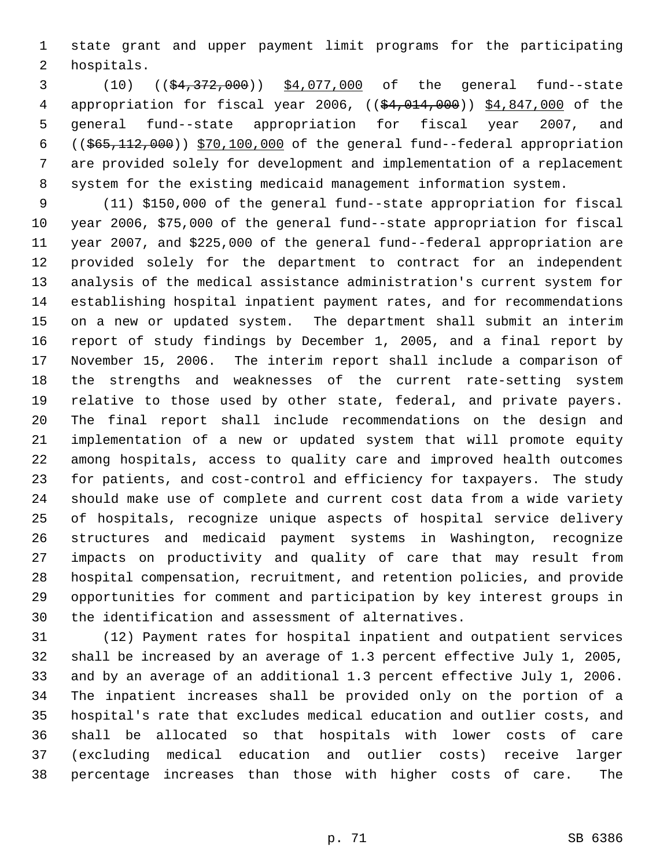state grant and upper payment limit programs for the participating hospitals.

 (10) ((\$4,372,000)) \$4,077,000 of the general fund--state appropriation for fiscal year 2006, ((\$4,014,000)) \$4,847,000 of the general fund--state appropriation for fiscal year 2007, and ((\$65,112,000)) \$70,100,000 of the general fund--federal appropriation are provided solely for development and implementation of a replacement system for the existing medicaid management information system.

 (11) \$150,000 of the general fund--state appropriation for fiscal year 2006, \$75,000 of the general fund--state appropriation for fiscal year 2007, and \$225,000 of the general fund--federal appropriation are provided solely for the department to contract for an independent analysis of the medical assistance administration's current system for establishing hospital inpatient payment rates, and for recommendations on a new or updated system. The department shall submit an interim report of study findings by December 1, 2005, and a final report by November 15, 2006. The interim report shall include a comparison of the strengths and weaknesses of the current rate-setting system relative to those used by other state, federal, and private payers. The final report shall include recommendations on the design and implementation of a new or updated system that will promote equity among hospitals, access to quality care and improved health outcomes for patients, and cost-control and efficiency for taxpayers. The study should make use of complete and current cost data from a wide variety of hospitals, recognize unique aspects of hospital service delivery structures and medicaid payment systems in Washington, recognize impacts on productivity and quality of care that may result from hospital compensation, recruitment, and retention policies, and provide opportunities for comment and participation by key interest groups in the identification and assessment of alternatives.

 (12) Payment rates for hospital inpatient and outpatient services shall be increased by an average of 1.3 percent effective July 1, 2005, and by an average of an additional 1.3 percent effective July 1, 2006. The inpatient increases shall be provided only on the portion of a hospital's rate that excludes medical education and outlier costs, and shall be allocated so that hospitals with lower costs of care (excluding medical education and outlier costs) receive larger percentage increases than those with higher costs of care. The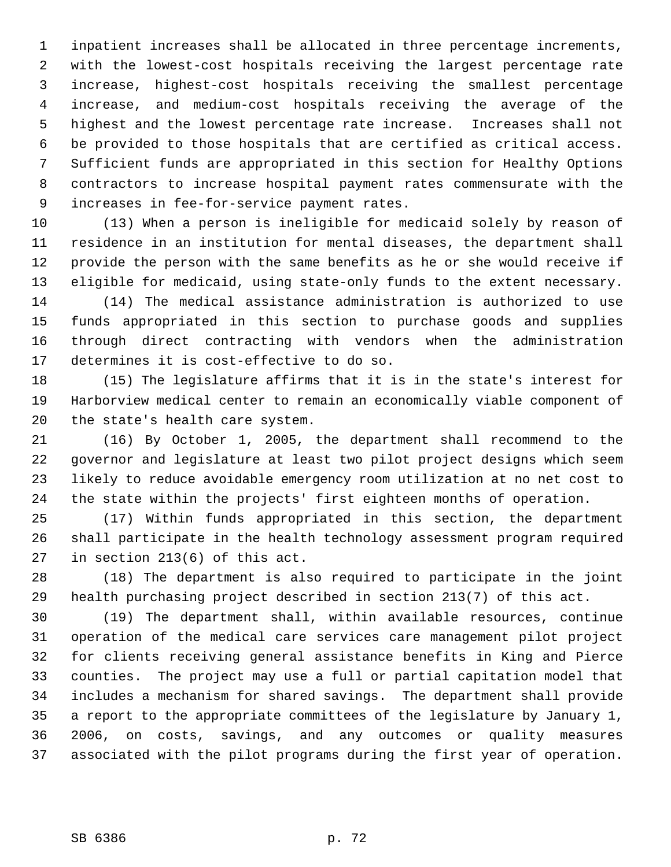inpatient increases shall be allocated in three percentage increments, with the lowest-cost hospitals receiving the largest percentage rate increase, highest-cost hospitals receiving the smallest percentage increase, and medium-cost hospitals receiving the average of the highest and the lowest percentage rate increase. Increases shall not be provided to those hospitals that are certified as critical access. Sufficient funds are appropriated in this section for Healthy Options contractors to increase hospital payment rates commensurate with the increases in fee-for-service payment rates.

 (13) When a person is ineligible for medicaid solely by reason of residence in an institution for mental diseases, the department shall provide the person with the same benefits as he or she would receive if eligible for medicaid, using state-only funds to the extent necessary.

 (14) The medical assistance administration is authorized to use funds appropriated in this section to purchase goods and supplies through direct contracting with vendors when the administration determines it is cost-effective to do so.

 (15) The legislature affirms that it is in the state's interest for Harborview medical center to remain an economically viable component of the state's health care system.

 (16) By October 1, 2005, the department shall recommend to the governor and legislature at least two pilot project designs which seem likely to reduce avoidable emergency room utilization at no net cost to the state within the projects' first eighteen months of operation.

 (17) Within funds appropriated in this section, the department shall participate in the health technology assessment program required in section 213(6) of this act.

 (18) The department is also required to participate in the joint health purchasing project described in section 213(7) of this act.

 (19) The department shall, within available resources, continue operation of the medical care services care management pilot project for clients receiving general assistance benefits in King and Pierce counties. The project may use a full or partial capitation model that includes a mechanism for shared savings. The department shall provide a report to the appropriate committees of the legislature by January 1, 2006, on costs, savings, and any outcomes or quality measures associated with the pilot programs during the first year of operation.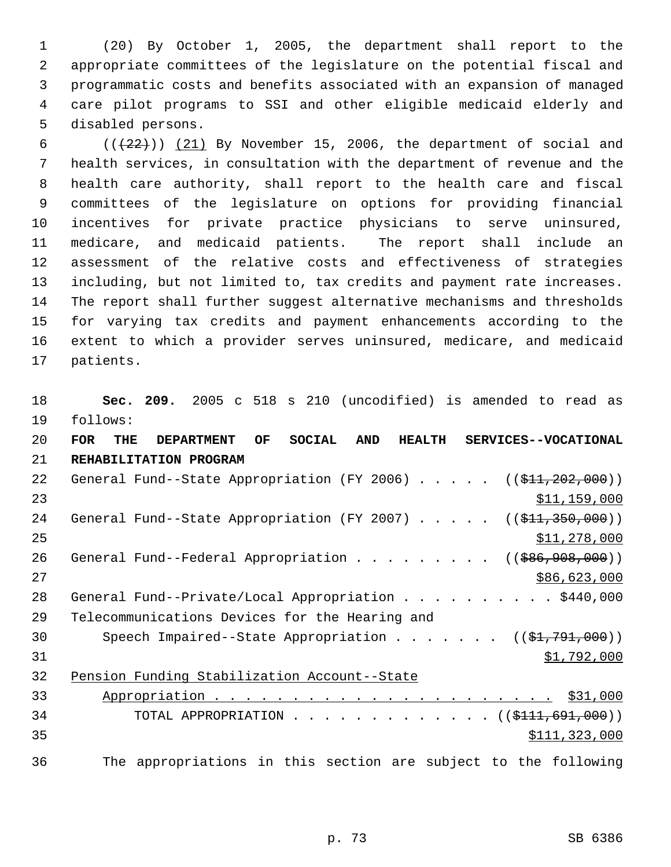(20) By October 1, 2005, the department shall report to the appropriate committees of the legislature on the potential fiscal and programmatic costs and benefits associated with an expansion of managed care pilot programs to SSI and other eligible medicaid elderly and disabled persons.

 $((+22))$   $(21)$  By November 15, 2006, the department of social and health services, in consultation with the department of revenue and the health care authority, shall report to the health care and fiscal committees of the legislature on options for providing financial incentives for private practice physicians to serve uninsured, medicare, and medicaid patients. The report shall include an assessment of the relative costs and effectiveness of strategies including, but not limited to, tax credits and payment rate increases. The report shall further suggest alternative mechanisms and thresholds for varying tax credits and payment enhancements according to the extent to which a provider serves uninsured, medicare, and medicaid patients.

 **Sec. 209.** 2005 c 518 s 210 (uncodified) is amended to read as follows:

 **FOR THE DEPARTMENT OF SOCIAL AND HEALTH SERVICES--VOCATIONAL REHABILITATION PROGRAM** 22 General Fund--State Appropriation (FY 2006) . . . . . ((\$11,202,000)) \$11,159,000 24 General Fund--State Appropriation (FY 2007) . . . . . ((\$11,350,000)) \$11,278,000 26 General Fund--Federal Appropriation . . . . . . . . ((\$86,908,000)) 27 \$86,623,000 28 General Fund--Private/Local Appropriation . . . . . . . . . \$440,000 Telecommunications Devices for the Hearing and 30 Speech Impaired--State Appropriation . . . . . . ((\$1,791,000)) \$1,792,000 Pension Funding Stabilization Account--State Appropriation . . . . . . . . . . . . . . . . . . . . . . \$31,000 34 TOTAL APPROPRIATION . . . . . . . . . . . . . ((\$111,691,000)) \$111,323,000 The appropriations in this section are subject to the following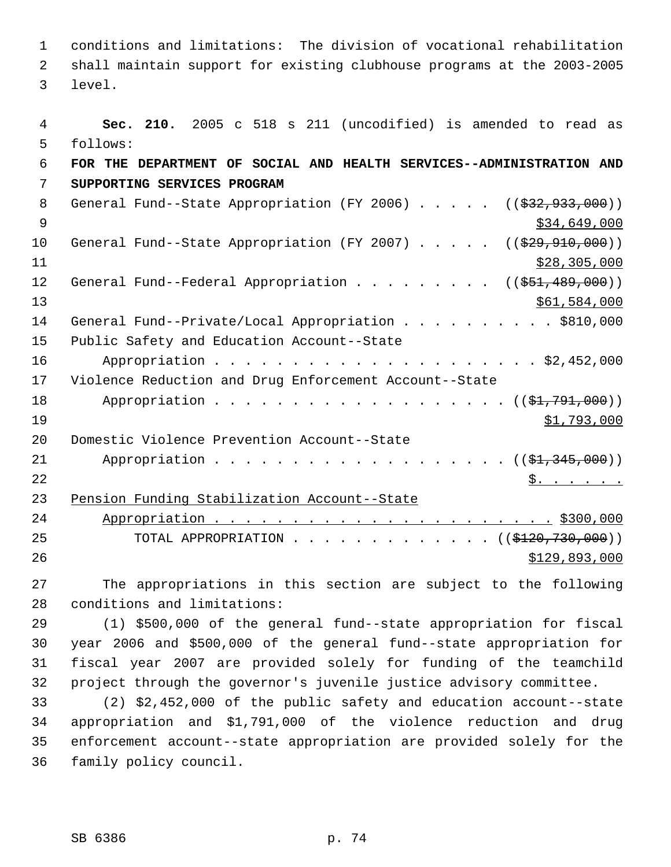conditions and limitations: The division of vocational rehabilitation shall maintain support for existing clubhouse programs at the 2003-2005 level.

 **Sec. 210.** 2005 c 518 s 211 (uncodified) is amended to read as follows: **FOR THE DEPARTMENT OF SOCIAL AND HEALTH SERVICES--ADMINISTRATION AND SUPPORTING SERVICES PROGRAM** 8 General Fund--State Appropriation (FY 2006) . . . . . ((\$32,933,000))  $\frac{1}{334}$ ,649,000 10 General Fund--State Appropriation (FY 2007) . . . . . ((\$29,910,000))  $\frac{11}{28,305,000}$ 12 General Fund--Federal Appropriation . . . . . . . . ((\$51,489,000)) \$61,584,000 14 General Fund--Private/Local Appropriation . . . . . . . . . \$810,000 Public Safety and Education Account--State Appropriation . . . . . . . . . . . . . . . . . . . . . \$2,452,000 Violence Reduction and Drug Enforcement Account--State 18 Appropriation . . . . . . . . . . . . . . . . . (  $(\frac{21}{791}, \frac{791}{100})$  ) 19 \$1,793,000 Domestic Violence Prevention Account--State 21 Appropriation . . . . . . . . . . . . . . . . . (  $(\frac{21}{21}, \frac{345}{100})$  ) 22  $\frac{1}{2}$   $\frac{1}{2}$   $\frac{1}{2}$   $\frac{1}{2}$   $\frac{1}{2}$   $\frac{1}{2}$   $\frac{1}{2}$   $\frac{1}{2}$   $\frac{1}{2}$   $\frac{1}{2}$   $\frac{1}{2}$   $\frac{1}{2}$   $\frac{1}{2}$   $\frac{1}{2}$   $\frac{1}{2}$   $\frac{1}{2}$   $\frac{1}{2}$   $\frac{1}{2}$   $\frac{1}{2}$   $\frac{1}{2}$   $\frac{1}{2}$   $\frac{1}{2}$  Pension Funding Stabilization Account--State Appropriation . . . . . . . . . . . . . . . . . . . . . . \$300,000 25 TOTAL APPROPRIATION . . . . . . . . . . . . ((\$120,730,000))  $$129,893,000$ 

 The appropriations in this section are subject to the following conditions and limitations:

 (1) \$500,000 of the general fund--state appropriation for fiscal year 2006 and \$500,000 of the general fund--state appropriation for fiscal year 2007 are provided solely for funding of the teamchild project through the governor's juvenile justice advisory committee.

 (2) \$2,452,000 of the public safety and education account--state appropriation and \$1,791,000 of the violence reduction and drug enforcement account--state appropriation are provided solely for the family policy council.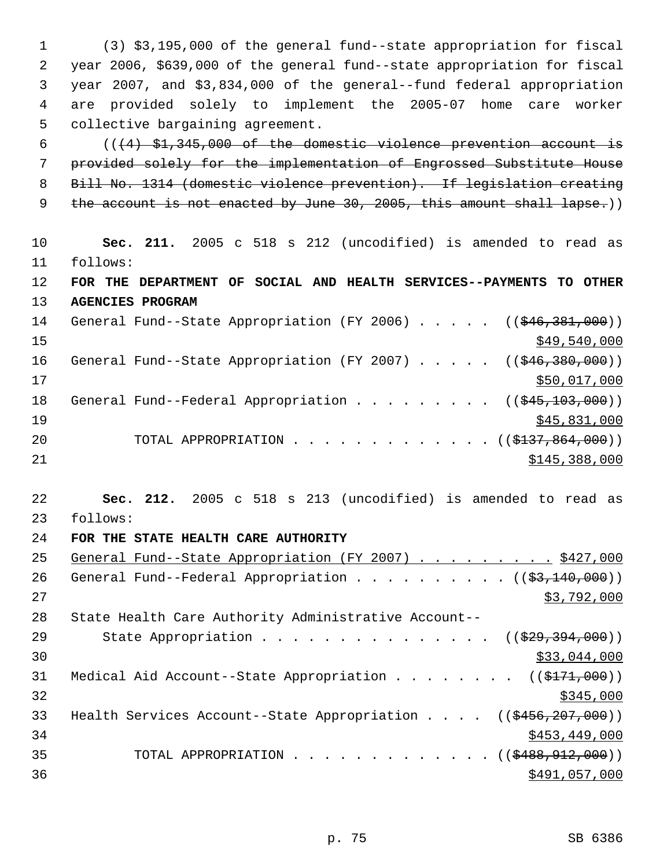(3) \$3,195,000 of the general fund--state appropriation for fiscal year 2006, \$639,000 of the general fund--state appropriation for fiscal year 2007, and \$3,834,000 of the general--fund federal appropriation are provided solely to implement the 2005-07 home care worker collective bargaining agreement.

 $((+4)$  \$1,345,000 of the domestic violence prevention account is provided solely for the implementation of Engrossed Substitute House Bill No. 1314 (domestic violence prevention). If legislation creating 9 the account is not enacted by June 30, 2005, this amount shall lapse.))

10 **Sec. 211.** 2005 c 518 s 212 (uncodified) is amended to read as 11 follows: 12 **FOR THE DEPARTMENT OF SOCIAL AND HEALTH SERVICES--PAYMENTS TO OTHER** 13 **AGENCIES PROGRAM** 14 General Fund--State Appropriation (FY 2006) . . . . . ((\$46,381,000))  $\frac{$49,540,000}{2}$ 

16 General Fund--State Appropriation (FY 2007) . . . . . ((\$46,380,000)) 17 \$50,017,000 18 General Fund--Federal Appropriation . . . . . . . . ((\$45,103,000)) 19 \$45,831,000 20 TOTAL APPROPRIATION . . . . . . . . . . . . ((\$137,864,000)) 21 \$145,388,000

22 **Sec. 212.** 2005 c 518 s 213 (uncodified) is amended to read as 23 follows:

## 24 **FOR THE STATE HEALTH CARE AUTHORITY**

| 25 | General Fund--State Appropriation (FY 2007) \$427,000                       |
|----|-----------------------------------------------------------------------------|
| 26 | General Fund--Federal Appropriation $($ $($ \$3,140,000) $)$                |
| 27 | \$3,792,000                                                                 |
| 28 | State Health Care Authority Administrative Account--                        |
| 29 | State Appropriation $($ $($ $\frac{29}{29}, \frac{394}{100})$               |
| 30 | \$33,044,000                                                                |
| 31 | Medical Aid Account--State Appropriation ( $(\frac{2171}{1000})$ )          |
| 32 | \$345,000                                                                   |
| 33 | Health Services Account--State Appropriation $($ $($ $\frac{456}{207},000)$ |
| 34 | \$453, 449, 000                                                             |
| 35 | TOTAL APPROPRIATION $\ldots$ , ( $(\frac{2488}{12}, 000)$ )                 |
| 36 | \$491,057,000                                                               |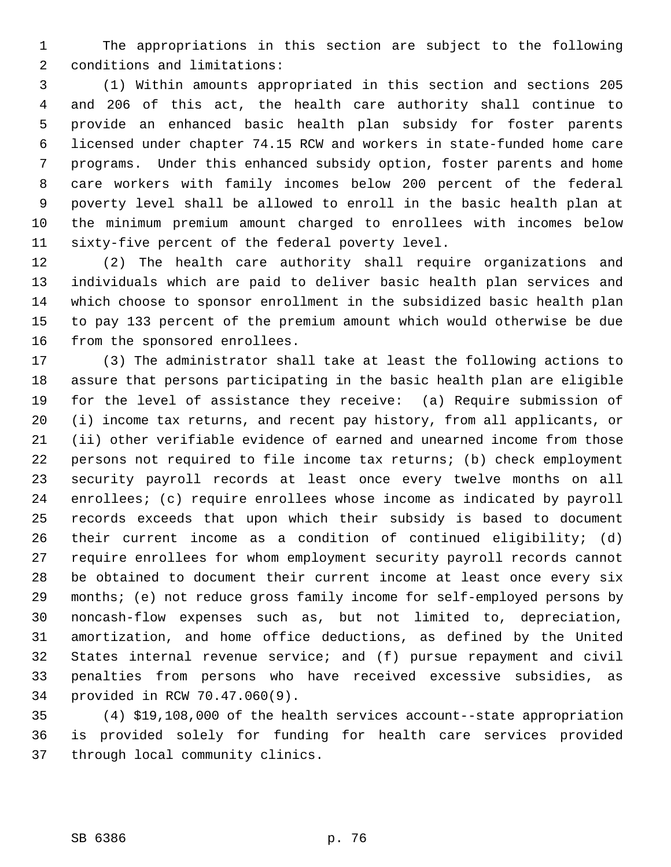The appropriations in this section are subject to the following conditions and limitations:

 (1) Within amounts appropriated in this section and sections 205 and 206 of this act, the health care authority shall continue to provide an enhanced basic health plan subsidy for foster parents licensed under chapter 74.15 RCW and workers in state-funded home care programs. Under this enhanced subsidy option, foster parents and home care workers with family incomes below 200 percent of the federal poverty level shall be allowed to enroll in the basic health plan at the minimum premium amount charged to enrollees with incomes below sixty-five percent of the federal poverty level.

 (2) The health care authority shall require organizations and individuals which are paid to deliver basic health plan services and which choose to sponsor enrollment in the subsidized basic health plan to pay 133 percent of the premium amount which would otherwise be due from the sponsored enrollees.

 (3) The administrator shall take at least the following actions to assure that persons participating in the basic health plan are eligible for the level of assistance they receive: (a) Require submission of (i) income tax returns, and recent pay history, from all applicants, or (ii) other verifiable evidence of earned and unearned income from those persons not required to file income tax returns; (b) check employment security payroll records at least once every twelve months on all enrollees; (c) require enrollees whose income as indicated by payroll records exceeds that upon which their subsidy is based to document their current income as a condition of continued eligibility; (d) require enrollees for whom employment security payroll records cannot be obtained to document their current income at least once every six months; (e) not reduce gross family income for self-employed persons by noncash-flow expenses such as, but not limited to, depreciation, amortization, and home office deductions, as defined by the United States internal revenue service; and (f) pursue repayment and civil penalties from persons who have received excessive subsidies, as provided in RCW 70.47.060(9).

 (4) \$19,108,000 of the health services account--state appropriation is provided solely for funding for health care services provided through local community clinics.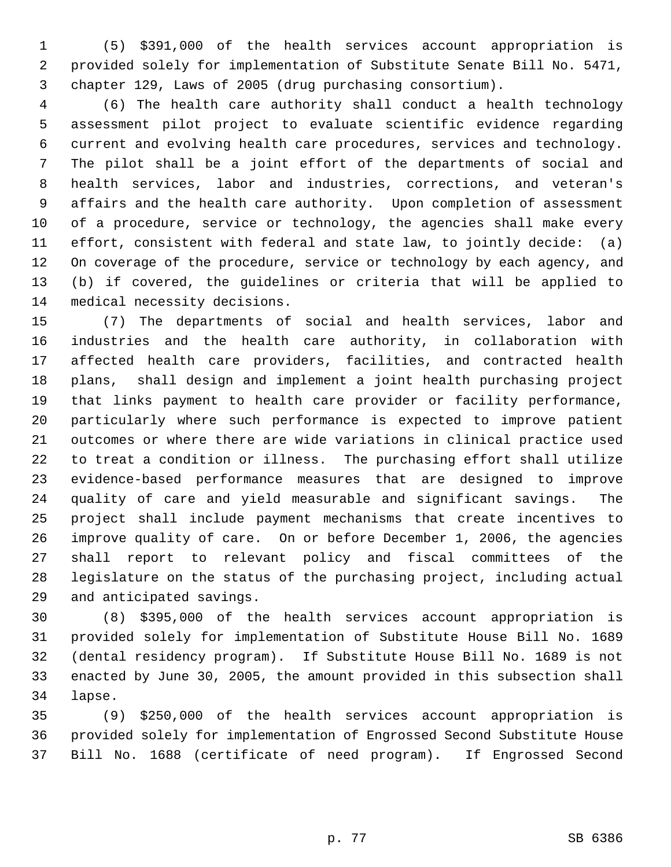(5) \$391,000 of the health services account appropriation is provided solely for implementation of Substitute Senate Bill No. 5471, chapter 129, Laws of 2005 (drug purchasing consortium).

 (6) The health care authority shall conduct a health technology assessment pilot project to evaluate scientific evidence regarding current and evolving health care procedures, services and technology. The pilot shall be a joint effort of the departments of social and health services, labor and industries, corrections, and veteran's affairs and the health care authority. Upon completion of assessment of a procedure, service or technology, the agencies shall make every effort, consistent with federal and state law, to jointly decide: (a) On coverage of the procedure, service or technology by each agency, and (b) if covered, the guidelines or criteria that will be applied to medical necessity decisions.

 (7) The departments of social and health services, labor and industries and the health care authority, in collaboration with affected health care providers, facilities, and contracted health plans, shall design and implement a joint health purchasing project that links payment to health care provider or facility performance, particularly where such performance is expected to improve patient outcomes or where there are wide variations in clinical practice used to treat a condition or illness. The purchasing effort shall utilize evidence-based performance measures that are designed to improve quality of care and yield measurable and significant savings. The project shall include payment mechanisms that create incentives to improve quality of care. On or before December 1, 2006, the agencies shall report to relevant policy and fiscal committees of the legislature on the status of the purchasing project, including actual and anticipated savings.

 (8) \$395,000 of the health services account appropriation is provided solely for implementation of Substitute House Bill No. 1689 (dental residency program). If Substitute House Bill No. 1689 is not enacted by June 30, 2005, the amount provided in this subsection shall lapse.

 (9) \$250,000 of the health services account appropriation is provided solely for implementation of Engrossed Second Substitute House Bill No. 1688 (certificate of need program). If Engrossed Second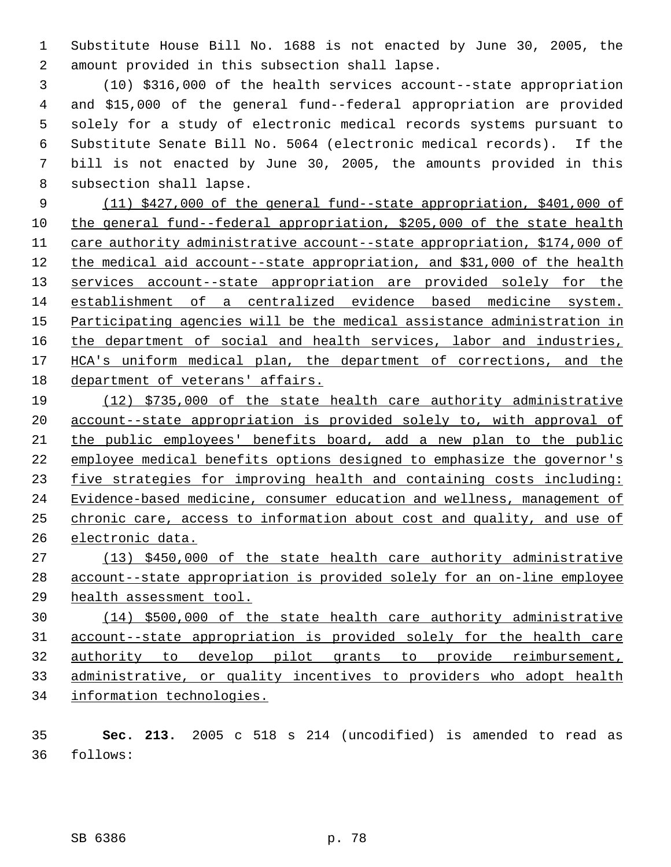Substitute House Bill No. 1688 is not enacted by June 30, 2005, the amount provided in this subsection shall lapse.

 (10) \$316,000 of the health services account--state appropriation and \$15,000 of the general fund--federal appropriation are provided solely for a study of electronic medical records systems pursuant to Substitute Senate Bill No. 5064 (electronic medical records). If the bill is not enacted by June 30, 2005, the amounts provided in this subsection shall lapse.

 (11) \$427,000 of the general fund--state appropriation, \$401,000 of the general fund--federal appropriation, \$205,000 of the state health care authority administrative account--state appropriation, \$174,000 of the medical aid account--state appropriation, and \$31,000 of the health 13 services account--state appropriation are provided solely for the establishment of a centralized evidence based medicine system. 15 Participating agencies will be the medical assistance administration in 16 the department of social and health services, labor and industries, 17 HCA's uniform medical plan, the department of corrections, and the department of veterans' affairs.

 (12) \$735,000 of the state health care authority administrative account--state appropriation is provided solely to, with approval of the public employees' benefits board, add a new plan to the public employee medical benefits options designed to emphasize the governor's five strategies for improving health and containing costs including: Evidence-based medicine, consumer education and wellness, management of chronic care, access to information about cost and quality, and use of electronic data.

 (13) \$450,000 of the state health care authority administrative account--state appropriation is provided solely for an on-line employee health assessment tool.

 (14) \$500,000 of the state health care authority administrative account--state appropriation is provided solely for the health care authority to develop pilot grants to provide reimbursement, administrative, or quality incentives to providers who adopt health information technologies.

 **Sec. 213.** 2005 c 518 s 214 (uncodified) is amended to read as follows: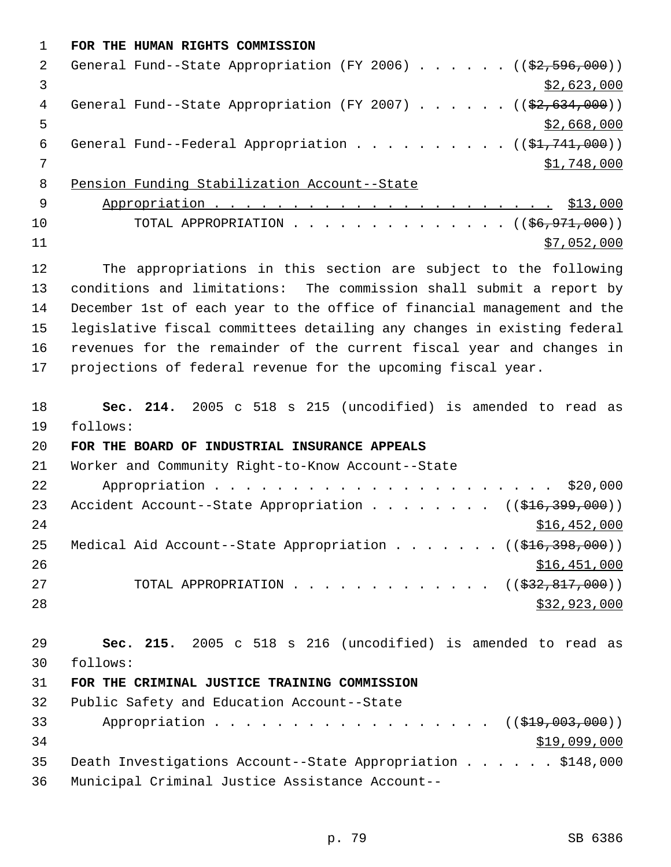**FOR THE HUMAN RIGHTS COMMISSION** 2 General Fund--State Appropriation (FY 2006) . . . . . . ((\$2,596,000))  $\frac{1}{2}$ ,623,000 4 General Fund--State Appropriation (FY 2007) . . . . . . ((\$2,634,000))  $5 - 5$  \$2,668,000 6 General Fund--Federal Appropriation . . . . . . . . .  $($   $($ \$1,741,000)) 7 \$1,748,000 Pension Funding Stabilization Account--State Appropriation . . . . . . . . . . . . . . . . . . . . . . \$13,000 10 TOTAL APPROPRIATION . . . . . . . . . . . . . ((<del>\$6,971,000</del>)) \$7,052,000 The appropriations in this section are subject to the following conditions and limitations: The commission shall submit a report by December 1st of each year to the office of financial management and the legislative fiscal committees detailing any changes in existing federal revenues for the remainder of the current fiscal year and changes in projections of federal revenue for the upcoming fiscal year. **Sec. 214.** 2005 c 518 s 215 (uncodified) is amended to read as follows: **FOR THE BOARD OF INDUSTRIAL INSURANCE APPEALS** Worker and Community Right-to-Know Account--State Appropriation . . . . . . . . . . . . . . . . . . . . . . \$20,000 23 Accident Account--State Appropriation . . . . . . . ((\$16,399,000)) 24 \$16,452,000 25 Medical Aid Account--State Appropriation . . . . . . ((\$16,398,000))  $\frac{$16,451,000}{20}$ 27 TOTAL APPROPRIATION . . . . . . . . . . . . ((<del>\$32,817,000</del>)) \$32,923,000 **Sec. 215.** 2005 c 518 s 216 (uncodified) is amended to read as follows: **FOR THE CRIMINAL JUSTICE TRAINING COMMISSION** Public Safety and Education Account--State 33 Appropriation . . . . . . . . . . . . . . . . ((\$19,003,000))  $$19,099,000$  Death Investigations Account--State Appropriation . . . . . . \$148,000 Municipal Criminal Justice Assistance Account--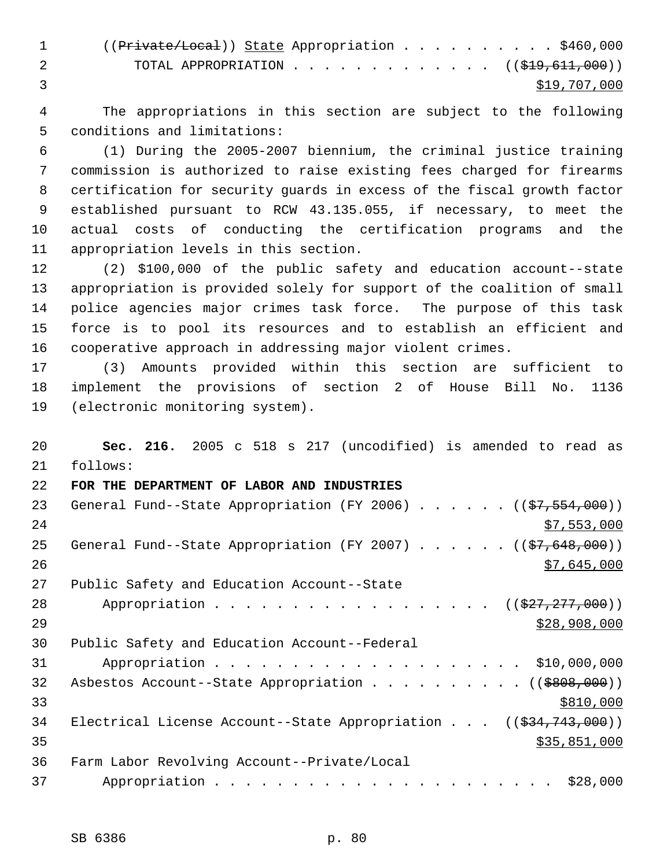|                | (( <del>Private/Local</del> )) State Appropriation \$460,000<br>the property of the control of |              |
|----------------|------------------------------------------------------------------------------------------------|--------------|
| $\overline{2}$ | TOTAL APPROPRIATION $\ldots$ , ( $(\frac{19}{29}, \frac{611}{600})$ )                          |              |
|                |                                                                                                | \$19,707,000 |

 The appropriations in this section are subject to the following conditions and limitations:

 (1) During the 2005-2007 biennium, the criminal justice training commission is authorized to raise existing fees charged for firearms certification for security guards in excess of the fiscal growth factor established pursuant to RCW 43.135.055, if necessary, to meet the actual costs of conducting the certification programs and the appropriation levels in this section.

 (2) \$100,000 of the public safety and education account--state appropriation is provided solely for support of the coalition of small police agencies major crimes task force. The purpose of this task force is to pool its resources and to establish an efficient and cooperative approach in addressing major violent crimes.

 (3) Amounts provided within this section are sufficient to implement the provisions of section 2 of House Bill No. 1136 (electronic monitoring system).

 **Sec. 216.** 2005 c 518 s 217 (uncodified) is amended to read as follows: **FOR THE DEPARTMENT OF LABOR AND INDUSTRIES** 23 General Fund--State Appropriation (FY 2006) . . . . . . ((\$7,554,000)) \$7,553,000 25 General Fund--State Appropriation (FY 2007)  $\ldots$  . . . . ( $(\frac{27}{648}, \frac{648}{600})$ )  $\frac{$7,645,000}{2}$  Public Safety and Education Account--State 28 Appropriation . . . . . . . . . . . . . . . . ((\$27,277,000))  $\frac{$28,908,000}{2}$  Public Safety and Education Account--Federal Appropriation . . . . . . . . . . . . . . . . . . . . \$10,000,000 32 Asbestos Account--State Appropriation . . . . . . . . . ((\$808,000))  $\frac{$810,000}{ }$ 34 Electrical License Account--State Appropriation . . . ((\$34,743,000)) \$35,851,000 Farm Labor Revolving Account--Private/Local Appropriation . . . . . . . . . . . . . . . . . . . . . . \$28,000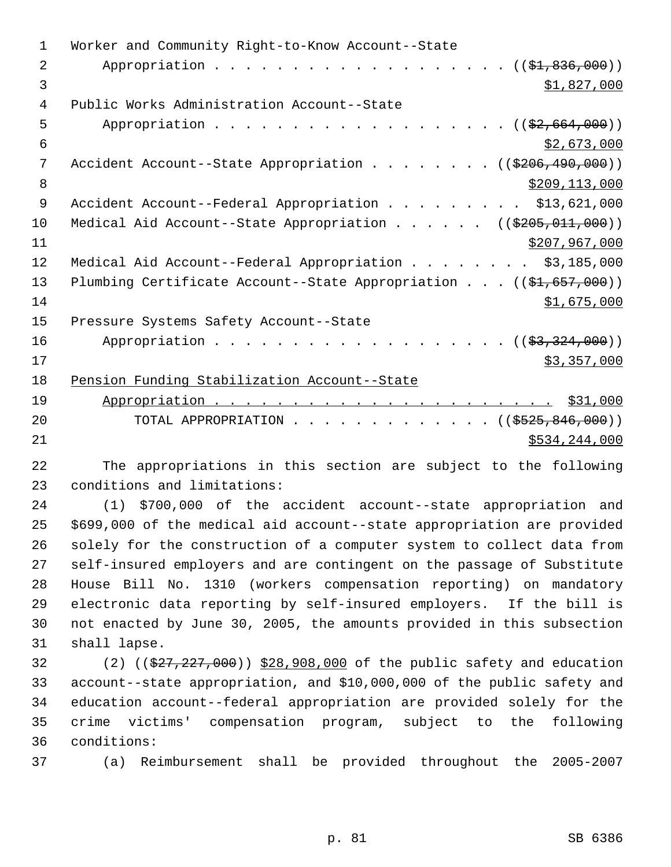| 1           | Worker and Community Right-to-Know Account--State                              |
|-------------|--------------------------------------------------------------------------------|
| 2           | Appropriation $($ $(\frac{1}{21}, 836, 000))$                                  |
| 3           | \$1,827,000                                                                    |
| 4           | Public Works Administration Account--State                                     |
| 5           | Appropriation $($ $(\frac{2}{2}, 664, 000))$                                   |
| 6           | \$2,673,000                                                                    |
| 7           | Accident Account--State Appropriation ((\$206,490,000))                        |
| 8           | \$209,113,000                                                                  |
| $\mathsf 9$ | Accident Account--Federal Appropriation \$13,621,000                           |
| 10          | Medical Aid Account--State Appropriation ((\$205,011,000))                     |
| 11          | \$207,967,000                                                                  |
| 12          | Medical Aid Account--Federal Appropriation \$3,185,000                         |
| 13          | Plumbing Certificate Account--State Appropriation $((\frac{1}{21}, 657, 000))$ |
| 14          | \$1,675,000                                                                    |
| 15          | Pressure Systems Safety Account--State                                         |
| 16          | Appropriation $($ $(\frac{27}{27}, \frac{324}{200}) )$                         |
| 17          | \$3,357,000                                                                    |
| 18          | Pension Funding Stabilization Account--State                                   |
| 19          |                                                                                |
| 20          | TOTAL APPROPRIATION $\ldots$ , ( $(\frac{\$525,846,000}{\$})$                  |
| 21          | \$534,244,000                                                                  |

 The appropriations in this section are subject to the following conditions and limitations:

 (1) \$700,000 of the accident account--state appropriation and \$699,000 of the medical aid account--state appropriation are provided solely for the construction of a computer system to collect data from self-insured employers and are contingent on the passage of Substitute House Bill No. 1310 (workers compensation reporting) on mandatory electronic data reporting by self-insured employers. If the bill is not enacted by June 30, 2005, the amounts provided in this subsection shall lapse.

32 (2) ((\$27,227,000)) \$28,908,000 of the public safety and education account--state appropriation, and \$10,000,000 of the public safety and education account--federal appropriation are provided solely for the crime victims' compensation program, subject to the following conditions:

(a) Reimbursement shall be provided throughout the 2005-2007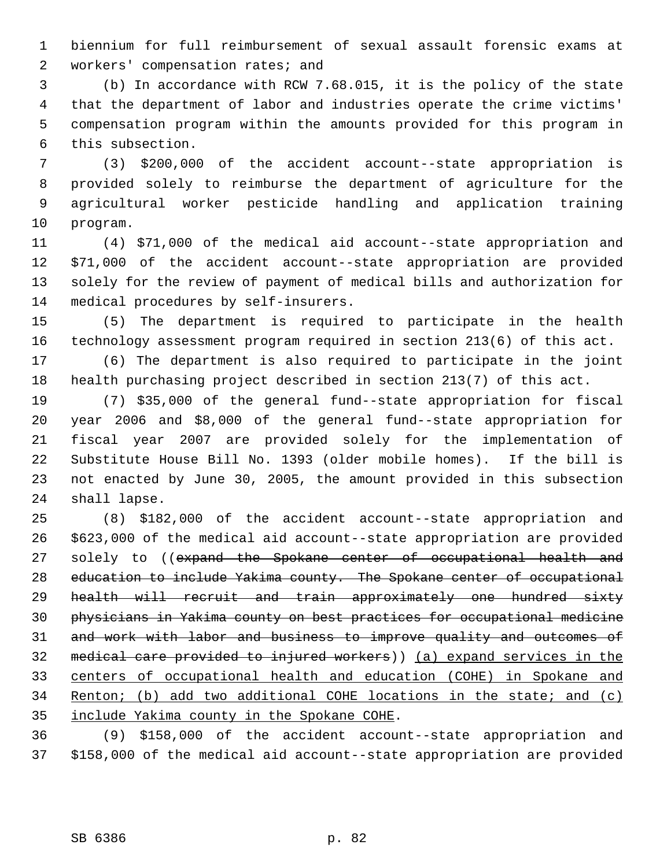biennium for full reimbursement of sexual assault forensic exams at workers' compensation rates; and

 (b) In accordance with RCW 7.68.015, it is the policy of the state that the department of labor and industries operate the crime victims' compensation program within the amounts provided for this program in this subsection.

 (3) \$200,000 of the accident account--state appropriation is provided solely to reimburse the department of agriculture for the agricultural worker pesticide handling and application training program.

 (4) \$71,000 of the medical aid account--state appropriation and \$71,000 of the accident account--state appropriation are provided solely for the review of payment of medical bills and authorization for medical procedures by self-insurers.

 (5) The department is required to participate in the health technology assessment program required in section 213(6) of this act.

 (6) The department is also required to participate in the joint health purchasing project described in section 213(7) of this act.

 (7) \$35,000 of the general fund--state appropriation for fiscal year 2006 and \$8,000 of the general fund--state appropriation for fiscal year 2007 are provided solely for the implementation of Substitute House Bill No. 1393 (older mobile homes). If the bill is not enacted by June 30, 2005, the amount provided in this subsection shall lapse.

 (8) \$182,000 of the accident account--state appropriation and \$623,000 of the medical aid account--state appropriation are provided 27 solely to ((expand the Spokane center of occupational health and education to include Yakima county. The Spokane center of occupational health will recruit and train approximately one hundred sixty physicians in Yakima county on best practices for occupational medicine 31 and work with labor and business to improve quality and outcomes of medical care provided to injured workers)) (a) expand services in the centers of occupational health and education (COHE) in Spokane and Renton; (b) add two additional COHE locations in the state; and (c) include Yakima county in the Spokane COHE.

 (9) \$158,000 of the accident account--state appropriation and \$158,000 of the medical aid account--state appropriation are provided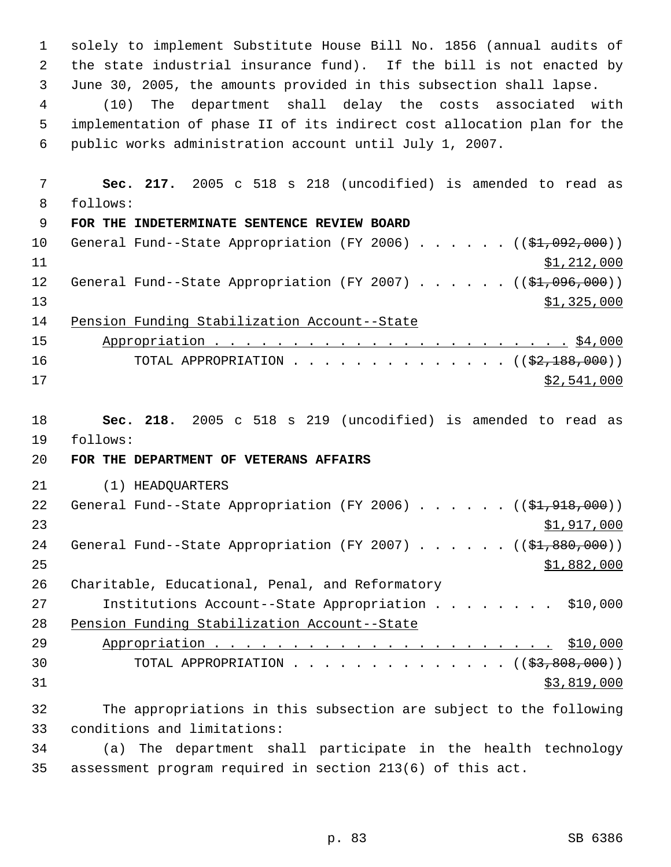solely to implement Substitute House Bill No. 1856 (annual audits of the state industrial insurance fund). If the bill is not enacted by June 30, 2005, the amounts provided in this subsection shall lapse.

 (10) The department shall delay the costs associated with implementation of phase II of its indirect cost allocation plan for the public works administration account until July 1, 2007.

 **Sec. 217.** 2005 c 518 s 218 (uncodified) is amended to read as follows: **FOR THE INDETERMINATE SENTENCE REVIEW BOARD** 10 General Fund--State Appropriation (FY 2006) . . . . . . ((\$1,092,000)) \$1,212,000 12 General Fund--State Appropriation (FY 2007) . . . . . . ((\$1,096,000)) \$1,325,000 Pension Funding Stabilization Account--State Appropriation . . . . . . . . . . . . . . . . . . . . . . . \$4,000 16 TOTAL APPROPRIATION . . . . . . . . . . . . . ((<del>\$2,188,000</del>)) \$2,541,000 **Sec. 218.** 2005 c 518 s 219 (uncodified) is amended to read as follows: **FOR THE DEPARTMENT OF VETERANS AFFAIRS** (1) HEADQUARTERS 22 General Fund--State Appropriation (FY 2006) . . . . . . ((\$1,918,000)) \$1,917,000 24 General Fund--State Appropriation (FY 2007) . . . . . . ((\$1,880,000))  $\frac{$1,882,000}{25}$  Charitable, Educational, Penal, and Reformatory Institutions Account--State Appropriation . . . . . . . . \$10,000 Pension Funding Stabilization Account--State Appropriation . . . . . . . . . . . . . . . . . . . . . . \$10,000 30 TOTAL APPROPRIATION  $\cdots$ ,  $\cdots$ ,  $\cdots$ ,  $\cdots$ ,  $\cdots$ ,  $\cdots$ ,  $\cdots$ ,  $\cdots$  \$3,819,000 The appropriations in this subsection are subject to the following conditions and limitations: (a) The department shall participate in the health technology

assessment program required in section 213(6) of this act.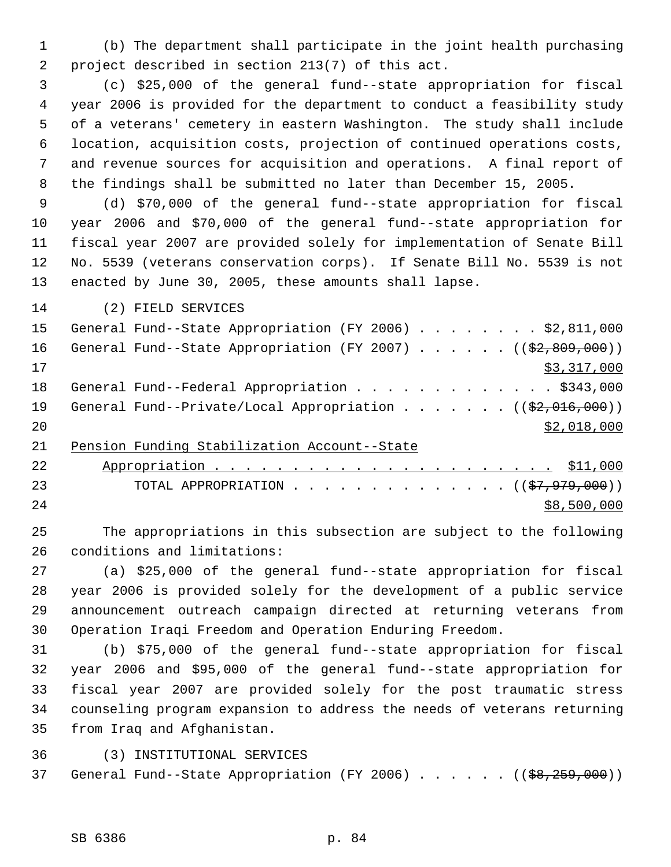(b) The department shall participate in the joint health purchasing project described in section 213(7) of this act.

 (c) \$25,000 of the general fund--state appropriation for fiscal year 2006 is provided for the department to conduct a feasibility study of a veterans' cemetery in eastern Washington. The study shall include location, acquisition costs, projection of continued operations costs, and revenue sources for acquisition and operations. A final report of the findings shall be submitted no later than December 15, 2005.

 (d) \$70,000 of the general fund--state appropriation for fiscal year 2006 and \$70,000 of the general fund--state appropriation for fiscal year 2007 are provided solely for implementation of Senate Bill No. 5539 (veterans conservation corps). If Senate Bill No. 5539 is not enacted by June 30, 2005, these amounts shall lapse.

(2) FIELD SERVICES

| 15 | General Fund--State Appropriation (FY 2006) \$2,811,000                 |
|----|-------------------------------------------------------------------------|
| 16 | General Fund--State Appropriation (FY 2007) $($ $($ \$2,809,000))       |
| 17 | \$3,317,000                                                             |
| 18 | General Fund--Federal Appropriation \$343,000                           |
| 19 | General Fund--Private/Local Appropriation ( $(\frac{2}{2}, 016, 000)$ ) |
| 20 | \$2,018,000                                                             |
|    |                                                                         |

Pension Funding Stabilization Account--State

| 22  |                                                           |
|-----|-----------------------------------------------------------|
| 23  | TOTAL APPROPRIATION ( $(\frac{27}{7}, \frac{979}{900})$ ) |
| 2.4 | \$8,500,000                                               |

 The appropriations in this subsection are subject to the following conditions and limitations:

 (a) \$25,000 of the general fund--state appropriation for fiscal year 2006 is provided solely for the development of a public service announcement outreach campaign directed at returning veterans from Operation Iraqi Freedom and Operation Enduring Freedom.

 (b) \$75,000 of the general fund--state appropriation for fiscal year 2006 and \$95,000 of the general fund--state appropriation for fiscal year 2007 are provided solely for the post traumatic stress counseling program expansion to address the needs of veterans returning from Iraq and Afghanistan.

(3) INSTITUTIONAL SERVICES

37 General Fund--State Appropriation (FY 2006) . . . . . ((\$8,259,000))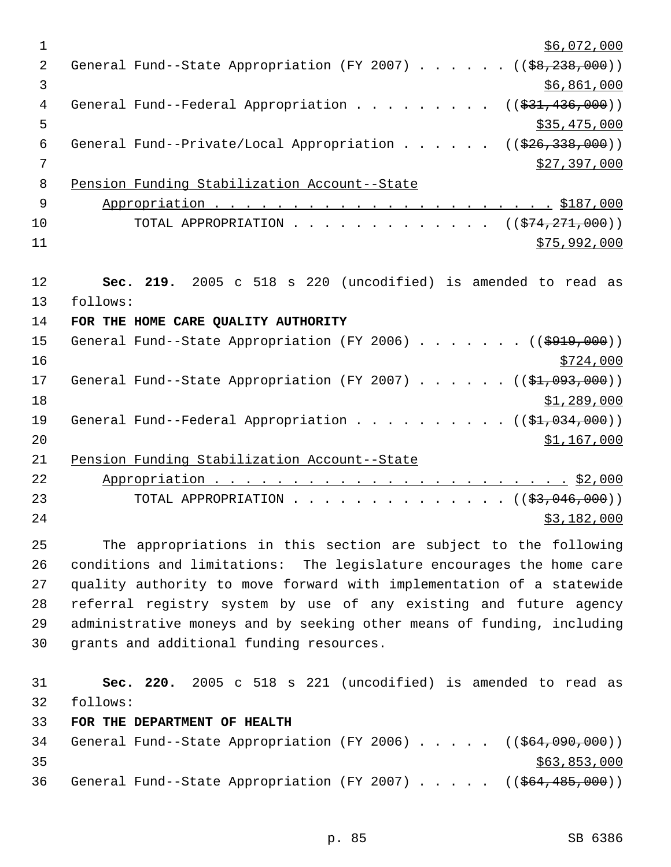| 1           | \$6,072,000                                                                  |
|-------------|------------------------------------------------------------------------------|
| 2           | General Fund--State Appropriation (FY 2007) $($ $($ $\frac{69}{238}$ , 000)) |
| 3           | \$6,861,000                                                                  |
| 4           | General Fund--Federal Appropriation ( $(\frac{231}{436}, 000)$ )             |
| 5           | \$35,475,000                                                                 |
| 6           | General Fund--Private/Local Appropriation ( $(\frac{226}{338}, 000)$ )       |
| 7           | \$27,397,000                                                                 |
| 8           | Pension Funding Stabilization Account--State                                 |
| $\mathsf 9$ |                                                                              |
| 10          | TOTAL APPROPRIATION ( $(\frac{274}{271}, 000)$ )                             |
| 11          | \$75,992,000                                                                 |
| 12          | Sec. 219. 2005 c 518 s 220 (uncodified) is amended to read as                |
| 13          | follows:                                                                     |
| 14          | FOR THE HOME CARE QUALITY AUTHORITY                                          |
| 15          | General Fund--State Appropriation (FY 2006) ( $(\frac{2919}{000})$ )         |
| 16          | \$724,000                                                                    |
| 17          | General Fund--State Appropriation (FY 2007) $($ $(\frac{21}{1003}, 000) )$   |
| 18          | \$1,289,000                                                                  |
| 19          | General Fund--Federal Appropriation $($ $($ \$1,034,000) $)$                 |
| 20          | \$1,167,000                                                                  |
| 21          | Pension Funding Stabilization Account--State                                 |
| 22          |                                                                              |
| 23          | TOTAL APPROPRIATION ( $(\frac{23}{1000})$ )                                  |
| 24          | \$3,182,000                                                                  |
| 25          | The appropriations in this section are subject to the following              |
| 26          | conditions and limitations: The legislature encourages the home care         |
| 27          | quality authority to move forward with implementation of a statewide         |
| 28          | referral registry system by use of any existing and future agency            |
| 29          | administrative moneys and by seeking other means of funding, including       |
| 30          | grants and additional funding resources.                                     |
| 31          | Sec. 220. 2005 c 518 s 221 (uncodified) is amended to read as                |
| 32          | follows:                                                                     |
| 33          | FOR THE DEPARTMENT OF HEALTH                                                 |
| 34          | General Fund--State Appropriation (FY 2006) ((\$64,090,000))                 |
| 35          | \$63,853,000                                                                 |
| 36          | General Fund--State Appropriation (FY 2007) $($ $($ $$64,485,000)$ )         |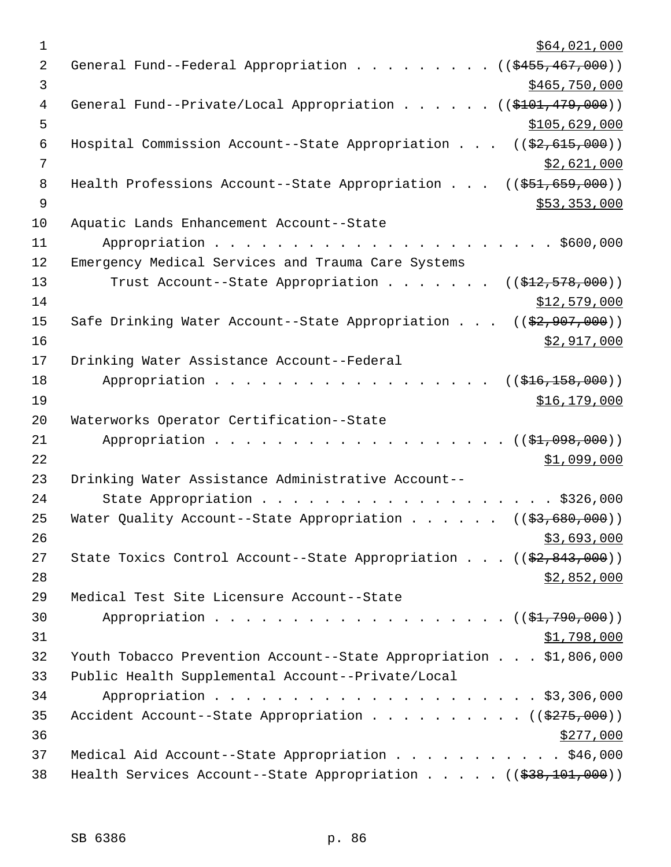| $\mathbf 1$    | \$64,021,000                                                                          |
|----------------|---------------------------------------------------------------------------------------|
| 2              | General Fund--Federal Appropriation ((\$455,467,000))                                 |
| 3              | \$465,750,000                                                                         |
| 4              | General Fund--Private/Local Appropriation ((\$101,479,000))                           |
| 5              | \$105,629,000                                                                         |
| 6              | Hospital Commission Account--State Appropriation $((\frac{2}{7}, 615, 000))$          |
| 7              | \$2,621,000                                                                           |
| 8              | Health Professions Account--State Appropriation $((\frac{251}{659}, \frac{699}{69}))$ |
| $\overline{9}$ | \$53,353,000                                                                          |
| 10             | Aquatic Lands Enhancement Account--State                                              |
| 11             |                                                                                       |
| 12             | Emergency Medical Services and Trauma Care Systems                                    |
| 13             | Trust Account--State Appropriation ( $(\frac{12}{72}, 578, 000)$ )                    |
| 14             | \$12,579,000                                                                          |
| 15             | Safe Drinking Water Account--State Appropriation $((\frac{2}{7}, 907, 000))$          |
| 16             | \$2,917,000                                                                           |
| 17             | Drinking Water Assistance Account--Federal                                            |
| 18             | Appropriation<br>((\$416,158,000))                                                    |
| 19             | \$16, 179, 000                                                                        |
| 20             | Waterworks Operator Certification--State                                              |
| 21             | Appropriation<br>(( <del>\$1,098,000</del> ))                                         |
| 22             | \$1,099,000                                                                           |
| 23             | Drinking Water Assistance Administrative Account--                                    |
| 24             | State Appropriation \$326,000                                                         |
| 25             | Water Quality Account--State Appropriation ( $(\frac{2}{3}, 680, 000)$ )              |
| 26             | \$3,693,000                                                                           |
| 27             | State Toxics Control Account--State Appropriation $((\frac{2}{2}, 843, 000))$         |
| 28             | \$2,852,000                                                                           |
| 29             | Medical Test Site Licensure Account--State                                            |
| 30             | Appropriation $($ $(*1,790,000))$                                                     |
| 31             | <u>\$1,798,000</u>                                                                    |
| 32             | Youth Tobacco Prevention Account--State Appropriation \$1,806,000                     |
| 33             | Public Health Supplemental Account--Private/Local                                     |
| 34             |                                                                                       |
| 35             | Accident Account--State Appropriation ( $(\frac{2775}{100})$ )                        |
| 36             | \$277,000                                                                             |
| 37             | Medical Aid Account--State Appropriation \$46,000                                     |
| 38             | Health Services Account--State Appropriation $($ $($ $\frac{238}{101},000)$ )         |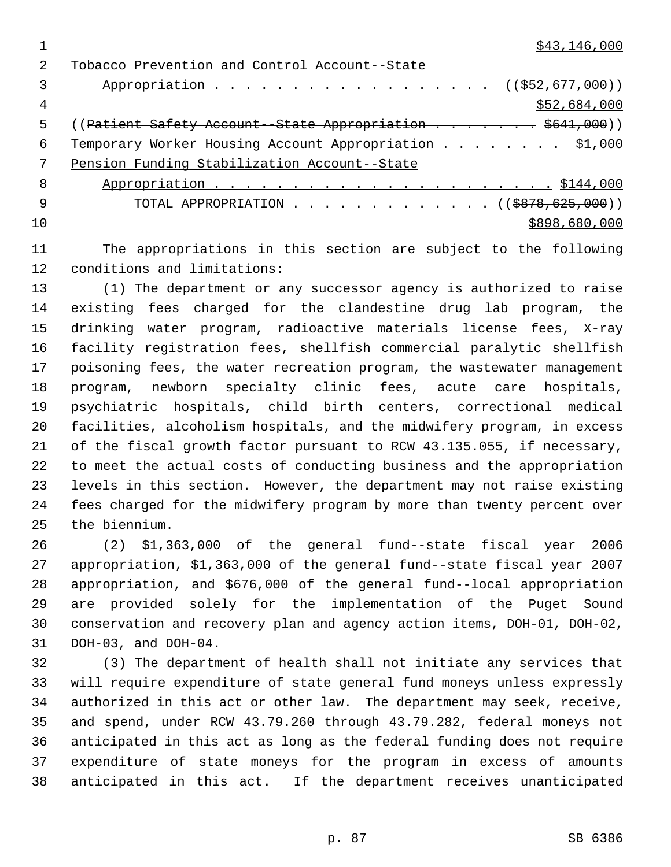\$43,146,000

| $\mathcal{L}$ | Tobacco Prevention and Control Account--State                           |
|---------------|-------------------------------------------------------------------------|
| 3             | Appropriation ( $(\frac{252}{677}, \frac{677}{600})$ )                  |
| 4             | \$52,684,000                                                            |
| 5             | $(($ Patient Safety Account - State Appropriation $\frac{1}{5641,000})$ |
| 6             | Temporary Worker Housing Account Appropriation \$1,000                  |
| 7             | Pension Funding Stabilization Account--State                            |
| - 8           |                                                                         |
| - 9           | TOTAL APPROPRIATION $\ldots$ , ( $(\$878,625,000)$ )                    |
| 10            | \$898,680,000                                                           |
|               |                                                                         |

 The appropriations in this section are subject to the following conditions and limitations:

 (1) The department or any successor agency is authorized to raise existing fees charged for the clandestine drug lab program, the drinking water program, radioactive materials license fees, X-ray facility registration fees, shellfish commercial paralytic shellfish poisoning fees, the water recreation program, the wastewater management program, newborn specialty clinic fees, acute care hospitals, psychiatric hospitals, child birth centers, correctional medical facilities, alcoholism hospitals, and the midwifery program, in excess of the fiscal growth factor pursuant to RCW 43.135.055, if necessary, to meet the actual costs of conducting business and the appropriation levels in this section. However, the department may not raise existing fees charged for the midwifery program by more than twenty percent over the biennium.

 (2) \$1,363,000 of the general fund--state fiscal year 2006 appropriation, \$1,363,000 of the general fund--state fiscal year 2007 appropriation, and \$676,000 of the general fund--local appropriation are provided solely for the implementation of the Puget Sound conservation and recovery plan and agency action items, DOH-01, DOH-02, DOH-03, and DOH-04.

 (3) The department of health shall not initiate any services that will require expenditure of state general fund moneys unless expressly authorized in this act or other law. The department may seek, receive, and spend, under RCW 43.79.260 through 43.79.282, federal moneys not anticipated in this act as long as the federal funding does not require expenditure of state moneys for the program in excess of amounts anticipated in this act. If the department receives unanticipated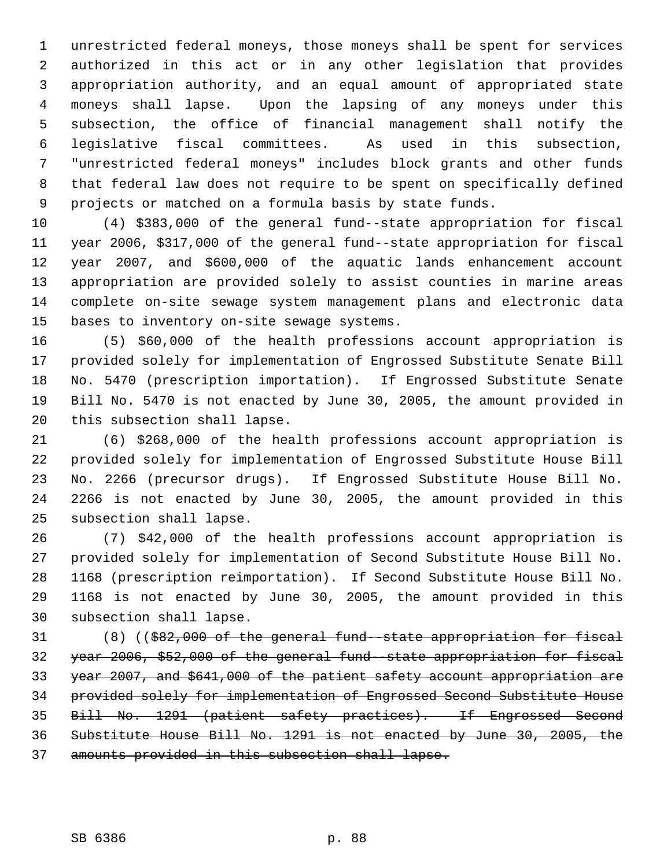unrestricted federal moneys, those moneys shall be spent for services authorized in this act or in any other legislation that provides appropriation authority, and an equal amount of appropriated state moneys shall lapse. Upon the lapsing of any moneys under this subsection, the office of financial management shall notify the legislative fiscal committees. As used in this subsection, "unrestricted federal moneys" includes block grants and other funds that federal law does not require to be spent on specifically defined projects or matched on a formula basis by state funds.

 (4) \$383,000 of the general fund--state appropriation for fiscal year 2006, \$317,000 of the general fund--state appropriation for fiscal year 2007, and \$600,000 of the aquatic lands enhancement account appropriation are provided solely to assist counties in marine areas complete on-site sewage system management plans and electronic data bases to inventory on-site sewage systems.

 (5) \$60,000 of the health professions account appropriation is provided solely for implementation of Engrossed Substitute Senate Bill No. 5470 (prescription importation). If Engrossed Substitute Senate Bill No. 5470 is not enacted by June 30, 2005, the amount provided in this subsection shall lapse.

 (6) \$268,000 of the health professions account appropriation is provided solely for implementation of Engrossed Substitute House Bill No. 2266 (precursor drugs). If Engrossed Substitute House Bill No. 2266 is not enacted by June 30, 2005, the amount provided in this subsection shall lapse.

 (7) \$42,000 of the health professions account appropriation is provided solely for implementation of Second Substitute House Bill No. 1168 (prescription reimportation). If Second Substitute House Bill No. 1168 is not enacted by June 30, 2005, the amount provided in this subsection shall lapse.

31 (8) ((\$82,000 of the general fund -state appropriation for fiscal year 2006, \$52,000 of the general fund--state appropriation for fiscal 33 year 2007, and \$641,000 of the patient safety account appropriation are provided solely for implementation of Engrossed Second Substitute House Bill No. 1291 (patient safety practices). If Engrossed Second Substitute House Bill No. 1291 is not enacted by June 30, 2005, the amounts provided in this subsection shall lapse.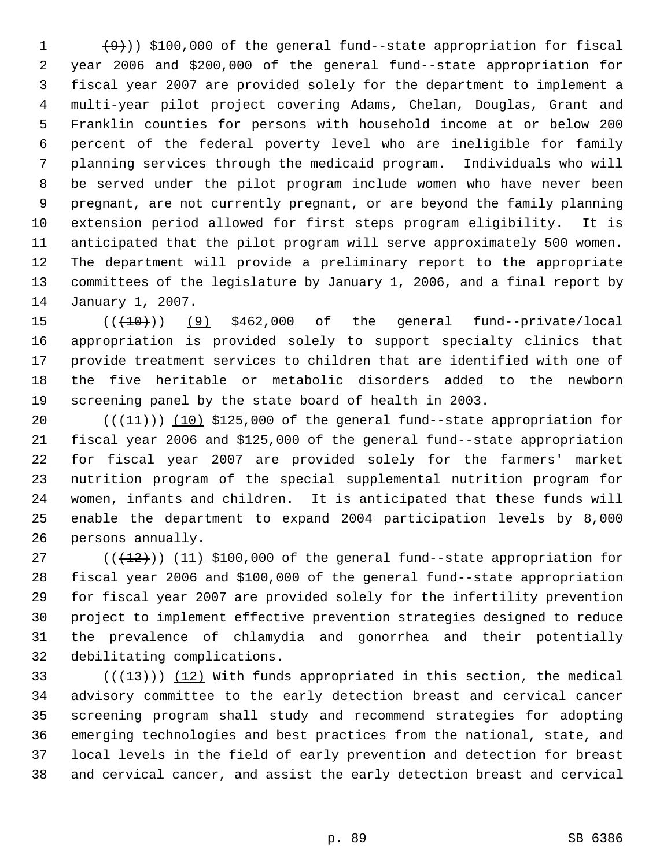$(9)$ ) \$100,000 of the general fund--state appropriation for fiscal year 2006 and \$200,000 of the general fund--state appropriation for fiscal year 2007 are provided solely for the department to implement a multi-year pilot project covering Adams, Chelan, Douglas, Grant and Franklin counties for persons with household income at or below 200 percent of the federal poverty level who are ineligible for family planning services through the medicaid program. Individuals who will be served under the pilot program include women who have never been pregnant, are not currently pregnant, or are beyond the family planning extension period allowed for first steps program eligibility. It is anticipated that the pilot program will serve approximately 500 women. The department will provide a preliminary report to the appropriate committees of the legislature by January 1, 2006, and a final report by January 1, 2007.

 $((+10))$  (9) \$462,000 of the general fund--private/local appropriation is provided solely to support specialty clinics that provide treatment services to children that are identified with one of the five heritable or metabolic disorders added to the newborn screening panel by the state board of health in 2003.

 $((+11))$   $(10)$  \$125,000 of the general fund--state appropriation for fiscal year 2006 and \$125,000 of the general fund--state appropriation for fiscal year 2007 are provided solely for the farmers' market nutrition program of the special supplemental nutrition program for women, infants and children. It is anticipated that these funds will enable the department to expand 2004 participation levels by 8,000 persons annually.

 $((+12))$   $(11)$  \$100,000 of the general fund--state appropriation for fiscal year 2006 and \$100,000 of the general fund--state appropriation for fiscal year 2007 are provided solely for the infertility prevention project to implement effective prevention strategies designed to reduce the prevalence of chlamydia and gonorrhea and their potentially debilitating complications.

 $((+13))$   $(12)$  With funds appropriated in this section, the medical advisory committee to the early detection breast and cervical cancer screening program shall study and recommend strategies for adopting emerging technologies and best practices from the national, state, and local levels in the field of early prevention and detection for breast and cervical cancer, and assist the early detection breast and cervical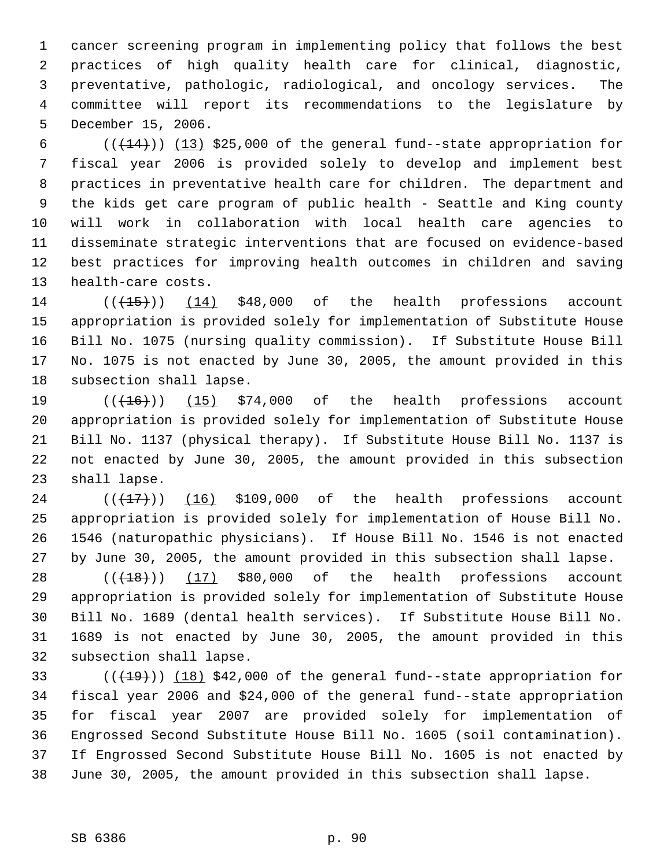cancer screening program in implementing policy that follows the best practices of high quality health care for clinical, diagnostic, preventative, pathologic, radiological, and oncology services. The committee will report its recommendations to the legislature by December 15, 2006.

 $((+14))$   $(13)$  \$25,000 of the general fund--state appropriation for fiscal year 2006 is provided solely to develop and implement best practices in preventative health care for children. The department and the kids get care program of public health - Seattle and King county will work in collaboration with local health care agencies to disseminate strategic interventions that are focused on evidence-based best practices for improving health outcomes in children and saving health-care costs.

 $((+15))$  (14) \$48,000 of the health professions account appropriation is provided solely for implementation of Substitute House Bill No. 1075 (nursing quality commission). If Substitute House Bill No. 1075 is not enacted by June 30, 2005, the amount provided in this subsection shall lapse.

 $((+16))$   $(15)$  \$74,000 of the health professions account appropriation is provided solely for implementation of Substitute House Bill No. 1137 (physical therapy). If Substitute House Bill No. 1137 is not enacted by June 30, 2005, the amount provided in this subsection shall lapse.

 ( $(\overline{+17})$ )  $\overline{16}$  \$109,000 of the health professions account appropriation is provided solely for implementation of House Bill No. 1546 (naturopathic physicians). If House Bill No. 1546 is not enacted by June 30, 2005, the amount provided in this subsection shall lapse.

 $((+18))$   $(17)$  \$80,000 of the health professions account appropriation is provided solely for implementation of Substitute House Bill No. 1689 (dental health services). If Substitute House Bill No. 1689 is not enacted by June 30, 2005, the amount provided in this subsection shall lapse.

 $((+19))$   $(18)$  \$42,000 of the general fund--state appropriation for fiscal year 2006 and \$24,000 of the general fund--state appropriation for fiscal year 2007 are provided solely for implementation of Engrossed Second Substitute House Bill No. 1605 (soil contamination). If Engrossed Second Substitute House Bill No. 1605 is not enacted by June 30, 2005, the amount provided in this subsection shall lapse.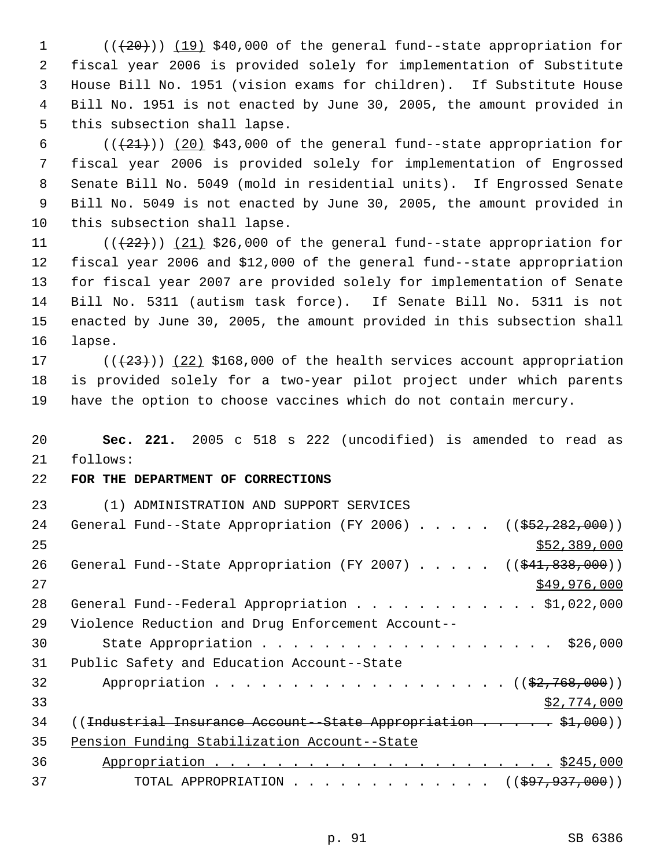$((+20))$   $(19)$  \$40,000 of the general fund--state appropriation for fiscal year 2006 is provided solely for implementation of Substitute House Bill No. 1951 (vision exams for children). If Substitute House Bill No. 1951 is not enacted by June 30, 2005, the amount provided in this subsection shall lapse.

 $((+21))$   $(20)$  \$43,000 of the general fund--state appropriation for fiscal year 2006 is provided solely for implementation of Engrossed Senate Bill No. 5049 (mold in residential units). If Engrossed Senate Bill No. 5049 is not enacted by June 30, 2005, the amount provided in this subsection shall lapse.

 $((+22))$   $(21)$  \$26,000 of the general fund--state appropriation for fiscal year 2006 and \$12,000 of the general fund--state appropriation for fiscal year 2007 are provided solely for implementation of Senate Bill No. 5311 (autism task force). If Senate Bill No. 5311 is not enacted by June 30, 2005, the amount provided in this subsection shall lapse.

17 ( $(\frac{23}{2})$ ) (22) \$168,000 of the health services account appropriation is provided solely for a two-year pilot project under which parents have the option to choose vaccines which do not contain mercury.

 **Sec. 221.** 2005 c 518 s 222 (uncodified) is amended to read as follows:

**FOR THE DEPARTMENT OF CORRECTIONS**

 (1) ADMINISTRATION AND SUPPORT SERVICES 24 General Fund--State Appropriation (FY 2006) . . . . . ((\$52,282,000))  $52,389,000$ 26 General Fund--State Appropriation (FY 2007) . . . . . ((\$41,838,000)) \$49,976,000 28 General Fund--Federal Appropriation . . . . . . . . . . . \$1,022,000 Violence Reduction and Drug Enforcement Account-- 30 State Appropriation . . . . . . . . . . . . . . . . . . \$26,000 Public Safety and Education Account--State 32 Appropriation . . . . . . . . . . . . . . . . . ((\$2,768,000))  $\frac{1}{2}$  33 34 ((<del>Industrial Insurance Account-State Appropriation . . . . \$1,000</del>)) Pension Funding Stabilization Account--State Appropriation . . . . . . . . . . . . . . . . . . . . . . \$245,000 37 TOTAL APPROPRIATION . . . . . . . . . . . . . ((\$97,937,000))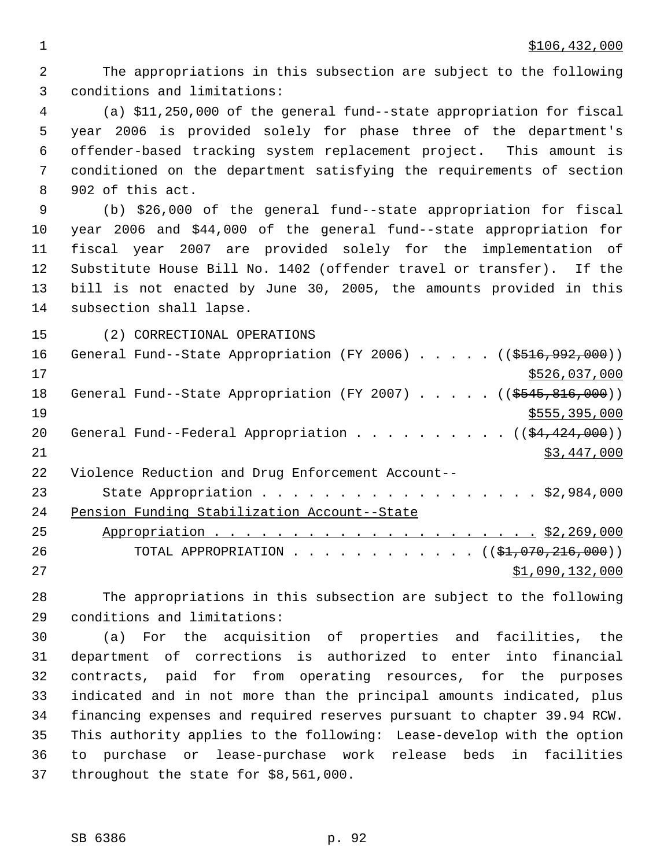conditions and limitations: (a) \$11,250,000 of the general fund--state appropriation for fiscal year 2006 is provided solely for phase three of the department's offender-based tracking system replacement project. This amount is conditioned on the department satisfying the requirements of section 902 of this act. (b) \$26,000 of the general fund--state appropriation for fiscal year 2006 and \$44,000 of the general fund--state appropriation for fiscal year 2007 are provided solely for the implementation of Substitute House Bill No. 1402 (offender travel or transfer). If the bill is not enacted by June 30, 2005, the amounts provided in this subsection shall lapse. (2) CORRECTIONAL OPERATIONS 16 General Fund--State Appropriation (FY 2006) . . . . . ((\$516,992,000)) \$526,037,000 18 General Fund--State Appropriation (FY 2007) . . . . . ((\$545,816,000))  $$555,395,000$ 20 General Fund--Federal Appropriation . . . . . . . . .  $($   $($   $\frac{24}{424}$ , 000)) \$3,447,000 Violence Reduction and Drug Enforcement Account-- State Appropriation . . . . . . . . . . . . . . . . . . \$2,984,000 Pension Funding Stabilization Account--State Appropriation . . . . . . . . . . . . . . . . . . . . . \$2,269,000 26 TOTAL APPROPRIATION . . . . . . . . . . . ((\$<del>1,070,216,000</del>))

The appropriations in this subsection are subject to the following

\$1,090,132,000

 The appropriations in this subsection are subject to the following conditions and limitations:

 (a) For the acquisition of properties and facilities, the department of corrections is authorized to enter into financial contracts, paid for from operating resources, for the purposes indicated and in not more than the principal amounts indicated, plus financing expenses and required reserves pursuant to chapter 39.94 RCW. This authority applies to the following: Lease-develop with the option to purchase or lease-purchase work release beds in facilities throughout the state for \$8,561,000.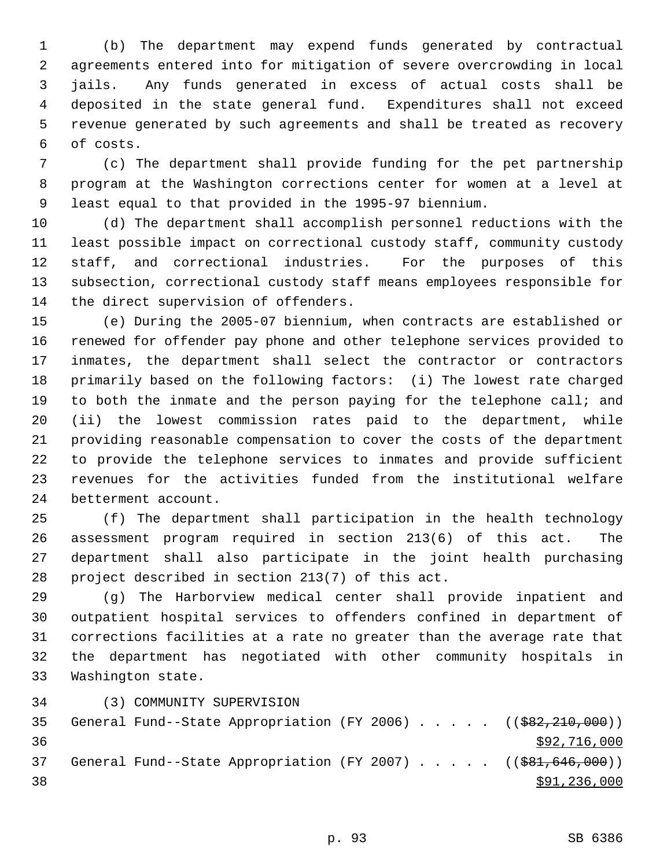(b) The department may expend funds generated by contractual agreements entered into for mitigation of severe overcrowding in local jails. Any funds generated in excess of actual costs shall be deposited in the state general fund. Expenditures shall not exceed revenue generated by such agreements and shall be treated as recovery of costs.

 (c) The department shall provide funding for the pet partnership program at the Washington corrections center for women at a level at least equal to that provided in the 1995-97 biennium.

 (d) The department shall accomplish personnel reductions with the least possible impact on correctional custody staff, community custody staff, and correctional industries. For the purposes of this subsection, correctional custody staff means employees responsible for the direct supervision of offenders.

 (e) During the 2005-07 biennium, when contracts are established or renewed for offender pay phone and other telephone services provided to inmates, the department shall select the contractor or contractors primarily based on the following factors: (i) The lowest rate charged 19 to both the inmate and the person paying for the telephone call; and (ii) the lowest commission rates paid to the department, while providing reasonable compensation to cover the costs of the department to provide the telephone services to inmates and provide sufficient revenues for the activities funded from the institutional welfare betterment account.

 (f) The department shall participation in the health technology assessment program required in section 213(6) of this act. The department shall also participate in the joint health purchasing project described in section 213(7) of this act.

 (g) The Harborview medical center shall provide inpatient and outpatient hospital services to offenders confined in department of corrections facilities at a rate no greater than the average rate that the department has negotiated with other community hospitals in Washington state.

(3) COMMUNITY SUPERVISION

35 General Fund--State Appropriation (FY 2006) . . . . . ((\$82,210,000)) \$92,716,000 37 General Fund--State Appropriation (FY 2007) . . . . . ((\$81,646,000))  $\frac{1}{28}$  38  $\frac{1}{236}$ , 000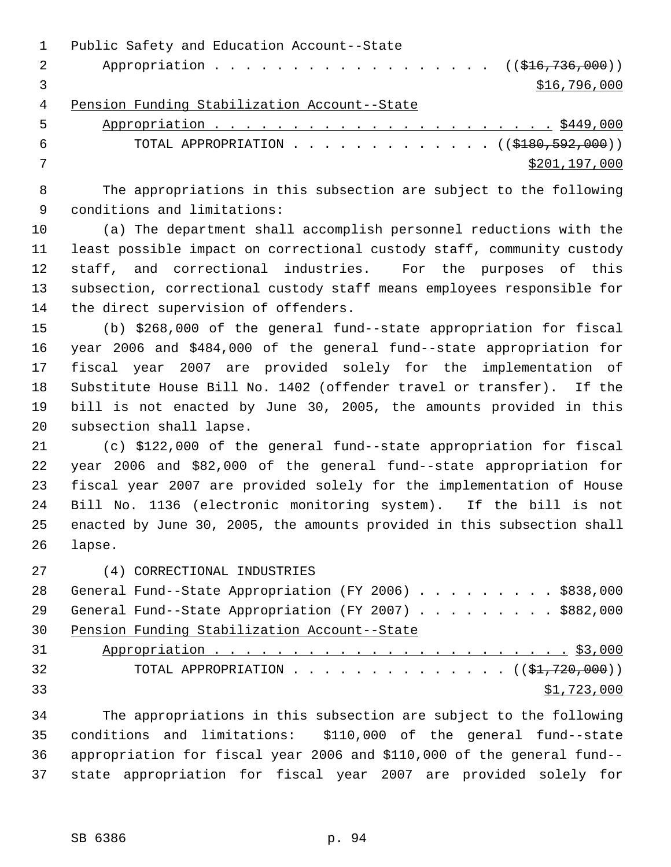|                | Public Safety and Education Account--State    |
|----------------|-----------------------------------------------|
| $\overline{2}$ | Appropriation ( $(\frac{1}{216}, 736, 000)$ ) |
|                | \$16,796,000                                  |
| 4              | Pension Funding Stabilization Account--State  |
| $5 -$          |                                               |

| TOTAL APPROPRIATION ( $(\frac{18180}{592}, 000)$ ) |
|----------------------------------------------------|
| \$201,197,000                                      |

 The appropriations in this subsection are subject to the following conditions and limitations:

 (a) The department shall accomplish personnel reductions with the least possible impact on correctional custody staff, community custody staff, and correctional industries. For the purposes of this subsection, correctional custody staff means employees responsible for the direct supervision of offenders.

 (b) \$268,000 of the general fund--state appropriation for fiscal year 2006 and \$484,000 of the general fund--state appropriation for fiscal year 2007 are provided solely for the implementation of Substitute House Bill No. 1402 (offender travel or transfer). If the bill is not enacted by June 30, 2005, the amounts provided in this subsection shall lapse.

 (c) \$122,000 of the general fund--state appropriation for fiscal year 2006 and \$82,000 of the general fund--state appropriation for fiscal year 2007 are provided solely for the implementation of House Bill No. 1136 (electronic monitoring system). If the bill is not enacted by June 30, 2005, the amounts provided in this subsection shall lapse.

(4) CORRECTIONAL INDUSTRIES

28 General Fund--State Appropriation (FY 2006) . . . . . . . . \$838,000 29 General Fund--State Appropriation (FY 2007) . . . . . . . . \$882,000 Pension Funding Stabilization Account--State Appropriation . . . . . . . . . . . . . . . . . . . . . . . \$3,000

| ◡∸ |                                                     |  |  |  |  |  |  |  |  |  |  |             |  |
|----|-----------------------------------------------------|--|--|--|--|--|--|--|--|--|--|-------------|--|
| 32 | TOTAL APPROPRIATION $($ $(\frac{1}{21}, 720, 000))$ |  |  |  |  |  |  |  |  |  |  |             |  |
| 33 |                                                     |  |  |  |  |  |  |  |  |  |  | \$1,723,000 |  |

 The appropriations in this subsection are subject to the following conditions and limitations: \$110,000 of the general fund--state appropriation for fiscal year 2006 and \$110,000 of the general fund-- state appropriation for fiscal year 2007 are provided solely for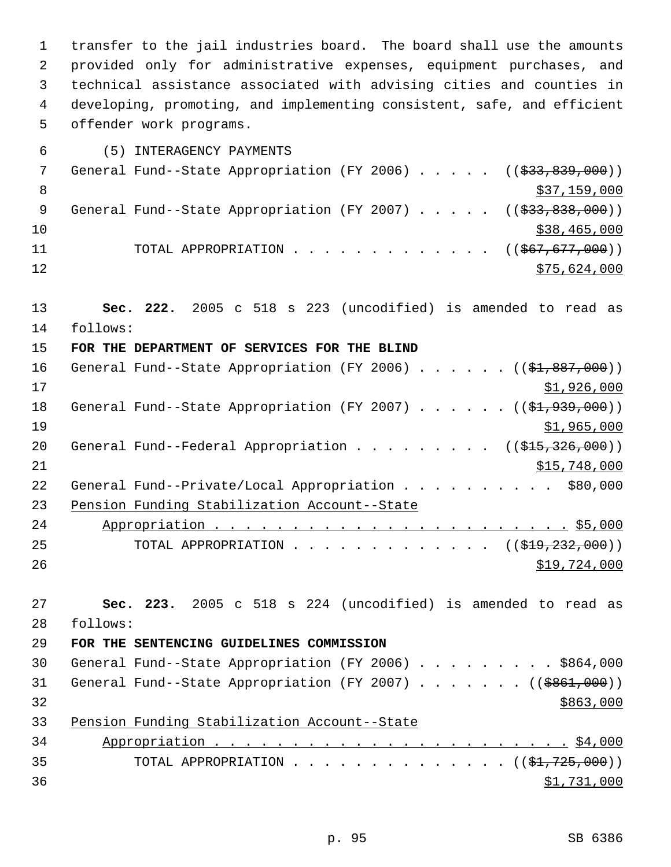transfer to the jail industries board. The board shall use the amounts provided only for administrative expenses, equipment purchases, and technical assistance associated with advising cities and counties in developing, promoting, and implementing consistent, safe, and efficient offender work programs.

- (5) INTERAGENCY PAYMENTS 7 General Fund--State Appropriation (FY 2006) . . . . . ((\$33,839,000)) 8  $\frac{$37,159,000}{ }$ 9 General Fund--State Appropriation (FY 2007) . . . . . ((\$33,838,000))  $\frac{$38}{465}$ ,000 11 TOTAL APPROPRIATION . . . . . . . . . . . . . ((\$67,677,000))  $\frac{12}{75,624,000}$
- **Sec. 222.** 2005 c 518 s 223 (uncodified) is amended to read as follows:

## **FOR THE DEPARTMENT OF SERVICES FOR THE BLIND**

| 16 | General Fund--State Appropriation (FY 2006) ((\$1,887,000))       |
|----|-------------------------------------------------------------------|
| 17 | \$1,926,000                                                       |
| 18 | General Fund--State Appropriation (FY 2007) $($ $($ \$1,939,000)) |
| 19 | \$1,965,000                                                       |
| 20 | General Fund--Federal Appropriation ( $(\frac{1515}{326}, 000)$ ) |
| 21 | \$15,748,000                                                      |
| 22 | General Fund--Private/Local Appropriation<br>\$80,000             |
| 23 | Pension Funding Stabilization Account--State                      |
| 24 |                                                                   |
| 25 | TOTAL APPROPRIATION ( $(\frac{19}{29}, 232, 000)$ )               |
| 26 | \$19,724,000                                                      |

 **Sec. 223.** 2005 c 518 s 224 (uncodified) is amended to read as follows:

## **FOR THE SENTENCING GUIDELINES COMMISSION**

|    |                  | 30 General Fund--State Appropriation (FY 2006) \$864,000     |  |  |  |  |  |           |
|----|------------------|--------------------------------------------------------------|--|--|--|--|--|-----------|
|    |                  | 31 General Fund--State Appropriation (FY 2007) ((\$861,000)) |  |  |  |  |  |           |
| 32 |                  |                                                              |  |  |  |  |  | \$863,000 |
| 33 |                  | Pension Funding Stabilization Account--State                 |  |  |  |  |  |           |
|    | 34 Annronriation |                                                              |  |  |  |  |  | 54 NOO    |

| <u>ـ</u> ب |                                                    |  |  |  |  |  |  |  |  |  |             |  |
|------------|----------------------------------------------------|--|--|--|--|--|--|--|--|--|-------------|--|
| -35        | TOTAL APPROPRIATION ( $(\frac{1}{21}, 725, 000)$ ) |  |  |  |  |  |  |  |  |  |             |  |
| -36        |                                                    |  |  |  |  |  |  |  |  |  | \$1,731,000 |  |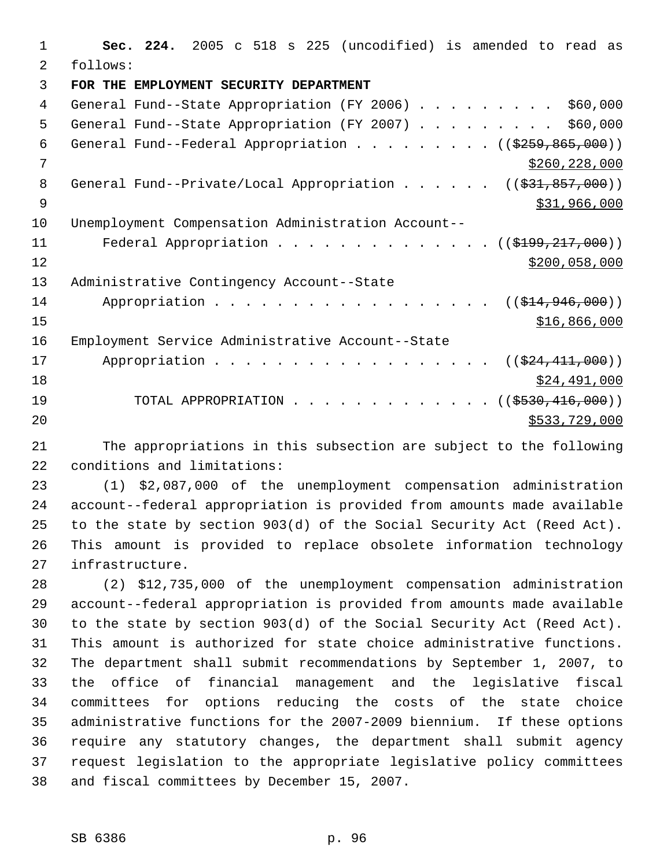**Sec. 224.** 2005 c 518 s 225 (uncodified) is amended to read as follows: **FOR THE EMPLOYMENT SECURITY DEPARTMENT** 4 General Fund--State Appropriation (FY 2006) . . . . . . . . . \$60,000 5 General Fund--State Appropriation (FY 2007) . . . . . . . . . \$60,000 6 General Fund--Federal Appropriation . . . . . . . .  $($   $($ \$259,865,000)) \$260,228,000 8 General Fund--Private/Local Appropriation . . . . . ((\$31,857,000))  $\frac{1}{2}$   $\frac{1}{2}$   $\frac{1}{2}$   $\frac{1}{2}$   $\frac{1}{2}$   $\frac{1}{2}$   $\frac{1}{2}$   $\frac{1}{2}$   $\frac{1}{2}$   $\frac{1}{2}$   $\frac{1}{2}$   $\frac{1}{2}$   $\frac{1}{2}$   $\frac{1}{2}$   $\frac{1}{2}$   $\frac{1}{2}$   $\frac{1}{2}$   $\frac{1}{2}$   $\frac{1}{2}$   $\frac{1}{2}$   $\frac{1}{2}$   $\frac{1}{2}$  Unemployment Compensation Administration Account-- 11 Federal Appropriation . . . . . . . . . . . . . ((\$199,217,000)) \$200,058,000 Administrative Contingency Account--State 14 Appropriation . . . . . . . . . . . . . . . . ((\$14,946,000))  $\frac{$16,866,000}{1000}$  Employment Service Administrative Account--State 17 Appropriation . . . . . . . . . . . . . . . . ((\$24,411,000)) \$24,491,000 19 TOTAL APPROPRIATION . . . . . . . . . . . . ((\$<del>530,416,000</del>))  $$533,729,000$ 

 The appropriations in this subsection are subject to the following conditions and limitations:

 (1) \$2,087,000 of the unemployment compensation administration account--federal appropriation is provided from amounts made available to the state by section 903(d) of the Social Security Act (Reed Act). This amount is provided to replace obsolete information technology infrastructure.

 (2) \$12,735,000 of the unemployment compensation administration account--federal appropriation is provided from amounts made available to the state by section 903(d) of the Social Security Act (Reed Act). This amount is authorized for state choice administrative functions. The department shall submit recommendations by September 1, 2007, to the office of financial management and the legislative fiscal committees for options reducing the costs of the state choice administrative functions for the 2007-2009 biennium. If these options require any statutory changes, the department shall submit agency request legislation to the appropriate legislative policy committees and fiscal committees by December 15, 2007.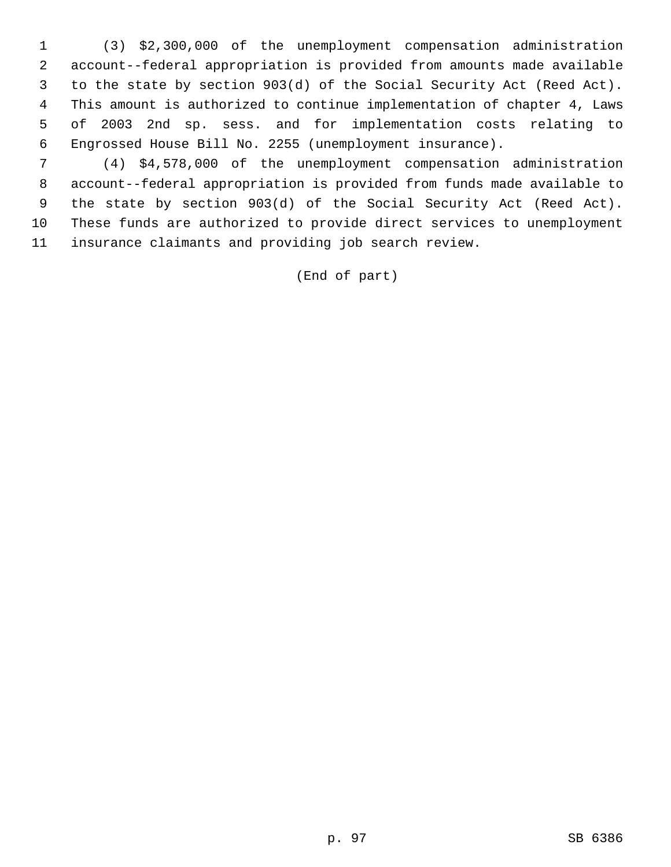(3) \$2,300,000 of the unemployment compensation administration account--federal appropriation is provided from amounts made available to the state by section 903(d) of the Social Security Act (Reed Act). This amount is authorized to continue implementation of chapter 4, Laws of 2003 2nd sp. sess. and for implementation costs relating to Engrossed House Bill No. 2255 (unemployment insurance).

 (4) \$4,578,000 of the unemployment compensation administration account--federal appropriation is provided from funds made available to the state by section 903(d) of the Social Security Act (Reed Act). These funds are authorized to provide direct services to unemployment insurance claimants and providing job search review.

(End of part)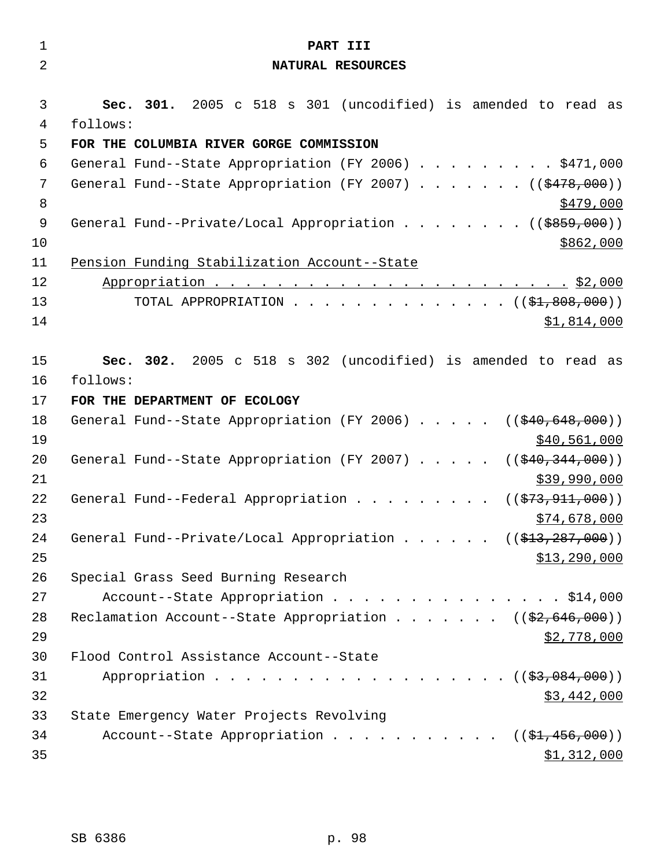| $\mathbf 1$    | PART III                                                                                     |
|----------------|----------------------------------------------------------------------------------------------|
| $\overline{2}$ | NATURAL RESOURCES                                                                            |
|                |                                                                                              |
| 3              | Sec. 301. 2005 c 518 s 301 (uncodified) is amended to read as                                |
| 4              | follows:                                                                                     |
| 5              | FOR THE COLUMBIA RIVER GORGE COMMISSION                                                      |
| 6              | General Fund--State Appropriation (FY 2006) \$471,000                                        |
| 7              | General Fund--State Appropriation (FY 2007) ( $(\frac{2478}{100})$ )                         |
| 8              | <u>\$479,000</u>                                                                             |
| 9              | General Fund--Private/Local Appropriation ( $(\frac{2859}{100})$ )                           |
| 10             | \$862,000                                                                                    |
| 11             | Pension Funding Stabilization Account--State                                                 |
| 12             |                                                                                              |
| 13<br>14       | TOTAL APPROPRIATION $($ $(*1,808,000))$<br>\$1,814,000                                       |
|                |                                                                                              |
| 15             | Sec. 302. 2005 c 518 s 302 (uncodified) is amended to read as                                |
| 16             | follows:                                                                                     |
| 17             | FOR THE DEPARTMENT OF ECOLOGY                                                                |
| 18             | General Fund--State Appropriation (FY 2006) $($ $($ $\frac{40,648,000}{9})$                  |
| 19             | \$40,561,000                                                                                 |
| 20             | General Fund--State Appropriation (FY 2007) $($ $($ $\frac{40}{240}$ , $\frac{344}{1000})$ ) |
| 21             | \$39,990,000                                                                                 |
| 22             | General Fund--Federal Appropriation<br>(( <del>\$73,911,000</del> ))                         |
| 23             | \$74,678,000                                                                                 |
| 24             | General Fund--Private/Local Appropriation ( $(\frac{213}{7287}, 000)$ )                      |
| 25             | \$13,290,000                                                                                 |
| 26             | Special Grass Seed Burning Research                                                          |
| 27             | Account--State Appropriation \$14,000                                                        |
| 28             | Reclamation Account--State Appropriation ( $(\frac{2}{52}, 646, 000)$ )                      |
| 29             | \$2,778,000                                                                                  |
| 30             | Flood Control Assistance Account--State                                                      |
| 31             | Appropriation $($ $($ $\frac{27}{9},084,000) )$                                              |
| 32             | <u>\$3,442,000</u>                                                                           |
| 33             | State Emergency Water Projects Revolving                                                     |
| 34             | Account--State Appropriation ( $(\frac{1}{24}, 456, 000)$ )                                  |
| 35             | \$1,312,000                                                                                  |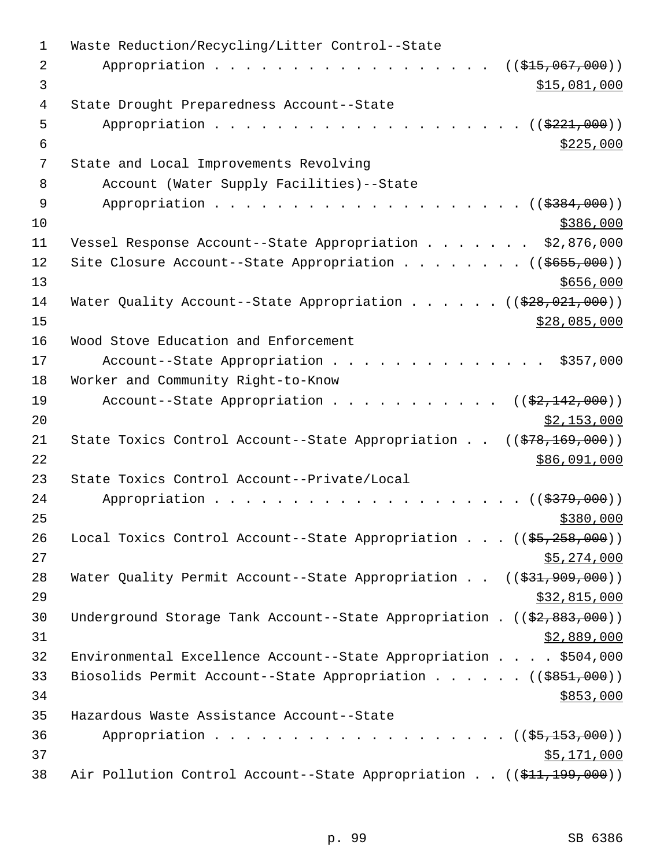| $\mathbf 1$    | Waste Reduction/Recycling/Litter Control--State                                          |
|----------------|------------------------------------------------------------------------------------------|
| $\overline{2}$ | Appropriation<br>$((\frac{1515}{1007},000))$                                             |
| 3              | \$15,081,000                                                                             |
| 4              | State Drought Preparedness Account--State                                                |
| 5              | Appropriation<br>(( <del>\$221,000</del> ))                                              |
| 6              | \$225,000                                                                                |
| 7              | State and Local Improvements Revolving                                                   |
| 8              | Account (Water Supply Facilities)--State                                                 |
| $\mathsf 9$    | Appropriation<br>$($ \$384,000)                                                          |
| 10             | \$386,000                                                                                |
| 11             | Vessel Response Account--State Appropriation \$2,876,000                                 |
| 12             | Site Closure Account--State Appropriation ( $(\frac{2655}{100})$ )                       |
| 13             | \$656,000                                                                                |
| 14             | Water Quality Account--State Appropriation ( $(\frac{228}{928}, 021, 000)$ )             |
| 15             | \$28,085,000                                                                             |
| 16             | Wood Stove Education and Enforcement                                                     |
| 17             | Account--State Appropriation<br>\$357,000                                                |
| 18             | Worker and Community Right-to-Know                                                       |
| 19             | Account--State Appropriation<br>$((\$2,142,000))$                                        |
| 20             | \$2,153,000                                                                              |
| 21             | State Toxics Control Account--State Appropriation $((\frac{278}{169}, \frac{169}{160}))$ |
| 22             | \$86,091,000                                                                             |
| 23             | State Toxics Control Account--Private/Local                                              |
| 24             | ( ( \$379,000) )<br>Appropriation                                                        |
| 25             | \$380,000                                                                                |
| 26             | Local Toxics Control Account--State Appropriation $((\frac{25}{25}, \frac{258}{200}))$   |
| 27             | \$5,274,000                                                                              |
| 28             | Water Quality Permit Account--State Appropriation $((\frac{231}{731}, 909, 000))$        |
| 29             | \$32,815,000                                                                             |
| 30             | Underground Storage Tank Account--State Appropriation . ((\$2,883,000))                  |
| 31             | \$2,889,000                                                                              |
| 32             | Environmental Excellence Account--State Appropriation \$504,000                          |
| 33             | Biosolids Permit Account--State Appropriation ( $(\frac{2851}{100})$ )                   |
| 34             | \$853,000                                                                                |
| 35             | Hazardous Waste Assistance Account--State                                                |
| 36             | Appropriation ((\$5,153,000))                                                            |
| 37             | \$5,171,000                                                                              |
| 38             | Air Pollution Control Account--State Appropriation ((\$11,199,000))                      |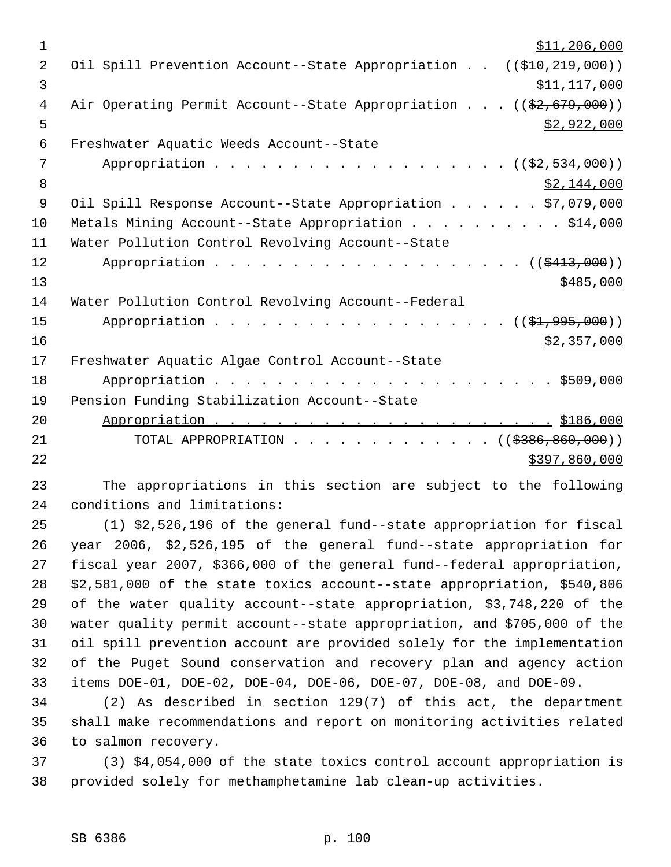| $\mathbf 1$    | \$11, 206, 000                                                     |
|----------------|--------------------------------------------------------------------|
| 2              | Oil Spill Prevention Account--State Appropriation ((\$10,219,000)) |
| 3              | \$11,117,000                                                       |
| 4              | Air Operating Permit Account--State Appropriation ((\$2,679,000))  |
| 5              | \$2,922,000                                                        |
| 6              | Freshwater Aquatic Weeds Account--State                            |
| 7              | Appropriation ((\$2,534,000))                                      |
| 8              | \$2,144,000                                                        |
| $\overline{9}$ | Oil Spill Response Account--State Appropriation \$7,079,000        |
| 10             | Metals Mining Account--State Appropriation \$14,000                |
| 11             | Water Pollution Control Revolving Account--State                   |
| 12             | Appropriation $($ $)$ $)$                                          |
| 13             | \$485,000                                                          |
| 14             | Water Pollution Control Revolving Account--Federal                 |
| 15             | Appropriation $($ $(\frac{1}{21}, 995, 000))$                      |
| 16             | \$2,357,000                                                        |
| 17             | Freshwater Aquatic Algae Control Account--State                    |
| 18             |                                                                    |
| 19             | Pension Funding Stabilization Account--State                       |
| 20             |                                                                    |
| 21             | TOTAL APPROPRIATION ( $(\frac{2386}{6000})$ )                      |
| 22             | \$397,860,000                                                      |

 The appropriations in this section are subject to the following conditions and limitations:

 (1) \$2,526,196 of the general fund--state appropriation for fiscal year 2006, \$2,526,195 of the general fund--state appropriation for fiscal year 2007, \$366,000 of the general fund--federal appropriation, \$2,581,000 of the state toxics account--state appropriation, \$540,806 of the water quality account--state appropriation, \$3,748,220 of the water quality permit account--state appropriation, and \$705,000 of the oil spill prevention account are provided solely for the implementation of the Puget Sound conservation and recovery plan and agency action items DOE-01, DOE-02, DOE-04, DOE-06, DOE-07, DOE-08, and DOE-09.

 (2) As described in section 129(7) of this act, the department shall make recommendations and report on monitoring activities related to salmon recovery.

 (3) \$4,054,000 of the state toxics control account appropriation is provided solely for methamphetamine lab clean-up activities.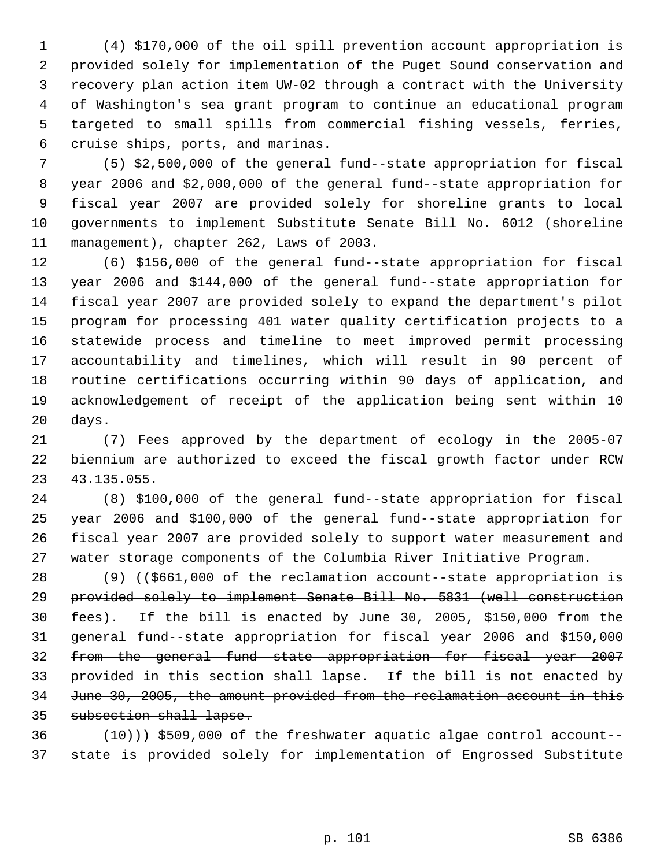(4) \$170,000 of the oil spill prevention account appropriation is provided solely for implementation of the Puget Sound conservation and recovery plan action item UW-02 through a contract with the University of Washington's sea grant program to continue an educational program targeted to small spills from commercial fishing vessels, ferries, cruise ships, ports, and marinas.

 (5) \$2,500,000 of the general fund--state appropriation for fiscal year 2006 and \$2,000,000 of the general fund--state appropriation for fiscal year 2007 are provided solely for shoreline grants to local governments to implement Substitute Senate Bill No. 6012 (shoreline management), chapter 262, Laws of 2003.

 (6) \$156,000 of the general fund--state appropriation for fiscal year 2006 and \$144,000 of the general fund--state appropriation for fiscal year 2007 are provided solely to expand the department's pilot program for processing 401 water quality certification projects to a statewide process and timeline to meet improved permit processing accountability and timelines, which will result in 90 percent of routine certifications occurring within 90 days of application, and acknowledgement of receipt of the application being sent within 10 days.

 (7) Fees approved by the department of ecology in the 2005-07 biennium are authorized to exceed the fiscal growth factor under RCW 43.135.055.

 (8) \$100,000 of the general fund--state appropriation for fiscal year 2006 and \$100,000 of the general fund--state appropriation for fiscal year 2007 are provided solely to support water measurement and water storage components of the Columbia River Initiative Program.

 (9) ((\$661,000 of the reclamation account--state appropriation is provided solely to implement Senate Bill No. 5831 (well construction fees). If the bill is enacted by June 30, 2005, \$150,000 from the general fund--state appropriation for fiscal year 2006 and \$150,000 from the general fund--state appropriation for fiscal year 2007 provided in this section shall lapse. If the bill is not enacted by June 30, 2005, the amount provided from the reclamation account in this subsection shall lapse.

 $(10)$ ) \$509,000 of the freshwater aquatic algae control account--state is provided solely for implementation of Engrossed Substitute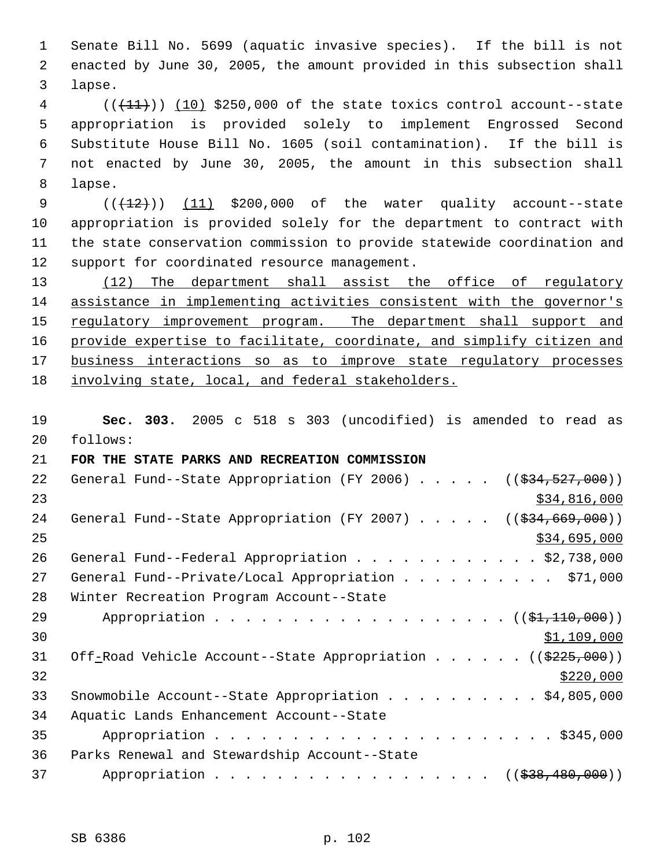Senate Bill No. 5699 (aquatic invasive species). If the bill is not enacted by June 30, 2005, the amount provided in this subsection shall lapse.

 ( $(\overline{+11})$ )  $(10)$  \$250,000 of the state toxics control account--state appropriation is provided solely to implement Engrossed Second Substitute House Bill No. 1605 (soil contamination). If the bill is not enacted by June 30, 2005, the amount in this subsection shall lapse.

 $((+12))$   $(11)$  \$200,000 of the water quality account--state appropriation is provided solely for the department to contract with the state conservation commission to provide statewide coordination and support for coordinated resource management.

13 (12) The department shall assist the office of regulatory assistance in implementing activities consistent with the governor's 15 regulatory improvement program. The department shall support and 16 provide expertise to facilitate, coordinate, and simplify citizen and 17 business interactions so as to improve state regulatory processes 18 involving state, local, and federal stakeholders.

 **Sec. 303.** 2005 c 518 s 303 (uncodified) is amended to read as follows:

## **FOR THE STATE PARKS AND RECREATION COMMISSION**

| 22 | General Fund--State Appropriation (FY 2006) $($ $($ \$34,527,000))     |
|----|------------------------------------------------------------------------|
| 23 | \$34,816,000                                                           |
| 24 | General Fund--State Appropriation (FY 2007) $($ $($ \$34,669,000))     |
| 25 | \$34,695,000                                                           |
| 26 | General Fund--Federal Appropriation \$2,738,000                        |
| 27 | General Fund--Private/Local Appropriation \$71,000                     |
| 28 | Winter Recreation Program Account--State                               |
| 29 | Appropriation ((\$1,110,000))                                          |
| 30 | \$1,109,000                                                            |
| 31 | Off-Road Vehicle Account--State Appropriation ( $(\frac{2225}{100})$ ) |
| 32 | \$220,000                                                              |
| 33 | Snowmobile Account--State Appropriation \$4,805,000                    |
| 34 | Aquatic Lands Enhancement Account--State                               |
| 35 |                                                                        |
| 36 | Parks Renewal and Stewardship Account--State                           |
| 37 | Appropriation ((\$38,480,000))                                         |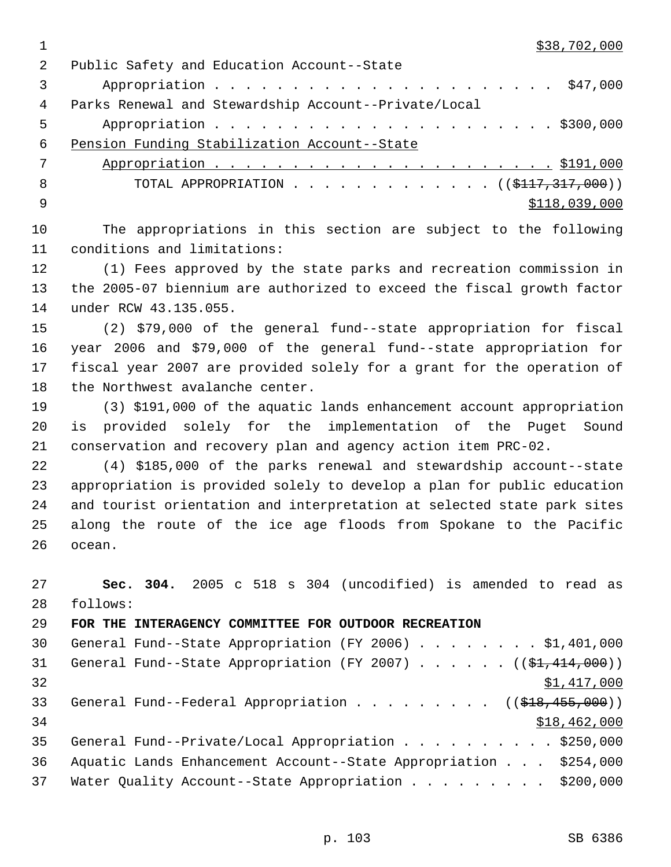1 \$38,702,000

| 2<br>Public Safety and Education Account--State                                    |               |
|------------------------------------------------------------------------------------|---------------|
| 3                                                                                  |               |
| 4<br>Parks Renewal and Stewardship Account--Private/Local                          |               |
| 5                                                                                  |               |
| 6<br>Pension Funding Stabilization Account--State                                  |               |
| 7                                                                                  |               |
| 8<br>TOTAL APPROPRIATION ( $(\frac{\text{ }4117,317,000}{\text{ }})$ )             |               |
| 9                                                                                  | \$118,039,000 |
| 10<br>The appropriations in this section are subject to the following              |               |
| conditions and limitations:<br>11                                                  |               |
| 12<br>(1) Fees approved by the state parks and recreation commission in            |               |
| 13<br>the 2005-07 biennium are authorized to exceed the fiscal growth factor       |               |
| 14<br>under RCW 43.135.055.                                                        |               |
| 15<br>(2) \$79,000 of the general fund--state appropriation for fiscal             |               |
| 16<br>year 2006 and \$79,000 of the general fund--state appropriation for          |               |
| 17<br>fiscal year 2007 are provided solely for a grant for the operation of        |               |
| 18<br>the Northwest avalanche center.                                              |               |
| (3) \$191,000 of the aquatic lands enhancement account appropriation<br>19         |               |
| provided solely for the implementation of the Puget Sound<br>20<br>is              |               |
| 21<br>conservation and recovery plan and agency action item PRC-02.                |               |
| 22<br>(4) \$185,000 of the parks renewal and stewardship account--state            |               |
| 23<br>appropriation is provided solely to develop a plan for public education      |               |
| 24<br>and tourist orientation and interpretation at selected state park sites      |               |
| 25<br>along the route of the ice age floods from Spokane to the Pacific            |               |
| 26<br>ocean.                                                                       |               |
| 27<br>Sec. 304. 2005 c 518 s 304 (uncodified) is amended to read as                |               |
| 28<br>follows:                                                                     |               |
| 29<br>FOR THE INTERAGENCY COMMITTEE FOR OUTDOOR RECREATION                         |               |
| General Fund--State Appropriation (FY 2006) \$1,401,000<br>30                      |               |
| General Fund--State Appropriation (FY 2007) $($ $(\frac{21}{7} + 414,000) )$<br>31 |               |
| 32                                                                                 | \$1,417,000   |
| General Fund--Federal Appropriation ( $(\frac{218}{718}, \frac{455}{100})$ )<br>33 |               |
| 34                                                                                 | \$18,462,000  |
| 35<br>General Fund--Private/Local Appropriation \$250,000                          |               |
| 36<br>Aquatic Lands Enhancement Account--State Appropriation \$254,000             |               |
| 37<br>Water Quality Account--State Appropriation \$200,000                         |               |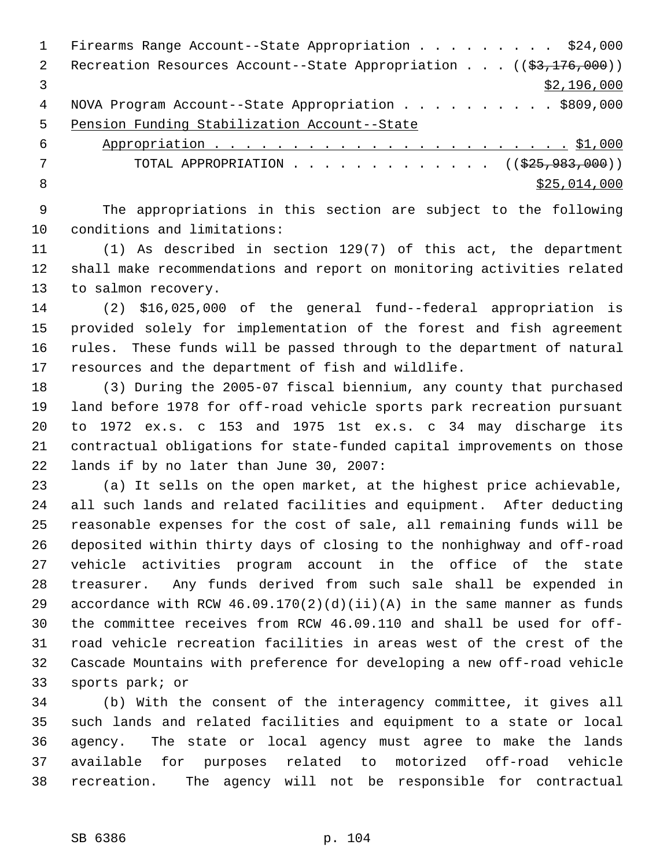1 Firearms Range Account--State Appropriation . . . . . . . . \$24,000 2 Recreation Resources Account--State Appropriation . . . ((\$3,176,000))  $\frac{1}{3}$   $\frac{1}{2}$ , 196,000 4 NOVA Program Account--State Appropriation . . . . . . . . . . \$809,000 Pension Funding Stabilization Account--State

 Appropriation . . . . . . . . . . . . . . . . . . . . . . . \$1,000 7 TOTAL APPROPRIATION . . . . . . . . . . . . . ((\$25,983,000))  $8 \div 25,014,000$ 

 The appropriations in this section are subject to the following conditions and limitations:

 (1) As described in section 129(7) of this act, the department shall make recommendations and report on monitoring activities related to salmon recovery.

 (2) \$16,025,000 of the general fund--federal appropriation is provided solely for implementation of the forest and fish agreement rules. These funds will be passed through to the department of natural resources and the department of fish and wildlife.

 (3) During the 2005-07 fiscal biennium, any county that purchased land before 1978 for off-road vehicle sports park recreation pursuant to 1972 ex.s. c 153 and 1975 1st ex.s. c 34 may discharge its contractual obligations for state-funded capital improvements on those lands if by no later than June 30, 2007:

 (a) It sells on the open market, at the highest price achievable, all such lands and related facilities and equipment. After deducting reasonable expenses for the cost of sale, all remaining funds will be deposited within thirty days of closing to the nonhighway and off-road vehicle activities program account in the office of the state treasurer. Any funds derived from such sale shall be expended in accordance with RCW 46.09.170(2)(d)(ii)(A) in the same manner as funds the committee receives from RCW 46.09.110 and shall be used for off- road vehicle recreation facilities in areas west of the crest of the Cascade Mountains with preference for developing a new off-road vehicle sports park; or

 (b) With the consent of the interagency committee, it gives all such lands and related facilities and equipment to a state or local agency. The state or local agency must agree to make the lands available for purposes related to motorized off-road vehicle recreation. The agency will not be responsible for contractual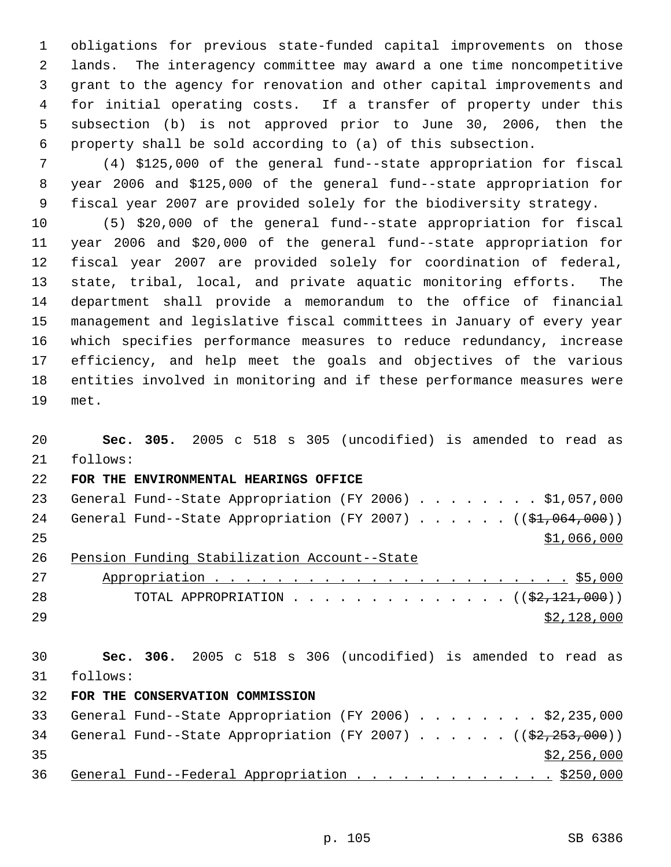obligations for previous state-funded capital improvements on those lands. The interagency committee may award a one time noncompetitive grant to the agency for renovation and other capital improvements and for initial operating costs. If a transfer of property under this subsection (b) is not approved prior to June 30, 2006, then the property shall be sold according to (a) of this subsection.

 (4) \$125,000 of the general fund--state appropriation for fiscal year 2006 and \$125,000 of the general fund--state appropriation for fiscal year 2007 are provided solely for the biodiversity strategy.

 (5) \$20,000 of the general fund--state appropriation for fiscal year 2006 and \$20,000 of the general fund--state appropriation for fiscal year 2007 are provided solely for coordination of federal, state, tribal, local, and private aquatic monitoring efforts. The department shall provide a memorandum to the office of financial management and legislative fiscal committees in January of every year which specifies performance measures to reduce redundancy, increase efficiency, and help meet the goals and objectives of the various entities involved in monitoring and if these performance measures were met.

 **Sec. 305.** 2005 c 518 s 305 (uncodified) is amended to read as follows: **FOR THE ENVIRONMENTAL HEARINGS OFFICE**  23 General Fund--State Appropriation (FY 2006) . . . . . . . . \$1,057,000 24 General Fund--State Appropriation (FY 2007) . . . . . . ((\$1,064,000)) \$1,066,000 Pension Funding Stabilization Account--State Appropriation . . . . . . . . . . . . . . . . . . . . . . . \$5,000 28 TOTAL APPROPRIATION  $\cdots$ ,  $\cdots$ ,  $\cdots$ ,  $\cdots$ ,  $\cdots$ ,  $\cdots$ ,  $\cdots$ ,  $\cdots$  \$2,128,000 **Sec. 306.** 2005 c 518 s 306 (uncodified) is amended to read as follows: **FOR THE CONSERVATION COMMISSION**  General Fund--State Appropriation (FY 2006) . . . . . . . . \$2,235,000 34 General Fund--State Appropriation (FY 2007) . . . . .  $($   $($ \$2,253,000))  $\frac{1}{2}$  35  $\frac{1}{2}$  256,000 36 General Fund--Federal Appropriation . . . . . . . . . . . . \$250,000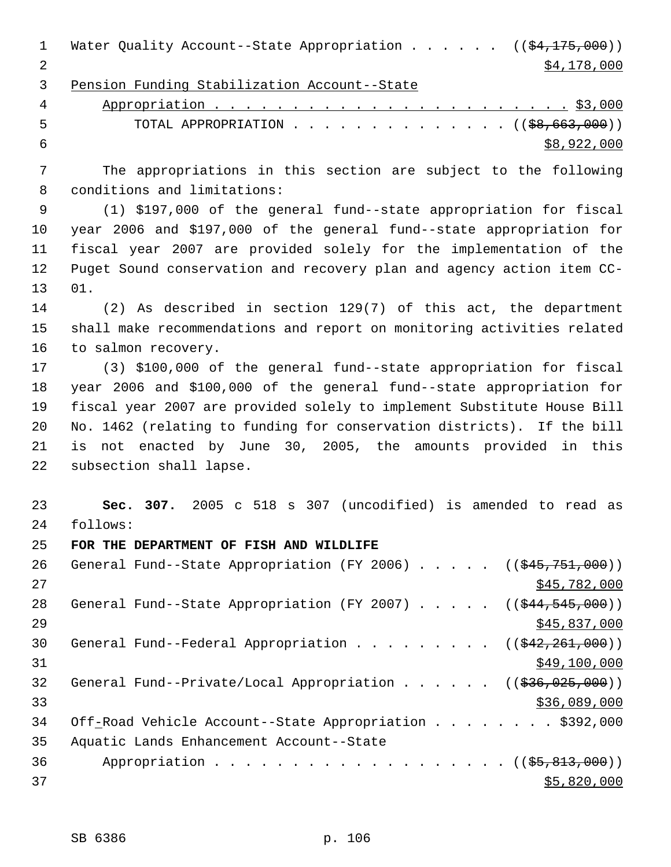| $\mathbf{1}$ | Water Quality Account--State Appropriation ( $(\frac{24}{175}, 000)$ )               |
|--------------|--------------------------------------------------------------------------------------|
| 2            | \$4,178,000                                                                          |
| 3            | Pension Funding Stabilization Account--State                                         |
| 4            |                                                                                      |
| 5            | TOTAL APPROPRIATION $\ldots$ , ( $(\frac{68}{663}, \frac{663}{600})$ )               |
| 6            | \$8,922,000                                                                          |
| 7            | The appropriations in this section are subject to the following                      |
| 8            | conditions and limitations:                                                          |
| 9            | (1) \$197,000 of the general fund--state appropriation for fiscal                    |
| 10           | year 2006 and \$197,000 of the general fund--state appropriation for                 |
| 11           | fiscal year 2007 are provided solely for the implementation of the                   |
| 12           | Puget Sound conservation and recovery plan and agency action item CC-                |
| 13           | 01.                                                                                  |
| 14           | (2) As described in section 129(7) of this act, the department                       |
| 15           | shall make recommendations and report on monitoring activities related               |
| 16           | to salmon recovery.                                                                  |
| 17           | (3) \$100,000 of the general fund--state appropriation for fiscal                    |
| 18           | year 2006 and \$100,000 of the general fund--state appropriation for                 |
| 19           | fiscal year 2007 are provided solely to implement Substitute House Bill              |
| 20           | No. 1462 (relating to funding for conservation districts). If the bill               |
| 21           | not enacted by June 30, 2005, the amounts provided in this<br>is                     |
| 22           | subsection shall lapse.                                                              |
| 23           | Sec. 307. 2005 c 518 s 307 (uncodified) is amended to read as                        |
| 24           | follows:                                                                             |
| 25           | FOR THE DEPARTMENT OF FISH AND WILDLIFE                                              |
| 26           | General Fund--State Appropriation (FY 2006) $($ $($ $\frac{45}{751}, \frac{000}{1})$ |
| 27           | \$45,782,000                                                                         |
| 28           | General Fund--State Appropriation (FY 2007) $($ $($ $\frac{644}{545},000)$ )         |
| 29           | \$45,837,000                                                                         |
| 30           | General Fund--Federal Appropriation ( $(\frac{242}{262}, \frac{261}{200})$ )         |
| 31           | \$49,100,000                                                                         |
| 32           | General Fund--Private/Local Appropriation ( $(\frac{236}{100}, \frac{025}{000})$ )   |
| 33           | \$36,089,000                                                                         |
| 34           | Off-Road Vehicle Account--State Appropriation \$392,000                              |
| 35           | Aquatic Lands Enhancement Account--State                                             |
| 36           | Appropriation $($ $(*5, 813, 000))$                                                  |
| 37           | \$5,820,000                                                                          |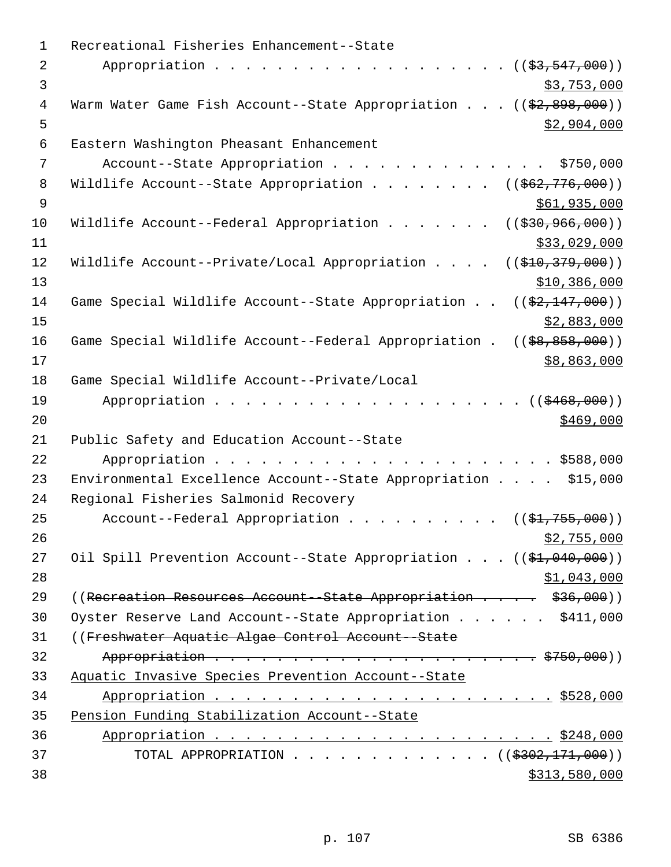| 1              | Recreational Fisheries Enhancement--State                                         |
|----------------|-----------------------------------------------------------------------------------|
| $\overline{2}$ | Appropriation $($ $(\frac{2}{53}, \frac{547}{500}) )$                             |
| 3              | \$3,753,000                                                                       |
| 4              | Warm Water Game Fish Account--State Appropriation $((\frac{2}{7}, 898, 000))$     |
| 5              | \$2,904,000                                                                       |
| 6              | Eastern Washington Pheasant Enhancement                                           |
| 7              | Account--State Appropriation<br>\$750,000                                         |
| 8              | Wildlife Account--State Appropriation<br>$((\frac{1562}{776},000))$               |
| $\mathsf 9$    | \$61,935,000                                                                      |
| 10             | Wildlife Account--Federal Appropriation<br>$((\frac{230}{7}36, \frac{966}{900}))$ |
| 11             | \$33,029,000                                                                      |
| 12             | Wildlife Account--Private/Local Appropriation<br>((\$10,379,000))                 |
| 13             | \$10,386,000                                                                      |
| 14             | Game Special Wildlife Account--State Appropriation<br>$((\$2,147,000))$           |
| 15             | \$2,883,000                                                                       |
| 16             | Game Special Wildlife Account--Federal Appropriation .<br>$(($ \$8,858,000))      |
| 17             | \$8,863,000                                                                       |
| 18             | Game Special Wildlife Account--Private/Local                                      |
| 19             | Appropriation<br>((\$468,000))                                                    |
| 20             | \$469,000                                                                         |
| 21             | Public Safety and Education Account--State                                        |
| 22             |                                                                                   |
| 23             | Environmental Excellence Account--State Appropriation \$15,000                    |
| 24             | Regional Fisheries Salmonid Recovery                                              |
| 25             | Account--Federal Appropriation ( $(\frac{1}{21}, 755, 000)$ )                     |
| 26             | \$2,755,000                                                                       |
| 27             | Oil Spill Prevention Account--State Appropriation $((\frac{21}{61}, 040, 000))$   |
| 28             | \$1,043,000                                                                       |
| 29             | ((Recreation Resources Account - State Appropriation \$36,000))                   |
| 30             | Oyster Reserve Land Account--State Appropriation \$411,000                        |
| 31             | ((Freshwater Aquatic Algae Control Account - State)                               |
| 32             |                                                                                   |
| 33             | Aquatic Invasive Species Prevention Account--State                                |
| 34             |                                                                                   |
| 35             | Pension Funding Stabilization Account--State                                      |
| 36             |                                                                                   |
| 37             | TOTAL APPROPRIATION ( $(\frac{2302}{171},000)$ )                                  |
| 38             | \$313,580,000                                                                     |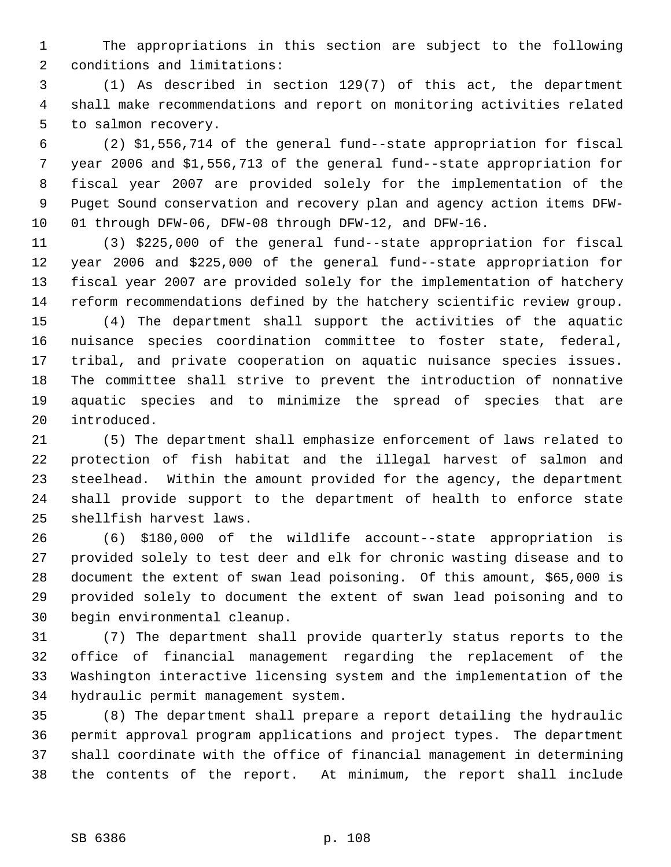The appropriations in this section are subject to the following conditions and limitations:

 (1) As described in section 129(7) of this act, the department shall make recommendations and report on monitoring activities related to salmon recovery.

 (2) \$1,556,714 of the general fund--state appropriation for fiscal year 2006 and \$1,556,713 of the general fund--state appropriation for fiscal year 2007 are provided solely for the implementation of the Puget Sound conservation and recovery plan and agency action items DFW-01 through DFW-06, DFW-08 through DFW-12, and DFW-16.

 (3) \$225,000 of the general fund--state appropriation for fiscal year 2006 and \$225,000 of the general fund--state appropriation for fiscal year 2007 are provided solely for the implementation of hatchery reform recommendations defined by the hatchery scientific review group.

 (4) The department shall support the activities of the aquatic nuisance species coordination committee to foster state, federal, tribal, and private cooperation on aquatic nuisance species issues. The committee shall strive to prevent the introduction of nonnative aquatic species and to minimize the spread of species that are introduced.

 (5) The department shall emphasize enforcement of laws related to protection of fish habitat and the illegal harvest of salmon and steelhead. Within the amount provided for the agency, the department shall provide support to the department of health to enforce state shellfish harvest laws.

 (6) \$180,000 of the wildlife account--state appropriation is provided solely to test deer and elk for chronic wasting disease and to document the extent of swan lead poisoning. Of this amount, \$65,000 is provided solely to document the extent of swan lead poisoning and to begin environmental cleanup.

 (7) The department shall provide quarterly status reports to the office of financial management regarding the replacement of the Washington interactive licensing system and the implementation of the hydraulic permit management system.

 (8) The department shall prepare a report detailing the hydraulic permit approval program applications and project types. The department shall coordinate with the office of financial management in determining the contents of the report. At minimum, the report shall include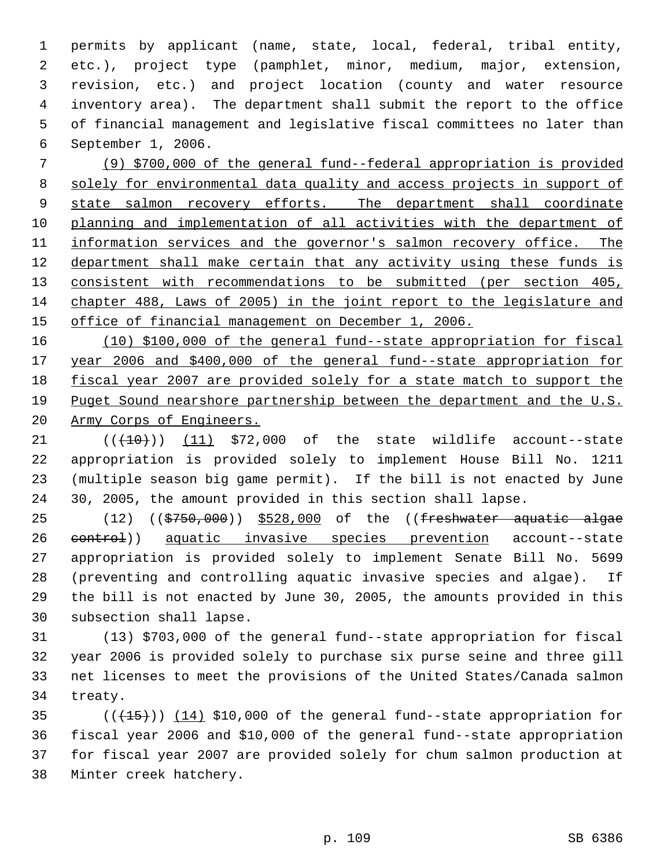permits by applicant (name, state, local, federal, tribal entity, etc.), project type (pamphlet, minor, medium, major, extension, revision, etc.) and project location (county and water resource inventory area). The department shall submit the report to the office of financial management and legislative fiscal committees no later than September 1, 2006.

 (9) \$700,000 of the general fund--federal appropriation is provided solely for environmental data quality and access projects in support of 9 state salmon recovery efforts. The department shall coordinate planning and implementation of all activities with the department of 11 information services and the governor's salmon recovery office. The 12 department shall make certain that any activity using these funds is consistent with recommendations to be submitted (per section 405, chapter 488, Laws of 2005) in the joint report to the legislature and office of financial management on December 1, 2006.

 (10) \$100,000 of the general fund--state appropriation for fiscal year 2006 and \$400,000 of the general fund--state appropriation for fiscal year 2007 are provided solely for a state match to support the Puget Sound nearshore partnership between the department and the U.S. Army Corps of Engineers.

 $(1)$  (( $(10)$ )) (11) \$72,000 of the state wildlife account--state appropriation is provided solely to implement House Bill No. 1211 (multiple season big game permit). If the bill is not enacted by June 30, 2005, the amount provided in this section shall lapse.

 $(12)$   $($  $\frac{25750}{12})$   $\frac{528}{000}$  of the  $($  $\frac{25750}{000})$   $\frac{25750}{0000}$   $\frac{25750}{0000}$   $\frac{25750}{0000}$   $\frac{25750}{0000}$   $\frac{25750}{0000}$   $\frac{25750}{0000}$   $\frac{25750}{0000}$   $\frac{25750}{0000}$   $\frac{25750}{0000}$  26 control) aquatic invasive species prevention account--state appropriation is provided solely to implement Senate Bill No. 5699 (preventing and controlling aquatic invasive species and algae). If the bill is not enacted by June 30, 2005, the amounts provided in this subsection shall lapse.

 (13) \$703,000 of the general fund--state appropriation for fiscal year 2006 is provided solely to purchase six purse seine and three gill net licenses to meet the provisions of the United States/Canada salmon treaty.

 $((+15))$   $(14)$  \$10,000 of the general fund--state appropriation for fiscal year 2006 and \$10,000 of the general fund--state appropriation for fiscal year 2007 are provided solely for chum salmon production at Minter creek hatchery.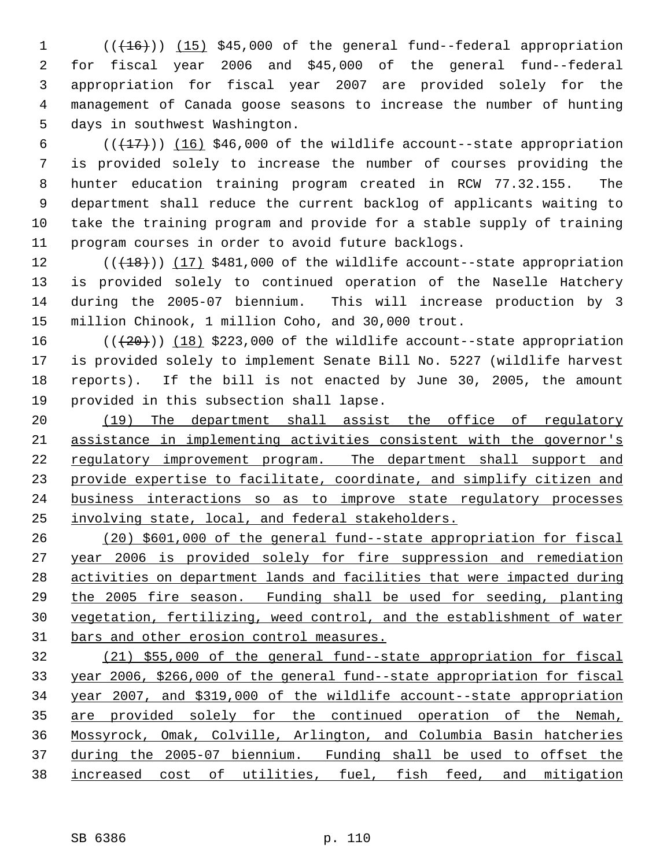1 (( $(16)$ )) (15) \$45,000 of the general fund--federal appropriation for fiscal year 2006 and \$45,000 of the general fund--federal appropriation for fiscal year 2007 are provided solely for the management of Canada goose seasons to increase the number of hunting days in southwest Washington.

 $((+17))$   $(16)$  \$46,000 of the wildlife account--state appropriation is provided solely to increase the number of courses providing the hunter education training program created in RCW 77.32.155. The department shall reduce the current backlog of applicants waiting to take the training program and provide for a stable supply of training program courses in order to avoid future backlogs.

12 (( $(18)$ )) (17) \$481,000 of the wildlife account--state appropriation is provided solely to continued operation of the Naselle Hatchery during the 2005-07 biennium. This will increase production by 3 million Chinook, 1 million Coho, and 30,000 trout.

 $((+20))$   $(18)$  \$223,000 of the wildlife account--state appropriation is provided solely to implement Senate Bill No. 5227 (wildlife harvest reports). If the bill is not enacted by June 30, 2005, the amount provided in this subsection shall lapse.

20 (19) The department shall assist the office of regulatory assistance in implementing activities consistent with the governor's 22 regulatory improvement program. The department shall support and 23 provide expertise to facilitate, coordinate, and simplify citizen and business interactions so as to improve state regulatory processes involving state, local, and federal stakeholders.

 (20) \$601,000 of the general fund--state appropriation for fiscal year 2006 is provided solely for fire suppression and remediation activities on department lands and facilities that were impacted during the 2005 fire season. Funding shall be used for seeding, planting vegetation, fertilizing, weed control, and the establishment of water 31 bars and other erosion control measures.

 (21) \$55,000 of the general fund--state appropriation for fiscal year 2006, \$266,000 of the general fund--state appropriation for fiscal year 2007, and \$319,000 of the wildlife account--state appropriation are provided solely for the continued operation of the Nemah, Mossyrock, Omak, Colville, Arlington, and Columbia Basin hatcheries during the 2005-07 biennium. Funding shall be used to offset the increased cost of utilities, fuel, fish feed, and mitigation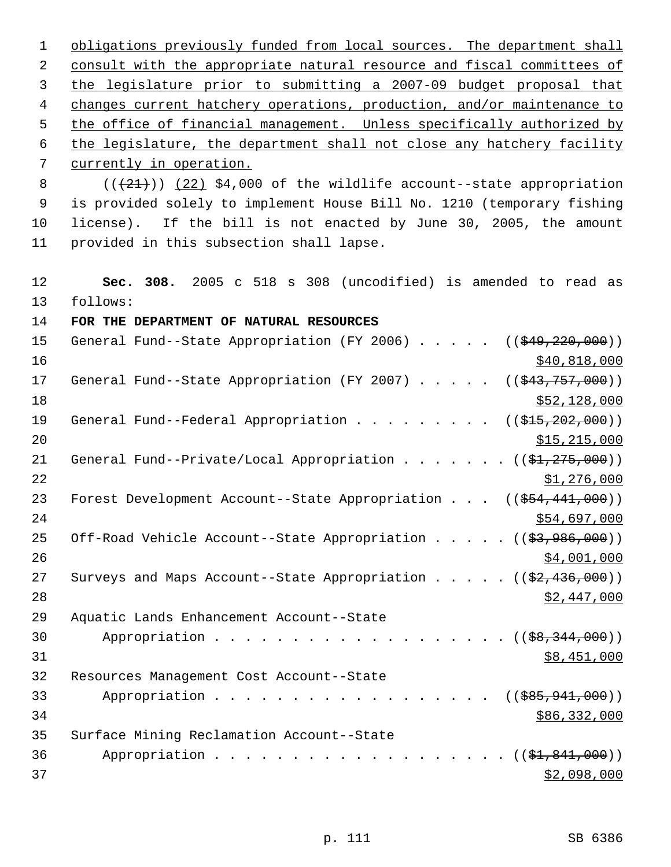1 obligations previously funded from local sources. The department shall 2 consult with the appropriate natural resource and fiscal committees of 3 the legislature prior to submitting a 2007-09 budget proposal that 4 changes current hatchery operations, production, and/or maintenance to 5 the office of financial management. Unless specifically authorized by 6 the legislature, the department shall not close any hatchery facility 7 currently in operation. 8  $((+21))$  (22) \$4,000 of the wildlife account--state appropriation 9 is provided solely to implement House Bill No. 1210 (temporary fishing 10 license). If the bill is not enacted by June 30, 2005, the amount 11 provided in this subsection shall lapse. 12 **Sec. 308.** 2005 c 518 s 308 (uncodified) is amended to read as 13 follows: 14 **FOR THE DEPARTMENT OF NATURAL RESOURCES**  15 General Fund--State Appropriation (FY 2006) . . . . . ((\$49,220,000))  $\frac{$40,818,000}{2}$ 17 General Fund--State Appropriation (FY 2007) . . . . . ((\$43,757,000))  $18$  \$52,128,000 19 General Fund--Federal Appropriation . . . . . . . . ((\$15,202,000))  $20$  \$15,215,000 21 General Fund--Private/Local Appropriation . . . . . .  $($   $($ \$1,275,000)) 22  $\frac{$1,276,000}{ }$ 23 Forest Development Account--State Appropriation . . . ((\$54,441,000))  $24$  \$54,697,000 25 Off-Road Vehicle Account--State Appropriation . . . . ((\$3,986,000))  $26$   $\frac{$4,001,000}{9}$ 27 Surveys and Maps Account--State Appropriation . . . .  $($   $($ \$2,436,000)) 28 \$2,447,000 29 Aquatic Lands Enhancement Account--State 30 Appropriation . . . . . . . . . . . . . . . . . (  $(\frac{28,344,000}{1})$  $31$  \$8,451,000 32 Resources Management Cost Account--State 33 Appropriation . . . . . . . . . . . . . . . . ((<del>\$85,941,000</del>)) 34 \$86,332,000 35 Surface Mining Reclamation Account--State 36 Appropriation . . . . . . . . . . . . . . . . . (  $(\frac{21,841,000}{1,000})$  $\frac{1}{2}$  37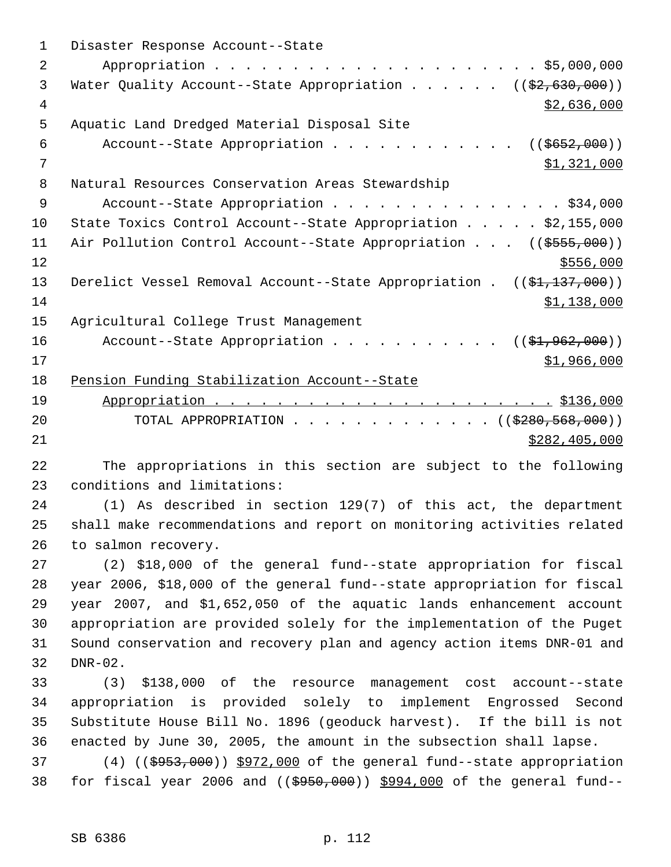| 1              | Disaster Response Account--State                                                            |
|----------------|---------------------------------------------------------------------------------------------|
| $\overline{2}$ |                                                                                             |
| 3              | Water Quality Account--State Appropriation ( $(\frac{2}{2}, 630, 000)$ )                    |
| 4              | \$2,636,000                                                                                 |
| 5              | Aquatic Land Dredged Material Disposal Site                                                 |
| 6              | Account--State Appropriation ( $(\frac{2652}{100})$ )                                       |
| 7              | \$1,321,000                                                                                 |
| 8              | Natural Resources Conservation Areas Stewardship                                            |
| 9              | Account--State Appropriation \$34,000                                                       |
| 10             | State Toxics Control Account--State Appropriation \$2,155,000                               |
| 11             | Air Pollution Control Account--State Appropriation ((\$555,000))                            |
| 12             | \$556,000                                                                                   |
| 13             | Derelict Vessel Removal Account--State Appropriation . $((\frac{21}{21}, \frac{137}{200}))$ |
| 14             | \$1,138,000                                                                                 |
| 15             | Agricultural College Trust Management                                                       |
| 16             | Account--State Appropriation $($ \$1,962,000))                                              |
| 17             | \$1,966,000                                                                                 |
| 18             | Pension Funding Stabilization Account--State                                                |
| 19             |                                                                                             |
| 20             | TOTAL APPROPRIATION ( $(\frac{2280,568,000}{s})$ )                                          |
| 21             | \$282,405,000                                                                               |
| 22             | The appropriations in this section are subject to the following                             |
| 23             | conditions and limitations:                                                                 |
| 24             | (1) As described in section 129(7) of this act, the department                              |
| 25             | shall make recommendations and report on monitoring activities related                      |
| 26             | to salmon recovery.                                                                         |
| 27             | (2) \$18,000 of the general fund--state appropriation for fiscal                            |
| 28             | year 2006, \$18,000 of the general fund--state appropriation for fiscal                     |
| 29             | year 2007, and \$1,652,050 of the aquatic lands enhancement account                         |
| 30             | appropriation are provided solely for the implementation of the Puget                       |
| 31             | Sound conservation and recovery plan and agency action items DNR-01 and                     |
| 32             | $DNR-02$ .                                                                                  |
| 33             | \$138,000 of the resource management cost account--state<br>(3)                             |
| 34             | appropriation is provided solely to implement Engrossed Second                              |
| 35             | Substitute House Bill No. 1896 (geoduck harvest). If the bill is not                        |
| 36             | enacted by June 30, 2005, the amount in the subsection shall lapse.                         |
| 37             | $(4)$ ( $(\frac{2953}{100})$ $\frac{5972}{100}$ of the general fund--state appropriation    |
| 38             | for fiscal year 2006 and $($ $(\frac{6950}{600})$ $\frac{994}{000}$ of the general fund--   |
|                |                                                                                             |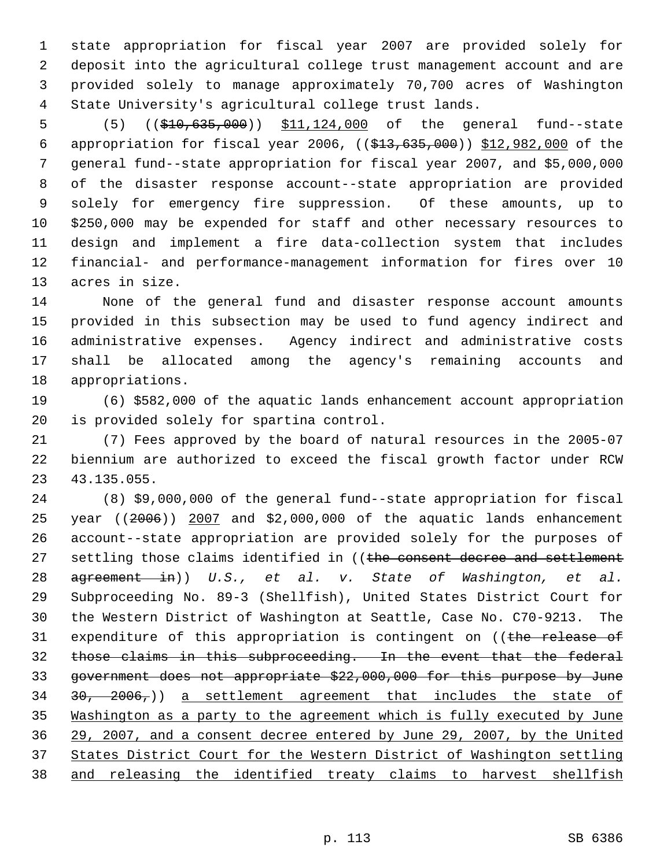state appropriation for fiscal year 2007 are provided solely for deposit into the agricultural college trust management account and are provided solely to manage approximately 70,700 acres of Washington State University's agricultural college trust lands.

5 (5) ((\$10,635,000)) \$11,124,000 of the general fund--state appropriation for fiscal year 2006, ((\$13,635,000)) \$12,982,000 of the general fund--state appropriation for fiscal year 2007, and \$5,000,000 of the disaster response account--state appropriation are provided solely for emergency fire suppression. Of these amounts, up to \$250,000 may be expended for staff and other necessary resources to design and implement a fire data-collection system that includes financial- and performance-management information for fires over 10 acres in size.

 None of the general fund and disaster response account amounts provided in this subsection may be used to fund agency indirect and administrative expenses. Agency indirect and administrative costs shall be allocated among the agency's remaining accounts and appropriations.

 (6) \$582,000 of the aquatic lands enhancement account appropriation is provided solely for spartina control.

 (7) Fees approved by the board of natural resources in the 2005-07 biennium are authorized to exceed the fiscal growth factor under RCW 43.135.055.

 (8) \$9,000,000 of the general fund--state appropriation for fiscal 25 year  $(2006)$  2007 and \$2,000,000 of the aquatic lands enhancement account--state appropriation are provided solely for the purposes of 27 settling those claims identified in ((the consent decree and settlement agreement in)) *U.S., et al. v. State of Washington, et al.* Subproceeding No. 89-3 (Shellfish), United States District Court for the Western District of Washington at Seattle, Case No. C70-9213. The 31 expenditure of this appropriation is contingent on ((the release of those claims in this subproceeding. In the event that the federal government does not appropriate \$22,000,000 for this purpose by June  $30, 2006,$ ) a settlement agreement that includes the state of Washington as a party to the agreement which is fully executed by June 29, 2007, and a consent decree entered by June 29, 2007, by the United States District Court for the Western District of Washington settling and releasing the identified treaty claims to harvest shellfish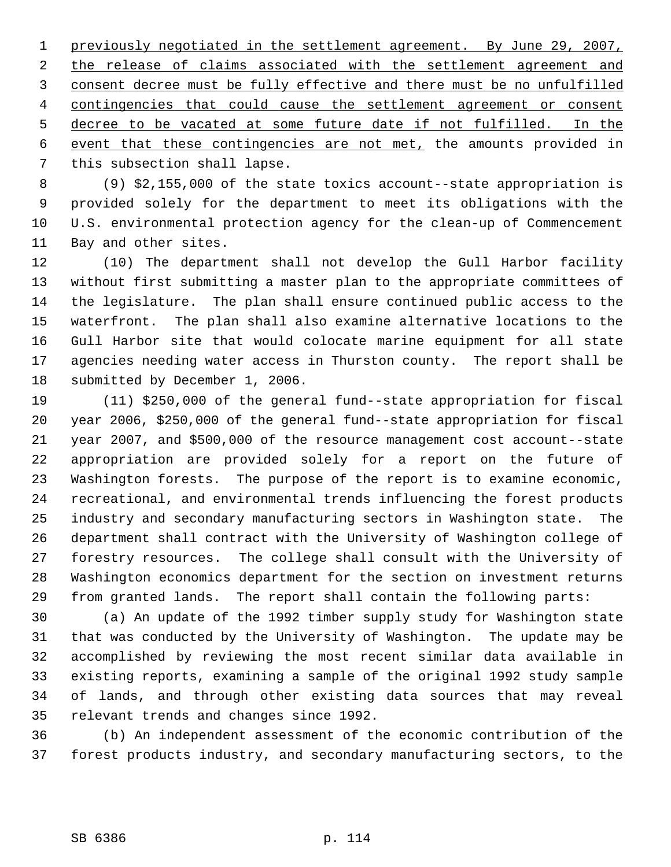previously negotiated in the settlement agreement. By June 29, 2007, 2 the release of claims associated with the settlement agreement and consent decree must be fully effective and there must be no unfulfilled contingencies that could cause the settlement agreement or consent decree to be vacated at some future date if not fulfilled. In the event that these contingencies are not met, the amounts provided in this subsection shall lapse.

 (9) \$2,155,000 of the state toxics account--state appropriation is provided solely for the department to meet its obligations with the U.S. environmental protection agency for the clean-up of Commencement Bay and other sites.

 (10) The department shall not develop the Gull Harbor facility without first submitting a master plan to the appropriate committees of the legislature. The plan shall ensure continued public access to the waterfront. The plan shall also examine alternative locations to the Gull Harbor site that would colocate marine equipment for all state agencies needing water access in Thurston county. The report shall be submitted by December 1, 2006.

 (11) \$250,000 of the general fund--state appropriation for fiscal year 2006, \$250,000 of the general fund--state appropriation for fiscal year 2007, and \$500,000 of the resource management cost account--state appropriation are provided solely for a report on the future of Washington forests. The purpose of the report is to examine economic, recreational, and environmental trends influencing the forest products industry and secondary manufacturing sectors in Washington state. The department shall contract with the University of Washington college of forestry resources. The college shall consult with the University of Washington economics department for the section on investment returns from granted lands. The report shall contain the following parts:

 (a) An update of the 1992 timber supply study for Washington state that was conducted by the University of Washington. The update may be accomplished by reviewing the most recent similar data available in existing reports, examining a sample of the original 1992 study sample of lands, and through other existing data sources that may reveal relevant trends and changes since 1992.

 (b) An independent assessment of the economic contribution of the forest products industry, and secondary manufacturing sectors, to the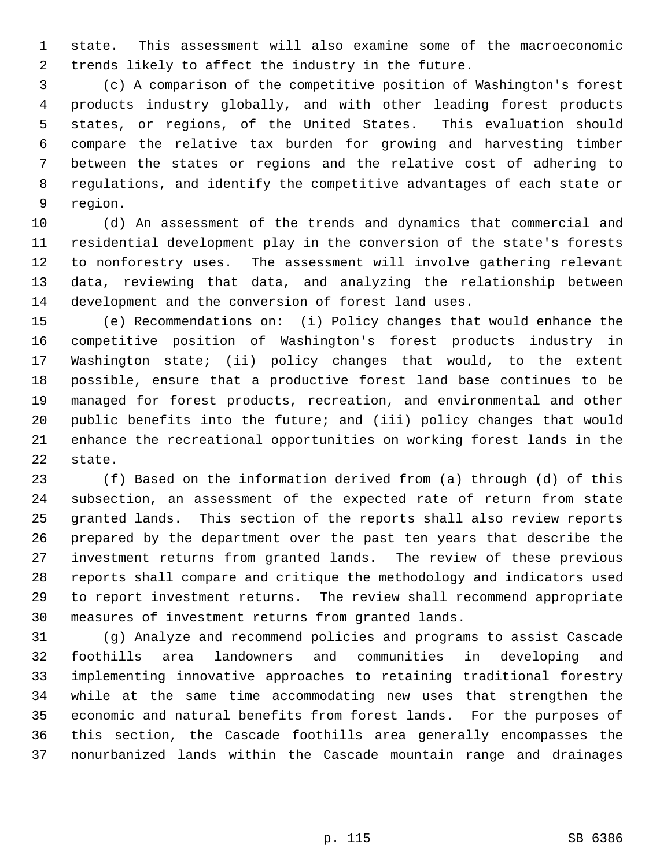state. This assessment will also examine some of the macroeconomic trends likely to affect the industry in the future.

 (c) A comparison of the competitive position of Washington's forest products industry globally, and with other leading forest products states, or regions, of the United States. This evaluation should compare the relative tax burden for growing and harvesting timber between the states or regions and the relative cost of adhering to regulations, and identify the competitive advantages of each state or region.

 (d) An assessment of the trends and dynamics that commercial and residential development play in the conversion of the state's forests to nonforestry uses. The assessment will involve gathering relevant data, reviewing that data, and analyzing the relationship between development and the conversion of forest land uses.

 (e) Recommendations on: (i) Policy changes that would enhance the competitive position of Washington's forest products industry in Washington state; (ii) policy changes that would, to the extent possible, ensure that a productive forest land base continues to be managed for forest products, recreation, and environmental and other public benefits into the future; and (iii) policy changes that would enhance the recreational opportunities on working forest lands in the state.

 (f) Based on the information derived from (a) through (d) of this subsection, an assessment of the expected rate of return from state granted lands. This section of the reports shall also review reports prepared by the department over the past ten years that describe the investment returns from granted lands. The review of these previous reports shall compare and critique the methodology and indicators used to report investment returns. The review shall recommend appropriate measures of investment returns from granted lands.

 (g) Analyze and recommend policies and programs to assist Cascade foothills area landowners and communities in developing and implementing innovative approaches to retaining traditional forestry while at the same time accommodating new uses that strengthen the economic and natural benefits from forest lands. For the purposes of this section, the Cascade foothills area generally encompasses the nonurbanized lands within the Cascade mountain range and drainages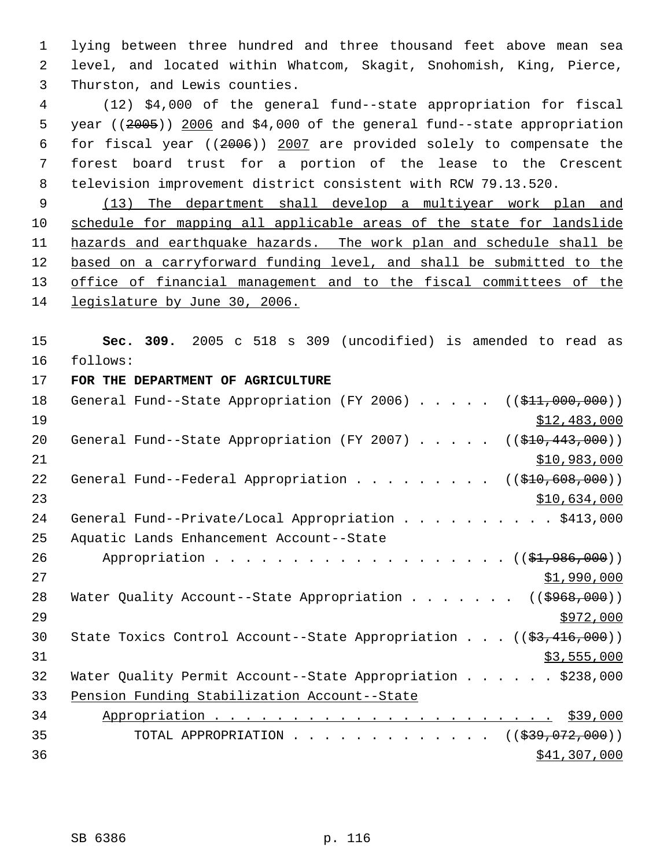1 lying between three hundred and three thousand feet above mean sea 2 level, and located within Whatcom, Skagit, Snohomish, King, Pierce, 3 Thurston, and Lewis counties.

 (12) \$4,000 of the general fund--state appropriation for fiscal year ((2005)) 2006 and \$4,000 of the general fund--state appropriation for fiscal year ((2006)) 2007 are provided solely to compensate the forest board trust for a portion of the lease to the Crescent television improvement district consistent with RCW 79.13.520.

 9 (13) The department shall develop a multiyear work plan and 10 schedule for mapping all applicable areas of the state for landslide 11 hazards and earthquake hazards. The work plan and schedule shall be 12 based on a carryforward funding level, and shall be submitted to the 13 office of financial management and to the fiscal committees of the 14 legislature by June 30, 2006.

15 **Sec. 309.** 2005 c 518 s 309 (uncodified) is amended to read as 16 follows:

17 **FOR THE DEPARTMENT OF AGRICULTURE** 

| 18 | General Fund--State Appropriation (FY 2006) $($ $($ \$11,000,000))            |
|----|-------------------------------------------------------------------------------|
| 19 | \$12,483,000                                                                  |
| 20 | General Fund--State Appropriation (FY 2007) $($ $($ $$10, 443, 000)$ )        |
| 21 | \$10,983,000                                                                  |
| 22 | ((\$10,608,000))<br>General Fund--Federal Appropriation                       |
| 23 | \$10,634,000                                                                  |
| 24 | General Fund--Private/Local Appropriation \$413,000                           |
| 25 | Aquatic Lands Enhancement Account--State                                      |
| 26 | Appropriation $($ $(*1,986,000))$                                             |
| 27 | \$1,990,000                                                                   |
| 28 | Water Quality Account--State Appropriation ( $(\frac{2968}{100})$ )           |
| 29 | \$972,000                                                                     |
| 30 | State Toxics Control Account--State Appropriation $((\frac{2}{3}, 416, 000))$ |
| 31 | \$3,555,000                                                                   |
| 32 | Water Quality Permit Account--State Appropriation \$238,000                   |
| 33 | Pension Funding Stabilization Account--State                                  |
| 34 |                                                                               |
| 35 | TOTAL APPROPRIATION $\ldots$ , ( $(\frac{239}{1072},000)$ )                   |
| 36 | \$41,307,000                                                                  |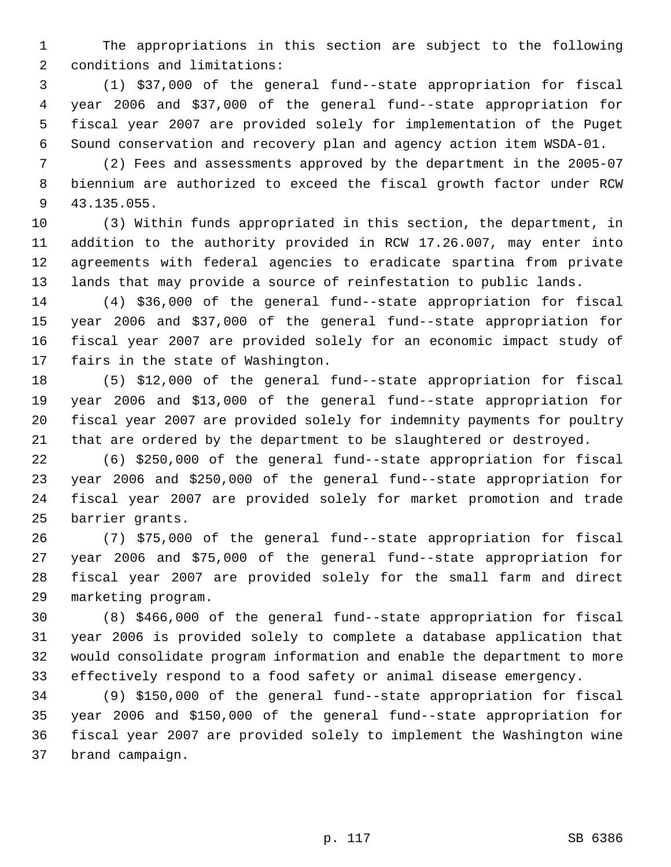The appropriations in this section are subject to the following conditions and limitations:

 (1) \$37,000 of the general fund--state appropriation for fiscal year 2006 and \$37,000 of the general fund--state appropriation for fiscal year 2007 are provided solely for implementation of the Puget Sound conservation and recovery plan and agency action item WSDA-01.

 (2) Fees and assessments approved by the department in the 2005-07 biennium are authorized to exceed the fiscal growth factor under RCW 43.135.055.

 (3) Within funds appropriated in this section, the department, in addition to the authority provided in RCW 17.26.007, may enter into agreements with federal agencies to eradicate spartina from private lands that may provide a source of reinfestation to public lands.

 (4) \$36,000 of the general fund--state appropriation for fiscal year 2006 and \$37,000 of the general fund--state appropriation for fiscal year 2007 are provided solely for an economic impact study of fairs in the state of Washington.

 (5) \$12,000 of the general fund--state appropriation for fiscal year 2006 and \$13,000 of the general fund--state appropriation for fiscal year 2007 are provided solely for indemnity payments for poultry that are ordered by the department to be slaughtered or destroyed.

 (6) \$250,000 of the general fund--state appropriation for fiscal year 2006 and \$250,000 of the general fund--state appropriation for fiscal year 2007 are provided solely for market promotion and trade barrier grants.

 (7) \$75,000 of the general fund--state appropriation for fiscal year 2006 and \$75,000 of the general fund--state appropriation for fiscal year 2007 are provided solely for the small farm and direct marketing program.

 (8) \$466,000 of the general fund--state appropriation for fiscal year 2006 is provided solely to complete a database application that would consolidate program information and enable the department to more effectively respond to a food safety or animal disease emergency.

 (9) \$150,000 of the general fund--state appropriation for fiscal year 2006 and \$150,000 of the general fund--state appropriation for fiscal year 2007 are provided solely to implement the Washington wine brand campaign.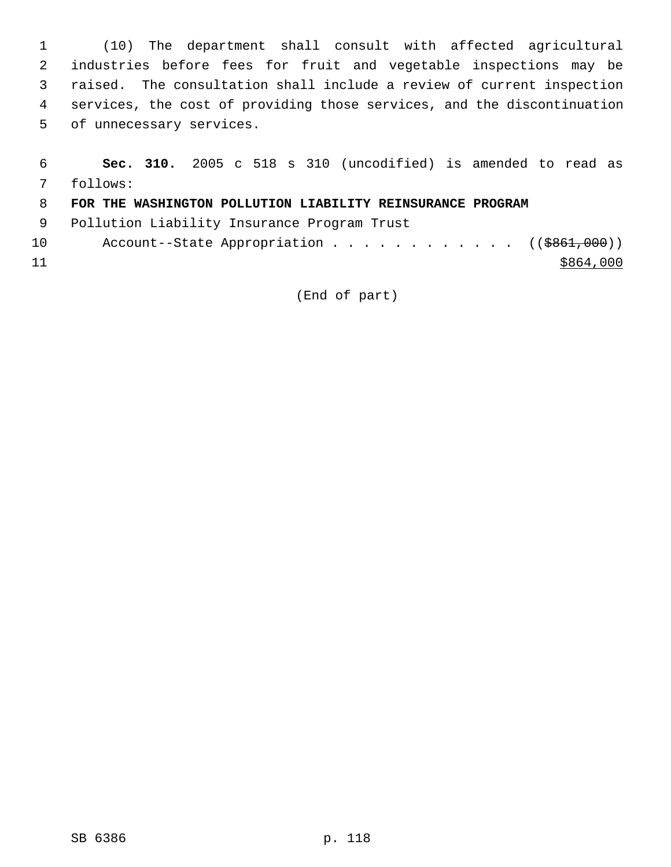(10) The department shall consult with affected agricultural industries before fees for fruit and vegetable inspections may be raised. The consultation shall include a review of current inspection services, the cost of providing those services, and the discontinuation of unnecessary services.

| ნ — |                                                            |  |  |  |  | Sec. 310. 2005 c 518 s 310 (uncodified) is amended to read as |           |  |
|-----|------------------------------------------------------------|--|--|--|--|---------------------------------------------------------------|-----------|--|
| 7   | follows:                                                   |  |  |  |  |                                                               |           |  |
| -8  | FOR THE WASHINGTON POLLUTION LIABILITY REINSURANCE PROGRAM |  |  |  |  |                                                               |           |  |
| - 9 | Pollution Liability Insurance Program Trust                |  |  |  |  |                                                               |           |  |
| 10  |                                                            |  |  |  |  | Account--State Appropriation $($ $($ $\frac{1}{6861},000) )$  |           |  |
| 11  |                                                            |  |  |  |  |                                                               | \$864,000 |  |

(End of part)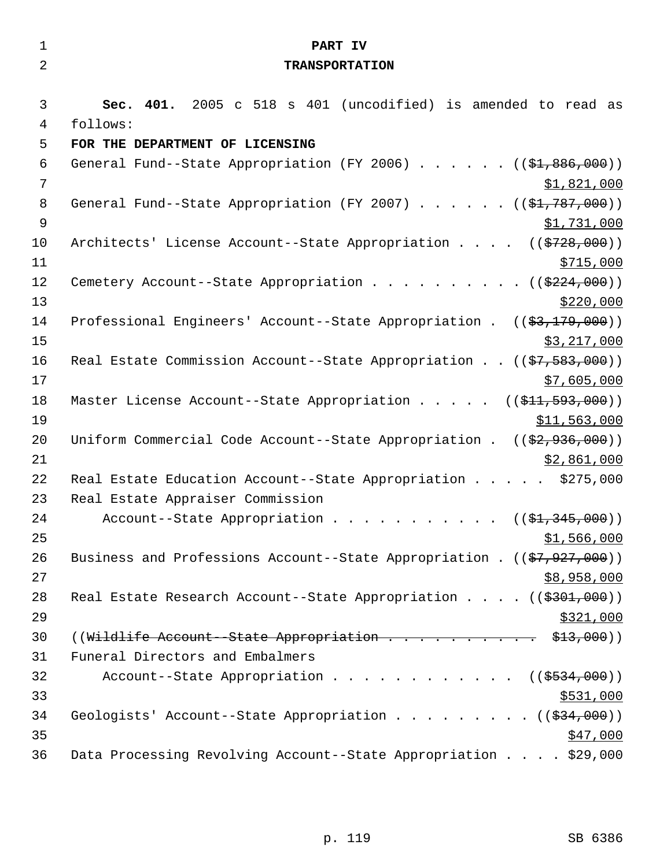| $\mathbf{1}$   | PART IV                                                                                   |
|----------------|-------------------------------------------------------------------------------------------|
| $\overline{2}$ | <b>TRANSPORTATION</b>                                                                     |
|                |                                                                                           |
| 3              | Sec. 401. 2005 c 518 s 401 (uncodified) is amended to read as                             |
| $\overline{4}$ | follows:                                                                                  |
| 5              | FOR THE DEPARTMENT OF LICENSING                                                           |
| 6              | General Fund--State Appropriation (FY 2006) $($ $($ \$1,886,000))                         |
| $\overline{7}$ | \$1,821,000                                                                               |
| 8              | General Fund--State Appropriation (FY 2007) $($ $($ \$1,787,000))                         |
| $\mathsf 9$    | \$1,731,000                                                                               |
| 10             | Architects' License Account--State Appropriation ((\$728,000))                            |
| 11             | \$715,000                                                                                 |
| 12             | Cemetery Account--State Appropriation ( $(\frac{2224}{000})$ )                            |
| 13             | \$220,000                                                                                 |
| 14             | Professional Engineers' Account--State Appropriation . $((\frac{2}{3}, \frac{179}{100}))$ |
| 15             | \$3,217,000                                                                               |
| 16             | Real Estate Commission Account--State Appropriation ((\$7,583,000))                       |
| 17             | \$7,605,000                                                                               |
| 18             | Master License Account--State Appropriation $($ $($ \$11, 593, 000) $)$                   |
| 19             | \$11,563,000                                                                              |
| 20             | Uniform Commercial Code Account--State Appropriation . $((\frac{2}{7}, 936, 000))$        |
| 21             | \$2,861,000                                                                               |
| 22             | Real Estate Education Account--State Appropriation \$275,000                              |
| 23             | Real Estate Appraiser Commission                                                          |
| 24             | Account--State Appropriation ( $(\frac{1}{2}, 345, 000)$ )                                |
| 25             | \$1,566,000                                                                               |
| 26             | Business and Professions Account--State Appropriation . $((\frac{27}{7}, 927, 000))$      |
| 27             | \$8,958,000                                                                               |
| 28             | Real Estate Research Account--State Appropriation $($ $($ $\frac{2301}{7000})$            |
| 29             | \$321,000                                                                                 |
| 30             | ((Wildlife Account--State Appropriation \$13,000))                                        |
| 31             | Funeral Directors and Embalmers                                                           |
| 32             | Account--State Appropriation ( $(\frac{2534,000}{s})$ )                                   |
| 33             | \$531,000                                                                                 |
| 34             | Geologists' Account--State Appropriation ( $(\frac{234}{100})$ )                          |
| 35             | \$47,000                                                                                  |
| 36             | Data Processing Revolving Account--State Appropriation \$29,000                           |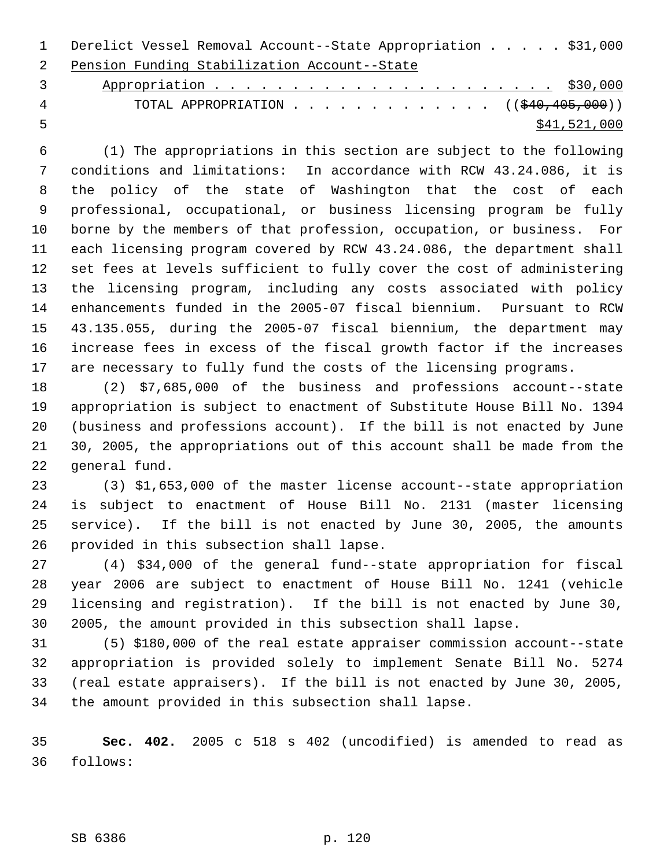Derelict Vessel Removal Account--State Appropriation . . . . . \$31,000 Pension Funding Stabilization Account--State

 Appropriation . . . . . . . . . . . . . . . . . . . . . . \$30,000 4 TOTAL APPROPRIATION . . . . . . . . . . . . ((\$40,405,000))  $\frac{$41,521,000}{2}$ 

 (1) The appropriations in this section are subject to the following conditions and limitations: In accordance with RCW 43.24.086, it is the policy of the state of Washington that the cost of each professional, occupational, or business licensing program be fully borne by the members of that profession, occupation, or business. For each licensing program covered by RCW 43.24.086, the department shall set fees at levels sufficient to fully cover the cost of administering the licensing program, including any costs associated with policy enhancements funded in the 2005-07 fiscal biennium. Pursuant to RCW 43.135.055, during the 2005-07 fiscal biennium, the department may increase fees in excess of the fiscal growth factor if the increases are necessary to fully fund the costs of the licensing programs.

 (2) \$7,685,000 of the business and professions account--state appropriation is subject to enactment of Substitute House Bill No. 1394 (business and professions account). If the bill is not enacted by June 30, 2005, the appropriations out of this account shall be made from the general fund.

 (3) \$1,653,000 of the master license account--state appropriation is subject to enactment of House Bill No. 2131 (master licensing service). If the bill is not enacted by June 30, 2005, the amounts provided in this subsection shall lapse.

 (4) \$34,000 of the general fund--state appropriation for fiscal year 2006 are subject to enactment of House Bill No. 1241 (vehicle licensing and registration). If the bill is not enacted by June 30, 2005, the amount provided in this subsection shall lapse.

 (5) \$180,000 of the real estate appraiser commission account--state appropriation is provided solely to implement Senate Bill No. 5274 (real estate appraisers). If the bill is not enacted by June 30, 2005, the amount provided in this subsection shall lapse.

 **Sec. 402.** 2005 c 518 s 402 (uncodified) is amended to read as follows: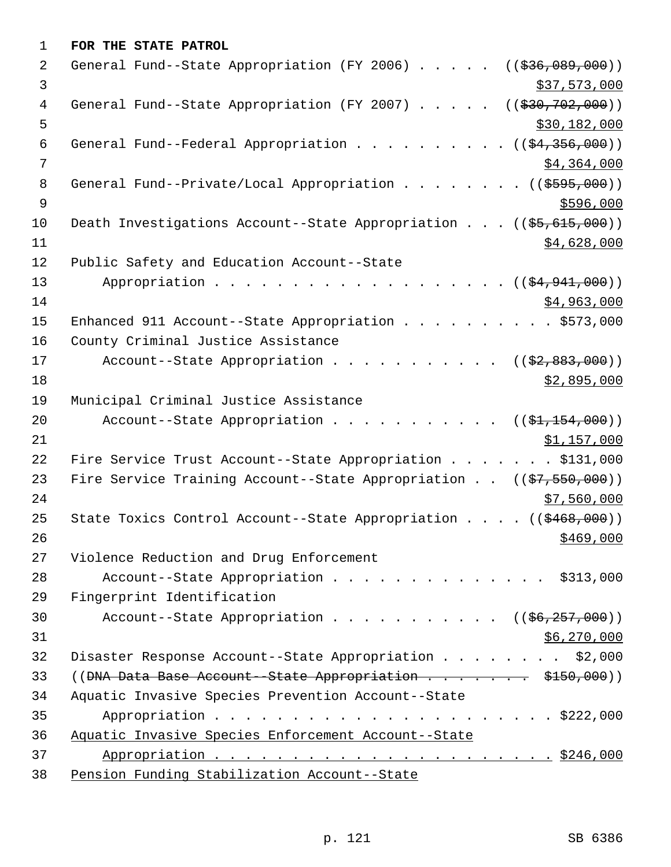| 1              | FOR THE STATE PATROL                                                                    |
|----------------|-----------------------------------------------------------------------------------------|
| 2              | General Fund--State Appropriation (FY 2006)<br>((\$36,089,000))                         |
| 3              | \$37,573,000                                                                            |
| 4              | General Fund--State Appropriation (FY 2007)<br>((\$30,702,000))                         |
| 5              | \$30,182,000                                                                            |
| 6              | General Fund--Federal Appropriation ( $(\frac{24}{356}, \frac{356}{900})$ )             |
| 7              | \$4,364,000                                                                             |
| 8              | General Fund--Private/Local Appropriation ( $(\frac{2595,000}{s})$ )                    |
| $\overline{9}$ | \$596,000                                                                               |
| 10             | Death Investigations Account--State Appropriation ((\$5,615,000))                       |
| 11             | \$4,628,000                                                                             |
| 12             | Public Safety and Education Account--State                                              |
| 13             | Appropriation $($ $($ $\frac{24.941.000}{90.000})$                                      |
| 14             | \$4,963,000                                                                             |
| 15             | Enhanced 911 Account--State Appropriation \$573,000                                     |
| 16             | County Criminal Justice Assistance                                                      |
| 17             | Account--State Appropriation $($ $($ \$2,883,000) $)$                                   |
| 18             | \$2,895,000                                                                             |
| 19             | Municipal Criminal Justice Assistance                                                   |
| 20             | Account--State Appropriation<br>$((\$1,154,000))$                                       |
| 21             | \$1,157,000                                                                             |
| 22             | Fire Service Trust Account--State Appropriation \$131,000                               |
| 23             | Fire Service Training Account--State Appropriation $((\frac{27}{57}, \frac{550}{500}))$ |
| 24             | \$7,560,000                                                                             |
| 25             | State Toxics Control Account--State Appropriation $($ $($ $\frac{468}{700})$            |
| 26             | \$469,000                                                                               |
| 27             | Violence Reduction and Drug Enforcement                                                 |
| 28             | Account--State Appropriation \$313,000                                                  |
| 29             | Fingerprint Identification                                                              |
| 30             | Account--State Appropriation $($ $($ $\frac{6}{6}$ , $257,000)$ )                       |
| 31             | \$6,270,000                                                                             |
| 32             | Disaster Response Account--State Appropriation \$2,000                                  |
| 33             |                                                                                         |
| 34             | Aquatic Invasive Species Prevention Account--State                                      |
| 35             |                                                                                         |
| 36             | Aquatic Invasive Species Enforcement Account--State                                     |
| 37             |                                                                                         |
| 38             | Pension Funding Stabilization Account--State                                            |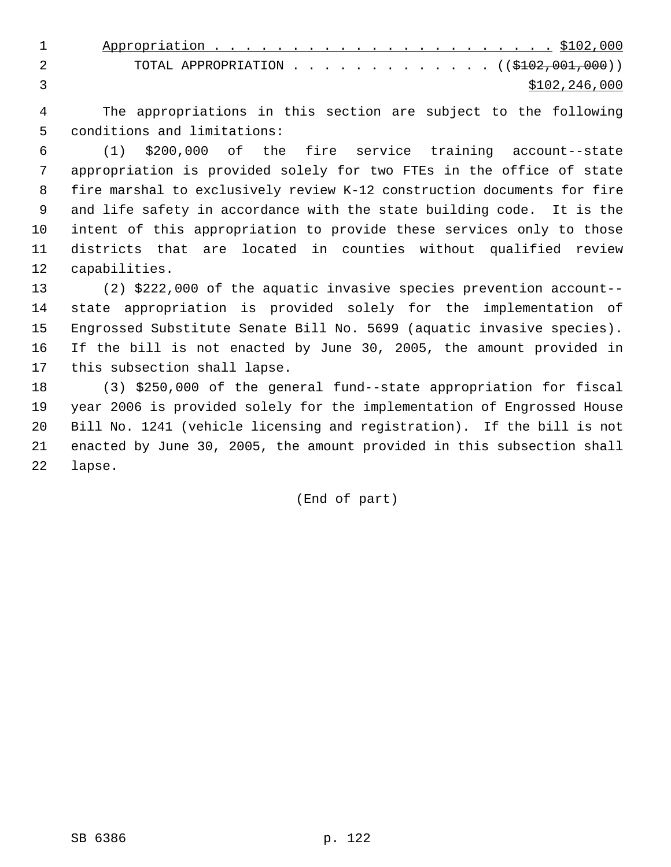| TOTAL APPROPRIATION ( $(\$102,001,000)$ ) |
|-------------------------------------------|
| \$102,246,000                             |

 The appropriations in this section are subject to the following conditions and limitations:

 (1) \$200,000 of the fire service training account--state appropriation is provided solely for two FTEs in the office of state fire marshal to exclusively review K-12 construction documents for fire and life safety in accordance with the state building code. It is the intent of this appropriation to provide these services only to those districts that are located in counties without qualified review capabilities.

 (2) \$222,000 of the aquatic invasive species prevention account-- state appropriation is provided solely for the implementation of Engrossed Substitute Senate Bill No. 5699 (aquatic invasive species). If the bill is not enacted by June 30, 2005, the amount provided in this subsection shall lapse.

 (3) \$250,000 of the general fund--state appropriation for fiscal year 2006 is provided solely for the implementation of Engrossed House Bill No. 1241 (vehicle licensing and registration). If the bill is not enacted by June 30, 2005, the amount provided in this subsection shall lapse.

(End of part)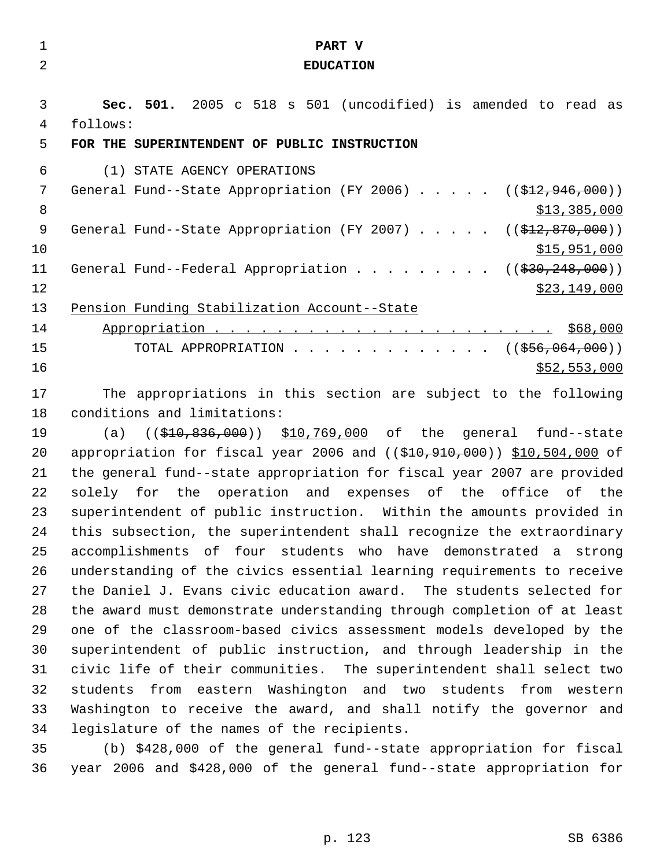| $\mathbf 1$    | PART V                                                                              |
|----------------|-------------------------------------------------------------------------------------|
| $\overline{a}$ | <b>EDUCATION</b>                                                                    |
|                |                                                                                     |
| 3              | Sec. 501. 2005 c 518 s 501 (uncodified) is amended to read as                       |
| 4              | follows:                                                                            |
| 5              | FOR THE SUPERINTENDENT OF PUBLIC INSTRUCTION                                        |
| 6              | (1) STATE AGENCY OPERATIONS                                                         |
| 7              | General Fund--State Appropriation (FY 2006) $($ $($ \$12,946,000))                  |
| 8              | \$13,385,000                                                                        |
| 9              | General Fund--State Appropriation (FY 2007) $($ $(\frac{212}{70}, \frac{870}{100})$ |
| 10             | \$15,951,000                                                                        |
| 11             | General Fund--Federal Appropriation ( $(\frac{230}{20}, \frac{248}{000})$ )         |
| 12             | \$23,149,000                                                                        |
| 13             | Pension Funding Stabilization Account--State                                        |
| 14             |                                                                                     |
| 15             | TOTAL APPROPRIATION ( $(\frac{256}{1000})$ )                                        |
| 16             | \$52,553,000                                                                        |
| 17             | The appropriations in this section are subject to the following                     |
| 18             | conditions and limitations:                                                         |
| 19             | $($ ( $$10,836,000$ ) $$10,769,000$ of the general fund--state<br>(a)               |
| 20             | appropriation for fiscal year 2006 and $($ $($ \$10,910,000)) \$10,504,000 of       |
| 21             | the general fund--state appropriation for fiscal year 2007 are provided             |
| 22             | solely for the operation and expenses of the office of the                          |
| 23             | superintendent of public instruction. Within the amounts provided in                |
| 24             | this subsection, the superintendent shall recognize the extraordinary               |
| 25             | accomplishments of four students who have demonstrated a strong                     |
| 26             | understanding of the civics essential learning requirements to receive              |
| 27             | the Daniel J. Evans civic education award. The students selected for                |
| 28             | the award must demonstrate understanding through completion of at least             |
| 29             | one of the classroom-based civics assessment models developed by the                |
| 30             | superintendent of public instruction, and through leadership in the                 |
| 31             | civic life of their communities. The superintendent shall select two                |
| 32             | from eastern Washington and two<br>students<br>students<br>from<br>western          |

legislature of the names of the recipients.

 (b) \$428,000 of the general fund--state appropriation for fiscal year 2006 and \$428,000 of the general fund--state appropriation for

Washington to receive the award, and shall notify the governor and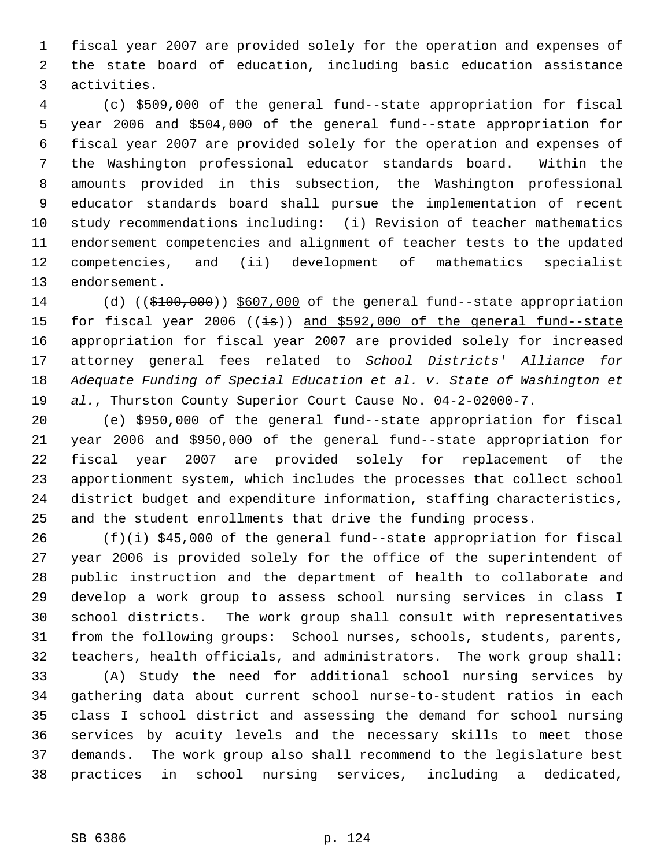fiscal year 2007 are provided solely for the operation and expenses of the state board of education, including basic education assistance activities.

 (c) \$509,000 of the general fund--state appropriation for fiscal year 2006 and \$504,000 of the general fund--state appropriation for fiscal year 2007 are provided solely for the operation and expenses of the Washington professional educator standards board. Within the amounts provided in this subsection, the Washington professional educator standards board shall pursue the implementation of recent study recommendations including: (i) Revision of teacher mathematics endorsement competencies and alignment of teacher tests to the updated competencies, and (ii) development of mathematics specialist endorsement.

14 (d) ((\$100,000)) \$607,000 of the general fund--state appropriation 15 for fiscal year 2006 ( $(i\text{--}s)$ ) and \$592,000 of the general fund--state 16 appropriation for fiscal year 2007 are provided solely for increased attorney general fees related to *School Districts' Alliance for Adequate Funding of Special Education et al. v. State of Washington et al.*, Thurston County Superior Court Cause No. 04-2-02000-7.

 (e) \$950,000 of the general fund--state appropriation for fiscal year 2006 and \$950,000 of the general fund--state appropriation for fiscal year 2007 are provided solely for replacement of the apportionment system, which includes the processes that collect school district budget and expenditure information, staffing characteristics, and the student enrollments that drive the funding process.

 (f)(i) \$45,000 of the general fund--state appropriation for fiscal year 2006 is provided solely for the office of the superintendent of public instruction and the department of health to collaborate and develop a work group to assess school nursing services in class I school districts. The work group shall consult with representatives from the following groups: School nurses, schools, students, parents, teachers, health officials, and administrators. The work group shall:

 (A) Study the need for additional school nursing services by gathering data about current school nurse-to-student ratios in each class I school district and assessing the demand for school nursing services by acuity levels and the necessary skills to meet those demands. The work group also shall recommend to the legislature best practices in school nursing services, including a dedicated,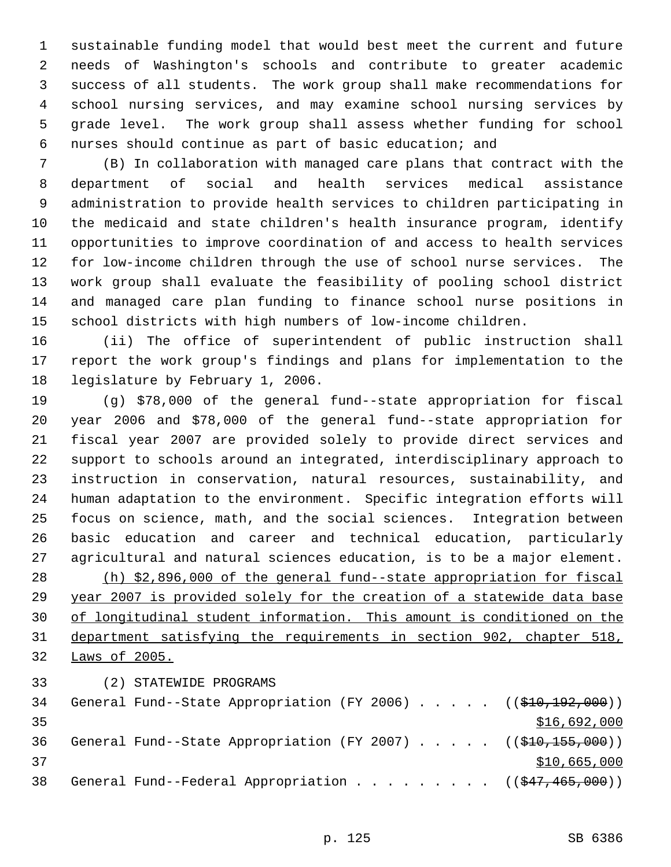sustainable funding model that would best meet the current and future needs of Washington's schools and contribute to greater academic success of all students. The work group shall make recommendations for school nursing services, and may examine school nursing services by grade level. The work group shall assess whether funding for school nurses should continue as part of basic education; and

 (B) In collaboration with managed care plans that contract with the department of social and health services medical assistance administration to provide health services to children participating in the medicaid and state children's health insurance program, identify opportunities to improve coordination of and access to health services for low-income children through the use of school nurse services. The work group shall evaluate the feasibility of pooling school district and managed care plan funding to finance school nurse positions in school districts with high numbers of low-income children.

 (ii) The office of superintendent of public instruction shall report the work group's findings and plans for implementation to the legislature by February 1, 2006.

 (g) \$78,000 of the general fund--state appropriation for fiscal year 2006 and \$78,000 of the general fund--state appropriation for fiscal year 2007 are provided solely to provide direct services and support to schools around an integrated, interdisciplinary approach to instruction in conservation, natural resources, sustainability, and human adaptation to the environment. Specific integration efforts will focus on science, math, and the social sciences. Integration between basic education and career and technical education, particularly agricultural and natural sciences education, is to be a major element. (h) \$2,896,000 of the general fund--state appropriation for fiscal 29 year 2007 is provided solely for the creation of a statewide data base of longitudinal student information. This amount is conditioned on the department satisfying the requirements in section 902, chapter 518, Laws of 2005.

(2) STATEWIDE PROGRAMS

| 34 |  |  |  |  |  | General Fund--State Appropriation (FY 2006) $($ $($ $\frac{2006}{10}, \frac{100}{100})$ |
|----|--|--|--|--|--|-----------------------------------------------------------------------------------------|
| 35 |  |  |  |  |  | \$16,692,000                                                                            |
| 36 |  |  |  |  |  | General Fund--State Appropriation (FY 2007) $($ $($ $\frac{2007}{1000})$                |
| 37 |  |  |  |  |  | \$10,665,000                                                                            |
| 38 |  |  |  |  |  | General Fund--Federal Appropriation ( $(\frac{247}{465}, 000)$ )                        |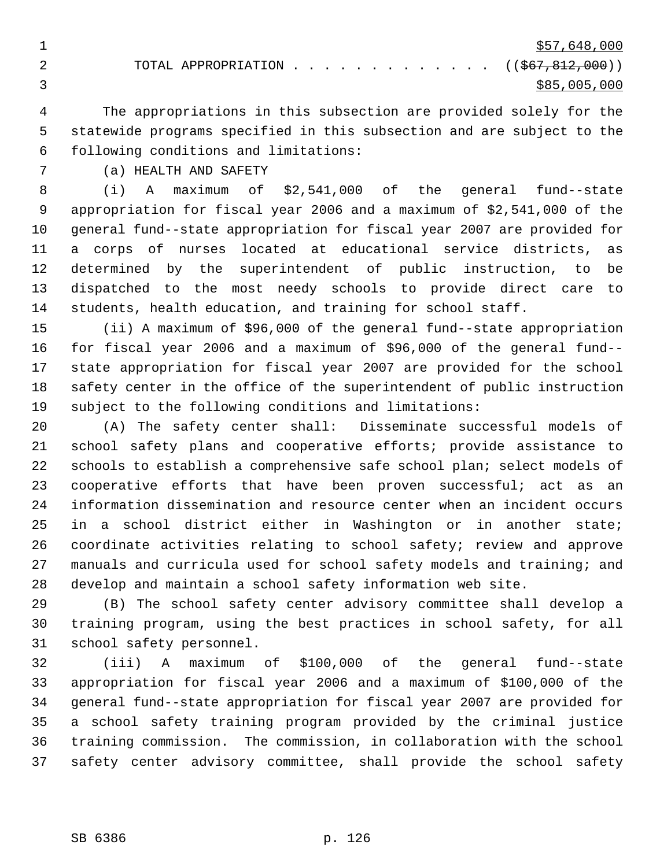$\frac{$57,648,000}{ }$ 2 TOTAL APPROPRIATION . . . . . . . . . . . . ((\$67,812,000))  $3 \times 85,005,000$ 

 The appropriations in this subsection are provided solely for the statewide programs specified in this subsection and are subject to the following conditions and limitations:

(a) HEALTH AND SAFETY

 (i) A maximum of \$2,541,000 of the general fund--state appropriation for fiscal year 2006 and a maximum of \$2,541,000 of the general fund--state appropriation for fiscal year 2007 are provided for a corps of nurses located at educational service districts, as determined by the superintendent of public instruction, to be dispatched to the most needy schools to provide direct care to students, health education, and training for school staff.

 (ii) A maximum of \$96,000 of the general fund--state appropriation for fiscal year 2006 and a maximum of \$96,000 of the general fund-- state appropriation for fiscal year 2007 are provided for the school safety center in the office of the superintendent of public instruction subject to the following conditions and limitations:

 (A) The safety center shall: Disseminate successful models of school safety plans and cooperative efforts; provide assistance to 22 schools to establish a comprehensive safe school plan; select models of cooperative efforts that have been proven successful; act as an information dissemination and resource center when an incident occurs in a school district either in Washington or in another state; coordinate activities relating to school safety; review and approve manuals and curricula used for school safety models and training; and develop and maintain a school safety information web site.

 (B) The school safety center advisory committee shall develop a training program, using the best practices in school safety, for all school safety personnel.

 (iii) A maximum of \$100,000 of the general fund--state appropriation for fiscal year 2006 and a maximum of \$100,000 of the general fund--state appropriation for fiscal year 2007 are provided for a school safety training program provided by the criminal justice training commission. The commission, in collaboration with the school safety center advisory committee, shall provide the school safety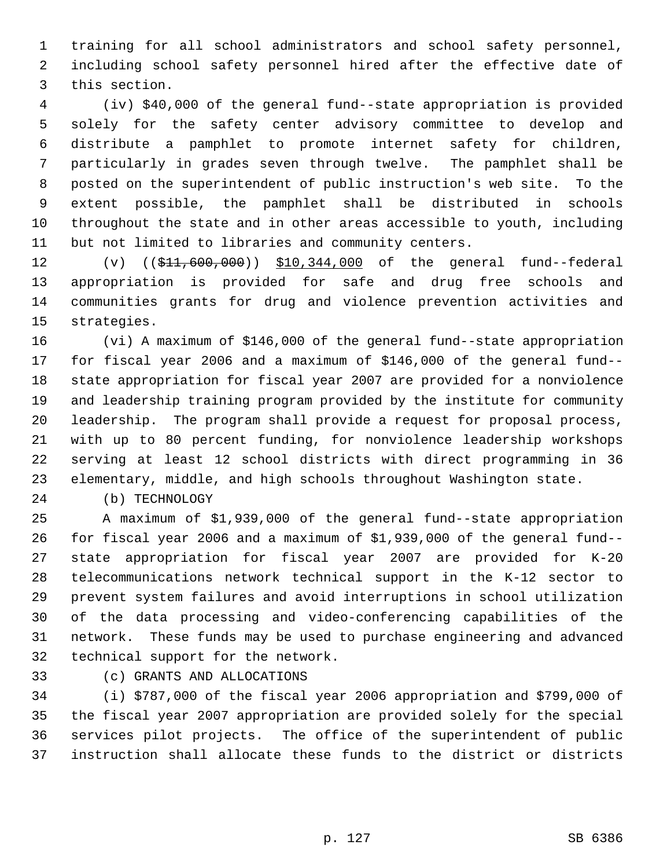training for all school administrators and school safety personnel, including school safety personnel hired after the effective date of this section.

 (iv) \$40,000 of the general fund--state appropriation is provided solely for the safety center advisory committee to develop and distribute a pamphlet to promote internet safety for children, particularly in grades seven through twelve. The pamphlet shall be posted on the superintendent of public instruction's web site. To the extent possible, the pamphlet shall be distributed in schools throughout the state and in other areas accessible to youth, including but not limited to libraries and community centers.

12 (v)  $((\frac{11}{10},\frac{600}{10},\frac{000}{10},\frac{344}{100},\frac{000}{100})$  of the general fund--federal appropriation is provided for safe and drug free schools and communities grants for drug and violence prevention activities and strategies.

 (vi) A maximum of \$146,000 of the general fund--state appropriation for fiscal year 2006 and a maximum of \$146,000 of the general fund-- state appropriation for fiscal year 2007 are provided for a nonviolence and leadership training program provided by the institute for community leadership. The program shall provide a request for proposal process, with up to 80 percent funding, for nonviolence leadership workshops serving at least 12 school districts with direct programming in 36 elementary, middle, and high schools throughout Washington state.

(b) TECHNOLOGY

 A maximum of \$1,939,000 of the general fund--state appropriation for fiscal year 2006 and a maximum of \$1,939,000 of the general fund-- state appropriation for fiscal year 2007 are provided for K-20 telecommunications network technical support in the K-12 sector to prevent system failures and avoid interruptions in school utilization of the data processing and video-conferencing capabilities of the network. These funds may be used to purchase engineering and advanced technical support for the network.

(c) GRANTS AND ALLOCATIONS

 (i) \$787,000 of the fiscal year 2006 appropriation and \$799,000 of the fiscal year 2007 appropriation are provided solely for the special services pilot projects. The office of the superintendent of public instruction shall allocate these funds to the district or districts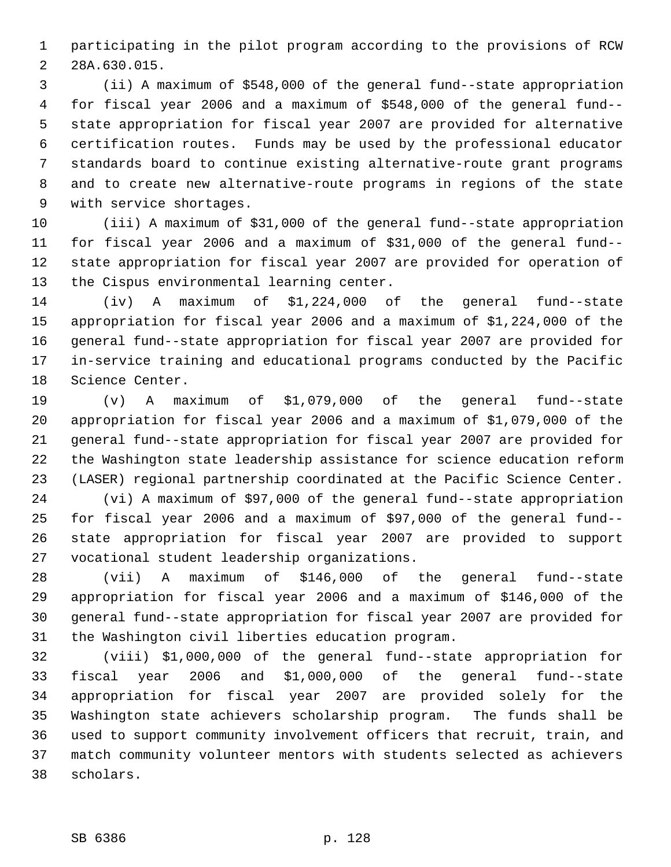participating in the pilot program according to the provisions of RCW 28A.630.015.

 (ii) A maximum of \$548,000 of the general fund--state appropriation for fiscal year 2006 and a maximum of \$548,000 of the general fund-- state appropriation for fiscal year 2007 are provided for alternative certification routes. Funds may be used by the professional educator standards board to continue existing alternative-route grant programs and to create new alternative-route programs in regions of the state with service shortages.

 (iii) A maximum of \$31,000 of the general fund--state appropriation for fiscal year 2006 and a maximum of \$31,000 of the general fund-- state appropriation for fiscal year 2007 are provided for operation of the Cispus environmental learning center.

 (iv) A maximum of \$1,224,000 of the general fund--state appropriation for fiscal year 2006 and a maximum of \$1,224,000 of the general fund--state appropriation for fiscal year 2007 are provided for in-service training and educational programs conducted by the Pacific Science Center.

 (v) A maximum of \$1,079,000 of the general fund--state appropriation for fiscal year 2006 and a maximum of \$1,079,000 of the general fund--state appropriation for fiscal year 2007 are provided for the Washington state leadership assistance for science education reform (LASER) regional partnership coordinated at the Pacific Science Center.

 (vi) A maximum of \$97,000 of the general fund--state appropriation for fiscal year 2006 and a maximum of \$97,000 of the general fund-- state appropriation for fiscal year 2007 are provided to support vocational student leadership organizations.

 (vii) A maximum of \$146,000 of the general fund--state appropriation for fiscal year 2006 and a maximum of \$146,000 of the general fund--state appropriation for fiscal year 2007 are provided for the Washington civil liberties education program.

 (viii) \$1,000,000 of the general fund--state appropriation for fiscal year 2006 and \$1,000,000 of the general fund--state appropriation for fiscal year 2007 are provided solely for the Washington state achievers scholarship program. The funds shall be used to support community involvement officers that recruit, train, and match community volunteer mentors with students selected as achievers scholars.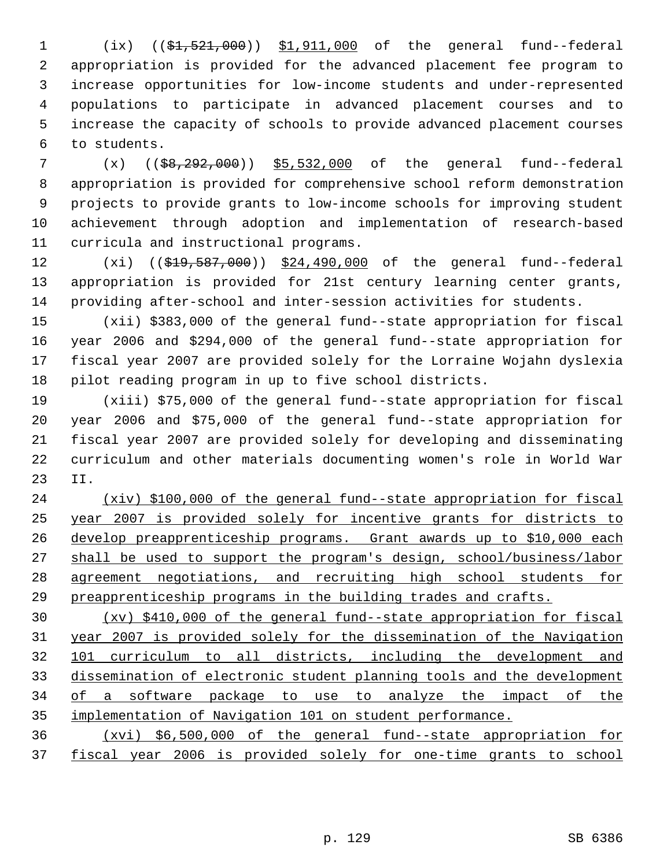1 (ix) ((\$1,521,000)) \$1,911,000 of the general fund--federal appropriation is provided for the advanced placement fee program to increase opportunities for low-income students and under-represented populations to participate in advanced placement courses and to increase the capacity of schools to provide advanced placement courses to students.

 (x) ((\$8,292,000)) \$5,532,000 of the general fund--federal appropriation is provided for comprehensive school reform demonstration projects to provide grants to low-income schools for improving student achievement through adoption and implementation of research-based curricula and instructional programs.

12 (xi) ((\$19,587,000)) \$24,490,000 of the general fund--federal appropriation is provided for 21st century learning center grants, providing after-school and inter-session activities for students.

 (xii) \$383,000 of the general fund--state appropriation for fiscal year 2006 and \$294,000 of the general fund--state appropriation for fiscal year 2007 are provided solely for the Lorraine Wojahn dyslexia pilot reading program in up to five school districts.

 (xiii) \$75,000 of the general fund--state appropriation for fiscal year 2006 and \$75,000 of the general fund--state appropriation for fiscal year 2007 are provided solely for developing and disseminating curriculum and other materials documenting women's role in World War II.

 (xiv) \$100,000 of the general fund--state appropriation for fiscal year 2007 is provided solely for incentive grants for districts to develop preapprenticeship programs. Grant awards up to \$10,000 each shall be used to support the program's design, school/business/labor agreement negotiations, and recruiting high school students for preapprenticeship programs in the building trades and crafts.

 (xv) \$410,000 of the general fund--state appropriation for fiscal year 2007 is provided solely for the dissemination of the Navigation 101 curriculum to all districts, including the development and dissemination of electronic student planning tools and the development of a software package to use to analyze the impact of the implementation of Navigation 101 on student performance.

 (xvi) \$6,500,000 of the general fund--state appropriation for fiscal year 2006 is provided solely for one-time grants to school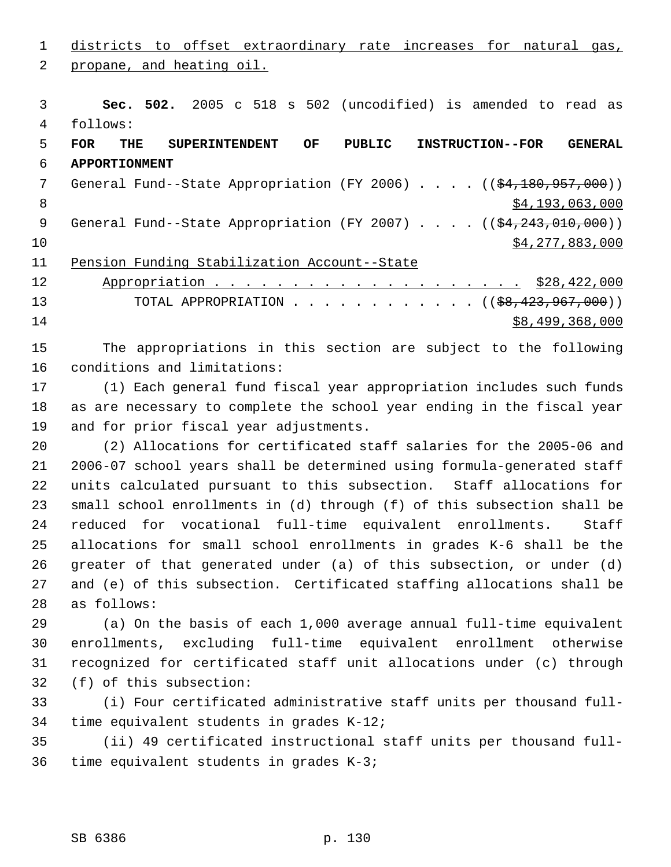districts to offset extraordinary rate increases for natural gas, propane, and heating oil. **Sec. 502.** 2005 c 518 s 502 (uncodified) is amended to read as follows: **FOR THE SUPERINTENDENT OF PUBLIC INSTRUCTION--FOR GENERAL APPORTIONMENT** 7 General Fund--State Appropriation (FY 2006) . . . . ((\$4,180,957,000))  $\frac{1}{2}$   $\frac{1}{3}$ ,063,000 9 General Fund--State Appropriation (FY 2007) . . . . ((\$4,243,010,000)) \$4,277,883,000 Pension Funding Stabilization Account--State Appropriation . . . . . . . . . . . . . . . . . . . . \$28,422,000 13 TOTAL APPROPRIATION . . . . . . . . . . . ((<del>\$8,423,967,000</del>))

\$8,499,368,000

 The appropriations in this section are subject to the following conditions and limitations:

 (1) Each general fund fiscal year appropriation includes such funds as are necessary to complete the school year ending in the fiscal year and for prior fiscal year adjustments.

 (2) Allocations for certificated staff salaries for the 2005-06 and 2006-07 school years shall be determined using formula-generated staff units calculated pursuant to this subsection. Staff allocations for small school enrollments in (d) through (f) of this subsection shall be reduced for vocational full-time equivalent enrollments. Staff allocations for small school enrollments in grades K-6 shall be the greater of that generated under (a) of this subsection, or under (d) and (e) of this subsection. Certificated staffing allocations shall be as follows:

 (a) On the basis of each 1,000 average annual full-time equivalent enrollments, excluding full-time equivalent enrollment otherwise recognized for certificated staff unit allocations under (c) through (f) of this subsection:

 (i) Four certificated administrative staff units per thousand full-time equivalent students in grades K-12;

 (ii) 49 certificated instructional staff units per thousand full-time equivalent students in grades K-3;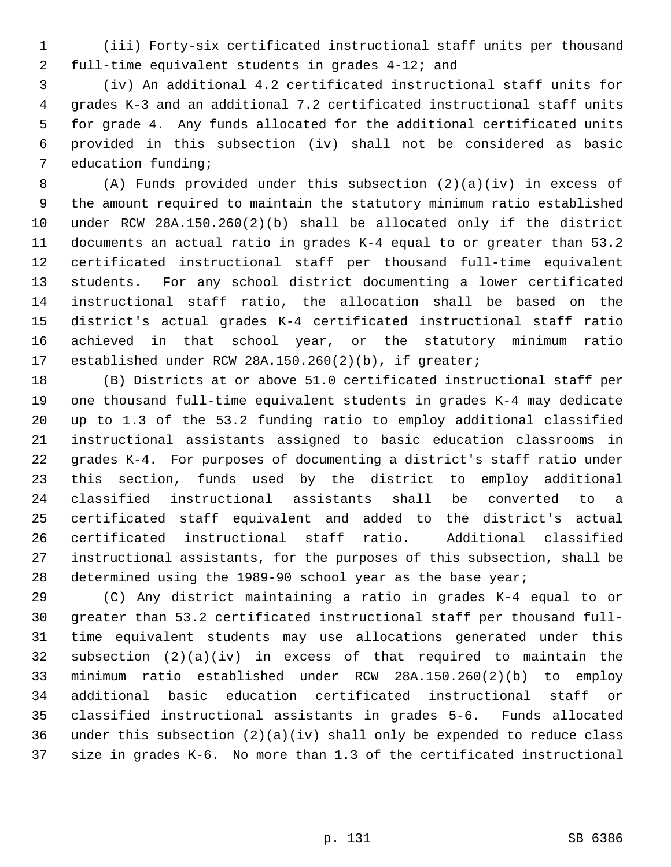(iii) Forty-six certificated instructional staff units per thousand full-time equivalent students in grades 4-12; and

 (iv) An additional 4.2 certificated instructional staff units for grades K-3 and an additional 7.2 certificated instructional staff units for grade 4. Any funds allocated for the additional certificated units provided in this subsection (iv) shall not be considered as basic education funding;

 (A) Funds provided under this subsection (2)(a)(iv) in excess of the amount required to maintain the statutory minimum ratio established under RCW 28A.150.260(2)(b) shall be allocated only if the district documents an actual ratio in grades K-4 equal to or greater than 53.2 certificated instructional staff per thousand full-time equivalent students. For any school district documenting a lower certificated instructional staff ratio, the allocation shall be based on the district's actual grades K-4 certificated instructional staff ratio achieved in that school year, or the statutory minimum ratio established under RCW 28A.150.260(2)(b), if greater;

 (B) Districts at or above 51.0 certificated instructional staff per one thousand full-time equivalent students in grades K-4 may dedicate up to 1.3 of the 53.2 funding ratio to employ additional classified instructional assistants assigned to basic education classrooms in grades K-4. For purposes of documenting a district's staff ratio under this section, funds used by the district to employ additional classified instructional assistants shall be converted to a certificated staff equivalent and added to the district's actual certificated instructional staff ratio. Additional classified instructional assistants, for the purposes of this subsection, shall be determined using the 1989-90 school year as the base year;

 (C) Any district maintaining a ratio in grades K-4 equal to or greater than 53.2 certificated instructional staff per thousand full- time equivalent students may use allocations generated under this subsection (2)(a)(iv) in excess of that required to maintain the minimum ratio established under RCW 28A.150.260(2)(b) to employ additional basic education certificated instructional staff or classified instructional assistants in grades 5-6. Funds allocated under this subsection (2)(a)(iv) shall only be expended to reduce class size in grades K-6. No more than 1.3 of the certificated instructional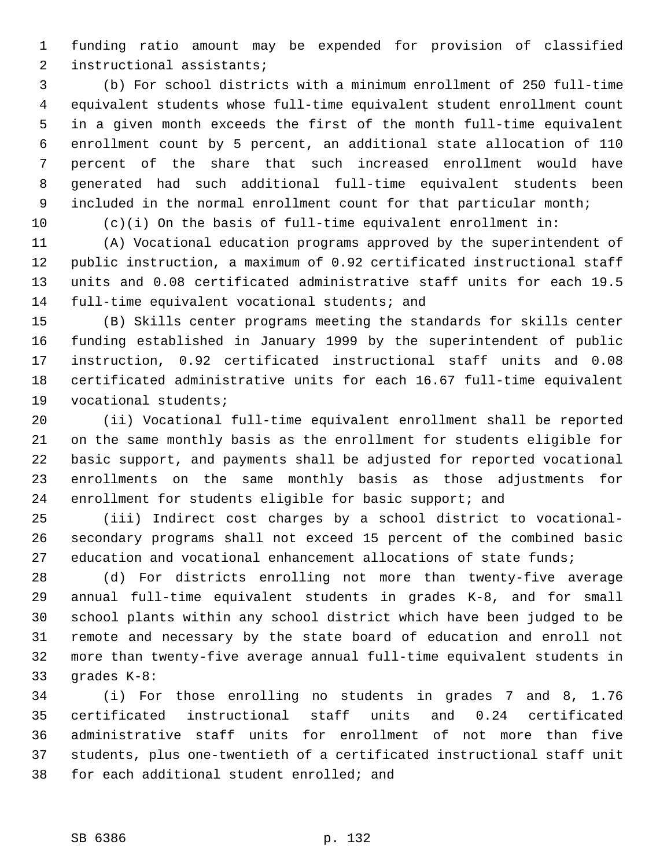funding ratio amount may be expended for provision of classified instructional assistants;

 (b) For school districts with a minimum enrollment of 250 full-time equivalent students whose full-time equivalent student enrollment count in a given month exceeds the first of the month full-time equivalent enrollment count by 5 percent, an additional state allocation of 110 percent of the share that such increased enrollment would have generated had such additional full-time equivalent students been 9 included in the normal enrollment count for that particular month;

(c)(i) On the basis of full-time equivalent enrollment in:

 (A) Vocational education programs approved by the superintendent of public instruction, a maximum of 0.92 certificated instructional staff units and 0.08 certificated administrative staff units for each 19.5 full-time equivalent vocational students; and

 (B) Skills center programs meeting the standards for skills center funding established in January 1999 by the superintendent of public instruction, 0.92 certificated instructional staff units and 0.08 certificated administrative units for each 16.67 full-time equivalent vocational students;

 (ii) Vocational full-time equivalent enrollment shall be reported on the same monthly basis as the enrollment for students eligible for basic support, and payments shall be adjusted for reported vocational enrollments on the same monthly basis as those adjustments for enrollment for students eligible for basic support; and

 (iii) Indirect cost charges by a school district to vocational- secondary programs shall not exceed 15 percent of the combined basic education and vocational enhancement allocations of state funds;

 (d) For districts enrolling not more than twenty-five average annual full-time equivalent students in grades K-8, and for small school plants within any school district which have been judged to be remote and necessary by the state board of education and enroll not more than twenty-five average annual full-time equivalent students in grades K-8:

 (i) For those enrolling no students in grades 7 and 8, 1.76 certificated instructional staff units and 0.24 certificated administrative staff units for enrollment of not more than five students, plus one-twentieth of a certificated instructional staff unit for each additional student enrolled; and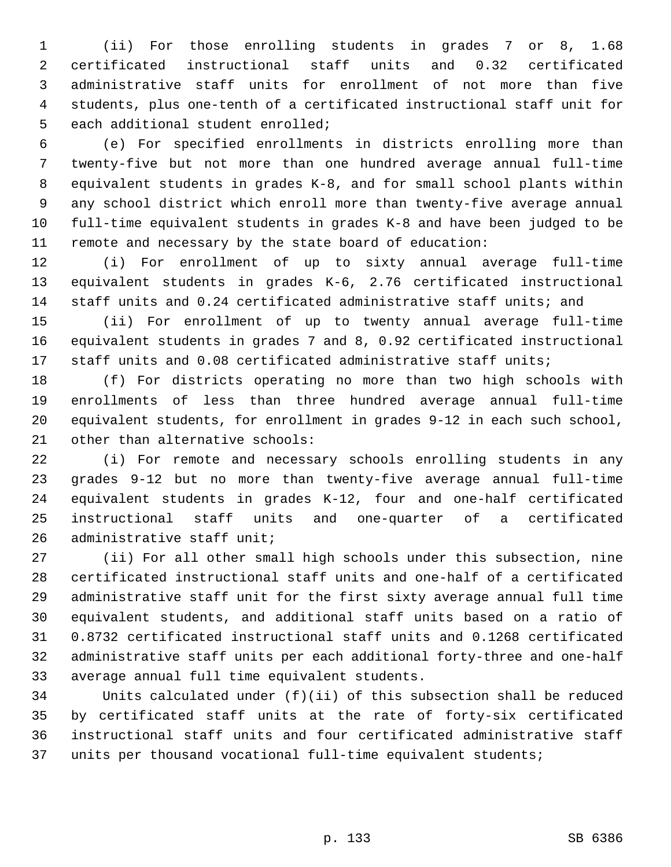(ii) For those enrolling students in grades 7 or 8, 1.68 certificated instructional staff units and 0.32 certificated administrative staff units for enrollment of not more than five students, plus one-tenth of a certificated instructional staff unit for each additional student enrolled;

 (e) For specified enrollments in districts enrolling more than twenty-five but not more than one hundred average annual full-time equivalent students in grades K-8, and for small school plants within any school district which enroll more than twenty-five average annual full-time equivalent students in grades K-8 and have been judged to be remote and necessary by the state board of education:

 (i) For enrollment of up to sixty annual average full-time equivalent students in grades K-6, 2.76 certificated instructional staff units and 0.24 certificated administrative staff units; and

 (ii) For enrollment of up to twenty annual average full-time equivalent students in grades 7 and 8, 0.92 certificated instructional staff units and 0.08 certificated administrative staff units;

 (f) For districts operating no more than two high schools with enrollments of less than three hundred average annual full-time equivalent students, for enrollment in grades 9-12 in each such school, other than alternative schools:

 (i) For remote and necessary schools enrolling students in any grades 9-12 but no more than twenty-five average annual full-time equivalent students in grades K-12, four and one-half certificated instructional staff units and one-quarter of a certificated administrative staff unit;

 (ii) For all other small high schools under this subsection, nine certificated instructional staff units and one-half of a certificated administrative staff unit for the first sixty average annual full time equivalent students, and additional staff units based on a ratio of 0.8732 certificated instructional staff units and 0.1268 certificated administrative staff units per each additional forty-three and one-half average annual full time equivalent students.

 Units calculated under (f)(ii) of this subsection shall be reduced by certificated staff units at the rate of forty-six certificated instructional staff units and four certificated administrative staff units per thousand vocational full-time equivalent students;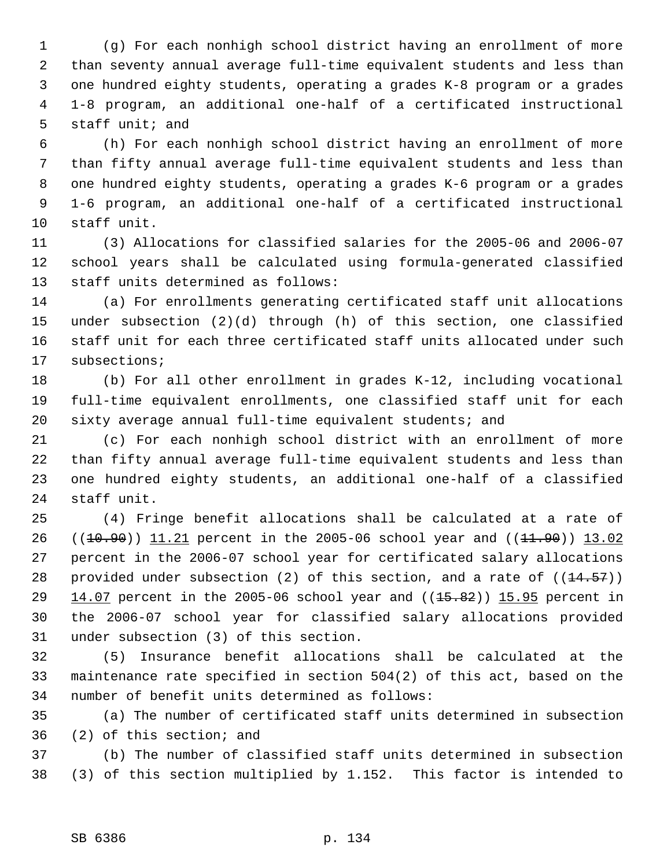(g) For each nonhigh school district having an enrollment of more than seventy annual average full-time equivalent students and less than one hundred eighty students, operating a grades K-8 program or a grades 1-8 program, an additional one-half of a certificated instructional staff unit; and

 (h) For each nonhigh school district having an enrollment of more than fifty annual average full-time equivalent students and less than one hundred eighty students, operating a grades K-6 program or a grades 1-6 program, an additional one-half of a certificated instructional staff unit.

 (3) Allocations for classified salaries for the 2005-06 and 2006-07 school years shall be calculated using formula-generated classified staff units determined as follows:

 (a) For enrollments generating certificated staff unit allocations under subsection (2)(d) through (h) of this section, one classified staff unit for each three certificated staff units allocated under such subsections;

 (b) For all other enrollment in grades K-12, including vocational full-time equivalent enrollments, one classified staff unit for each sixty average annual full-time equivalent students; and

 (c) For each nonhigh school district with an enrollment of more than fifty annual average full-time equivalent students and less than one hundred eighty students, an additional one-half of a classified staff unit.

 (4) Fringe benefit allocations shall be calculated at a rate of 26 ((10.90)) 11.21 percent in the 2005-06 school year and ((11.90)) 13.02 percent in the 2006-07 school year for certificated salary allocations 28 provided under subsection (2) of this section, and a rate of  $((14.57))$ 29 14.07 percent in the 2005-06 school year and  $((15.82))$  15.95 percent in the 2006-07 school year for classified salary allocations provided under subsection (3) of this section.

 (5) Insurance benefit allocations shall be calculated at the maintenance rate specified in section 504(2) of this act, based on the number of benefit units determined as follows:

 (a) The number of certificated staff units determined in subsection (2) of this section; and

 (b) The number of classified staff units determined in subsection (3) of this section multiplied by 1.152. This factor is intended to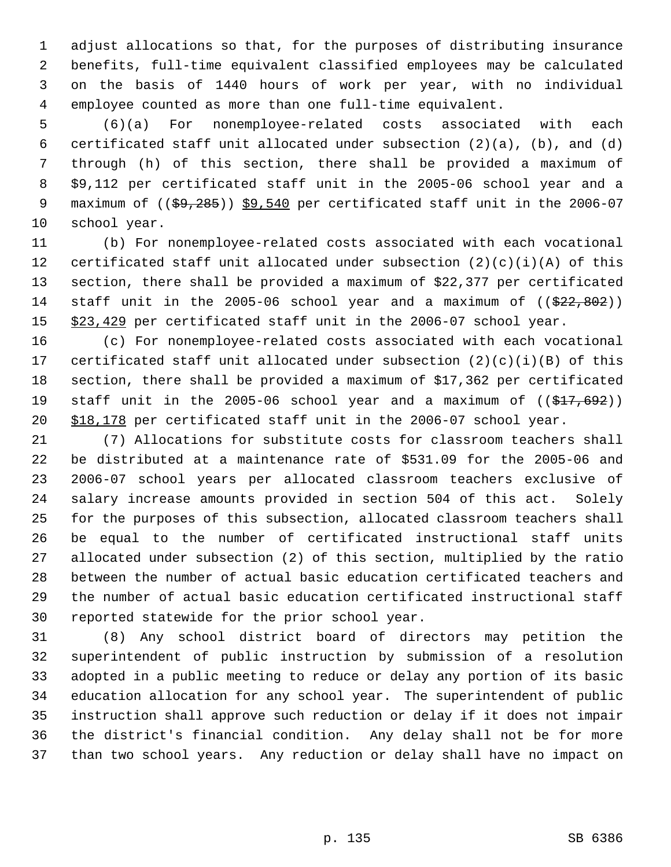adjust allocations so that, for the purposes of distributing insurance benefits, full-time equivalent classified employees may be calculated on the basis of 1440 hours of work per year, with no individual employee counted as more than one full-time equivalent.

 (6)(a) For nonemployee-related costs associated with each certificated staff unit allocated under subsection (2)(a), (b), and (d) through (h) of this section, there shall be provided a maximum of \$9,112 per certificated staff unit in the 2005-06 school year and a 9 maximum of ((\$9,285)) \$9,540 per certificated staff unit in the 2006-07 school year.

 (b) For nonemployee-related costs associated with each vocational 12 certificated staff unit allocated under subsection  $(2)(c)(i)(A)$  of this section, there shall be provided a maximum of \$22,377 per certificated 14 staff unit in the 2005-06 school year and a maximum of  $($  $\frac{22}{22,802})$ 15 \$23,429 per certificated staff unit in the 2006-07 school year.

 (c) For nonemployee-related costs associated with each vocational certificated staff unit allocated under subsection (2)(c)(i)(B) of this section, there shall be provided a maximum of \$17,362 per certificated 19 staff unit in the 2005-06 school year and a maximum of  $((\frac{17}{617}, 692))$ \$18,178 per certificated staff unit in the 2006-07 school year.

 (7) Allocations for substitute costs for classroom teachers shall be distributed at a maintenance rate of \$531.09 for the 2005-06 and 2006-07 school years per allocated classroom teachers exclusive of salary increase amounts provided in section 504 of this act. Solely for the purposes of this subsection, allocated classroom teachers shall be equal to the number of certificated instructional staff units allocated under subsection (2) of this section, multiplied by the ratio between the number of actual basic education certificated teachers and the number of actual basic education certificated instructional staff reported statewide for the prior school year.

 (8) Any school district board of directors may petition the superintendent of public instruction by submission of a resolution adopted in a public meeting to reduce or delay any portion of its basic education allocation for any school year. The superintendent of public instruction shall approve such reduction or delay if it does not impair the district's financial condition. Any delay shall not be for more than two school years. Any reduction or delay shall have no impact on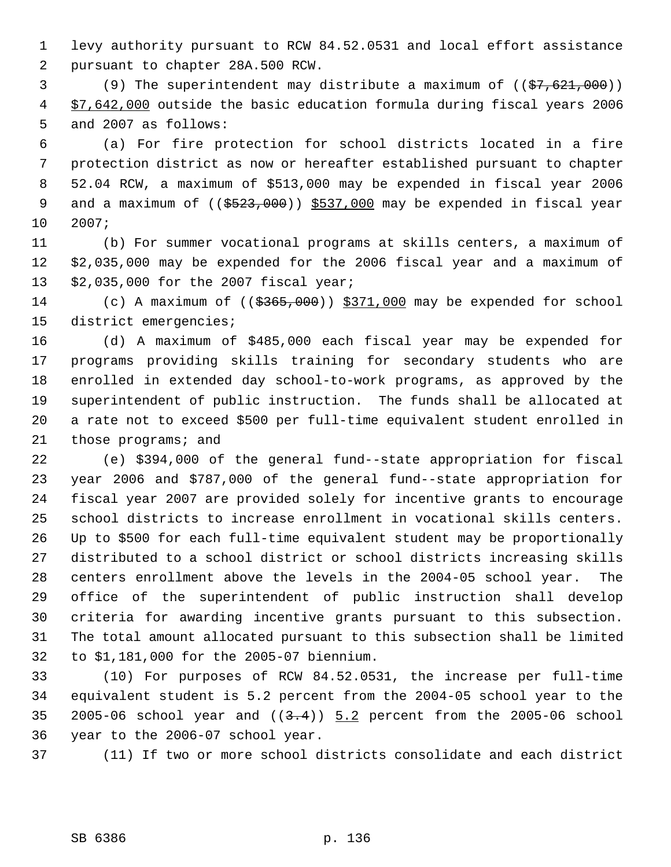levy authority pursuant to RCW 84.52.0531 and local effort assistance pursuant to chapter 28A.500 RCW.

3 (9) The superintendent may distribute a maximum of  $((\frac{27}{67}, \frac{621}{600}))$ 4 \$7,642,000 outside the basic education formula during fiscal years 2006 and 2007 as follows:

 (a) For fire protection for school districts located in a fire protection district as now or hereafter established pursuant to chapter 52.04 RCW, a maximum of \$513,000 may be expended in fiscal year 2006 9 and a maximum of ((\$523,000)) \$537,000 may be expended in fiscal year 2007;

 (b) For summer vocational programs at skills centers, a maximum of \$2,035,000 may be expended for the 2006 fiscal year and a maximum of \$2,035,000 for the 2007 fiscal year;

14 (c) A maximum of (( $\frac{2565,000}{371,000}$  may be expended for school district emergencies;

 (d) A maximum of \$485,000 each fiscal year may be expended for programs providing skills training for secondary students who are enrolled in extended day school-to-work programs, as approved by the superintendent of public instruction. The funds shall be allocated at a rate not to exceed \$500 per full-time equivalent student enrolled in those programs; and

 (e) \$394,000 of the general fund--state appropriation for fiscal year 2006 and \$787,000 of the general fund--state appropriation for fiscal year 2007 are provided solely for incentive grants to encourage school districts to increase enrollment in vocational skills centers. Up to \$500 for each full-time equivalent student may be proportionally distributed to a school district or school districts increasing skills centers enrollment above the levels in the 2004-05 school year. The office of the superintendent of public instruction shall develop criteria for awarding incentive grants pursuant to this subsection. The total amount allocated pursuant to this subsection shall be limited to \$1,181,000 for the 2005-07 biennium.

 (10) For purposes of RCW 84.52.0531, the increase per full-time equivalent student is 5.2 percent from the 2004-05 school year to the 35 2005-06 school year and  $((3.4))$   $5.2$  percent from the 2005-06 school year to the 2006-07 school year.

(11) If two or more school districts consolidate and each district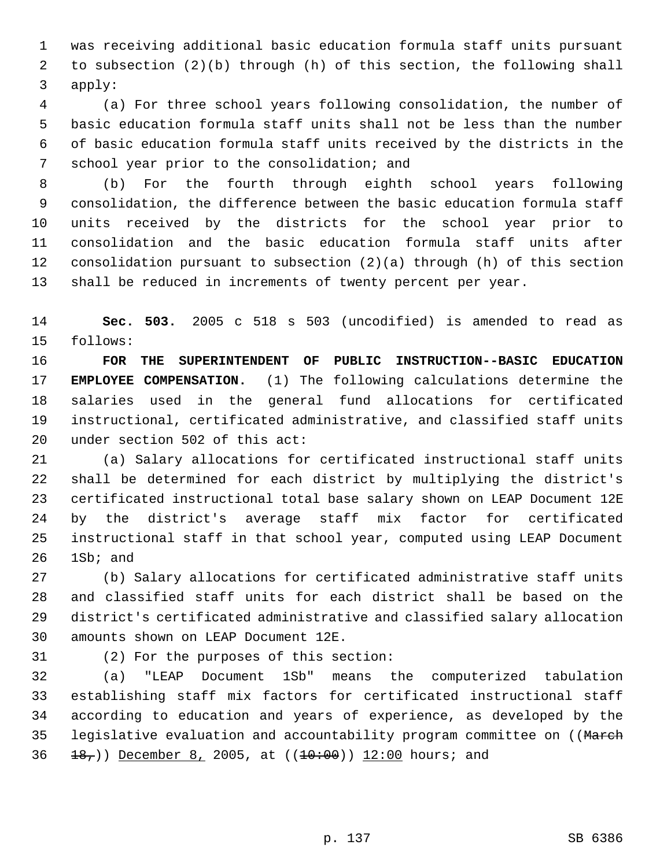was receiving additional basic education formula staff units pursuant to subsection (2)(b) through (h) of this section, the following shall apply:

 (a) For three school years following consolidation, the number of basic education formula staff units shall not be less than the number of basic education formula staff units received by the districts in the school year prior to the consolidation; and

 (b) For the fourth through eighth school years following consolidation, the difference between the basic education formula staff units received by the districts for the school year prior to consolidation and the basic education formula staff units after consolidation pursuant to subsection (2)(a) through (h) of this section shall be reduced in increments of twenty percent per year.

 **Sec. 503.** 2005 c 518 s 503 (uncodified) is amended to read as follows:

 **FOR THE SUPERINTENDENT OF PUBLIC INSTRUCTION--BASIC EDUCATION EMPLOYEE COMPENSATION.** (1) The following calculations determine the salaries used in the general fund allocations for certificated instructional, certificated administrative, and classified staff units under section 502 of this act:

 (a) Salary allocations for certificated instructional staff units shall be determined for each district by multiplying the district's certificated instructional total base salary shown on LEAP Document 12E by the district's average staff mix factor for certificated instructional staff in that school year, computed using LEAP Document 1Sb; and

 (b) Salary allocations for certificated administrative staff units and classified staff units for each district shall be based on the district's certificated administrative and classified salary allocation amounts shown on LEAP Document 12E.

(2) For the purposes of this section:

 (a) "LEAP Document 1Sb" means the computerized tabulation establishing staff mix factors for certificated instructional staff according to education and years of experience, as developed by the 35 legislative evaluation and accountability program committee on ((March  $\pm 8,$ )) December 8, 2005, at (( $\pm 0.00$ ))  $\pm 2.00$  hours; and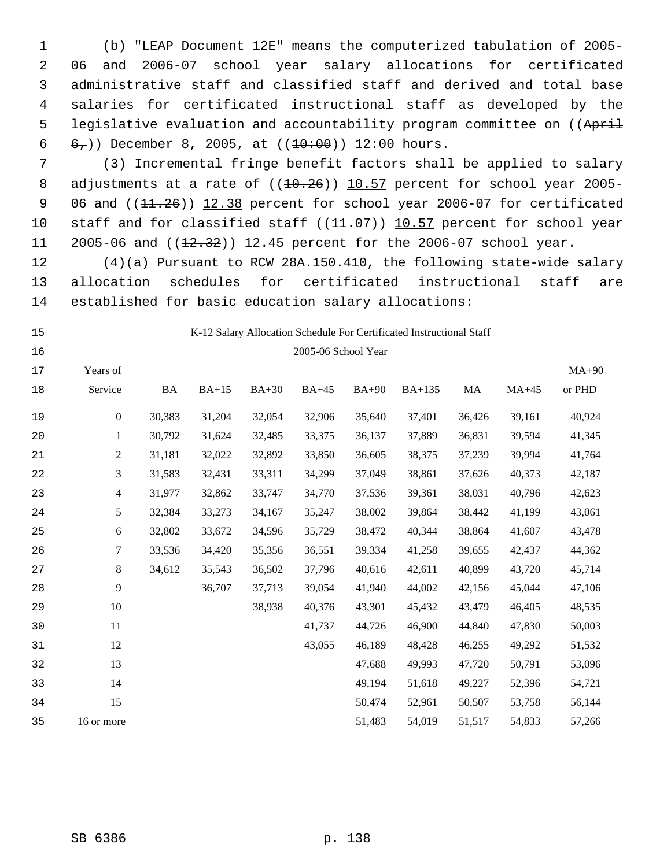(b) "LEAP Document 12E" means the computerized tabulation of 2005- 06 and 2006-07 school year salary allocations for certificated administrative staff and classified staff and derived and total base salaries for certificated instructional staff as developed by the 5 legislative evaluation and accountability program committee on ((April  $6,$ )) December 8, 2005, at ( $(10:00)$ ) 12:00 hours.

 (3) Incremental fringe benefit factors shall be applied to salary 8 adjustments at a rate of  $((10.26))$   $10.57$  percent for school year 2005-9 06 and ((11.26)) 12.38 percent for school year 2006-07 for certificated 10 staff and for classified staff ((11.07)) 10.57 percent for school year 11 2005-06 and ((12.32)) 12.45 percent for the 2006-07 school year.

 (4)(a) Pursuant to RCW 28A.150.410, the following state-wide salary allocation schedules for certificated instructional staff are established for basic education salary allocations:

## K-12 Salary Allocation Schedule For Certificated Instructional Staff

| 16 |                          |           |         |         | 2005-06 School Year |              |               |        |         |         |
|----|--------------------------|-----------|---------|---------|---------------------|--------------|---------------|--------|---------|---------|
| 17 | Years of                 |           |         |         |                     |              |               |        |         | $MA+90$ |
| 18 | Service                  | $\rm{BA}$ | $BA+15$ | $BA+30$ | $BA+45$             | <b>BA+90</b> | <b>BA+135</b> | MA     | $MA+45$ | or PHD  |
| 19 | $\boldsymbol{0}$         | 30,383    | 31,204  | 32,054  | 32,906              | 35,640       | 37,401        | 36,426 | 39,161  | 40,924  |
| 20 | 1                        | 30,792    | 31,624  | 32,485  | 33,375              | 36,137       | 37,889        | 36,831 | 39,594  | 41,345  |
| 21 | $\overline{2}$           | 31,181    | 32,022  | 32,892  | 33,850              | 36,605       | 38,375        | 37,239 | 39,994  | 41,764  |
| 22 | 3                        | 31,583    | 32,431  | 33,311  | 34,299              | 37,049       | 38,861        | 37,626 | 40,373  | 42,187  |
| 23 | $\overline{\mathcal{L}}$ | 31,977    | 32,862  | 33,747  | 34,770              | 37,536       | 39,361        | 38,031 | 40,796  | 42,623  |
| 24 | 5                        | 32,384    | 33,273  | 34,167  | 35,247              | 38,002       | 39,864        | 38,442 | 41,199  | 43,061  |
| 25 | 6                        | 32,802    | 33,672  | 34,596  | 35,729              | 38,472       | 40,344        | 38,864 | 41,607  | 43,478  |
| 26 | $\boldsymbol{7}$         | 33,536    | 34,420  | 35,356  | 36,551              | 39,334       | 41,258        | 39,655 | 42,437  | 44,362  |
| 27 | $8\,$                    | 34,612    | 35,543  | 36,502  | 37,796              | 40,616       | 42,611        | 40,899 | 43,720  | 45,714  |
| 28 | 9                        |           | 36,707  | 37,713  | 39,054              | 41,940       | 44,002        | 42,156 | 45,044  | 47,106  |
| 29 | 10                       |           |         | 38,938  | 40,376              | 43,301       | 45,432        | 43,479 | 46,405  | 48,535  |
| 30 | 11                       |           |         |         | 41,737              | 44,726       | 46,900        | 44,840 | 47,830  | 50,003  |
| 31 | 12                       |           |         |         | 43,055              | 46,189       | 48,428        | 46,255 | 49,292  | 51,532  |
| 32 | 13                       |           |         |         |                     | 47,688       | 49,993        | 47,720 | 50,791  | 53,096  |
| 33 | 14                       |           |         |         |                     | 49,194       | 51,618        | 49,227 | 52,396  | 54,721  |
| 34 | 15                       |           |         |         |                     | 50,474       | 52,961        | 50,507 | 53,758  | 56,144  |
| 35 | 16 or more               |           |         |         |                     | 51,483       | 54,019        | 51,517 | 54,833  | 57,266  |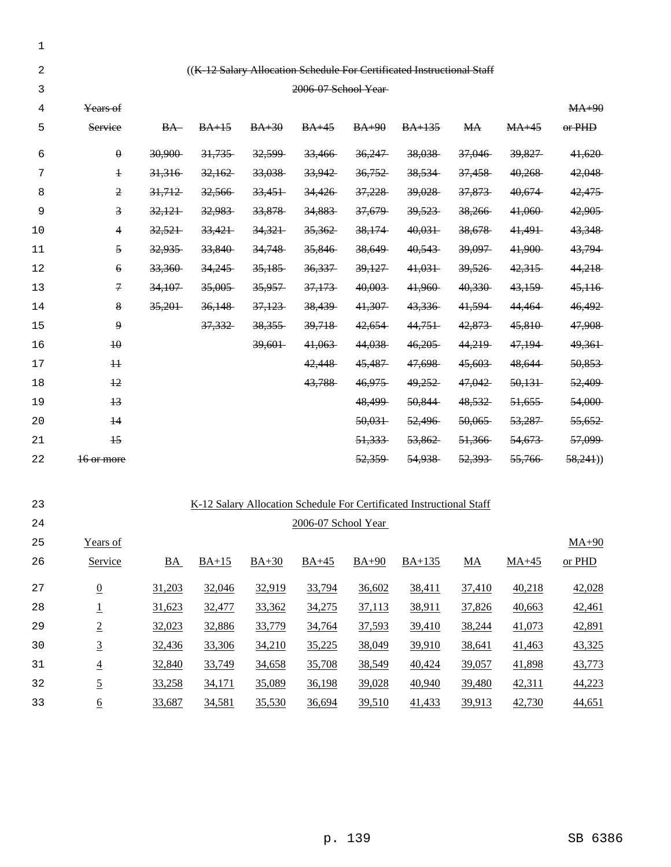| 1  |                         |                  |         |         |                      |         |                                                                        |                   |         |          |
|----|-------------------------|------------------|---------|---------|----------------------|---------|------------------------------------------------------------------------|-------------------|---------|----------|
| 2  |                         |                  |         |         |                      |         | ((K-12 Salary Allocation Schedule For Certificated Instructional Staff |                   |         |          |
| 3  |                         |                  |         |         | 2006-07 School Year- |         |                                                                        |                   |         |          |
| 4  | Years of                |                  |         |         |                      |         |                                                                        |                   |         | $MA+90$  |
| 5  | Service                 | $BA-$            | $BA+15$ | $BA+30$ | $BA+45$              | $BA+90$ | $BA+135$                                                               | <b>MA</b>         | $MA+45$ | $or$ PHD |
| 6  | $\theta$                | 30,900           | 31,735  | 32,599  | 33,466               | 36,247  | 38,038                                                                 | 37,046            | 39,827  | 41,620   |
| 7  | $\ddagger$              | 31,316           | 32,162  | 33,038  | 33,942               | 36,752  | 38,534                                                                 | 37,458            | 40,268  | 42,048   |
| 8  | $\mathfrak{D}$          | 31,712           | 32,566  | 33,451  | 34,426               | 37,228  | 39,028                                                                 | <del>37,873</del> | 40,674  | 42,475   |
| 9  | $\overline{\mathbf{3}}$ | 32,121           | 32,983  | 33,878  | 34,883               | 37,679  | 39,523                                                                 | 38,266            | 41,060  | 42,905   |
| 10 | 4                       | 32,521           | 33,421  | 34,321  | 35,362               | 38,174  | 40,031                                                                 | 38,678            | 41,491  | 43,348   |
| 11 | $\overline{5}$          | 32,935           | 33,840  | 34,748  | 35,846               | 38,649  | 40,543                                                                 | 39,097            | 41,900  | 43,794   |
| 12 | $\epsilon$              | 33,360           | 34,245  | 35,185  | 36,337               | 39,127  | 41,031                                                                 | 39,526            | 42,315  | 44,218   |
| 13 | $\mathcal{F}$           | 34,107           | 35,005  | 35,957  | 37,173               | 40,003  | 41,960                                                                 | 40,330            | 43,159  | 45,116   |
| 14 | 8                       | 35,201           | 36,148  | 37,123  | 38,439               | 41,307  | 43,336                                                                 | 41,594            | 44,464  | 46,492   |
| 15 | $\mathbf{9}$            |                  | 37,332  | 38,355  | 39,718               | 42,654  | 44,751                                                                 | 42,873            | 45,810  | 47,908   |
| 16 | 40                      |                  |         | 39,601  | 41,063               | 44,038  | 46,205                                                                 | 44,219            | 47,194  | 49,361   |
| 17 | #                       |                  |         |         | 42,448               | 45,487  | 47,698                                                                 | 45,603            | 48,644  | 50,853   |
| 18 | $\frac{12}{2}$          |                  |         |         | 43,788               | 46,975  | 49,252                                                                 | 47,042            | 50,131  | 52,409   |
| 19 | $+3$                    |                  |         |         |                      | 48,499  | 50,844                                                                 | 48,532            | 51,655  | 54,000   |
| 20 | $\overline{14}$         |                  |         |         |                      | 50,031  | 52,496                                                                 | 50,065            | 53,287  | 55,652   |
| 21 | $\overline{15}$         |                  |         |         |                      | 51,333  | 53,862                                                                 | 51,366            | 54,673  | 57,099   |
| 22 | 16 or more              |                  |         |         |                      | 52,359  | 54,938                                                                 | 52,393            | 55,766  | 58,241)  |
|    |                         |                  |         |         |                      |         |                                                                        |                   |         |          |
| 23 |                         |                  |         |         |                      |         | K-12 Salary Allocation Schedule For Certificated Instructional Staff   |                   |         |          |
| 24 |                         |                  |         |         | 2006-07 School Year  |         |                                                                        |                   |         |          |
| 25 | Years of                |                  |         |         |                      |         |                                                                        |                   |         | $MA+90$  |
| 26 | Service                 | $\underline{BA}$ | $BA+15$ | $BA+30$ | $BA+45$              | $BA+90$ | $BA+135$                                                               | $\underline{MA}$  | $MA+45$ | or PHD   |
| 27 | $\underline{0}$         | 31,203           | 32,046  | 32,919  | 33,794               | 36,602  | 38,411                                                                 | 37,410            | 40,218  | 42,028   |
| 28 | $\overline{1}$          | 31,623           | 32,477  | 33,362  | 34,275               | 37,113  | 38,911                                                                 | 37,826            | 40,663  | 42,461   |
| 29 | $\overline{2}$          | 32,023           | 32,886  | 33,779  | 34,764               | 37,593  | 39,410                                                                 | 38,244            | 41,073  | 42,891   |
| 30 | $\overline{3}$          | 32,436           | 33,306  | 34,210  | 35,225               | 38,049  | 39,910                                                                 | 38,641            | 41,463  | 43,325   |
| 31 | $\underline{4}$         | 32,840           | 33,749  | 34,658  | 35,708               | 38,549  | 40,424                                                                 | 39,057            | 41,898  | 43,773   |
| 32 | $\overline{5}$          | 33,258           | 34,171  | 35,089  | 36,198               | 39,028  | 40,940                                                                 | 39,480            | 42,311  | 44,223   |
| 33 | $\underline{6}$         | 33,687           | 34,581  | 35,530  | 36,694               | 39,510  | 41,433                                                                 | 39,913            | 42,730  | 44,651   |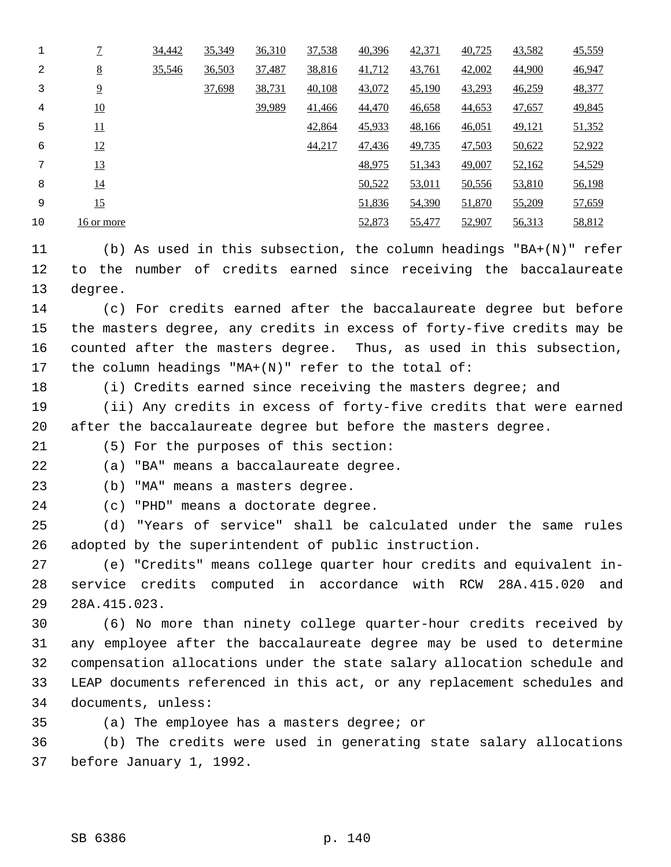|    | $\overline{1}$ | 34,442 | 35,349 | 36,310 | 37,538 | 40,396 | 42,371 | 40,725 | 43,582 | 45,559 |
|----|----------------|--------|--------|--------|--------|--------|--------|--------|--------|--------|
| 2  | 8              | 35,546 | 36,503 | 37,487 | 38,816 | 41,712 | 43,761 | 42,002 | 44,900 | 46,947 |
| 3  | $\overline{2}$ |        | 37,698 | 38,731 | 40,108 | 43,072 | 45,190 | 43,293 | 46,259 | 48,377 |
| 4  | 10             |        |        | 39,989 | 41,466 | 44,470 | 46,658 | 44,653 | 47,657 | 49,845 |
| 5  | 11             |        |        |        | 42,864 | 45,933 | 48,166 | 46,051 | 49,121 | 51,352 |
| 6  | 12             |        |        |        | 44,217 | 47,436 | 49,735 | 47,503 | 50,622 | 52,922 |
| 7  | 13             |        |        |        |        | 48,975 | 51,343 | 49,007 | 52,162 | 54,529 |
| 8  | 14             |        |        |        |        | 50,522 | 53,011 | 50,556 | 53,810 | 56,198 |
| 9  | 15             |        |        |        |        | 51,836 | 54,390 | 51,870 | 55,209 | 57,659 |
| 10 | 16 or more     |        |        |        |        | 52,873 | 55,477 | 52,907 | 56,313 | 58,812 |

 (b) As used in this subsection, the column headings "BA+(N)" refer to the number of credits earned since receiving the baccalaureate degree.

 (c) For credits earned after the baccalaureate degree but before the masters degree, any credits in excess of forty-five credits may be counted after the masters degree. Thus, as used in this subsection, the column headings "MA+(N)" refer to the total of:

(i) Credits earned since receiving the masters degree; and

 (ii) Any credits in excess of forty-five credits that were earned after the baccalaureate degree but before the masters degree.

(5) For the purposes of this section:

(a) "BA" means a baccalaureate degree.

(b) "MA" means a masters degree.

(c) "PHD" means a doctorate degree.

 (d) "Years of service" shall be calculated under the same rules adopted by the superintendent of public instruction.

 (e) "Credits" means college quarter hour credits and equivalent in- service credits computed in accordance with RCW 28A.415.020 and 28A.415.023.

 (6) No more than ninety college quarter-hour credits received by any employee after the baccalaureate degree may be used to determine compensation allocations under the state salary allocation schedule and LEAP documents referenced in this act, or any replacement schedules and documents, unless:

(a) The employee has a masters degree; or

 (b) The credits were used in generating state salary allocations before January 1, 1992.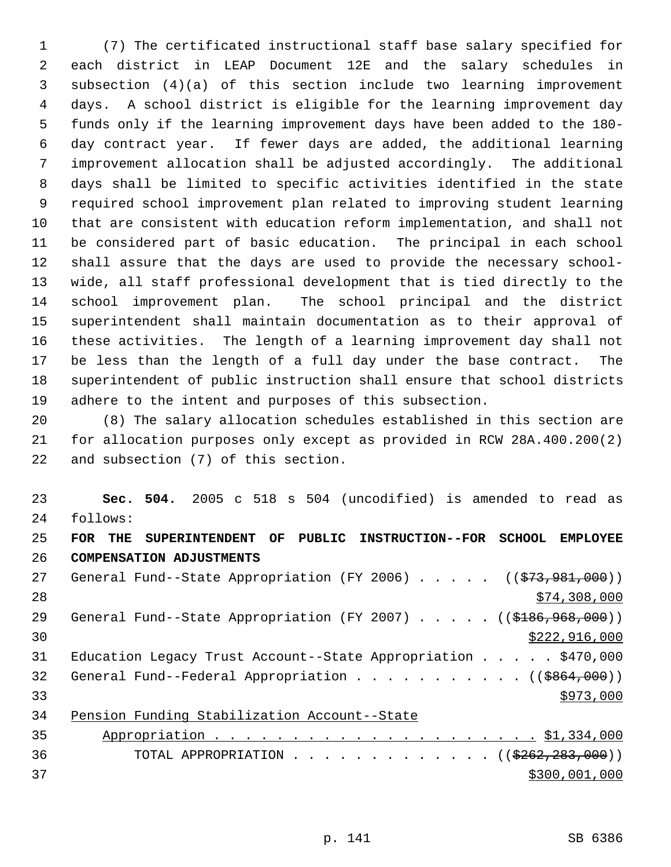(7) The certificated instructional staff base salary specified for each district in LEAP Document 12E and the salary schedules in subsection (4)(a) of this section include two learning improvement days. A school district is eligible for the learning improvement day funds only if the learning improvement days have been added to the 180- day contract year. If fewer days are added, the additional learning improvement allocation shall be adjusted accordingly. The additional days shall be limited to specific activities identified in the state required school improvement plan related to improving student learning that are consistent with education reform implementation, and shall not be considered part of basic education. The principal in each school shall assure that the days are used to provide the necessary school- wide, all staff professional development that is tied directly to the school improvement plan. The school principal and the district superintendent shall maintain documentation as to their approval of these activities. The length of a learning improvement day shall not be less than the length of a full day under the base contract. The superintendent of public instruction shall ensure that school districts adhere to the intent and purposes of this subsection.

 (8) The salary allocation schedules established in this section are for allocation purposes only except as provided in RCW 28A.400.200(2) and subsection (7) of this section.

 **Sec. 504.** 2005 c 518 s 504 (uncodified) is amended to read as follows: **FOR THE SUPERINTENDENT OF PUBLIC INSTRUCTION--FOR SCHOOL EMPLOYEE COMPENSATION ADJUSTMENTS** 27 General Fund--State Appropriation (FY 2006) . . . . . ((\$73,981,000)) \$74,308,000 29 General Fund--State Appropriation (FY 2007) . . . . . ((\$186,968,000)) \$222,916,000 31 Education Legacy Trust Account--State Appropriation . . . . . \$470,000 32 General Fund--Federal Appropriation . . . . . . . . . . . ((\$864,000))  $\frac{$973,000}{ }$  Pension Funding Stabilization Account--State Appropriation . . . . . . . . . . . . . . . . . . . . . \$1,334,000 36 TOTAL APPROPRIATION . . . . . . . . . . . . . ((\$262,283,000))  $$300,001,000$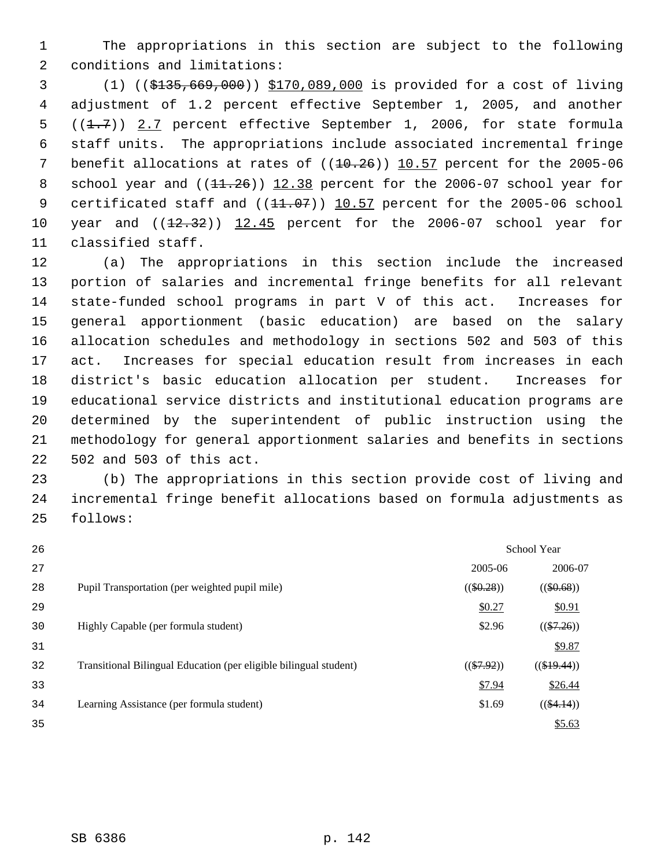The appropriations in this section are subject to the following conditions and limitations:

 (1) ((\$135,669,000)) \$170,089,000 is provided for a cost of living adjustment of 1.2 percent effective September 1, 2005, and another 5  $((1.7))$  2.7 percent effective September 1, 2006, for state formula staff units. The appropriations include associated incremental fringe 7 benefit allocations at rates of  $((10.26))$  10.57 percent for the 2005-06 8 school year and  $((11.26))$   $12.38$  percent for the 2006-07 school year for 9 certificated staff and  $((11.07))$   $10.57$  percent for the 2005-06 school 10 year and  $(12.32)$ )  $12.45$  percent for the 2006-07 school year for classified staff.

 (a) The appropriations in this section include the increased portion of salaries and incremental fringe benefits for all relevant state-funded school programs in part V of this act. Increases for general apportionment (basic education) are based on the salary allocation schedules and methodology in sections 502 and 503 of this act. Increases for special education result from increases in each district's basic education allocation per student. Increases for educational service districts and institutional education programs are determined by the superintendent of public instruction using the methodology for general apportionment salaries and benefits in sections 502 and 503 of this act.

 (b) The appropriations in this section provide cost of living and incremental fringe benefit allocations based on formula adjustments as follows:

| 26 |                                                                   |              | <b>School Year</b> |
|----|-------------------------------------------------------------------|--------------|--------------------|
| 27 |                                                                   | 2005-06      | 2006-07            |
| 28 | Pupil Transportation (per weighted pupil mile)                    | $((\$0.28))$ | $((\$0.68))$       |
| 29 |                                                                   | \$0.27       | \$0.91             |
| 30 | Highly Capable (per formula student)                              | \$2.96       | $((\$7.26))$       |
| 31 |                                                                   |              | \$9.87             |
| 32 | Transitional Bilingual Education (per eligible bilingual student) | $((\$7.92))$ | $((\$19.44))$      |
| 33 |                                                                   | \$7.94       | \$26.44            |
| 34 | Learning Assistance (per formula student)                         | \$1.69       | $((\$4.14))$       |
| 35 |                                                                   |              | \$5.63             |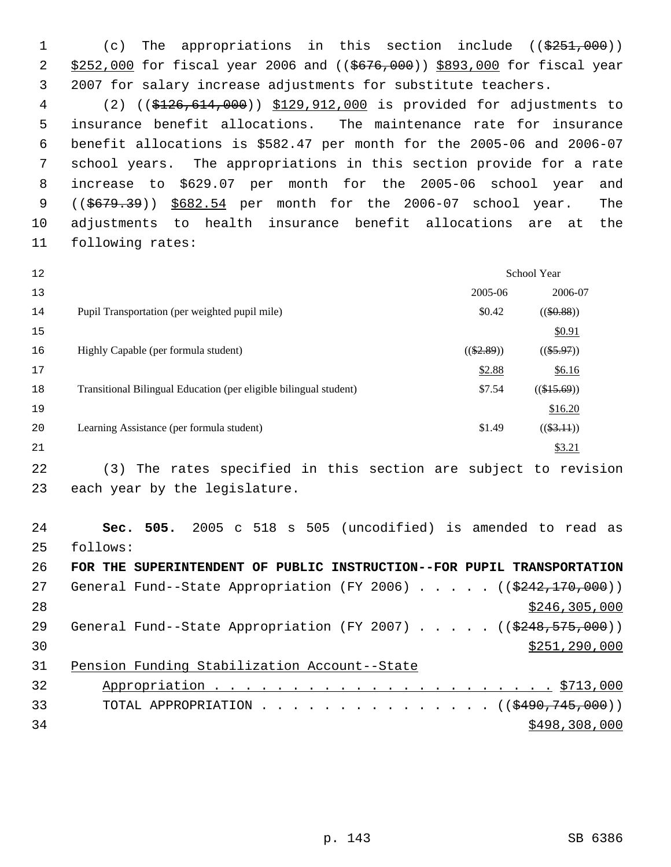1 (c) The appropriations in this section include ((\$251,000)) 2 \$252,000 for fiscal year 2006 and ((\$676,000)) \$893,000 for fiscal year 2007 for salary increase adjustments for substitute teachers.

 (2) ((\$126,614,000)) \$129,912,000 is provided for adjustments to insurance benefit allocations. The maintenance rate for insurance benefit allocations is \$582.47 per month for the 2005-06 and 2006-07 school years. The appropriations in this section provide for a rate increase to \$629.07 per month for the 2005-06 school year and 9 ((\$679.39)) \$682.54 per month for the 2006-07 school year. The adjustments to health insurance benefit allocations are at the following rates:

| 12 |                                                                   | School Year  |               |
|----|-------------------------------------------------------------------|--------------|---------------|
| 13 |                                                                   | 2005-06      | 2006-07       |
| 14 | Pupil Transportation (per weighted pupil mile)                    | \$0.42       | $((\$0.88))$  |
| 15 |                                                                   |              | \$0.91        |
| 16 | Highly Capable (per formula student)                              | $((\$2.89))$ | $((\$5.97))$  |
| 17 |                                                                   | \$2.88       | \$6.16        |
| 18 | Transitional Bilingual Education (per eligible bilingual student) | \$7.54       | $((\$15.69))$ |
| 19 |                                                                   |              | \$16.20       |
| 20 | Learning Assistance (per formula student)                         | \$1.49       | $((\$3.11))$  |
| 21 |                                                                   |              | \$3.21        |
|    |                                                                   |              |               |

 (3) The rates specified in this section are subject to revision each year by the legislature.

 **Sec. 505.** 2005 c 518 s 505 (uncodified) is amended to read as follows: **FOR THE SUPERINTENDENT OF PUBLIC INSTRUCTION--FOR PUPIL TRANSPORTATION** 27 General Fund--State Appropriation (FY 2006) . . . . . ((\$242,170,000)) 28 \$246,305,000

29 General Fund--State Appropriation (FY 2007) . . . . . ((\$248,575,000)) \$251,290,000

Pension Funding Stabilization Account--State

| 32 |                                                |
|----|------------------------------------------------|
| 33 | TOTAL APPROPRIATION $\ldots$ ((\$490,745,000)) |
| 34 | \$498,308,000                                  |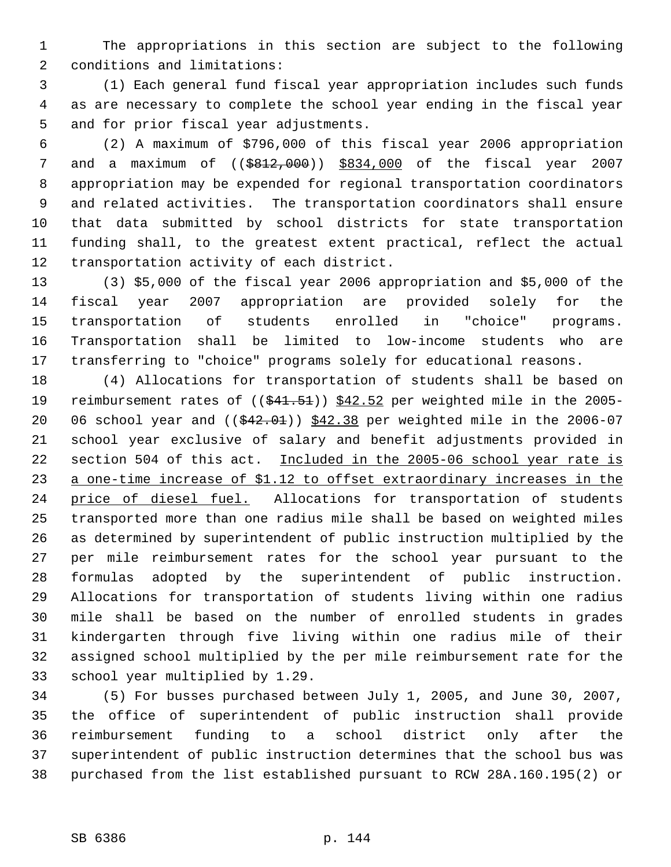The appropriations in this section are subject to the following conditions and limitations:

 (1) Each general fund fiscal year appropriation includes such funds as are necessary to complete the school year ending in the fiscal year and for prior fiscal year adjustments.

 (2) A maximum of \$796,000 of this fiscal year 2006 appropriation and a maximum of ((\$812,000)) \$834,000 of the fiscal year 2007 appropriation may be expended for regional transportation coordinators and related activities. The transportation coordinators shall ensure that data submitted by school districts for state transportation funding shall, to the greatest extent practical, reflect the actual transportation activity of each district.

 (3) \$5,000 of the fiscal year 2006 appropriation and \$5,000 of the fiscal year 2007 appropriation are provided solely for the transportation of students enrolled in "choice" programs. Transportation shall be limited to low-income students who are transferring to "choice" programs solely for educational reasons.

 (4) Allocations for transportation of students shall be based on 19 reimbursement rates of ((\$41.51)) \$42.52 per weighted mile in the 2005-20 06 school year and  $($   $(*42.01)$   $*12.38$  per weighted mile in the 2006-07 school year exclusive of salary and benefit adjustments provided in 22 section 504 of this act. Included in the 2005-06 school year rate is 23 a one-time increase of \$1.12 to offset extraordinary increases in the 24 price of diesel fuel. Allocations for transportation of students transported more than one radius mile shall be based on weighted miles as determined by superintendent of public instruction multiplied by the per mile reimbursement rates for the school year pursuant to the formulas adopted by the superintendent of public instruction. Allocations for transportation of students living within one radius mile shall be based on the number of enrolled students in grades kindergarten through five living within one radius mile of their assigned school multiplied by the per mile reimbursement rate for the school year multiplied by 1.29.

 (5) For busses purchased between July 1, 2005, and June 30, 2007, the office of superintendent of public instruction shall provide reimbursement funding to a school district only after the superintendent of public instruction determines that the school bus was purchased from the list established pursuant to RCW 28A.160.195(2) or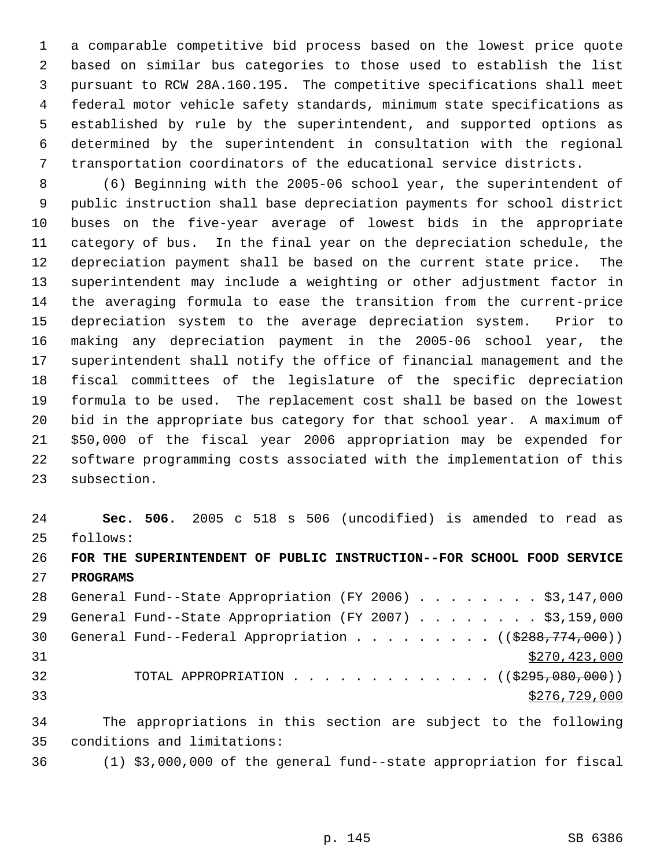a comparable competitive bid process based on the lowest price quote based on similar bus categories to those used to establish the list pursuant to RCW 28A.160.195. The competitive specifications shall meet federal motor vehicle safety standards, minimum state specifications as established by rule by the superintendent, and supported options as determined by the superintendent in consultation with the regional transportation coordinators of the educational service districts.

 (6) Beginning with the 2005-06 school year, the superintendent of public instruction shall base depreciation payments for school district buses on the five-year average of lowest bids in the appropriate category of bus. In the final year on the depreciation schedule, the depreciation payment shall be based on the current state price. The superintendent may include a weighting or other adjustment factor in the averaging formula to ease the transition from the current-price depreciation system to the average depreciation system. Prior to making any depreciation payment in the 2005-06 school year, the superintendent shall notify the office of financial management and the fiscal committees of the legislature of the specific depreciation formula to be used. The replacement cost shall be based on the lowest bid in the appropriate bus category for that school year. A maximum of \$50,000 of the fiscal year 2006 appropriation may be expended for software programming costs associated with the implementation of this subsection.

 **Sec. 506.** 2005 c 518 s 506 (uncodified) is amended to read as follows: **FOR THE SUPERINTENDENT OF PUBLIC INSTRUCTION--FOR SCHOOL FOOD SERVICE PROGRAMS**

28 General Fund--State Appropriation (FY 2006) . . . . . . . . \$3,147,000 29 General Fund--State Appropriation (FY 2007) . . . . . . . \$3,159,000 30 General Fund--Federal Appropriation . . . . . . . .  $($   $($ \$288,774,000)) \$270,423,000 32 TOTAL APPROPRIATION . . . . . . . . . . . . ((\$295,080,000))  $\frac{$276,729,000}{2}$ 

 The appropriations in this section are subject to the following conditions and limitations:

(1) \$3,000,000 of the general fund--state appropriation for fiscal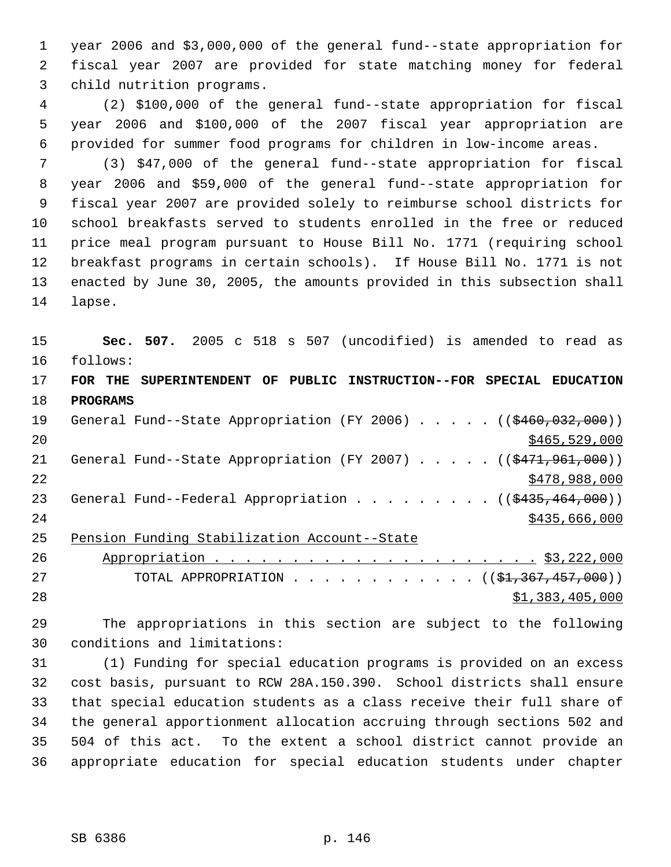year 2006 and \$3,000,000 of the general fund--state appropriation for fiscal year 2007 are provided for state matching money for federal child nutrition programs.

 (2) \$100,000 of the general fund--state appropriation for fiscal year 2006 and \$100,000 of the 2007 fiscal year appropriation are provided for summer food programs for children in low-income areas.

 (3) \$47,000 of the general fund--state appropriation for fiscal year 2006 and \$59,000 of the general fund--state appropriation for fiscal year 2007 are provided solely to reimburse school districts for school breakfasts served to students enrolled in the free or reduced price meal program pursuant to House Bill No. 1771 (requiring school breakfast programs in certain schools). If House Bill No. 1771 is not enacted by June 30, 2005, the amounts provided in this subsection shall lapse.

 **Sec. 507.** 2005 c 518 s 507 (uncodified) is amended to read as follows: **FOR THE SUPERINTENDENT OF PUBLIC INSTRUCTION--FOR SPECIAL EDUCATION PROGRAMS** 19 General Fund--State Appropriation (FY 2006) . . . . . ((\$460,032,000)) \$465,529,000 21 General Fund--State Appropriation (FY 2007) . . . . . ((\$471,961,000)) \$478,988,000 23 General Fund--Federal Appropriation . . . . . . . . ((\$435,464,000)) 24 \$435,666,000 \$435,666,000 \$435,666,000 \$435,666,000 \$435,666,000 \$435,666,000 \$ Pension Funding Stabilization Account--State

 Appropriation . . . . . . . . . . . . . . . . . . . . . \$3,222,000 27 TOTAL APPROPRIATION . . . . . . . . . . . . ((\$1,367,457,000)) \$1,383,405,000

 The appropriations in this section are subject to the following conditions and limitations:

 (1) Funding for special education programs is provided on an excess cost basis, pursuant to RCW 28A.150.390. School districts shall ensure that special education students as a class receive their full share of the general apportionment allocation accruing through sections 502 and 504 of this act. To the extent a school district cannot provide an appropriate education for special education students under chapter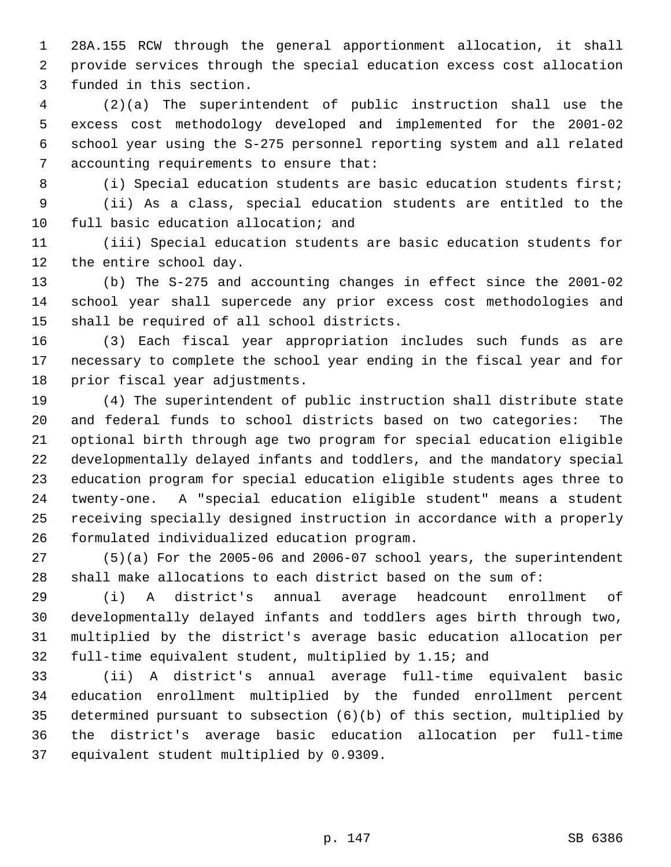28A.155 RCW through the general apportionment allocation, it shall provide services through the special education excess cost allocation funded in this section.

 (2)(a) The superintendent of public instruction shall use the excess cost methodology developed and implemented for the 2001-02 school year using the S-275 personnel reporting system and all related accounting requirements to ensure that:

 (i) Special education students are basic education students first; (ii) As a class, special education students are entitled to the full basic education allocation; and

 (iii) Special education students are basic education students for the entire school day.

 (b) The S-275 and accounting changes in effect since the 2001-02 school year shall supercede any prior excess cost methodologies and shall be required of all school districts.

 (3) Each fiscal year appropriation includes such funds as are necessary to complete the school year ending in the fiscal year and for prior fiscal year adjustments.

 (4) The superintendent of public instruction shall distribute state and federal funds to school districts based on two categories: The optional birth through age two program for special education eligible developmentally delayed infants and toddlers, and the mandatory special education program for special education eligible students ages three to twenty-one. A "special education eligible student" means a student receiving specially designed instruction in accordance with a properly formulated individualized education program.

 (5)(a) For the 2005-06 and 2006-07 school years, the superintendent shall make allocations to each district based on the sum of:

 (i) A district's annual average headcount enrollment of developmentally delayed infants and toddlers ages birth through two, multiplied by the district's average basic education allocation per full-time equivalent student, multiplied by 1.15; and

 (ii) A district's annual average full-time equivalent basic education enrollment multiplied by the funded enrollment percent determined pursuant to subsection (6)(b) of this section, multiplied by the district's average basic education allocation per full-time equivalent student multiplied by 0.9309.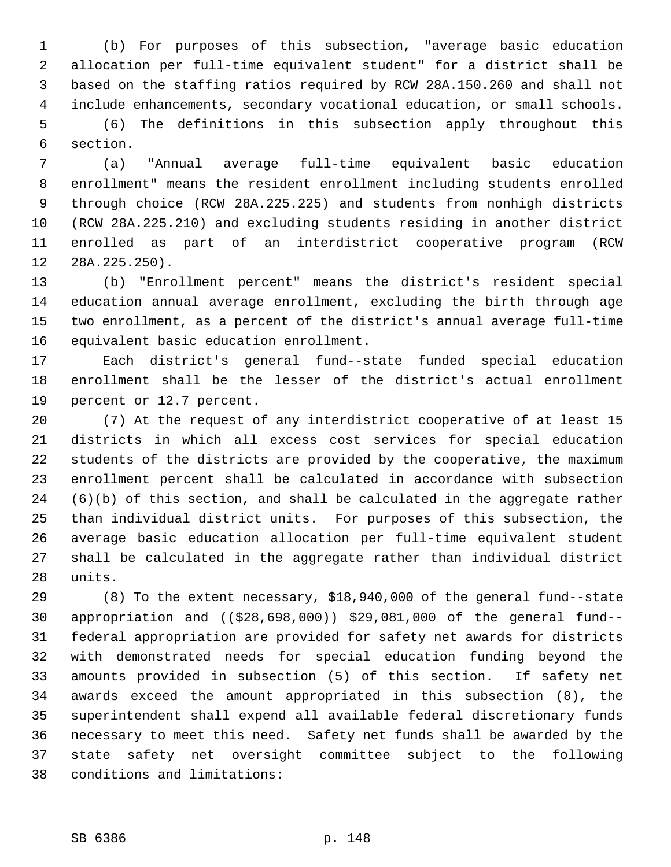(b) For purposes of this subsection, "average basic education allocation per full-time equivalent student" for a district shall be based on the staffing ratios required by RCW 28A.150.260 and shall not include enhancements, secondary vocational education, or small schools. (6) The definitions in this subsection apply throughout this

section.

 (a) "Annual average full-time equivalent basic education enrollment" means the resident enrollment including students enrolled through choice (RCW 28A.225.225) and students from nonhigh districts (RCW 28A.225.210) and excluding students residing in another district enrolled as part of an interdistrict cooperative program (RCW 28A.225.250).

 (b) "Enrollment percent" means the district's resident special education annual average enrollment, excluding the birth through age two enrollment, as a percent of the district's annual average full-time equivalent basic education enrollment.

 Each district's general fund--state funded special education enrollment shall be the lesser of the district's actual enrollment percent or 12.7 percent.

 (7) At the request of any interdistrict cooperative of at least 15 districts in which all excess cost services for special education students of the districts are provided by the cooperative, the maximum enrollment percent shall be calculated in accordance with subsection (6)(b) of this section, and shall be calculated in the aggregate rather than individual district units. For purposes of this subsection, the average basic education allocation per full-time equivalent student shall be calculated in the aggregate rather than individual district units.

 (8) To the extent necessary, \$18,940,000 of the general fund--state appropriation and ((\$28,698,000)) \$29,081,000 of the general fund-- federal appropriation are provided for safety net awards for districts with demonstrated needs for special education funding beyond the amounts provided in subsection (5) of this section. If safety net awards exceed the amount appropriated in this subsection (8), the superintendent shall expend all available federal discretionary funds necessary to meet this need. Safety net funds shall be awarded by the state safety net oversight committee subject to the following conditions and limitations: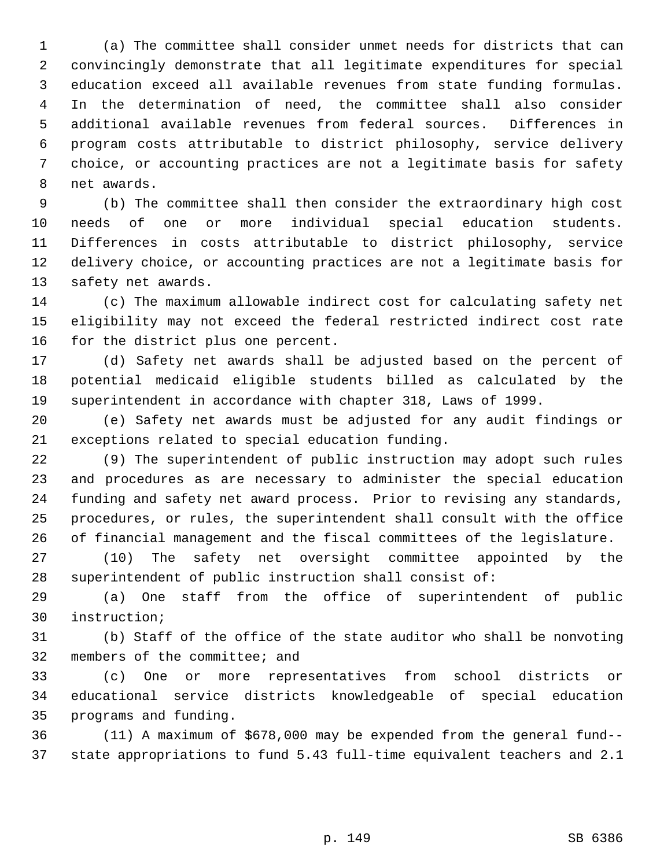(a) The committee shall consider unmet needs for districts that can convincingly demonstrate that all legitimate expenditures for special education exceed all available revenues from state funding formulas. In the determination of need, the committee shall also consider additional available revenues from federal sources. Differences in program costs attributable to district philosophy, service delivery choice, or accounting practices are not a legitimate basis for safety net awards.

 (b) The committee shall then consider the extraordinary high cost needs of one or more individual special education students. Differences in costs attributable to district philosophy, service delivery choice, or accounting practices are not a legitimate basis for safety net awards.

 (c) The maximum allowable indirect cost for calculating safety net eligibility may not exceed the federal restricted indirect cost rate for the district plus one percent.

 (d) Safety net awards shall be adjusted based on the percent of potential medicaid eligible students billed as calculated by the superintendent in accordance with chapter 318, Laws of 1999.

 (e) Safety net awards must be adjusted for any audit findings or exceptions related to special education funding.

 (9) The superintendent of public instruction may adopt such rules and procedures as are necessary to administer the special education funding and safety net award process. Prior to revising any standards, procedures, or rules, the superintendent shall consult with the office of financial management and the fiscal committees of the legislature.

 (10) The safety net oversight committee appointed by the superintendent of public instruction shall consist of:

 (a) One staff from the office of superintendent of public instruction;

 (b) Staff of the office of the state auditor who shall be nonvoting members of the committee; and

 (c) One or more representatives from school districts or educational service districts knowledgeable of special education programs and funding.

 (11) A maximum of \$678,000 may be expended from the general fund-- state appropriations to fund 5.43 full-time equivalent teachers and 2.1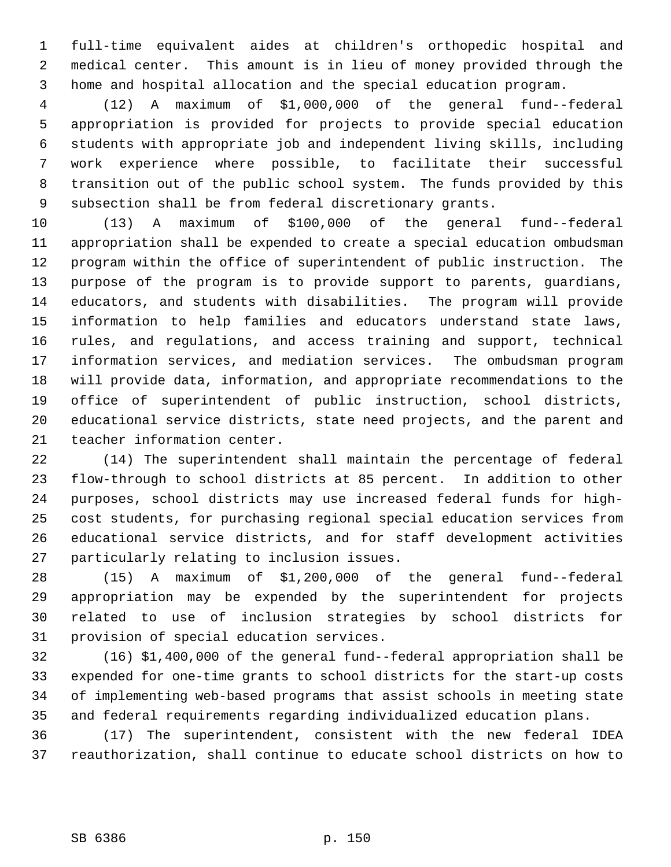full-time equivalent aides at children's orthopedic hospital and medical center. This amount is in lieu of money provided through the home and hospital allocation and the special education program.

 (12) A maximum of \$1,000,000 of the general fund--federal appropriation is provided for projects to provide special education students with appropriate job and independent living skills, including work experience where possible, to facilitate their successful transition out of the public school system. The funds provided by this subsection shall be from federal discretionary grants.

 (13) A maximum of \$100,000 of the general fund--federal appropriation shall be expended to create a special education ombudsman program within the office of superintendent of public instruction. The purpose of the program is to provide support to parents, guardians, educators, and students with disabilities. The program will provide information to help families and educators understand state laws, rules, and regulations, and access training and support, technical information services, and mediation services. The ombudsman program will provide data, information, and appropriate recommendations to the office of superintendent of public instruction, school districts, educational service districts, state need projects, and the parent and teacher information center.

 (14) The superintendent shall maintain the percentage of federal flow-through to school districts at 85 percent. In addition to other purposes, school districts may use increased federal funds for high- cost students, for purchasing regional special education services from educational service districts, and for staff development activities particularly relating to inclusion issues.

 (15) A maximum of \$1,200,000 of the general fund--federal appropriation may be expended by the superintendent for projects related to use of inclusion strategies by school districts for provision of special education services.

 (16) \$1,400,000 of the general fund--federal appropriation shall be expended for one-time grants to school districts for the start-up costs of implementing web-based programs that assist schools in meeting state and federal requirements regarding individualized education plans.

 (17) The superintendent, consistent with the new federal IDEA reauthorization, shall continue to educate school districts on how to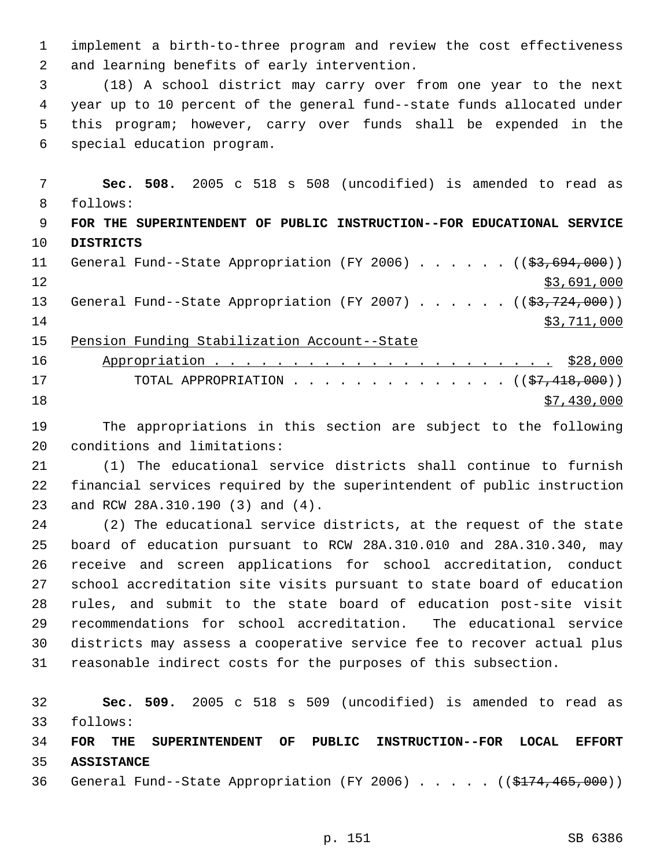implement a birth-to-three program and review the cost effectiveness and learning benefits of early intervention.

 (18) A school district may carry over from one year to the next year up to 10 percent of the general fund--state funds allocated under this program; however, carry over funds shall be expended in the special education program.

 **Sec. 508.** 2005 c 518 s 508 (uncodified) is amended to read as follows: **FOR THE SUPERINTENDENT OF PUBLIC INSTRUCTION--FOR EDUCATIONAL SERVICE**

 **DISTRICTS** 11 General Fund--State Appropriation (FY 2006) . . . . . . ((\$3,694,000))

 $\frac{12}{3,691,000}$ 13 General Fund--State Appropriation (FY 2007) . . . . . . ((\$3,724,000)) \$3,711,000

Pension Funding Stabilization Account--State

| 16 |                                                           |
|----|-----------------------------------------------------------|
| 17 | TOTAL APPROPRIATION $($ $($ $\frac{27}{7}$ , 418, 000 $)$ |
| 18 | \$7,430,000                                               |

 The appropriations in this section are subject to the following conditions and limitations:

 (1) The educational service districts shall continue to furnish financial services required by the superintendent of public instruction and RCW 28A.310.190 (3) and (4).

 (2) The educational service districts, at the request of the state board of education pursuant to RCW 28A.310.010 and 28A.310.340, may receive and screen applications for school accreditation, conduct school accreditation site visits pursuant to state board of education rules, and submit to the state board of education post-site visit recommendations for school accreditation. The educational service districts may assess a cooperative service fee to recover actual plus reasonable indirect costs for the purposes of this subsection.

 **Sec. 509.** 2005 c 518 s 509 (uncodified) is amended to read as follows:

 **FOR THE SUPERINTENDENT OF PUBLIC INSTRUCTION--FOR LOCAL EFFORT ASSISTANCE**

36 General Fund--State Appropriation (FY 2006) . . . . . ((\$174,465,000))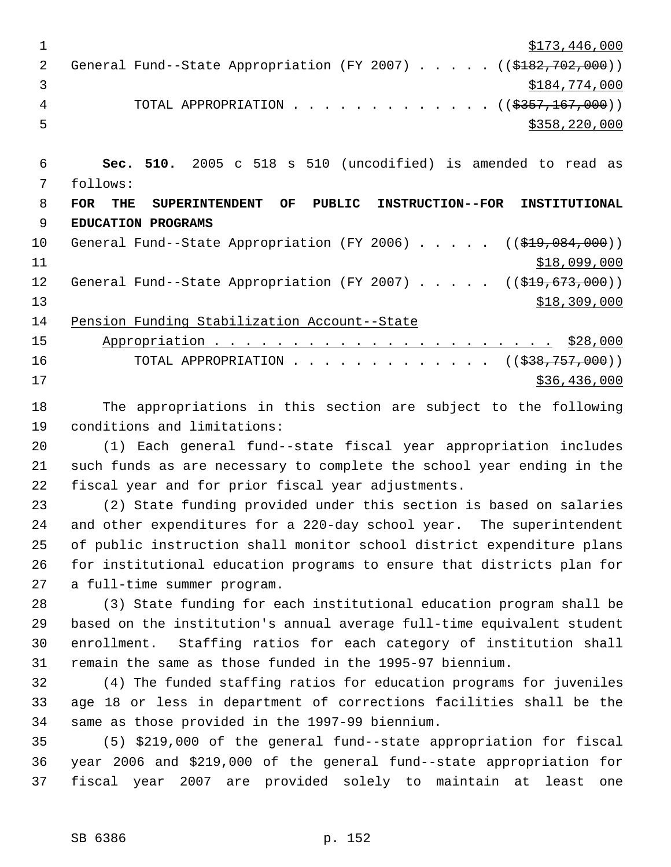| $\mathbf{1}$   | \$173,446,000                                                                                          |
|----------------|--------------------------------------------------------------------------------------------------------|
| $\overline{2}$ | General Fund--State Appropriation (FY 2007) ( $(\frac{18182}{702},000)$ )                              |
| 3              | \$184,774,000                                                                                          |
| 4              | TOTAL APPROPRIATION ( $(\frac{2357}{167},000)$ )                                                       |
| 5              | \$358, 220, 000                                                                                        |
|                |                                                                                                        |
| 6              | Sec. 510. 2005 c 518 s 510 (uncodified) is amended to read as                                          |
| 7              | follows:                                                                                               |
| 8              | <b>SUPERINTENDENT</b><br>OF<br>PUBLIC<br><b>INSTRUCTION--FOR</b><br><b>FOR</b><br>THE<br>INSTITUTIONAL |
| 9              | EDUCATION PROGRAMS                                                                                     |
| 10             | General Fund--State Appropriation (FY 2006) $($ $($ $\frac{209}{19}, 084, 000)$ )                      |
| 11             | \$18,099,000                                                                                           |
| 12             | General Fund--State Appropriation (FY 2007) $($ $(\frac{209}{73}, \frac{673}{673}, 000))$              |
| 13             | \$18,309,000                                                                                           |
| 14             | Pension Funding Stabilization Account--State                                                           |
| 15             |                                                                                                        |
| 16             | TOTAL APPROPRIATION $\ldots$ , ( $(\frac{238}{757},000)$ )                                             |
| 17             | \$36,436,000                                                                                           |
| 18             | The appropriations in this section are subject to the following                                        |
| 19             | conditions and limitations:                                                                            |
| 20             | (1) Each general fund--state fiscal year appropriation includes                                        |
| 21             | such funds as are necessary to complete the school year ending in the                                  |
| 22             | fiscal year and for prior fiscal year adjustments.                                                     |
| 23             | (2) State funding provided under this section is based on salaries                                     |
| 24             | and other expenditures for a 220-day school year. The superintendent                                   |
| 25             | of public instruction shall monitor school district expenditure plans                                  |
| 26             | for institutional education programs to ensure that districts plan for                                 |
| 27             | a full-time summer program.                                                                            |
| 28             | (3) State funding for each institutional education program shall be                                    |
| 29             | based on the institution's annual average full-time equivalent student                                 |
| 30             | enrollment. Staffing ratios for each category of institution shall                                     |
| 31             | remain the same as those funded in the 1995-97 biennium.                                               |
| 32             | (4) The funded staffing ratios for education programs for juveniles                                    |
| 33             | age 18 or less in department of corrections facilities shall be the                                    |
| 34             | same as those provided in the 1997-99 biennium.                                                        |
| つに             | (E) 000 of the general fund state appropriation for figgal                                             |

 (5) \$219,000 of the general fund--state appropriation for fiscal year 2006 and \$219,000 of the general fund--state appropriation for fiscal year 2007 are provided solely to maintain at least one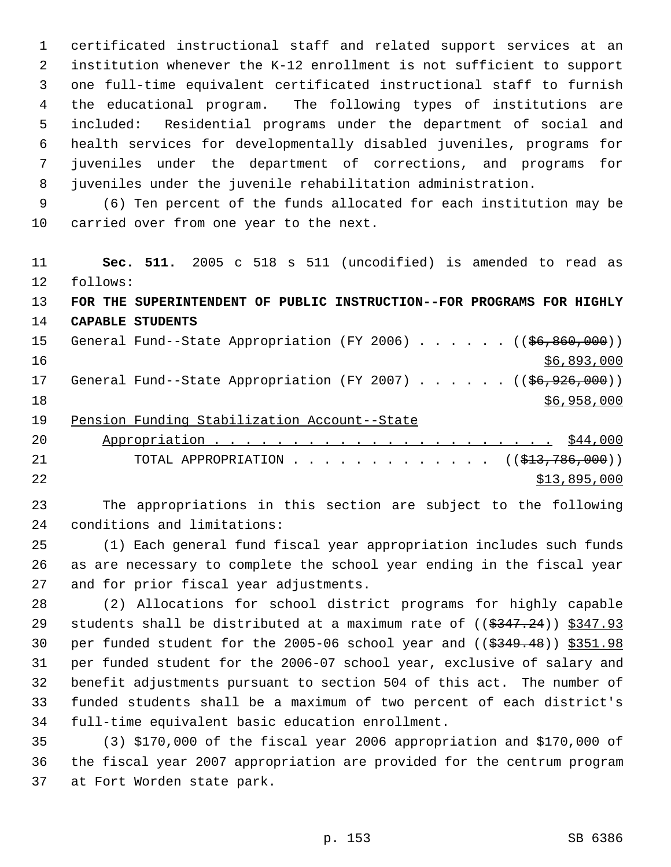certificated instructional staff and related support services at an institution whenever the K-12 enrollment is not sufficient to support one full-time equivalent certificated instructional staff to furnish the educational program. The following types of institutions are included: Residential programs under the department of social and health services for developmentally disabled juveniles, programs for juveniles under the department of corrections, and programs for juveniles under the juvenile rehabilitation administration.

 (6) Ten percent of the funds allocated for each institution may be carried over from one year to the next.

 **Sec. 511.** 2005 c 518 s 511 (uncodified) is amended to read as follows: **FOR THE SUPERINTENDENT OF PUBLIC INSTRUCTION--FOR PROGRAMS FOR HIGHLY CAPABLE STUDENTS** 15 General Fund--State Appropriation (FY 2006) . . . . . . ((\$6,860,000)) \$6,893,000 17 General Fund--State Appropriation (FY 2007) . . . . . . ((\$6,926,000)) \$6,958,000

19 Pension Funding Stabilization Account--State

| 20 |                                                    |
|----|----------------------------------------------------|
| 21 | TOTAL APPROPRIATION ( $(\frac{1}{23}, 786, 000)$ ) |
| 22 | \$13,895,000                                       |

 The appropriations in this section are subject to the following conditions and limitations:

 (1) Each general fund fiscal year appropriation includes such funds as are necessary to complete the school year ending in the fiscal year and for prior fiscal year adjustments.

 (2) Allocations for school district programs for highly capable 29 students shall be distributed at a maximum rate of  $((\frac{2347.24}{\sqrt{3}})$   $\frac{2347.93}{\sqrt{3}}$ 30 per funded student for the 2005-06 school year and  $($   $(*349.48)$   $)*351.98$  per funded student for the 2006-07 school year, exclusive of salary and benefit adjustments pursuant to section 504 of this act. The number of funded students shall be a maximum of two percent of each district's full-time equivalent basic education enrollment.

 (3) \$170,000 of the fiscal year 2006 appropriation and \$170,000 of the fiscal year 2007 appropriation are provided for the centrum program at Fort Worden state park.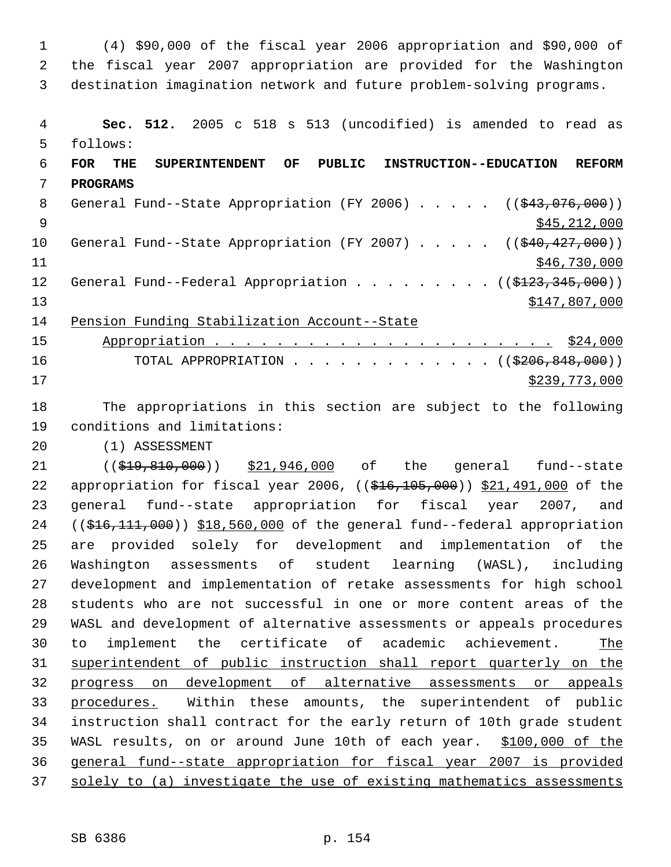(4) \$90,000 of the fiscal year 2006 appropriation and \$90,000 of the fiscal year 2007 appropriation are provided for the Washington destination imagination network and future problem-solving programs. **Sec. 512.** 2005 c 518 s 513 (uncodified) is amended to read as follows: **FOR THE SUPERINTENDENT OF PUBLIC INSTRUCTION--EDUCATION REFORM PROGRAMS** 8 General Fund--State Appropriation (FY 2006) . . . . . ((\$43,076,000))  $\frac{1}{2}$  \$45,212,000 10 General Fund--State Appropriation (FY 2007) . . . . . ((\$40,427,000))  $$46,730,000$ 12 General Fund--Federal Appropriation . . . . . . . . . ((\$123,345,000)) \$147,807,000 Pension Funding Stabilization Account--State Appropriation . . . . . . . . . . . . . . . . . . . . . . \$24,000 16 TOTAL APPROPRIATION . . . . . . . . . . . . ((\$206,848,000)) \$239,773,000 The appropriations in this section are subject to the following conditions and limitations: (1) ASSESSMENT 21 ((\$19,810,000)) \$21,946,000 of the general fund--state 22 appropriation for fiscal year 2006, ((\$16,105,000)) \$21,491,000 of the general fund--state appropriation for fiscal year 2007, and ((\$16,111,000)) \$18,560,000 of the general fund--federal appropriation are provided solely for development and implementation of the Washington assessments of student learning (WASL), including development and implementation of retake assessments for high school students who are not successful in one or more content areas of the WASL and development of alternative assessments or appeals procedures to implement the certificate of academic achievement. The superintendent of public instruction shall report quarterly on the progress on development of alternative assessments or appeals procedures. Within these amounts, the superintendent of public instruction shall contract for the early return of 10th grade student WASL results, on or around June 10th of each year. \$100,000 of the general fund--state appropriation for fiscal year 2007 is provided solely to (a) investigate the use of existing mathematics assessments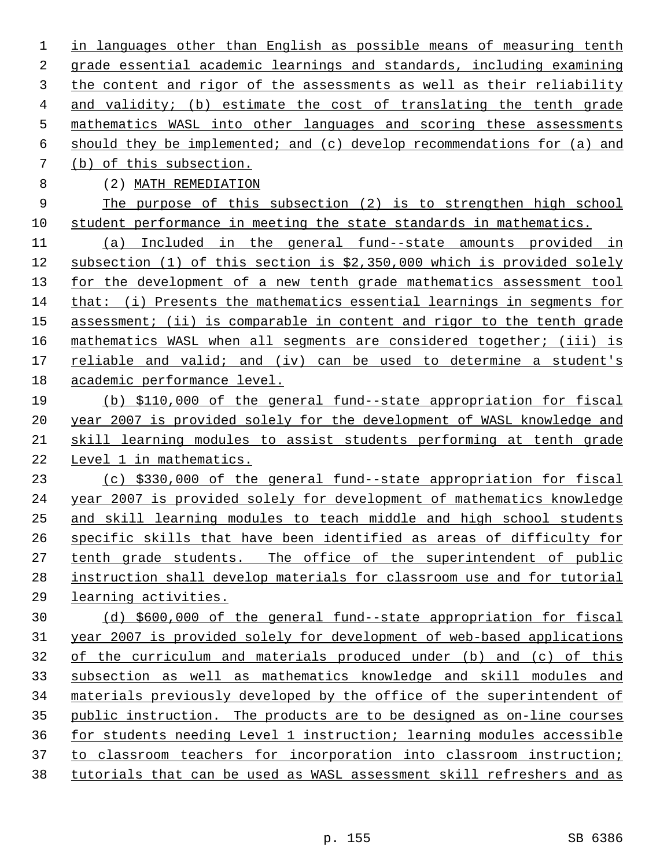in languages other than English as possible means of measuring tenth grade essential academic learnings and standards, including examining the content and rigor of the assessments as well as their reliability and validity; (b) estimate the cost of translating the tenth grade mathematics WASL into other languages and scoring these assessments should they be implemented; and (c) develop recommendations for (a) and (b) of this subsection.

(2) MATH REMEDIATION

 The purpose of this subsection (2) is to strengthen high school student performance in meeting the state standards in mathematics.

 (a) Included in the general fund--state amounts provided in subsection (1) of this section is \$2,350,000 which is provided solely for the development of a new tenth grade mathematics assessment tool that: (i) Presents the mathematics essential learnings in segments for assessment; (ii) is comparable in content and rigor to the tenth grade mathematics WASL when all segments are considered together; (iii) is reliable and valid; and (iv) can be used to determine a student's academic performance level.

 (b) \$110,000 of the general fund--state appropriation for fiscal year 2007 is provided solely for the development of WASL knowledge and skill learning modules to assist students performing at tenth grade Level 1 in mathematics.

 (c) \$330,000 of the general fund--state appropriation for fiscal year 2007 is provided solely for development of mathematics knowledge and skill learning modules to teach middle and high school students specific skills that have been identified as areas of difficulty for tenth grade students. The office of the superintendent of public instruction shall develop materials for classroom use and for tutorial learning activities.

 (d) \$600,000 of the general fund--state appropriation for fiscal year 2007 is provided solely for development of web-based applications of the curriculum and materials produced under (b) and (c) of this subsection as well as mathematics knowledge and skill modules and materials previously developed by the office of the superintendent of public instruction. The products are to be designed as on-line courses for students needing Level 1 instruction; learning modules accessible to classroom teachers for incorporation into classroom instruction; tutorials that can be used as WASL assessment skill refreshers and as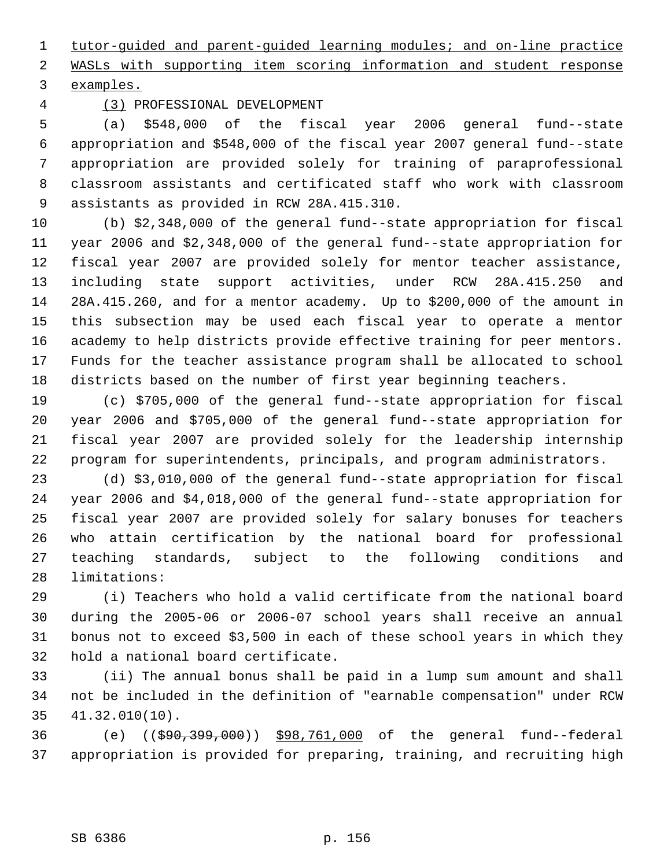tutor-guided and parent-guided learning modules; and on-line practice

WASLs with supporting item scoring information and student response

examples.

(3) PROFESSIONAL DEVELOPMENT

 (a) \$548,000 of the fiscal year 2006 general fund--state appropriation and \$548,000 of the fiscal year 2007 general fund--state appropriation are provided solely for training of paraprofessional classroom assistants and certificated staff who work with classroom assistants as provided in RCW 28A.415.310.

 (b) \$2,348,000 of the general fund--state appropriation for fiscal year 2006 and \$2,348,000 of the general fund--state appropriation for fiscal year 2007 are provided solely for mentor teacher assistance, including state support activities, under RCW 28A.415.250 and 28A.415.260, and for a mentor academy. Up to \$200,000 of the amount in this subsection may be used each fiscal year to operate a mentor academy to help districts provide effective training for peer mentors. Funds for the teacher assistance program shall be allocated to school districts based on the number of first year beginning teachers.

 (c) \$705,000 of the general fund--state appropriation for fiscal year 2006 and \$705,000 of the general fund--state appropriation for fiscal year 2007 are provided solely for the leadership internship program for superintendents, principals, and program administrators.

 (d) \$3,010,000 of the general fund--state appropriation for fiscal year 2006 and \$4,018,000 of the general fund--state appropriation for fiscal year 2007 are provided solely for salary bonuses for teachers who attain certification by the national board for professional teaching standards, subject to the following conditions and limitations:

 (i) Teachers who hold a valid certificate from the national board during the 2005-06 or 2006-07 school years shall receive an annual bonus not to exceed \$3,500 in each of these school years in which they hold a national board certificate.

 (ii) The annual bonus shall be paid in a lump sum amount and shall not be included in the definition of "earnable compensation" under RCW 41.32.010(10).

 (e) ((\$90,399,000)) \$98,761,000 of the general fund--federal appropriation is provided for preparing, training, and recruiting high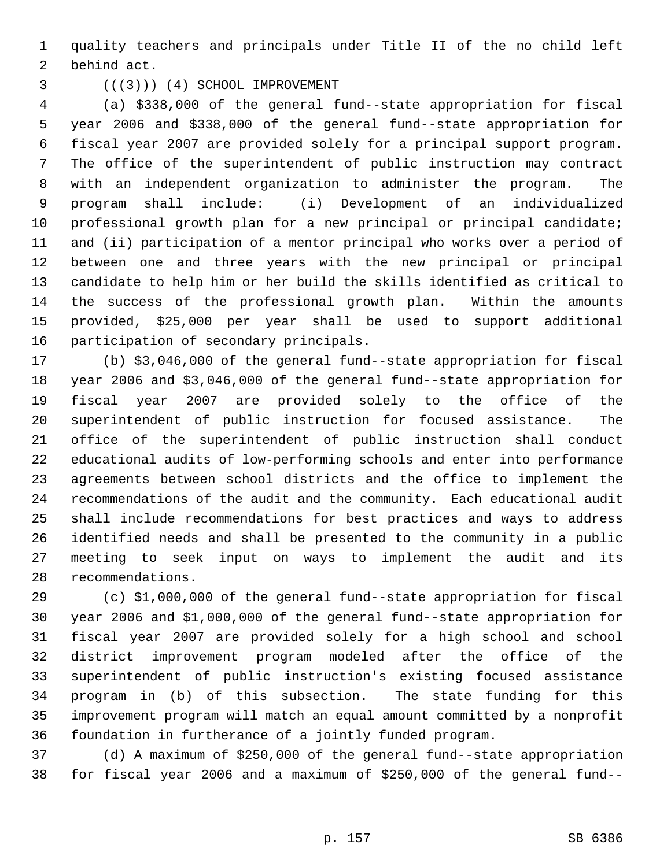quality teachers and principals under Title II of the no child left behind act.

## $($   $($   $($   $($   $($   $($   $4$  $)$   $)$   $($   $4$  $)$   $)$   $($   $\leq$   $\leq$   $\leq$   $\leq$   $\leq$   $\leq$   $\leq$   $\leq$   $\leq$   $\leq$   $\leq$   $\leq$   $\leq$   $\leq$   $\leq$   $\leq$   $\leq$   $\leq$   $\leq$   $\leq$   $\leq$   $\leq$   $\leq$   $\leq$   $\leq$   $\leq$   $\leq$   $\leq$

 (a) \$338,000 of the general fund--state appropriation for fiscal year 2006 and \$338,000 of the general fund--state appropriation for fiscal year 2007 are provided solely for a principal support program. The office of the superintendent of public instruction may contract with an independent organization to administer the program. The program shall include: (i) Development of an individualized professional growth plan for a new principal or principal candidate; and (ii) participation of a mentor principal who works over a period of between one and three years with the new principal or principal candidate to help him or her build the skills identified as critical to the success of the professional growth plan. Within the amounts provided, \$25,000 per year shall be used to support additional participation of secondary principals.

 (b) \$3,046,000 of the general fund--state appropriation for fiscal year 2006 and \$3,046,000 of the general fund--state appropriation for fiscal year 2007 are provided solely to the office of the superintendent of public instruction for focused assistance. The office of the superintendent of public instruction shall conduct educational audits of low-performing schools and enter into performance agreements between school districts and the office to implement the recommendations of the audit and the community. Each educational audit shall include recommendations for best practices and ways to address identified needs and shall be presented to the community in a public meeting to seek input on ways to implement the audit and its recommendations.

 (c) \$1,000,000 of the general fund--state appropriation for fiscal year 2006 and \$1,000,000 of the general fund--state appropriation for fiscal year 2007 are provided solely for a high school and school district improvement program modeled after the office of the superintendent of public instruction's existing focused assistance program in (b) of this subsection. The state funding for this improvement program will match an equal amount committed by a nonprofit foundation in furtherance of a jointly funded program.

 (d) A maximum of \$250,000 of the general fund--state appropriation for fiscal year 2006 and a maximum of \$250,000 of the general fund--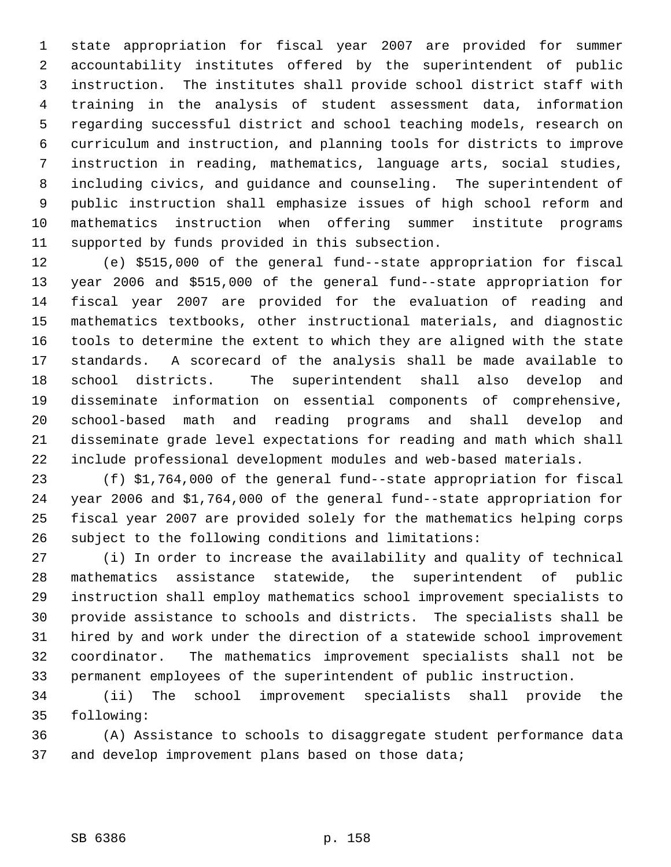state appropriation for fiscal year 2007 are provided for summer accountability institutes offered by the superintendent of public instruction. The institutes shall provide school district staff with training in the analysis of student assessment data, information regarding successful district and school teaching models, research on curriculum and instruction, and planning tools for districts to improve instruction in reading, mathematics, language arts, social studies, including civics, and guidance and counseling. The superintendent of public instruction shall emphasize issues of high school reform and mathematics instruction when offering summer institute programs supported by funds provided in this subsection.

 (e) \$515,000 of the general fund--state appropriation for fiscal year 2006 and \$515,000 of the general fund--state appropriation for fiscal year 2007 are provided for the evaluation of reading and mathematics textbooks, other instructional materials, and diagnostic tools to determine the extent to which they are aligned with the state standards. A scorecard of the analysis shall be made available to school districts. The superintendent shall also develop and disseminate information on essential components of comprehensive, school-based math and reading programs and shall develop and disseminate grade level expectations for reading and math which shall include professional development modules and web-based materials.

 (f) \$1,764,000 of the general fund--state appropriation for fiscal year 2006 and \$1,764,000 of the general fund--state appropriation for fiscal year 2007 are provided solely for the mathematics helping corps subject to the following conditions and limitations:

 (i) In order to increase the availability and quality of technical mathematics assistance statewide, the superintendent of public instruction shall employ mathematics school improvement specialists to provide assistance to schools and districts. The specialists shall be hired by and work under the direction of a statewide school improvement coordinator. The mathematics improvement specialists shall not be permanent employees of the superintendent of public instruction.

 (ii) The school improvement specialists shall provide the following:

 (A) Assistance to schools to disaggregate student performance data 37 and develop improvement plans based on those data;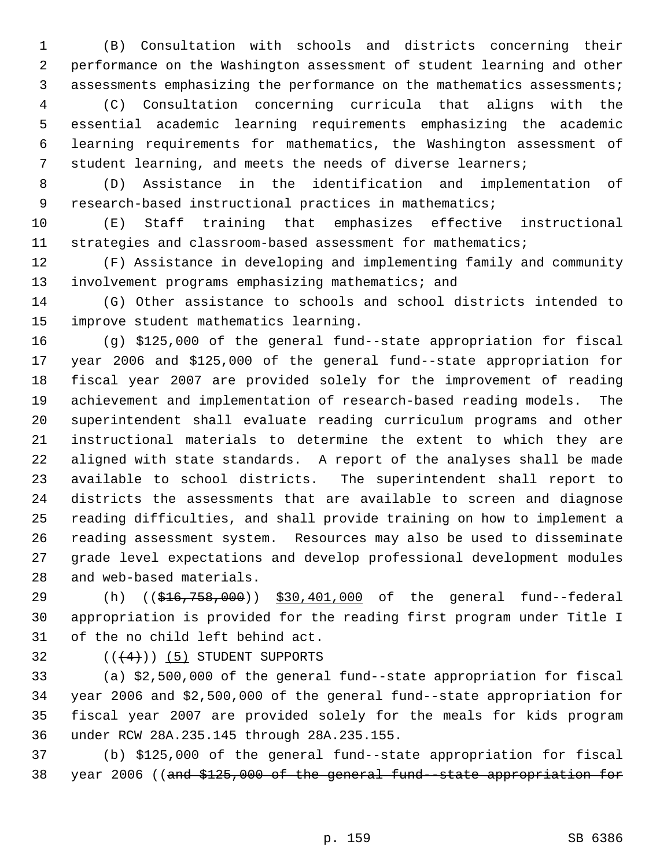(B) Consultation with schools and districts concerning their performance on the Washington assessment of student learning and other assessments emphasizing the performance on the mathematics assessments;

 (C) Consultation concerning curricula that aligns with the essential academic learning requirements emphasizing the academic learning requirements for mathematics, the Washington assessment of student learning, and meets the needs of diverse learners;

 (D) Assistance in the identification and implementation of 9 research-based instructional practices in mathematics;

 (E) Staff training that emphasizes effective instructional strategies and classroom-based assessment for mathematics;

 (F) Assistance in developing and implementing family and community 13 involvement programs emphasizing mathematics; and

 (G) Other assistance to schools and school districts intended to improve student mathematics learning.

 (g) \$125,000 of the general fund--state appropriation for fiscal year 2006 and \$125,000 of the general fund--state appropriation for fiscal year 2007 are provided solely for the improvement of reading achievement and implementation of research-based reading models. The superintendent shall evaluate reading curriculum programs and other instructional materials to determine the extent to which they are aligned with state standards. A report of the analyses shall be made available to school districts. The superintendent shall report to districts the assessments that are available to screen and diagnose reading difficulties, and shall provide training on how to implement a reading assessment system. Resources may also be used to disseminate grade level expectations and develop professional development modules and web-based materials.

29 (h) ((\$16,758,000)) \$30,401,000 of the general fund--federal appropriation is provided for the reading first program under Title I of the no child left behind act.

32  $((+4))$  (5) STUDENT SUPPORTS

 (a) \$2,500,000 of the general fund--state appropriation for fiscal year 2006 and \$2,500,000 of the general fund--state appropriation for fiscal year 2007 are provided solely for the meals for kids program under RCW 28A.235.145 through 28A.235.155.

 (b) \$125,000 of the general fund--state appropriation for fiscal 38 year 2006 ((and \$125,000 of the general fund -state appropriation for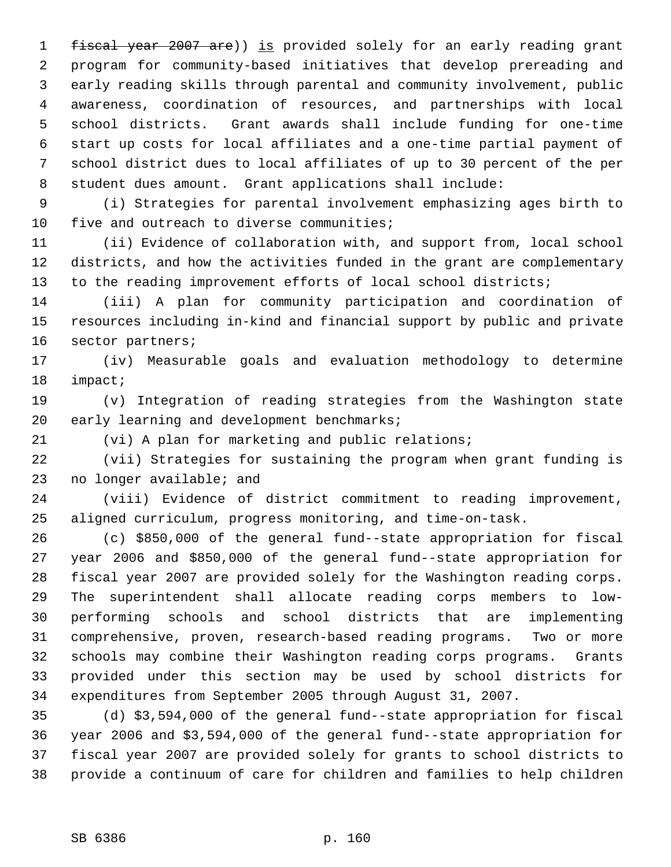1 fiscal year 2007 are)) is provided solely for an early reading grant program for community-based initiatives that develop prereading and early reading skills through parental and community involvement, public awareness, coordination of resources, and partnerships with local school districts. Grant awards shall include funding for one-time start up costs for local affiliates and a one-time partial payment of school district dues to local affiliates of up to 30 percent of the per student dues amount. Grant applications shall include:

 (i) Strategies for parental involvement emphasizing ages birth to five and outreach to diverse communities;

 (ii) Evidence of collaboration with, and support from, local school districts, and how the activities funded in the grant are complementary to the reading improvement efforts of local school districts;

 (iii) A plan for community participation and coordination of resources including in-kind and financial support by public and private sector partners;

 (iv) Measurable goals and evaluation methodology to determine impact;

 (v) Integration of reading strategies from the Washington state 20 early learning and development benchmarks;

(vi) A plan for marketing and public relations;

 (vii) Strategies for sustaining the program when grant funding is no longer available; and

 (viii) Evidence of district commitment to reading improvement, aligned curriculum, progress monitoring, and time-on-task.

 (c) \$850,000 of the general fund--state appropriation for fiscal year 2006 and \$850,000 of the general fund--state appropriation for fiscal year 2007 are provided solely for the Washington reading corps. The superintendent shall allocate reading corps members to low- performing schools and school districts that are implementing comprehensive, proven, research-based reading programs. Two or more schools may combine their Washington reading corps programs. Grants provided under this section may be used by school districts for expenditures from September 2005 through August 31, 2007.

 (d) \$3,594,000 of the general fund--state appropriation for fiscal year 2006 and \$3,594,000 of the general fund--state appropriation for fiscal year 2007 are provided solely for grants to school districts to provide a continuum of care for children and families to help children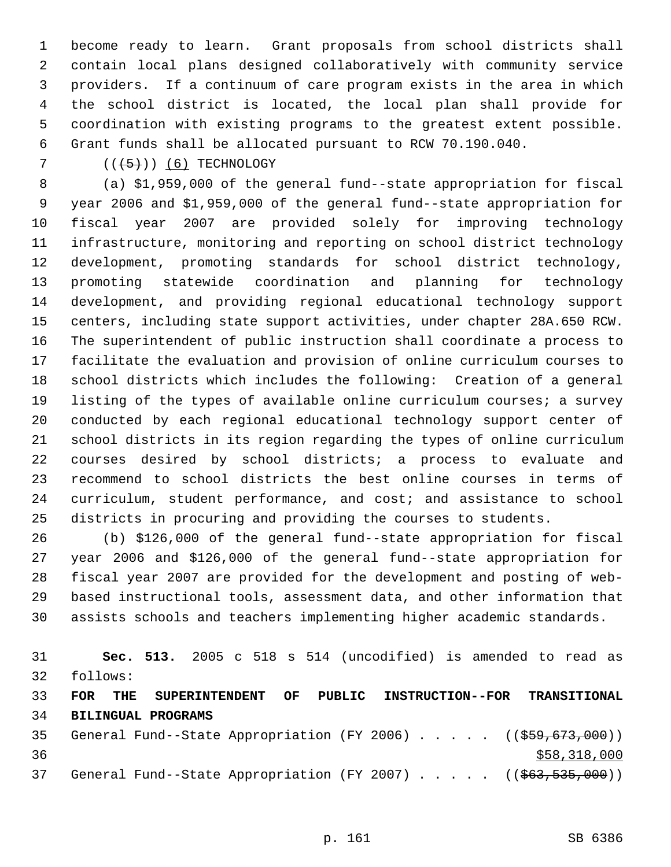become ready to learn. Grant proposals from school districts shall contain local plans designed collaboratively with community service providers. If a continuum of care program exists in the area in which the school district is located, the local plan shall provide for coordination with existing programs to the greatest extent possible. Grant funds shall be allocated pursuant to RCW 70.190.040.

 $((+5))$  (6) TECHNOLOGY

 (a) \$1,959,000 of the general fund--state appropriation for fiscal year 2006 and \$1,959,000 of the general fund--state appropriation for fiscal year 2007 are provided solely for improving technology infrastructure, monitoring and reporting on school district technology development, promoting standards for school district technology, promoting statewide coordination and planning for technology development, and providing regional educational technology support centers, including state support activities, under chapter 28A.650 RCW. The superintendent of public instruction shall coordinate a process to facilitate the evaluation and provision of online curriculum courses to school districts which includes the following: Creation of a general listing of the types of available online curriculum courses; a survey conducted by each regional educational technology support center of school districts in its region regarding the types of online curriculum courses desired by school districts; a process to evaluate and recommend to school districts the best online courses in terms of curriculum, student performance, and cost; and assistance to school districts in procuring and providing the courses to students.

 (b) \$126,000 of the general fund--state appropriation for fiscal year 2006 and \$126,000 of the general fund--state appropriation for fiscal year 2007 are provided for the development and posting of web- based instructional tools, assessment data, and other information that assists schools and teachers implementing higher academic standards.

 **Sec. 513.** 2005 c 518 s 514 (uncodified) is amended to read as follows: **FOR THE SUPERINTENDENT OF PUBLIC INSTRUCTION--FOR TRANSITIONAL BILINGUAL PROGRAMS** 35 General Fund--State Appropriation (FY 2006) . . . . . ((\$59,673,000))  $$58,318,000$ 37 General Fund--State Appropriation (FY 2007) . . . . . ((\$63,535,000))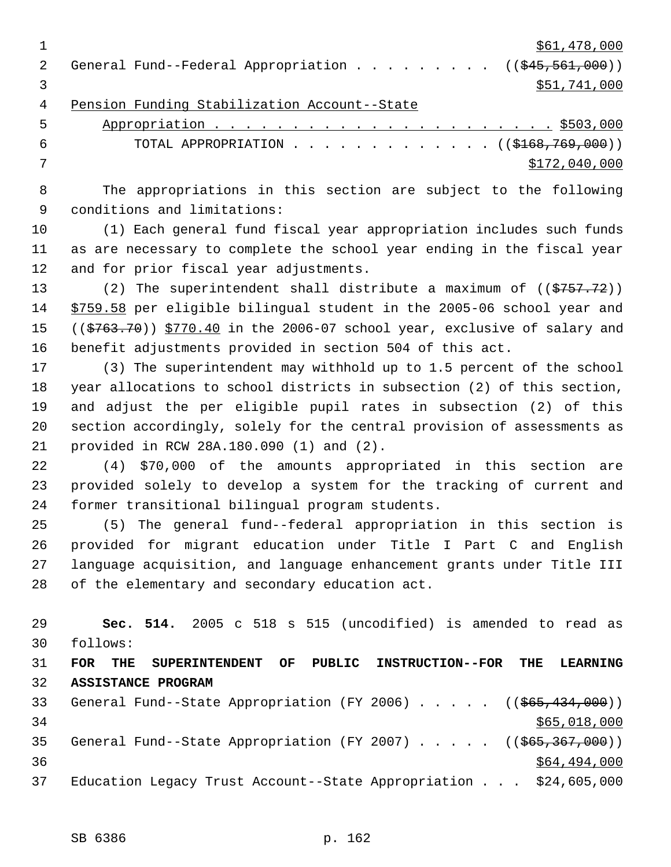$\frac{$61,478,000}{ }$ 2 General Fund--Federal Appropriation . . . . . . . . . ((\$45,561,000))  $3 \times 51,741,000$  Pension Funding Stabilization Account--State Appropriation . . . . . . . . . . . . . . . . . . . . . . \$503,000

6 TOTAL APPROPRIATION . . . . . . . . . . . . . ((\$168,769,000)) \$172,040,000

 The appropriations in this section are subject to the following conditions and limitations:

 (1) Each general fund fiscal year appropriation includes such funds as are necessary to complete the school year ending in the fiscal year and for prior fiscal year adjustments.

13 (2) The superintendent shall distribute a maximum of ((\$757.72)) \$759.58 per eligible bilingual student in the 2005-06 school year and 15 ((\$763.70)) \$770.40 in the 2006-07 school year, exclusive of salary and benefit adjustments provided in section 504 of this act.

 (3) The superintendent may withhold up to 1.5 percent of the school year allocations to school districts in subsection (2) of this section, and adjust the per eligible pupil rates in subsection (2) of this section accordingly, solely for the central provision of assessments as provided in RCW 28A.180.090 (1) and (2).

 (4) \$70,000 of the amounts appropriated in this section are provided solely to develop a system for the tracking of current and former transitional bilingual program students.

 (5) The general fund--federal appropriation in this section is provided for migrant education under Title I Part C and English language acquisition, and language enhancement grants under Title III of the elementary and secondary education act.

 **Sec. 514.** 2005 c 518 s 515 (uncodified) is amended to read as follows: **FOR THE SUPERINTENDENT OF PUBLIC INSTRUCTION--FOR THE LEARNING ASSISTANCE PROGRAM** 33 General Fund--State Appropriation (FY 2006) . . . . . ((\$65,434,000))  $$65,018,000$ 35 General Fund--State Appropriation (FY 2007) . . . . . ((\$65,367,000))  $36$   $364$ ,  $494$ , 000 Education Legacy Trust Account--State Appropriation . . . \$24,605,000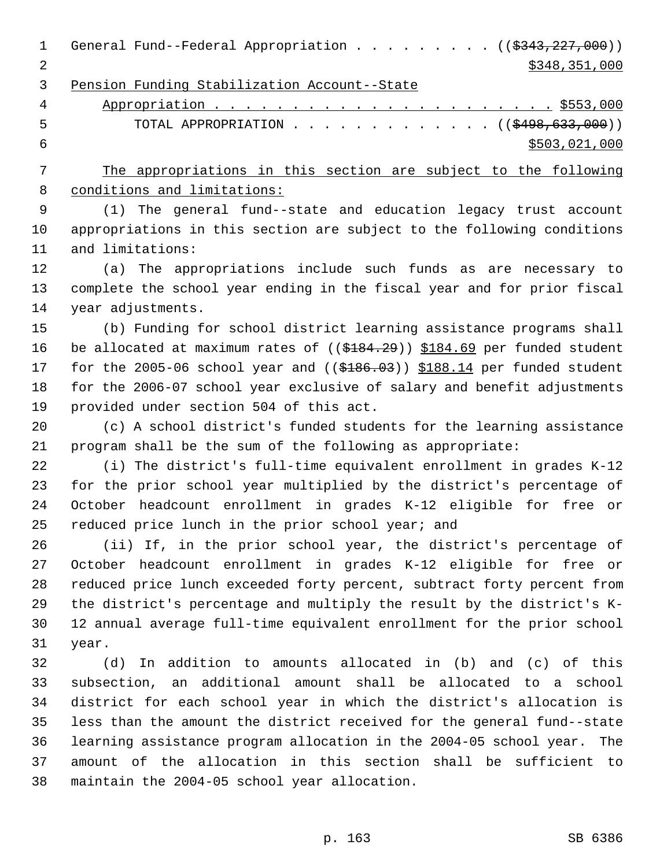| $\mathbf{1}$   | General Fund--Federal Appropriation ( $(\frac{2343}{227},000)$ )            |
|----------------|-----------------------------------------------------------------------------|
| 2              | \$348,351,000                                                               |
| 3              | Pension Funding Stabilization Account--State                                |
| 4              |                                                                             |
| 5              | TOTAL APPROPRIATION $\ldots$ , ( $(\frac{2498,633,000}{s})$                 |
| 6              | \$503,021,000                                                               |
| $\overline{7}$ | The appropriations in this section are subject to the following             |
| 8              | conditions and limitations:                                                 |
| 9              | (1) The general fund--state and education legacy trust account              |
| 10             | appropriations in this section are subject to the following conditions      |
| 11             | and limitations:                                                            |
| 12             | (a) The appropriations include such funds as are necessary to               |
| 13             | complete the school year ending in the fiscal year and for prior fiscal     |
| 14             | year adjustments.                                                           |
| 15             | (b) Funding for school district learning assistance programs shall          |
| 16             | be allocated at maximum rates of $((\$184.29))$ \$184.69 per funded student |
| 17             |                                                                             |
| 18             | for the 2006-07 school year exclusive of salary and benefit adjustments     |
| 19             | provided under section 504 of this act.                                     |
| 20             | (c) A school district's funded students for the learning assistance         |
| 21             | program shall be the sum of the following as appropriate:                   |
| 22             | (i) The district's full-time equivalent enrollment in grades K-12           |
| 23             | for the prior school year multiplied by the district's percentage of        |
| 24             | October headcount enrollment in grades K-12 eligible for free or            |
| 25             | reduced price lunch in the prior school year; and                           |
| 26             | (ii) If, in the prior school year, the district's percentage of             |
| 27             | October headcount enrollment in grades K-12 eligible for free or            |
| 28             | reduced price lunch exceeded forty percent, subtract forty percent from     |
| 29             | the district's percentage and multiply the result by the district's K-      |
| 30             | 12 annual average full-time equivalent enrollment for the prior school      |
| 31             | year.                                                                       |
| 32             | (d) In addition to amounts allocated in (b) and (c) of this                 |
| 33             | subsection, an additional amount shall be allocated to a school             |
| 34             | district for each school year in which the district's allocation is         |

 learning assistance program allocation in the 2004-05 school year. The amount of the allocation in this section shall be sufficient to maintain the 2004-05 school year allocation.

less than the amount the district received for the general fund--state

p. 163 SB 6386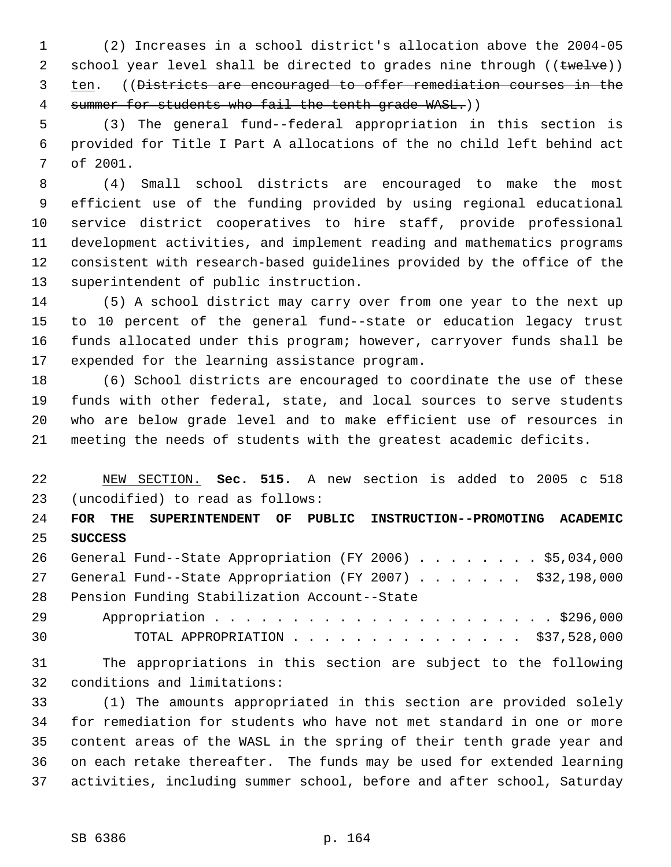(2) Increases in a school district's allocation above the 2004-05 2 school year level shall be directed to grades nine through ((twelve)) 3 ten. ((Districts are encouraged to offer remediation courses in the 4 summer for students who fail the tenth grade WASL.))

 (3) The general fund--federal appropriation in this section is provided for Title I Part A allocations of the no child left behind act of 2001.

 (4) Small school districts are encouraged to make the most efficient use of the funding provided by using regional educational service district cooperatives to hire staff, provide professional development activities, and implement reading and mathematics programs consistent with research-based guidelines provided by the office of the superintendent of public instruction.

 (5) A school district may carry over from one year to the next up to 10 percent of the general fund--state or education legacy trust funds allocated under this program; however, carryover funds shall be expended for the learning assistance program.

 (6) School districts are encouraged to coordinate the use of these funds with other federal, state, and local sources to serve students who are below grade level and to make efficient use of resources in meeting the needs of students with the greatest academic deficits.

 NEW SECTION. **Sec. 515.** A new section is added to 2005 c 518 (uncodified) to read as follows:

 **FOR THE SUPERINTENDENT OF PUBLIC INSTRUCTION--PROMOTING ACADEMIC SUCCESS**

 General Fund--State Appropriation (FY 2006) . . . . . . . . \$5,034,000 27 General Fund--State Appropriation (FY 2007) . . . . . . . \$32,198,000 Pension Funding Stabilization Account--State

| 30 <sup>°</sup> | TOTAL APPROPRIATION \$37,528,000 |  |  |  |  |  |  |  |  |  |  |
|-----------------|----------------------------------|--|--|--|--|--|--|--|--|--|--|

 The appropriations in this section are subject to the following conditions and limitations:

 (1) The amounts appropriated in this section are provided solely for remediation for students who have not met standard in one or more content areas of the WASL in the spring of their tenth grade year and on each retake thereafter. The funds may be used for extended learning activities, including summer school, before and after school, Saturday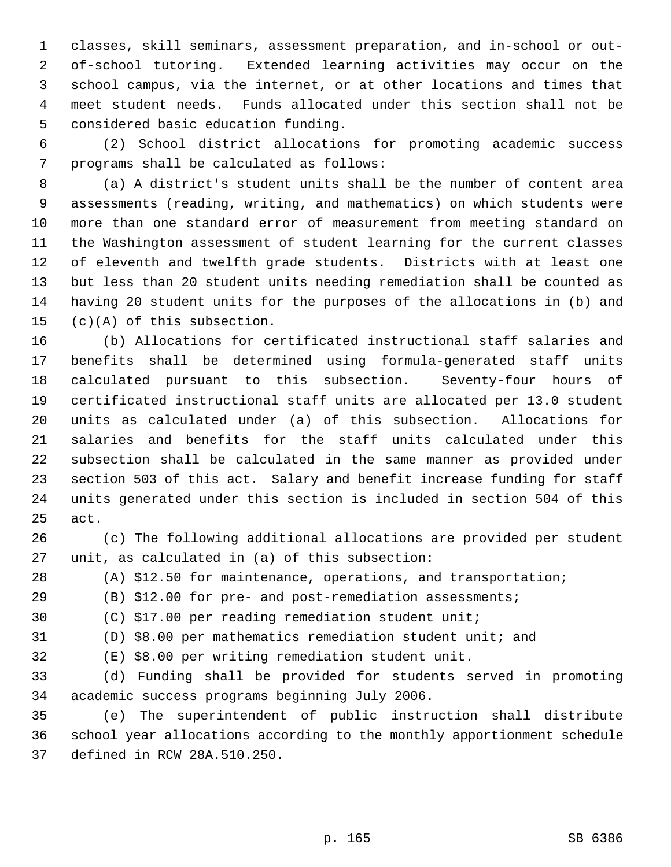classes, skill seminars, assessment preparation, and in-school or out- of-school tutoring. Extended learning activities may occur on the school campus, via the internet, or at other locations and times that meet student needs. Funds allocated under this section shall not be considered basic education funding.

 (2) School district allocations for promoting academic success programs shall be calculated as follows:

 (a) A district's student units shall be the number of content area assessments (reading, writing, and mathematics) on which students were more than one standard error of measurement from meeting standard on the Washington assessment of student learning for the current classes of eleventh and twelfth grade students. Districts with at least one but less than 20 student units needing remediation shall be counted as having 20 student units for the purposes of the allocations in (b) and (c)(A) of this subsection.

 (b) Allocations for certificated instructional staff salaries and benefits shall be determined using formula-generated staff units calculated pursuant to this subsection. Seventy-four hours of certificated instructional staff units are allocated per 13.0 student units as calculated under (a) of this subsection. Allocations for salaries and benefits for the staff units calculated under this subsection shall be calculated in the same manner as provided under section 503 of this act. Salary and benefit increase funding for staff units generated under this section is included in section 504 of this act.

 (c) The following additional allocations are provided per student unit, as calculated in (a) of this subsection:

(A) \$12.50 for maintenance, operations, and transportation;

(B) \$12.00 for pre- and post-remediation assessments;

(C) \$17.00 per reading remediation student unit;

(D) \$8.00 per mathematics remediation student unit; and

(E) \$8.00 per writing remediation student unit.

 (d) Funding shall be provided for students served in promoting academic success programs beginning July 2006.

 (e) The superintendent of public instruction shall distribute school year allocations according to the monthly apportionment schedule defined in RCW 28A.510.250.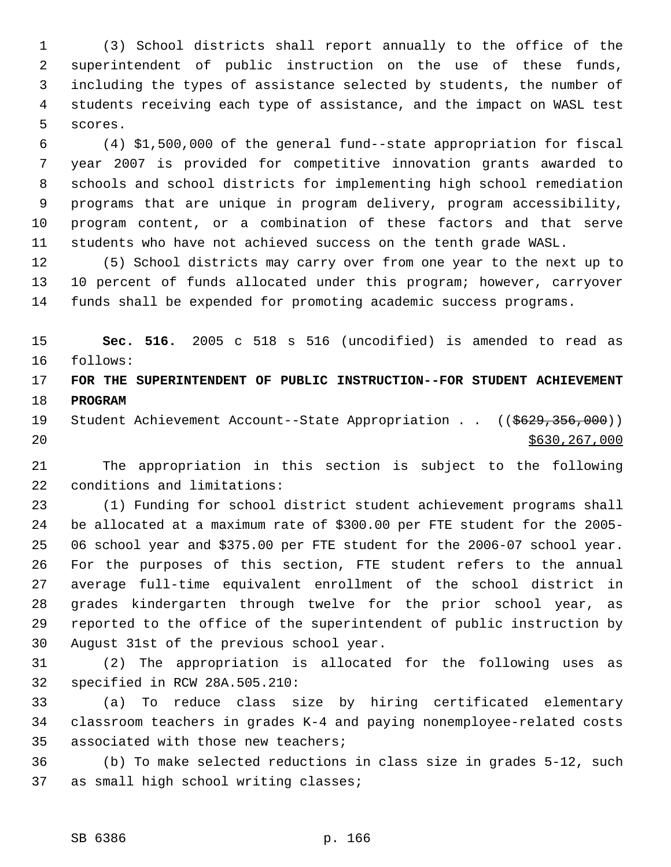(3) School districts shall report annually to the office of the superintendent of public instruction on the use of these funds, including the types of assistance selected by students, the number of students receiving each type of assistance, and the impact on WASL test scores.

 (4) \$1,500,000 of the general fund--state appropriation for fiscal year 2007 is provided for competitive innovation grants awarded to schools and school districts for implementing high school remediation programs that are unique in program delivery, program accessibility, program content, or a combination of these factors and that serve students who have not achieved success on the tenth grade WASL.

 (5) School districts may carry over from one year to the next up to 10 percent of funds allocated under this program; however, carryover funds shall be expended for promoting academic success programs.

 **Sec. 516.** 2005 c 518 s 516 (uncodified) is amended to read as follows:

 **FOR THE SUPERINTENDENT OF PUBLIC INSTRUCTION--FOR STUDENT ACHIEVEMENT PROGRAM**

19 Student Achievement Account--State Appropriation . . ((\$629,356,000)) \$630,267,000

 The appropriation in this section is subject to the following conditions and limitations:

 (1) Funding for school district student achievement programs shall be allocated at a maximum rate of \$300.00 per FTE student for the 2005- 06 school year and \$375.00 per FTE student for the 2006-07 school year. For the purposes of this section, FTE student refers to the annual average full-time equivalent enrollment of the school district in grades kindergarten through twelve for the prior school year, as reported to the office of the superintendent of public instruction by August 31st of the previous school year.

 (2) The appropriation is allocated for the following uses as specified in RCW 28A.505.210:

 (a) To reduce class size by hiring certificated elementary classroom teachers in grades K-4 and paying nonemployee-related costs associated with those new teachers;

 (b) To make selected reductions in class size in grades 5-12, such as small high school writing classes;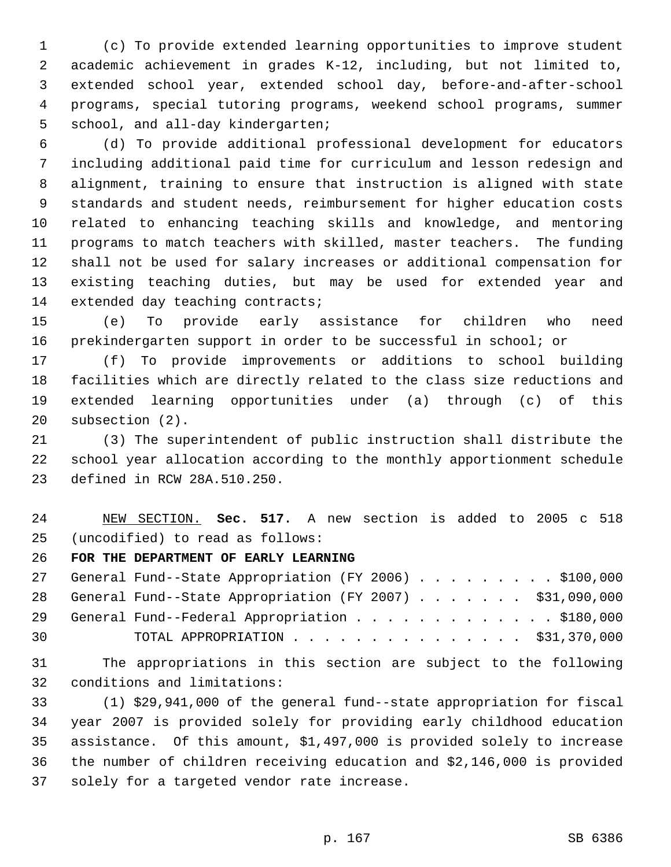(c) To provide extended learning opportunities to improve student academic achievement in grades K-12, including, but not limited to, extended school year, extended school day, before-and-after-school programs, special tutoring programs, weekend school programs, summer school, and all-day kindergarten;

 (d) To provide additional professional development for educators including additional paid time for curriculum and lesson redesign and alignment, training to ensure that instruction is aligned with state standards and student needs, reimbursement for higher education costs related to enhancing teaching skills and knowledge, and mentoring programs to match teachers with skilled, master teachers. The funding shall not be used for salary increases or additional compensation for existing teaching duties, but may be used for extended year and 14 extended day teaching contracts;

 (e) To provide early assistance for children who need prekindergarten support in order to be successful in school; or

 (f) To provide improvements or additions to school building facilities which are directly related to the class size reductions and extended learning opportunities under (a) through (c) of this subsection (2).

 (3) The superintendent of public instruction shall distribute the school year allocation according to the monthly apportionment schedule defined in RCW 28A.510.250.

## NEW SECTION. **Sec. 517.** A new section is added to 2005 c 518 (uncodified) to read as follows:

**FOR THE DEPARTMENT OF EARLY LEARNING**

|    | 27 General Fund--State Appropriation (FY 2006) \$100,000    |
|----|-------------------------------------------------------------|
|    | 28 General Fund--State Appropriation (FY 2007) \$31,090,000 |
|    | 29 General Fund--Federal Appropriation \$180,000            |
| 30 | TOTAL APPROPRIATION $\ldots$ , \$31,370,000                 |

 The appropriations in this section are subject to the following conditions and limitations:

 (1) \$29,941,000 of the general fund--state appropriation for fiscal year 2007 is provided solely for providing early childhood education assistance. Of this amount, \$1,497,000 is provided solely to increase the number of children receiving education and \$2,146,000 is provided solely for a targeted vendor rate increase.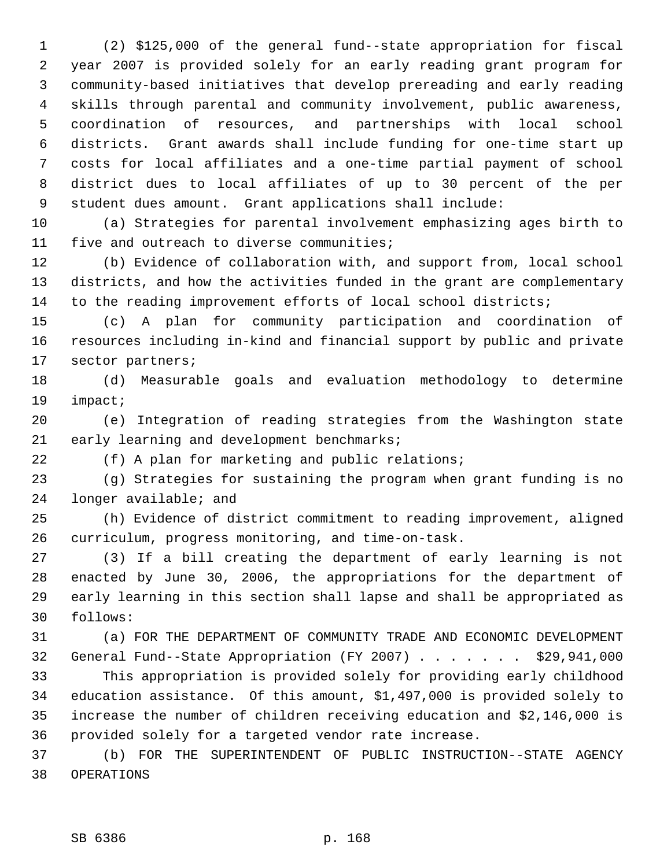(2) \$125,000 of the general fund--state appropriation for fiscal year 2007 is provided solely for an early reading grant program for community-based initiatives that develop prereading and early reading skills through parental and community involvement, public awareness, coordination of resources, and partnerships with local school districts. Grant awards shall include funding for one-time start up costs for local affiliates and a one-time partial payment of school district dues to local affiliates of up to 30 percent of the per student dues amount. Grant applications shall include:

 (a) Strategies for parental involvement emphasizing ages birth to five and outreach to diverse communities;

 (b) Evidence of collaboration with, and support from, local school districts, and how the activities funded in the grant are complementary to the reading improvement efforts of local school districts;

 (c) A plan for community participation and coordination of resources including in-kind and financial support by public and private sector partners;

 (d) Measurable goals and evaluation methodology to determine impact;

 (e) Integration of reading strategies from the Washington state 21 early learning and development benchmarks;

(f) A plan for marketing and public relations;

 (g) Strategies for sustaining the program when grant funding is no longer available; and

 (h) Evidence of district commitment to reading improvement, aligned curriculum, progress monitoring, and time-on-task.

 (3) If a bill creating the department of early learning is not enacted by June 30, 2006, the appropriations for the department of early learning in this section shall lapse and shall be appropriated as follows:

 (a) FOR THE DEPARTMENT OF COMMUNITY TRADE AND ECONOMIC DEVELOPMENT General Fund--State Appropriation (FY 2007) . . . . . . . \$29,941,000

 This appropriation is provided solely for providing early childhood education assistance. Of this amount, \$1,497,000 is provided solely to increase the number of children receiving education and \$2,146,000 is provided solely for a targeted vendor rate increase.

 (b) FOR THE SUPERINTENDENT OF PUBLIC INSTRUCTION--STATE AGENCY OPERATIONS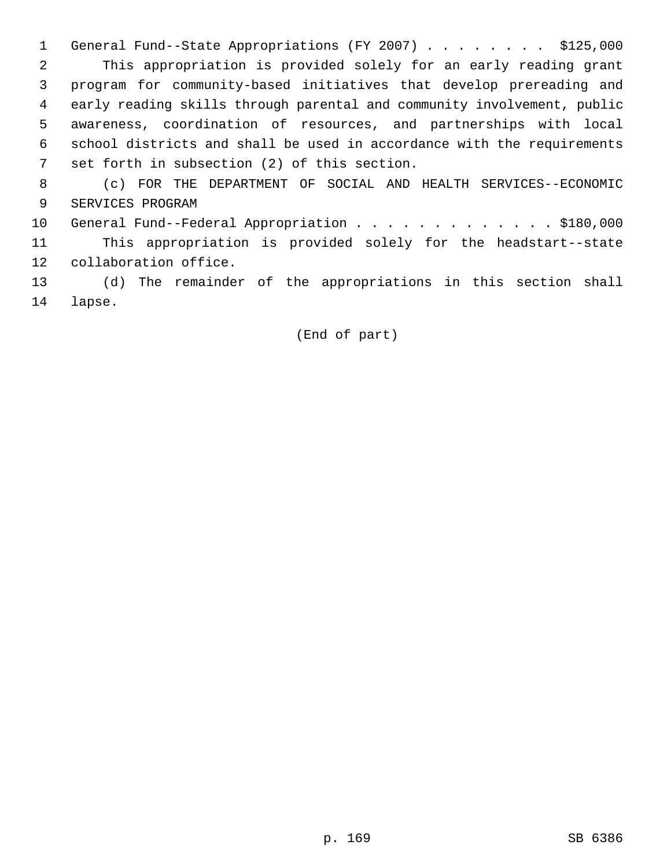1 General Fund--State Appropriations (FY 2007) . . . . . . . \$125,000 This appropriation is provided solely for an early reading grant program for community-based initiatives that develop prereading and early reading skills through parental and community involvement, public awareness, coordination of resources, and partnerships with local school districts and shall be used in accordance with the requirements set forth in subsection (2) of this section.

 (c) FOR THE DEPARTMENT OF SOCIAL AND HEALTH SERVICES--ECONOMIC SERVICES PROGRAM

10 General Fund--Federal Appropriation . . . . . . . . . . . . \$180,000 This appropriation is provided solely for the headstart--state collaboration office.

 (d) The remainder of the appropriations in this section shall lapse.

(End of part)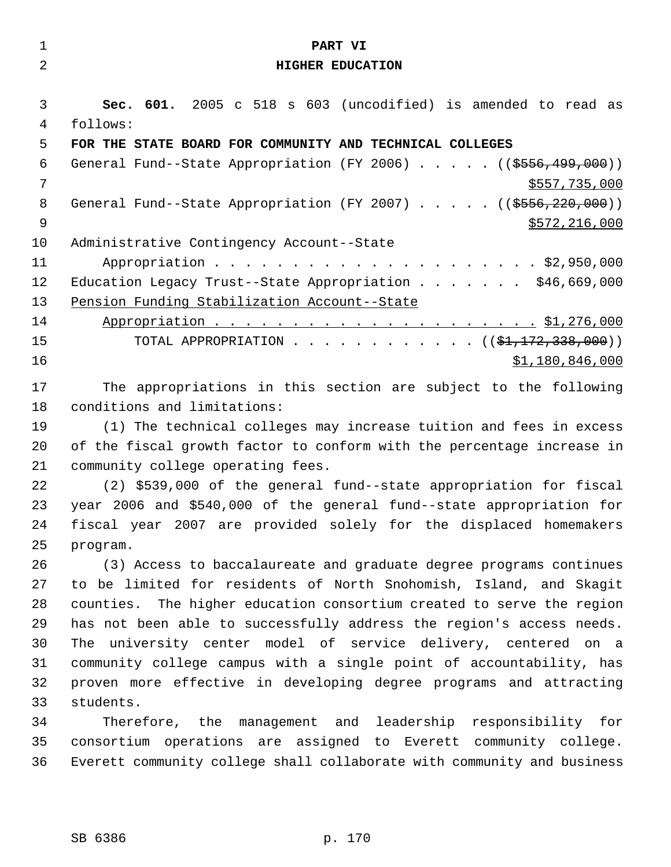| $\mathbf{1}$ | PART VI                                                                 |
|--------------|-------------------------------------------------------------------------|
| 2            | HIGHER EDUCATION                                                        |
|              |                                                                         |
| 3            | Sec. 601. 2005 c 518 s 603 (uncodified) is amended to read as           |
| 4            | follows:                                                                |
| 5            | FOR THE STATE BOARD FOR COMMUNITY AND TECHNICAL COLLEGES                |
| 6            | General Fund--State Appropriation (FY 2006) ((\$556,499,000))           |
| 7            | \$557,735,000                                                           |
| 8            | General Fund--State Appropriation (FY 2007) ((\$556,220,000))           |
| 9            | \$572,216,000                                                           |
| 10           | Administrative Contingency Account--State                               |
| 11           |                                                                         |
| 12           | Education Legacy Trust--State Appropriation \$46,669,000                |
| 13           | Pension Funding Stabilization Account--State                            |
| 14           |                                                                         |
| 15           | TOTAL APPROPRIATION $($ $($ \$1,172,338,000) $)$                        |
| 16           | \$1,180,846,000                                                         |
| 17           | The appropriations in this section are subject to the following         |
| 18           | conditions and limitations:                                             |
| 19           | (1) The technical colleges may increase tuition and fees in excess      |
| 20           | of the fiscal growth factor to conform with the percentage increase in  |
| 21           | community college operating fees.                                       |
| 22           | (2) \$539,000 of the general fund--state appropriation for fiscal       |
| 23           | year 2006 and \$540,000 of the general fund--state appropriation for    |
| 24           | fiscal year 2007 are provided solely for the displaced homemakers       |
| 25           | program.                                                                |
| 26           | (3) Access to baccalaureate and graduate degree programs continues      |
| 27           | to be limited for residents of North Snohomish, Island, and Skagit      |
| 28           | counties. The higher education consortium created to serve the region   |
| 29           | has not been able to successfully address the region's access needs.    |
| 30           | The university center model of service delivery, centered on a          |
| 31           | community college campus with a single point of accountability, has     |
| 32           | proven more effective in developing degree programs and attracting      |
| 33           | students.                                                               |
| 34           | Therefore, the management and leadership responsibility for             |
| 35           | consortium operations are assigned to Everett community college.        |
| 36           | Everett community college shall collaborate with community and business |
|              |                                                                         |
|              |                                                                         |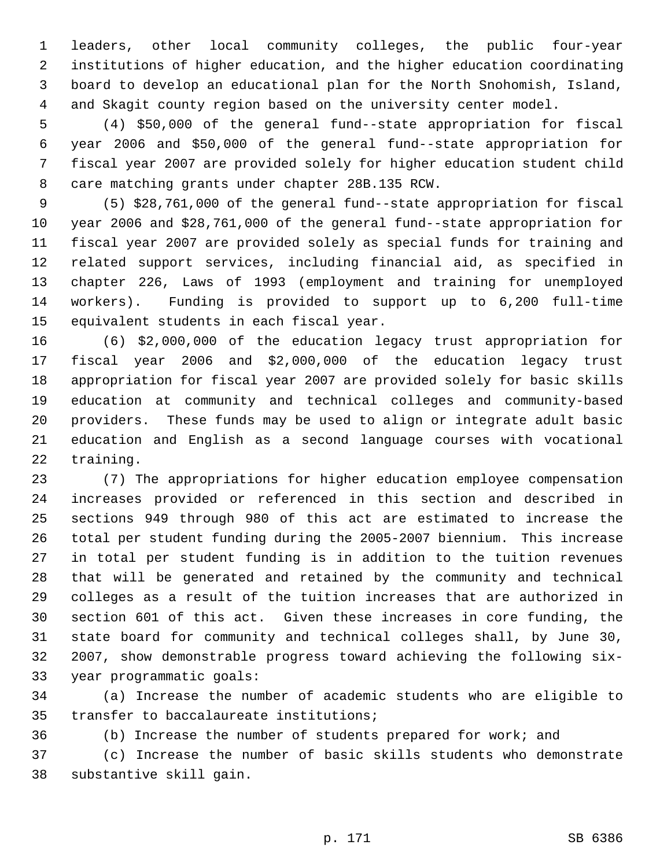leaders, other local community colleges, the public four-year institutions of higher education, and the higher education coordinating board to develop an educational plan for the North Snohomish, Island, and Skagit county region based on the university center model.

 (4) \$50,000 of the general fund--state appropriation for fiscal year 2006 and \$50,000 of the general fund--state appropriation for fiscal year 2007 are provided solely for higher education student child care matching grants under chapter 28B.135 RCW.

 (5) \$28,761,000 of the general fund--state appropriation for fiscal year 2006 and \$28,761,000 of the general fund--state appropriation for fiscal year 2007 are provided solely as special funds for training and related support services, including financial aid, as specified in chapter 226, Laws of 1993 (employment and training for unemployed workers). Funding is provided to support up to 6,200 full-time equivalent students in each fiscal year.

 (6) \$2,000,000 of the education legacy trust appropriation for fiscal year 2006 and \$2,000,000 of the education legacy trust appropriation for fiscal year 2007 are provided solely for basic skills education at community and technical colleges and community-based providers. These funds may be used to align or integrate adult basic education and English as a second language courses with vocational training.

 (7) The appropriations for higher education employee compensation increases provided or referenced in this section and described in sections 949 through 980 of this act are estimated to increase the total per student funding during the 2005-2007 biennium. This increase in total per student funding is in addition to the tuition revenues that will be generated and retained by the community and technical colleges as a result of the tuition increases that are authorized in section 601 of this act. Given these increases in core funding, the state board for community and technical colleges shall, by June 30, 2007, show demonstrable progress toward achieving the following six-year programmatic goals:

 (a) Increase the number of academic students who are eligible to transfer to baccalaureate institutions;

(b) Increase the number of students prepared for work; and

 (c) Increase the number of basic skills students who demonstrate substantive skill gain.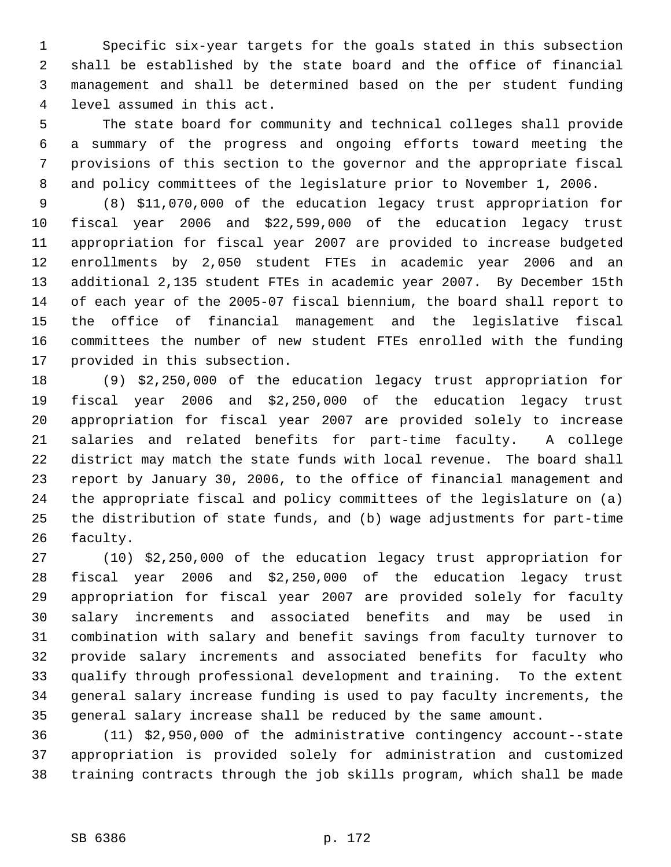Specific six-year targets for the goals stated in this subsection shall be established by the state board and the office of financial management and shall be determined based on the per student funding level assumed in this act.

 The state board for community and technical colleges shall provide a summary of the progress and ongoing efforts toward meeting the provisions of this section to the governor and the appropriate fiscal and policy committees of the legislature prior to November 1, 2006.

 (8) \$11,070,000 of the education legacy trust appropriation for fiscal year 2006 and \$22,599,000 of the education legacy trust appropriation for fiscal year 2007 are provided to increase budgeted enrollments by 2,050 student FTEs in academic year 2006 and an additional 2,135 student FTEs in academic year 2007. By December 15th of each year of the 2005-07 fiscal biennium, the board shall report to the office of financial management and the legislative fiscal committees the number of new student FTEs enrolled with the funding provided in this subsection.

 (9) \$2,250,000 of the education legacy trust appropriation for fiscal year 2006 and \$2,250,000 of the education legacy trust appropriation for fiscal year 2007 are provided solely to increase salaries and related benefits for part-time faculty. A college district may match the state funds with local revenue. The board shall report by January 30, 2006, to the office of financial management and the appropriate fiscal and policy committees of the legislature on (a) the distribution of state funds, and (b) wage adjustments for part-time faculty.

 (10) \$2,250,000 of the education legacy trust appropriation for fiscal year 2006 and \$2,250,000 of the education legacy trust appropriation for fiscal year 2007 are provided solely for faculty salary increments and associated benefits and may be used in combination with salary and benefit savings from faculty turnover to provide salary increments and associated benefits for faculty who qualify through professional development and training. To the extent general salary increase funding is used to pay faculty increments, the general salary increase shall be reduced by the same amount.

 (11) \$2,950,000 of the administrative contingency account--state appropriation is provided solely for administration and customized training contracts through the job skills program, which shall be made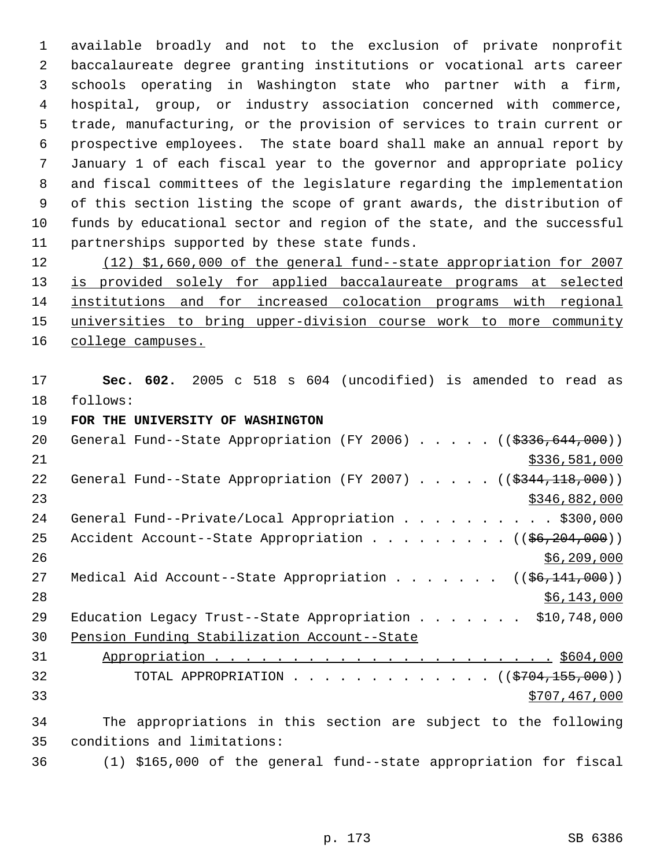available broadly and not to the exclusion of private nonprofit baccalaureate degree granting institutions or vocational arts career schools operating in Washington state who partner with a firm, hospital, group, or industry association concerned with commerce, trade, manufacturing, or the provision of services to train current or prospective employees. The state board shall make an annual report by January 1 of each fiscal year to the governor and appropriate policy and fiscal committees of the legislature regarding the implementation of this section listing the scope of grant awards, the distribution of funds by educational sector and region of the state, and the successful partnerships supported by these state funds.

 (12) \$1,660,000 of the general fund--state appropriation for 2007 13 is provided solely for applied baccalaureate programs at selected institutions and for increased colocation programs with regional universities to bring upper-division course work to more community 16 college campuses.

 **Sec. 602.** 2005 c 518 s 604 (uncodified) is amended to read as follows:

**FOR THE UNIVERSITY OF WASHINGTON** 

| 20 | General Fund--State Appropriation (FY 2006) ((\$336,644,000))                 |
|----|-------------------------------------------------------------------------------|
| 21 | \$336,581,000                                                                 |
| 22 | General Fund--State Appropriation (FY 2007) $($ $($ $\frac{2344}{118},000)$ ) |
| 23 | \$346,882,000                                                                 |
| 24 | General Fund--Private/Local Appropriation \$300,000                           |
| 25 | Accident Account--State Appropriation ( $(\frac{26}{204}, 204)$ )             |
| 26 | \$6,209,000                                                                   |
| 27 | Medical Aid Account--State Appropriation ( $(\frac{66}{141}, 000)$ )          |
| 28 | \$6,143,000                                                                   |
| 29 | Education Legacy Trust--State Appropriation \$10,748,000                      |
| 30 | Pension Funding Stabilization Account--State                                  |
| 31 |                                                                               |
| 32 | TOTAL APPROPRIATION ( $(\frac{2704}{155},000)$ )                              |
| 33 | \$707,467,000                                                                 |
| 34 | The appropriations in this section are subject to the following               |
| 35 | conditions and limitations:                                                   |
| 36 | (1) \$165,000 of the general fund--state appropriation for fiscal             |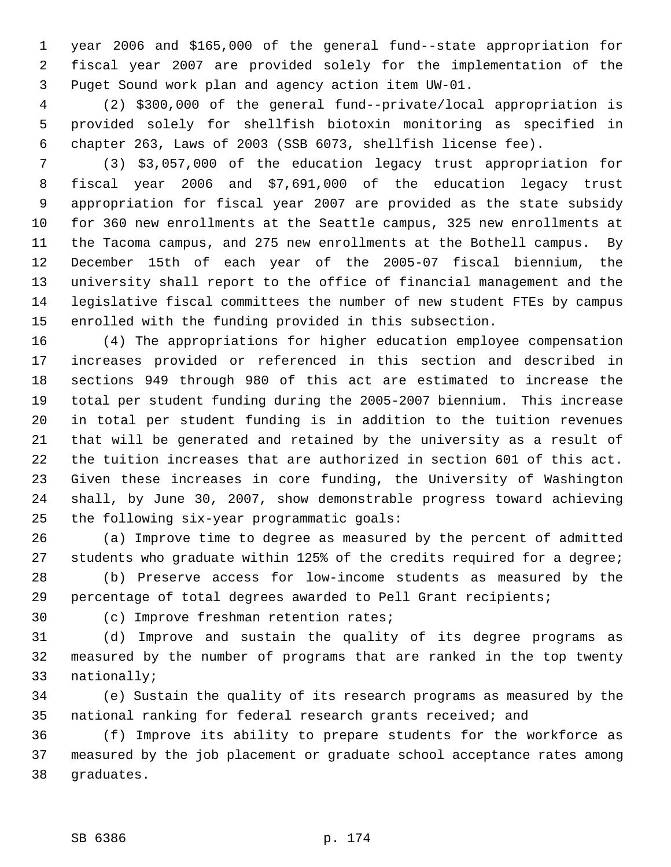year 2006 and \$165,000 of the general fund--state appropriation for fiscal year 2007 are provided solely for the implementation of the Puget Sound work plan and agency action item UW-01.

 (2) \$300,000 of the general fund--private/local appropriation is provided solely for shellfish biotoxin monitoring as specified in chapter 263, Laws of 2003 (SSB 6073, shellfish license fee).

 (3) \$3,057,000 of the education legacy trust appropriation for fiscal year 2006 and \$7,691,000 of the education legacy trust appropriation for fiscal year 2007 are provided as the state subsidy for 360 new enrollments at the Seattle campus, 325 new enrollments at the Tacoma campus, and 275 new enrollments at the Bothell campus. By December 15th of each year of the 2005-07 fiscal biennium, the university shall report to the office of financial management and the legislative fiscal committees the number of new student FTEs by campus enrolled with the funding provided in this subsection.

 (4) The appropriations for higher education employee compensation increases provided or referenced in this section and described in sections 949 through 980 of this act are estimated to increase the total per student funding during the 2005-2007 biennium. This increase in total per student funding is in addition to the tuition revenues that will be generated and retained by the university as a result of the tuition increases that are authorized in section 601 of this act. Given these increases in core funding, the University of Washington shall, by June 30, 2007, show demonstrable progress toward achieving the following six-year programmatic goals:

 (a) Improve time to degree as measured by the percent of admitted students who graduate within 125% of the credits required for a degree; (b) Preserve access for low-income students as measured by the

percentage of total degrees awarded to Pell Grant recipients;

(c) Improve freshman retention rates;

 (d) Improve and sustain the quality of its degree programs as measured by the number of programs that are ranked in the top twenty nationally;

 (e) Sustain the quality of its research programs as measured by the national ranking for federal research grants received; and

 (f) Improve its ability to prepare students for the workforce as measured by the job placement or graduate school acceptance rates among graduates.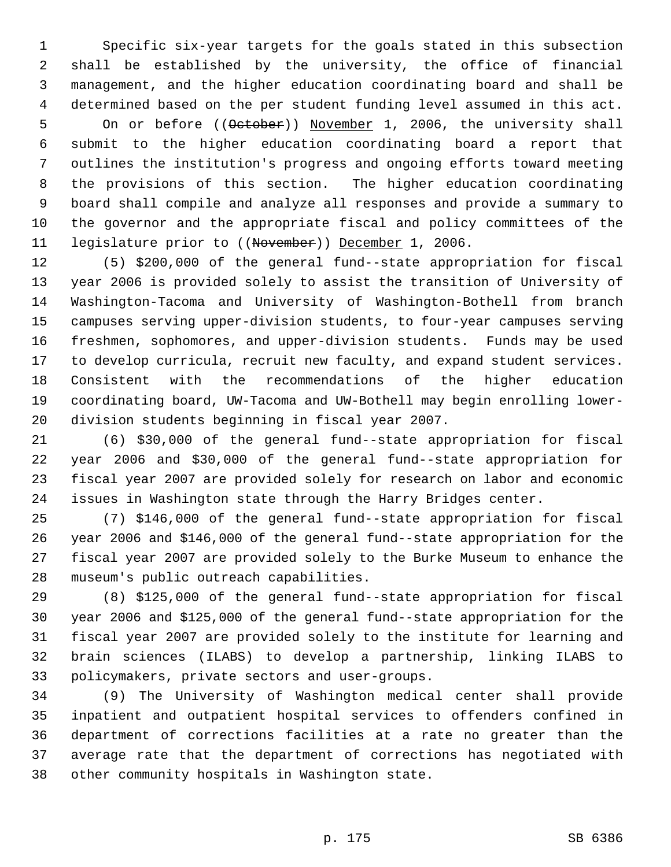Specific six-year targets for the goals stated in this subsection shall be established by the university, the office of financial management, and the higher education coordinating board and shall be determined based on the per student funding level assumed in this act. 5 On or before ((October)) November 1, 2006, the university shall submit to the higher education coordinating board a report that outlines the institution's progress and ongoing efforts toward meeting the provisions of this section. The higher education coordinating board shall compile and analyze all responses and provide a summary to the governor and the appropriate fiscal and policy committees of the 11 legislature prior to ((November)) December 1, 2006.

 (5) \$200,000 of the general fund--state appropriation for fiscal year 2006 is provided solely to assist the transition of University of Washington-Tacoma and University of Washington-Bothell from branch campuses serving upper-division students, to four-year campuses serving freshmen, sophomores, and upper-division students. Funds may be used to develop curricula, recruit new faculty, and expand student services. Consistent with the recommendations of the higher education coordinating board, UW-Tacoma and UW-Bothell may begin enrolling lower-division students beginning in fiscal year 2007.

 (6) \$30,000 of the general fund--state appropriation for fiscal year 2006 and \$30,000 of the general fund--state appropriation for fiscal year 2007 are provided solely for research on labor and economic issues in Washington state through the Harry Bridges center.

 (7) \$146,000 of the general fund--state appropriation for fiscal year 2006 and \$146,000 of the general fund--state appropriation for the fiscal year 2007 are provided solely to the Burke Museum to enhance the museum's public outreach capabilities.

 (8) \$125,000 of the general fund--state appropriation for fiscal year 2006 and \$125,000 of the general fund--state appropriation for the fiscal year 2007 are provided solely to the institute for learning and brain sciences (ILABS) to develop a partnership, linking ILABS to policymakers, private sectors and user-groups.

 (9) The University of Washington medical center shall provide inpatient and outpatient hospital services to offenders confined in department of corrections facilities at a rate no greater than the average rate that the department of corrections has negotiated with other community hospitals in Washington state.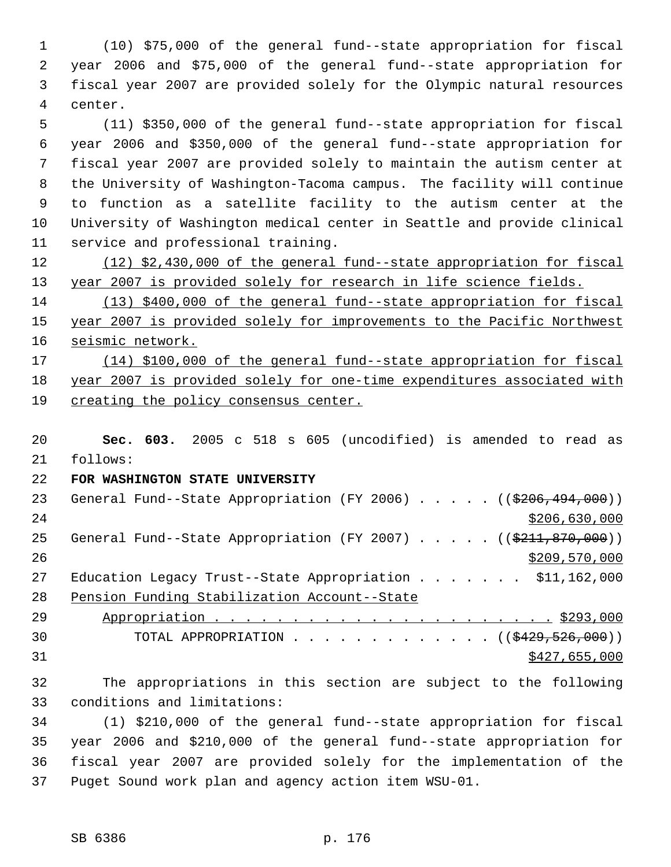(10) \$75,000 of the general fund--state appropriation for fiscal year 2006 and \$75,000 of the general fund--state appropriation for fiscal year 2007 are provided solely for the Olympic natural resources center.

 (11) \$350,000 of the general fund--state appropriation for fiscal year 2006 and \$350,000 of the general fund--state appropriation for fiscal year 2007 are provided solely to maintain the autism center at the University of Washington-Tacoma campus. The facility will continue to function as a satellite facility to the autism center at the University of Washington medical center in Seattle and provide clinical service and professional training.

 (12) \$2,430,000 of the general fund--state appropriation for fiscal 13 year 2007 is provided solely for research in life science fields.

 (13) \$400,000 of the general fund--state appropriation for fiscal year 2007 is provided solely for improvements to the Pacific Northwest 16 seismic network.

 (14) \$100,000 of the general fund--state appropriation for fiscal year 2007 is provided solely for one-time expenditures associated with creating the policy consensus center.

 **Sec. 603.** 2005 c 518 s 605 (uncodified) is amended to read as follows:

## **FOR WASHINGTON STATE UNIVERSITY**

23 General Fund--State Appropriation (FY 2006) . . . . . ((\$206,494,000)) \$206,630,000 25 General Fund--State Appropriation (FY 2007) . . . . . ((\$211,870,000))  $\frac{$209,570,000}{2}$ 27 Education Legacy Trust--State Appropriation . . . . . . \$11,162,000 Pension Funding Stabilization Account--State Appropriation . . . . . . . . . . . . . . . . . . . . . . \$293,000

30 TOTAL APPROPRIATION . . . . . . . . . . . . ((\$429,526,000)) \$427,655,000

 The appropriations in this section are subject to the following conditions and limitations:

 (1) \$210,000 of the general fund--state appropriation for fiscal year 2006 and \$210,000 of the general fund--state appropriation for fiscal year 2007 are provided solely for the implementation of the Puget Sound work plan and agency action item WSU-01.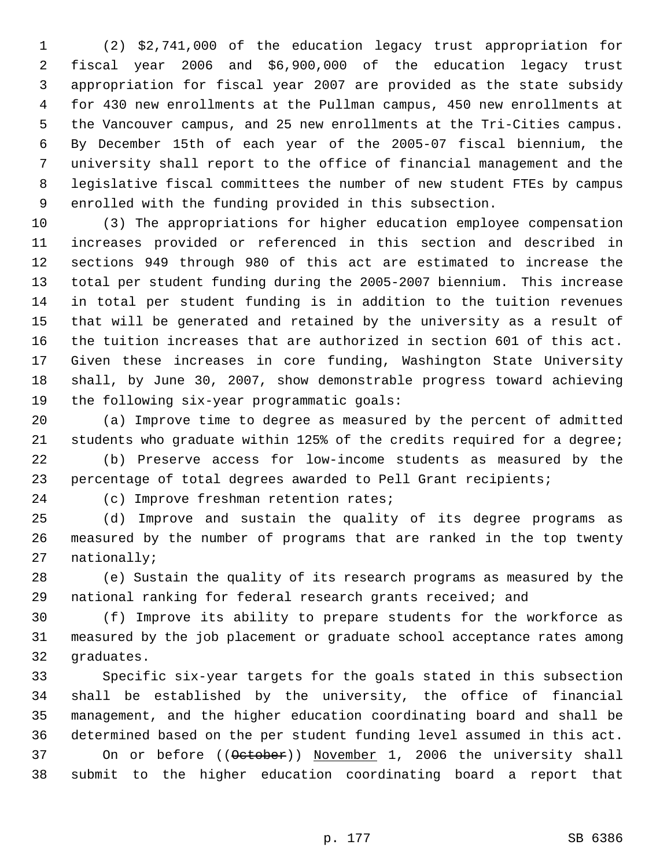(2) \$2,741,000 of the education legacy trust appropriation for fiscal year 2006 and \$6,900,000 of the education legacy trust appropriation for fiscal year 2007 are provided as the state subsidy for 430 new enrollments at the Pullman campus, 450 new enrollments at the Vancouver campus, and 25 new enrollments at the Tri-Cities campus. By December 15th of each year of the 2005-07 fiscal biennium, the university shall report to the office of financial management and the legislative fiscal committees the number of new student FTEs by campus enrolled with the funding provided in this subsection.

 (3) The appropriations for higher education employee compensation increases provided or referenced in this section and described in sections 949 through 980 of this act are estimated to increase the total per student funding during the 2005-2007 biennium. This increase in total per student funding is in addition to the tuition revenues that will be generated and retained by the university as a result of the tuition increases that are authorized in section 601 of this act. Given these increases in core funding, Washington State University shall, by June 30, 2007, show demonstrable progress toward achieving the following six-year programmatic goals:

 (a) Improve time to degree as measured by the percent of admitted students who graduate within 125% of the credits required for a degree;

 (b) Preserve access for low-income students as measured by the percentage of total degrees awarded to Pell Grant recipients;

(c) Improve freshman retention rates;

 (d) Improve and sustain the quality of its degree programs as measured by the number of programs that are ranked in the top twenty nationally;

 (e) Sustain the quality of its research programs as measured by the national ranking for federal research grants received; and

 (f) Improve its ability to prepare students for the workforce as measured by the job placement or graduate school acceptance rates among graduates.

 Specific six-year targets for the goals stated in this subsection shall be established by the university, the office of financial management, and the higher education coordinating board and shall be determined based on the per student funding level assumed in this act. 37 On or before ((October)) November 1, 2006 the university shall submit to the higher education coordinating board a report that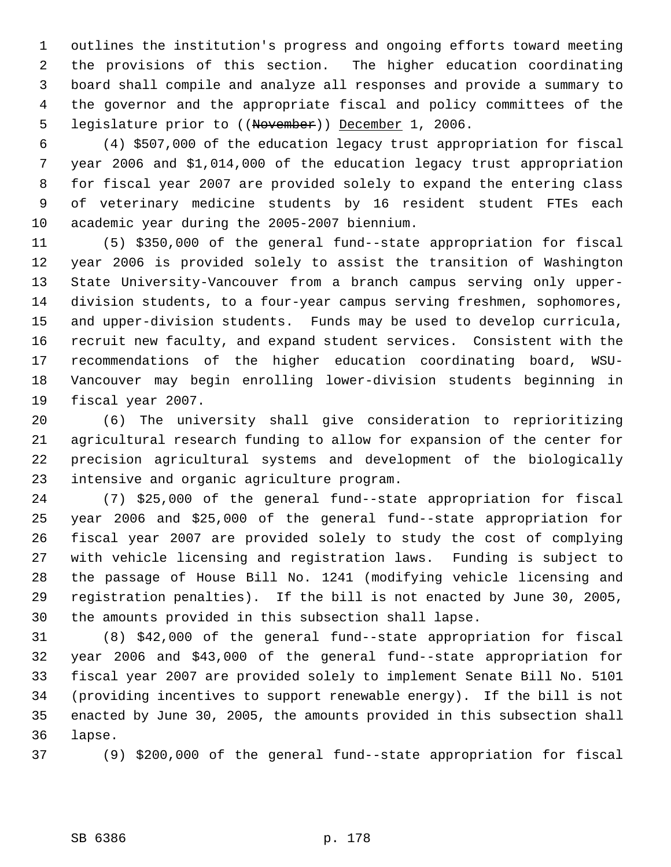outlines the institution's progress and ongoing efforts toward meeting the provisions of this section. The higher education coordinating board shall compile and analyze all responses and provide a summary to the governor and the appropriate fiscal and policy committees of the 5 legislature prior to ((November)) December 1, 2006.

 (4) \$507,000 of the education legacy trust appropriation for fiscal year 2006 and \$1,014,000 of the education legacy trust appropriation for fiscal year 2007 are provided solely to expand the entering class of veterinary medicine students by 16 resident student FTEs each academic year during the 2005-2007 biennium.

 (5) \$350,000 of the general fund--state appropriation for fiscal year 2006 is provided solely to assist the transition of Washington State University-Vancouver from a branch campus serving only upper- division students, to a four-year campus serving freshmen, sophomores, and upper-division students. Funds may be used to develop curricula, recruit new faculty, and expand student services. Consistent with the recommendations of the higher education coordinating board, WSU- Vancouver may begin enrolling lower-division students beginning in fiscal year 2007.

 (6) The university shall give consideration to reprioritizing agricultural research funding to allow for expansion of the center for precision agricultural systems and development of the biologically intensive and organic agriculture program.

 (7) \$25,000 of the general fund--state appropriation for fiscal year 2006 and \$25,000 of the general fund--state appropriation for fiscal year 2007 are provided solely to study the cost of complying with vehicle licensing and registration laws. Funding is subject to the passage of House Bill No. 1241 (modifying vehicle licensing and registration penalties). If the bill is not enacted by June 30, 2005, the amounts provided in this subsection shall lapse.

 (8) \$42,000 of the general fund--state appropriation for fiscal year 2006 and \$43,000 of the general fund--state appropriation for fiscal year 2007 are provided solely to implement Senate Bill No. 5101 (providing incentives to support renewable energy). If the bill is not enacted by June 30, 2005, the amounts provided in this subsection shall lapse.

(9) \$200,000 of the general fund--state appropriation for fiscal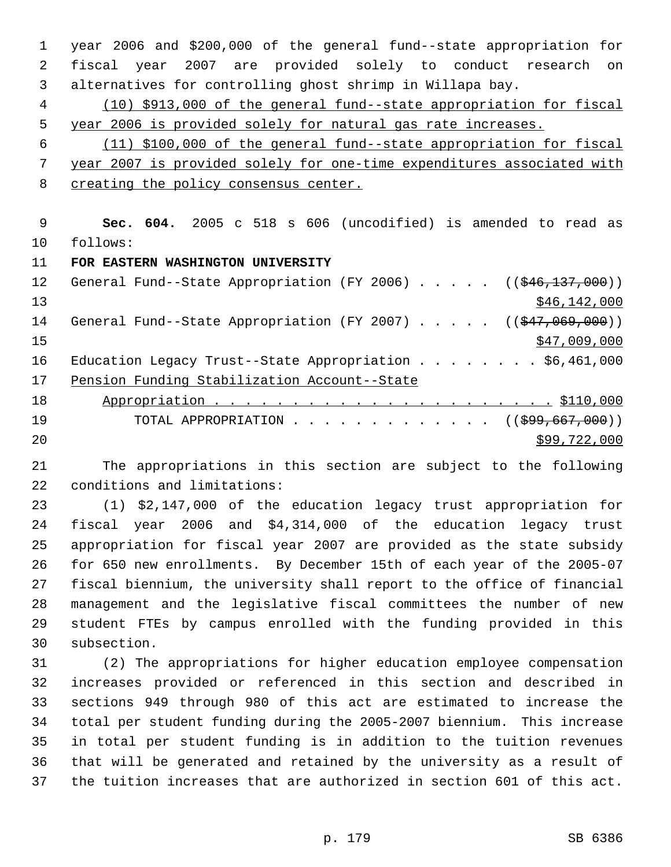year 2006 and \$200,000 of the general fund--state appropriation for fiscal year 2007 are provided solely to conduct research on alternatives for controlling ghost shrimp in Willapa bay.

 (10) \$913,000 of the general fund--state appropriation for fiscal year 2006 is provided solely for natural gas rate increases.

 (11) \$100,000 of the general fund--state appropriation for fiscal year 2007 is provided solely for one-time expenditures associated with creating the policy consensus center.

 **Sec. 604.** 2005 c 518 s 606 (uncodified) is amended to read as follows:

**FOR EASTERN WASHINGTON UNIVERSITY** 

|    | 12 General Fund--State Appropriation (FY 2006) ((\$46,137,000))         |
|----|-------------------------------------------------------------------------|
| 13 | \$46, 142, 000                                                          |
| 14 | General Fund--State Appropriation (FY 2007) $($ $($ $\frac{207}{100})$  |
| 15 | \$47,009,000                                                            |
| 16 | Education Legacy Trust--State Appropriation \$6,461,000                 |
| 17 | Pension Funding Stabilization Account--State                            |
| 18 |                                                                         |
| 19 | TOTAL APPROPRIATION $\ldots$ , ( $(\frac{299}{667}, \frac{667}{600})$ ) |
| 20 | \$99,722,000                                                            |

 The appropriations in this section are subject to the following conditions and limitations:

 (1) \$2,147,000 of the education legacy trust appropriation for fiscal year 2006 and \$4,314,000 of the education legacy trust appropriation for fiscal year 2007 are provided as the state subsidy for 650 new enrollments. By December 15th of each year of the 2005-07 fiscal biennium, the university shall report to the office of financial management and the legislative fiscal committees the number of new student FTEs by campus enrolled with the funding provided in this subsection.

 (2) The appropriations for higher education employee compensation increases provided or referenced in this section and described in sections 949 through 980 of this act are estimated to increase the total per student funding during the 2005-2007 biennium. This increase in total per student funding is in addition to the tuition revenues that will be generated and retained by the university as a result of the tuition increases that are authorized in section 601 of this act.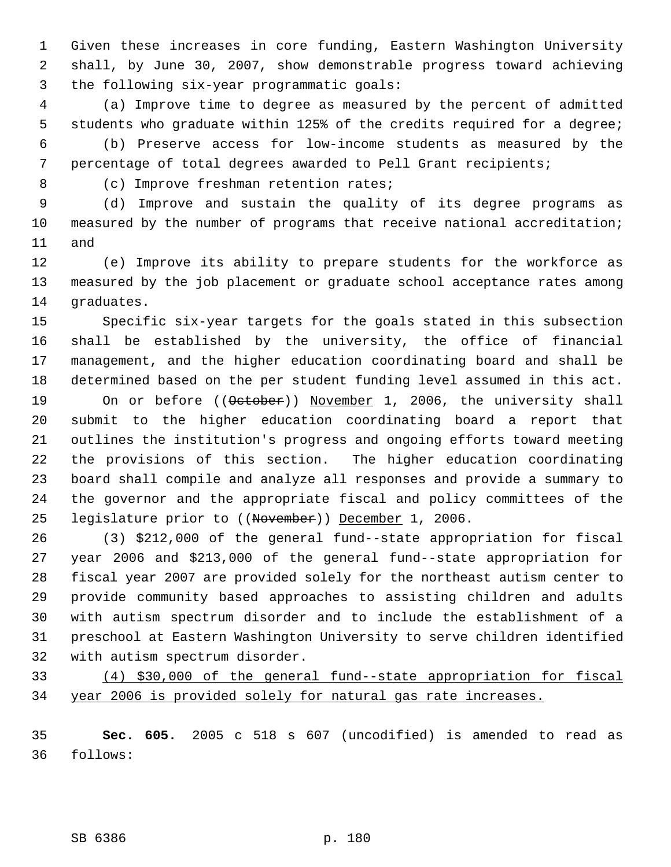Given these increases in core funding, Eastern Washington University shall, by June 30, 2007, show demonstrable progress toward achieving the following six-year programmatic goals:

 (a) Improve time to degree as measured by the percent of admitted students who graduate within 125% of the credits required for a degree;

 (b) Preserve access for low-income students as measured by the percentage of total degrees awarded to Pell Grant recipients;

8 (c) Improve freshman retention rates;

 (d) Improve and sustain the quality of its degree programs as measured by the number of programs that receive national accreditation; and

 (e) Improve its ability to prepare students for the workforce as measured by the job placement or graduate school acceptance rates among graduates.

 Specific six-year targets for the goals stated in this subsection shall be established by the university, the office of financial management, and the higher education coordinating board and shall be determined based on the per student funding level assumed in this act.

19 On or before ((October)) November 1, 2006, the university shall submit to the higher education coordinating board a report that outlines the institution's progress and ongoing efforts toward meeting the provisions of this section. The higher education coordinating board shall compile and analyze all responses and provide a summary to the governor and the appropriate fiscal and policy committees of the 25 legislature prior to ((November)) December 1, 2006.

 (3) \$212,000 of the general fund--state appropriation for fiscal year 2006 and \$213,000 of the general fund--state appropriation for fiscal year 2007 are provided solely for the northeast autism center to provide community based approaches to assisting children and adults with autism spectrum disorder and to include the establishment of a preschool at Eastern Washington University to serve children identified with autism spectrum disorder.

 (4) \$30,000 of the general fund--state appropriation for fiscal year 2006 is provided solely for natural gas rate increases.

 **Sec. 605.** 2005 c 518 s 607 (uncodified) is amended to read as follows: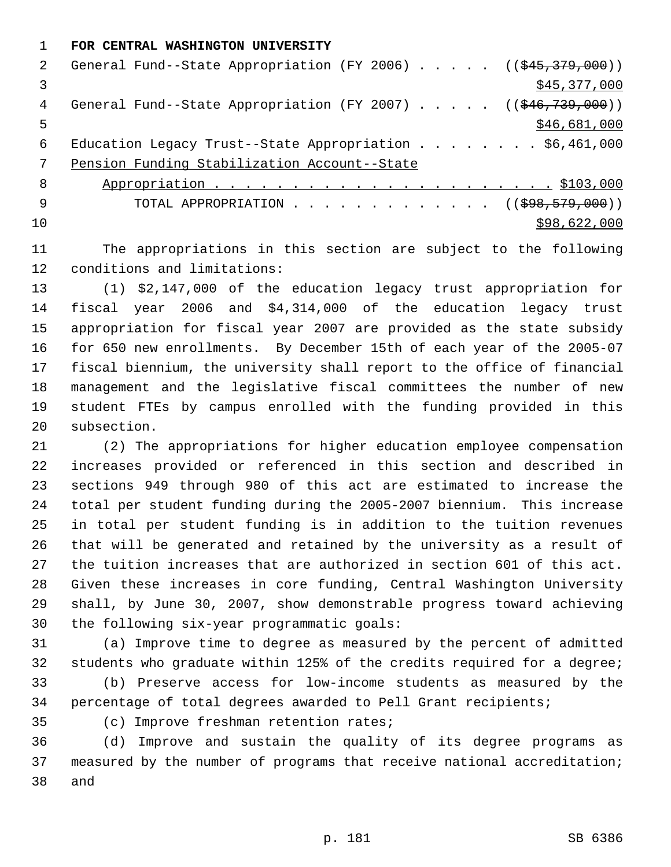**FOR CENTRAL WASHINGTON UNIVERSITY** 

| 2  | General Fund--State Appropriation (FY 2006) $($ $($ $\frac{245}{379}$ , 000)) |
|----|-------------------------------------------------------------------------------|
| 3  | \$45,377,000                                                                  |
| 4  | General Fund--State Appropriation (FY 2007) $($ $($ $\frac{646}{739},000)$ )  |
| 5  | \$46,681,000                                                                  |
| 6  | Education Legacy Trust--State Appropriation \$6,461,000                       |
| 7  | Pension Funding Stabilization Account--State                                  |
| 8  |                                                                               |
| -9 | TOTAL APPROPRIATION ( $(\frac{698}{579}, \frac{579}{600})$ )                  |
| 10 | \$98,622,000                                                                  |

 The appropriations in this section are subject to the following conditions and limitations:

 (1) \$2,147,000 of the education legacy trust appropriation for fiscal year 2006 and \$4,314,000 of the education legacy trust appropriation for fiscal year 2007 are provided as the state subsidy for 650 new enrollments. By December 15th of each year of the 2005-07 fiscal biennium, the university shall report to the office of financial management and the legislative fiscal committees the number of new student FTEs by campus enrolled with the funding provided in this subsection.

 (2) The appropriations for higher education employee compensation increases provided or referenced in this section and described in sections 949 through 980 of this act are estimated to increase the total per student funding during the 2005-2007 biennium. This increase in total per student funding is in addition to the tuition revenues that will be generated and retained by the university as a result of the tuition increases that are authorized in section 601 of this act. Given these increases in core funding, Central Washington University shall, by June 30, 2007, show demonstrable progress toward achieving the following six-year programmatic goals:

 (a) Improve time to degree as measured by the percent of admitted students who graduate within 125% of the credits required for a degree; (b) Preserve access for low-income students as measured by the

percentage of total degrees awarded to Pell Grant recipients;

(c) Improve freshman retention rates;

 (d) Improve and sustain the quality of its degree programs as measured by the number of programs that receive national accreditation; and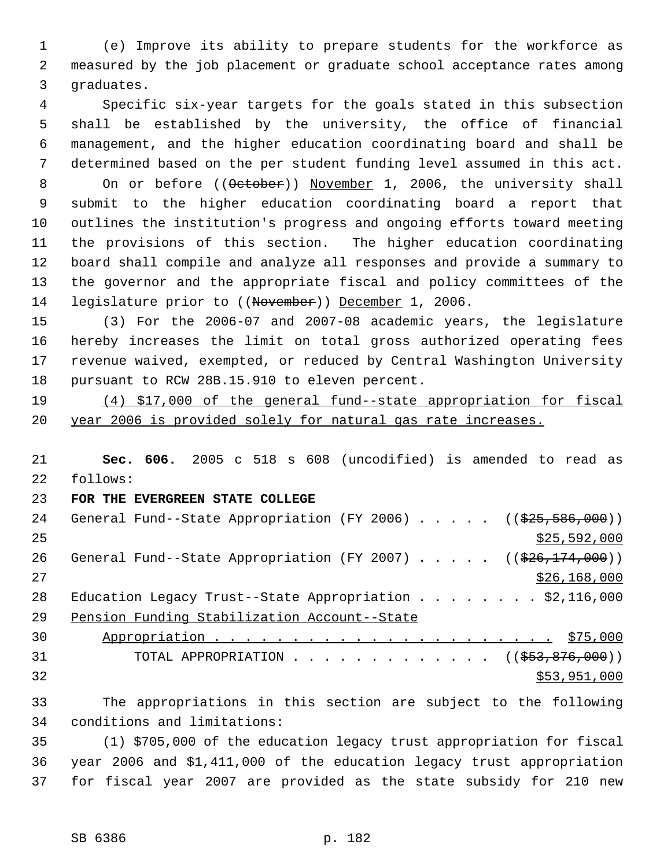(e) Improve its ability to prepare students for the workforce as measured by the job placement or graduate school acceptance rates among graduates.

 Specific six-year targets for the goals stated in this subsection shall be established by the university, the office of financial management, and the higher education coordinating board and shall be determined based on the per student funding level assumed in this act. 8 On or before ((October)) November 1, 2006, the university shall submit to the higher education coordinating board a report that outlines the institution's progress and ongoing efforts toward meeting the provisions of this section. The higher education coordinating board shall compile and analyze all responses and provide a summary to the governor and the appropriate fiscal and policy committees of the legislature prior to ((November)) December 1, 2006.

 (3) For the 2006-07 and 2007-08 academic years, the legislature hereby increases the limit on total gross authorized operating fees revenue waived, exempted, or reduced by Central Washington University pursuant to RCW 28B.15.910 to eleven percent.

 (4) \$17,000 of the general fund--state appropriation for fiscal year 2006 is provided solely for natural gas rate increases.

 **Sec. 606.** 2005 c 518 s 608 (uncodified) is amended to read as follows:

## **FOR THE EVERGREEN STATE COLLEGE**

| 24 | General Fund--State Appropriation (FY 2006) $($ $($ $\frac{255}{500})$       |
|----|------------------------------------------------------------------------------|
| 25 | \$25,592,000                                                                 |
| 26 | General Fund--State Appropriation (FY 2007) $($ $($ $\frac{26}{714}, 000)$ ) |
| 27 | \$26,168,000                                                                 |
| 28 | Education Legacy Trust--State Appropriation \$2,116,000                      |
| 29 | Pension Funding Stabilization Account--State                                 |
| 30 |                                                                              |
| 31 | TOTAL APPROPRIATION $\ldots$ , ( $(\frac{253}{53}, \frac{876}{600})$ )       |

\$53,951,000

 The appropriations in this section are subject to the following conditions and limitations:

 (1) \$705,000 of the education legacy trust appropriation for fiscal year 2006 and \$1,411,000 of the education legacy trust appropriation for fiscal year 2007 are provided as the state subsidy for 210 new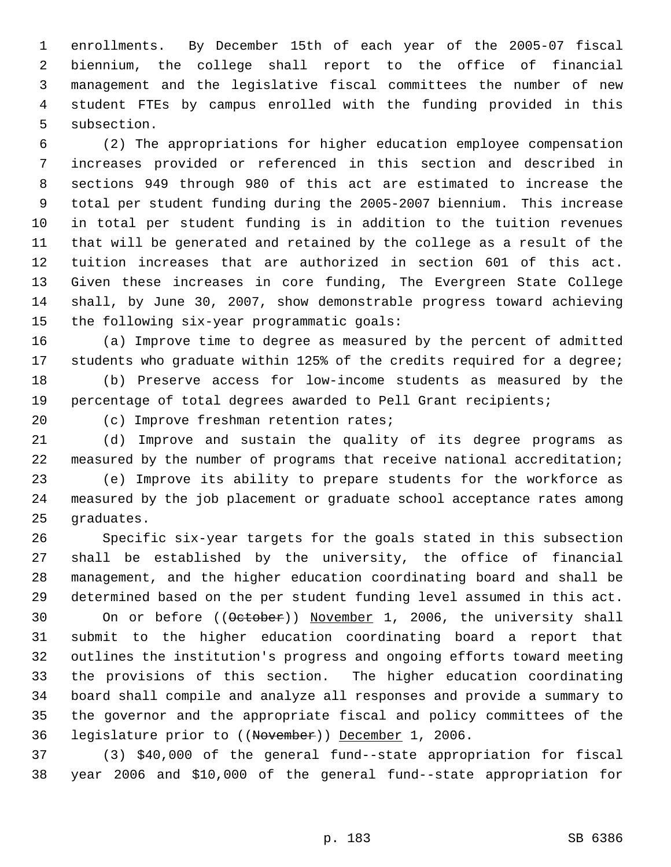enrollments. By December 15th of each year of the 2005-07 fiscal biennium, the college shall report to the office of financial management and the legislative fiscal committees the number of new student FTEs by campus enrolled with the funding provided in this subsection.

 (2) The appropriations for higher education employee compensation increases provided or referenced in this section and described in sections 949 through 980 of this act are estimated to increase the total per student funding during the 2005-2007 biennium. This increase in total per student funding is in addition to the tuition revenues that will be generated and retained by the college as a result of the tuition increases that are authorized in section 601 of this act. Given these increases in core funding, The Evergreen State College shall, by June 30, 2007, show demonstrable progress toward achieving the following six-year programmatic goals:

 (a) Improve time to degree as measured by the percent of admitted students who graduate within 125% of the credits required for a degree;

 (b) Preserve access for low-income students as measured by the percentage of total degrees awarded to Pell Grant recipients;

(c) Improve freshman retention rates;

 (d) Improve and sustain the quality of its degree programs as measured by the number of programs that receive national accreditation;

 (e) Improve its ability to prepare students for the workforce as measured by the job placement or graduate school acceptance rates among graduates.

 Specific six-year targets for the goals stated in this subsection shall be established by the university, the office of financial management, and the higher education coordinating board and shall be determined based on the per student funding level assumed in this act.

30 On or before ((October)) November 1, 2006, the university shall submit to the higher education coordinating board a report that outlines the institution's progress and ongoing efforts toward meeting the provisions of this section. The higher education coordinating board shall compile and analyze all responses and provide a summary to the governor and the appropriate fiscal and policy committees of the legislature prior to ((November)) December 1, 2006.

 (3) \$40,000 of the general fund--state appropriation for fiscal year 2006 and \$10,000 of the general fund--state appropriation for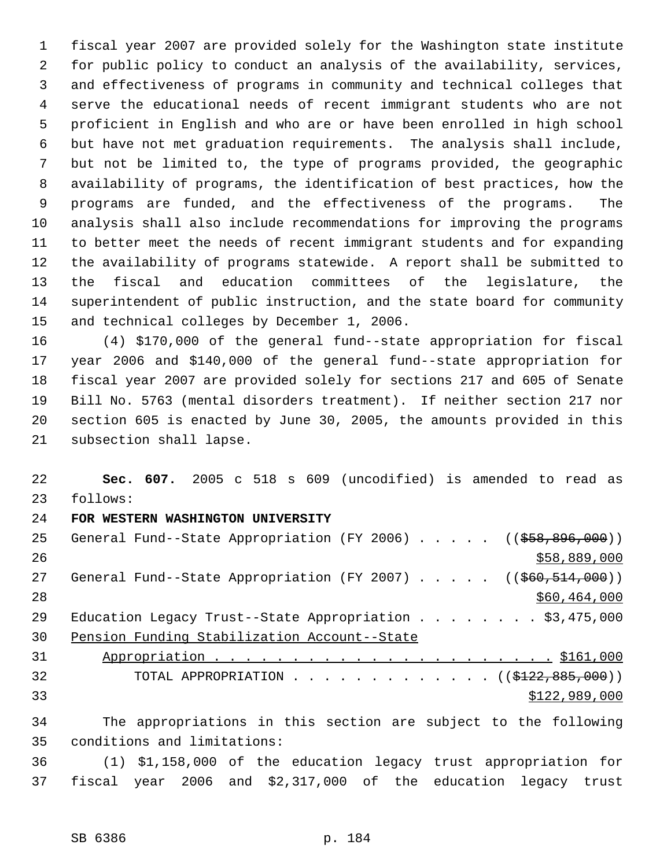fiscal year 2007 are provided solely for the Washington state institute for public policy to conduct an analysis of the availability, services, and effectiveness of programs in community and technical colleges that serve the educational needs of recent immigrant students who are not proficient in English and who are or have been enrolled in high school but have not met graduation requirements. The analysis shall include, but not be limited to, the type of programs provided, the geographic availability of programs, the identification of best practices, how the programs are funded, and the effectiveness of the programs. The analysis shall also include recommendations for improving the programs to better meet the needs of recent immigrant students and for expanding the availability of programs statewide. A report shall be submitted to the fiscal and education committees of the legislature, the superintendent of public instruction, and the state board for community and technical colleges by December 1, 2006.

 (4) \$170,000 of the general fund--state appropriation for fiscal year 2006 and \$140,000 of the general fund--state appropriation for fiscal year 2007 are provided solely for sections 217 and 605 of Senate Bill No. 5763 (mental disorders treatment). If neither section 217 nor section 605 is enacted by June 30, 2005, the amounts provided in this subsection shall lapse.

 **Sec. 607.** 2005 c 518 s 609 (uncodified) is amended to read as follows:

## **FOR WESTERN WASHINGTON UNIVERSITY**

25 General Fund--State Appropriation (FY 2006) . . . . . ((\$58,896,000))  $$58,889,000$ 27 General Fund--State Appropriation (FY 2007) . . . . . ((\$60,514,000)) \$60,464,000 29 Education Legacy Trust--State Appropriation . . . . . . . \$3,475,000 Pension Funding Stabilization Account--State Appropriation . . . . . . . . . . . . . . . . . . . . . . \$161,000 32 TOTAL APPROPRIATION . . . . . . . . . . . . ((\$122,885,000))  $$122,989,000$ 

 The appropriations in this section are subject to the following conditions and limitations:

 (1) \$1,158,000 of the education legacy trust appropriation for fiscal year 2006 and \$2,317,000 of the education legacy trust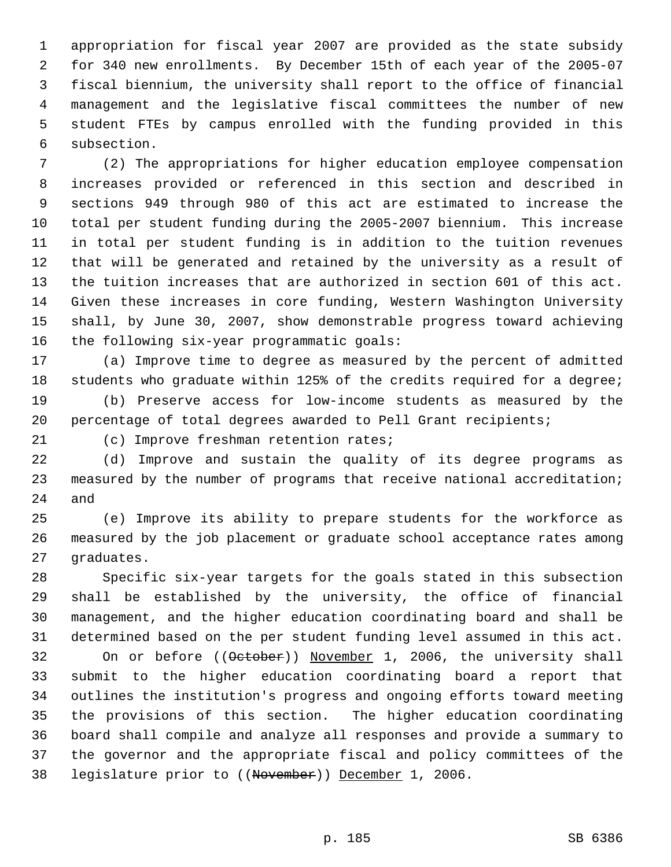appropriation for fiscal year 2007 are provided as the state subsidy for 340 new enrollments. By December 15th of each year of the 2005-07 fiscal biennium, the university shall report to the office of financial management and the legislative fiscal committees the number of new student FTEs by campus enrolled with the funding provided in this subsection.

 (2) The appropriations for higher education employee compensation increases provided or referenced in this section and described in sections 949 through 980 of this act are estimated to increase the total per student funding during the 2005-2007 biennium. This increase in total per student funding is in addition to the tuition revenues that will be generated and retained by the university as a result of the tuition increases that are authorized in section 601 of this act. Given these increases in core funding, Western Washington University shall, by June 30, 2007, show demonstrable progress toward achieving the following six-year programmatic goals:

 (a) Improve time to degree as measured by the percent of admitted students who graduate within 125% of the credits required for a degree;

 (b) Preserve access for low-income students as measured by the percentage of total degrees awarded to Pell Grant recipients;

(c) Improve freshman retention rates;

 (d) Improve and sustain the quality of its degree programs as measured by the number of programs that receive national accreditation; and

 (e) Improve its ability to prepare students for the workforce as measured by the job placement or graduate school acceptance rates among graduates.

 Specific six-year targets for the goals stated in this subsection shall be established by the university, the office of financial management, and the higher education coordinating board and shall be determined based on the per student funding level assumed in this act. 32 On or before ((October)) November 1, 2006, the university shall submit to the higher education coordinating board a report that outlines the institution's progress and ongoing efforts toward meeting the provisions of this section. The higher education coordinating board shall compile and analyze all responses and provide a summary to the governor and the appropriate fiscal and policy committees of the legislature prior to ((November)) December 1, 2006.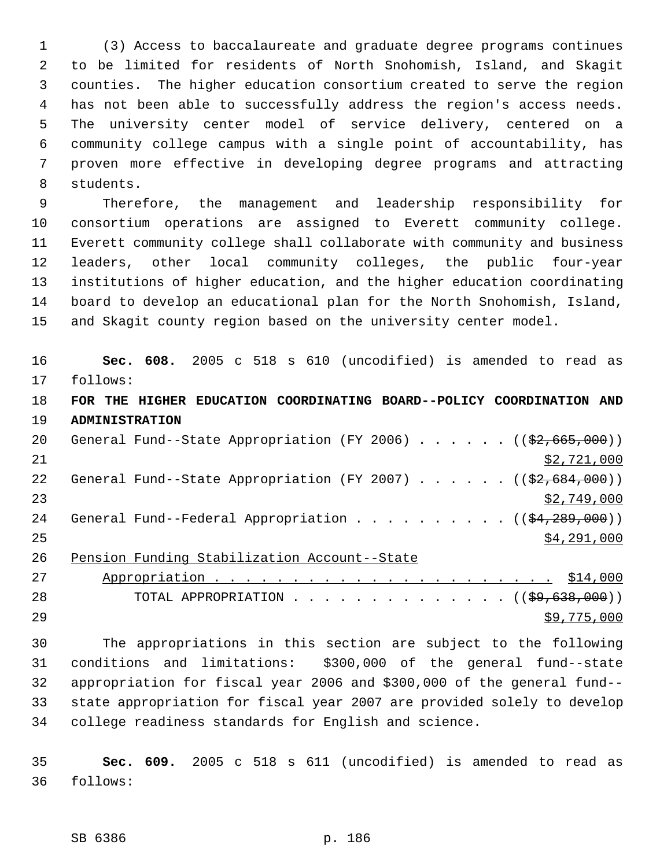(3) Access to baccalaureate and graduate degree programs continues to be limited for residents of North Snohomish, Island, and Skagit counties. The higher education consortium created to serve the region has not been able to successfully address the region's access needs. The university center model of service delivery, centered on a community college campus with a single point of accountability, has proven more effective in developing degree programs and attracting students.

 Therefore, the management and leadership responsibility for consortium operations are assigned to Everett community college. Everett community college shall collaborate with community and business leaders, other local community colleges, the public four-year institutions of higher education, and the higher education coordinating board to develop an educational plan for the North Snohomish, Island, and Skagit county region based on the university center model.

 **Sec. 608.** 2005 c 518 s 610 (uncodified) is amended to read as follows:

 **FOR THE HIGHER EDUCATION COORDINATING BOARD--POLICY COORDINATION AND ADMINISTRATION** 

| 20  |  |                                                 |  |  |  |  | General Fund--State Appropriation (FY 2006) $($ $($ $\frac{2}{92},665,000)$ ) |
|-----|--|-------------------------------------------------|--|--|--|--|-------------------------------------------------------------------------------|
| -21 |  |                                                 |  |  |  |  | \$2,721,000                                                                   |
| 22  |  |                                                 |  |  |  |  | General Fund--State Appropriation (FY 2007) $($ $($ \$2,684,000))             |
| 23  |  |                                                 |  |  |  |  | \$2,749,000                                                                   |
| 24  |  |                                                 |  |  |  |  | General Fund--Federal Appropriation $($ $($ $\frac{299}{1299}$ , 000))        |
| 25  |  |                                                 |  |  |  |  | \$4,291,000                                                                   |
|     |  | 00 Densieu Dundina 01-billiaiten Baarluit 01-1- |  |  |  |  |                                                                               |

Pension Funding Stabilization Account--State

| 27 |                                                                |
|----|----------------------------------------------------------------|
| 28 | TOTAL APPROPRIATION $($ $($ $\frac{29}{638}, \frac{638}{600})$ |
| 29 | \$9,775,000                                                    |

 The appropriations in this section are subject to the following conditions and limitations: \$300,000 of the general fund--state appropriation for fiscal year 2006 and \$300,000 of the general fund-- state appropriation for fiscal year 2007 are provided solely to develop college readiness standards for English and science.

 **Sec. 609.** 2005 c 518 s 611 (uncodified) is amended to read as follows:

SB 6386 p. 186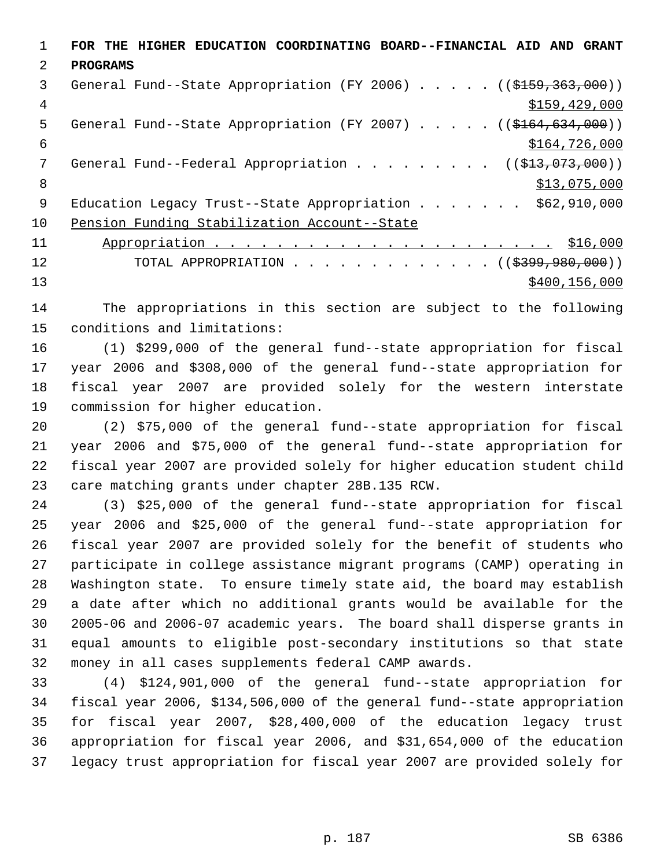**FOR THE HIGHER EDUCATION COORDINATING BOARD--FINANCIAL AID AND GRANT PROGRAMS**  3 General Fund--State Appropriation (FY 2006) . . . . . ((\$159,363,000))  $\frac{4}{3159}$ , 429, 000 5 General Fund--State Appropriation (FY 2007) . . . . . ((\$164,634,000))  $$164,726,000$ 7 General Fund--Federal Appropriation . . . . . . . . ((\$13,073,000)) 8  $\frac{$13,075,000}{ }$ 9 Education Legacy Trust--State Appropriation . . . . . . \$62,910,000 Pension Funding Stabilization Account--State Appropriation . . . . . . . . . . . . . . . . . . . . . . \$16,000 12 TOTAL APPROPRIATION . . . . . . . . . . . . ((\$399,980,000)) 13 \$400,156,000

 The appropriations in this section are subject to the following conditions and limitations:

 (1) \$299,000 of the general fund--state appropriation for fiscal year 2006 and \$308,000 of the general fund--state appropriation for fiscal year 2007 are provided solely for the western interstate commission for higher education.

 (2) \$75,000 of the general fund--state appropriation for fiscal year 2006 and \$75,000 of the general fund--state appropriation for fiscal year 2007 are provided solely for higher education student child care matching grants under chapter 28B.135 RCW.

 (3) \$25,000 of the general fund--state appropriation for fiscal year 2006 and \$25,000 of the general fund--state appropriation for fiscal year 2007 are provided solely for the benefit of students who participate in college assistance migrant programs (CAMP) operating in Washington state. To ensure timely state aid, the board may establish a date after which no additional grants would be available for the 2005-06 and 2006-07 academic years. The board shall disperse grants in equal amounts to eligible post-secondary institutions so that state money in all cases supplements federal CAMP awards.

 (4) \$124,901,000 of the general fund--state appropriation for fiscal year 2006, \$134,506,000 of the general fund--state appropriation for fiscal year 2007, \$28,400,000 of the education legacy trust appropriation for fiscal year 2006, and \$31,654,000 of the education legacy trust appropriation for fiscal year 2007 are provided solely for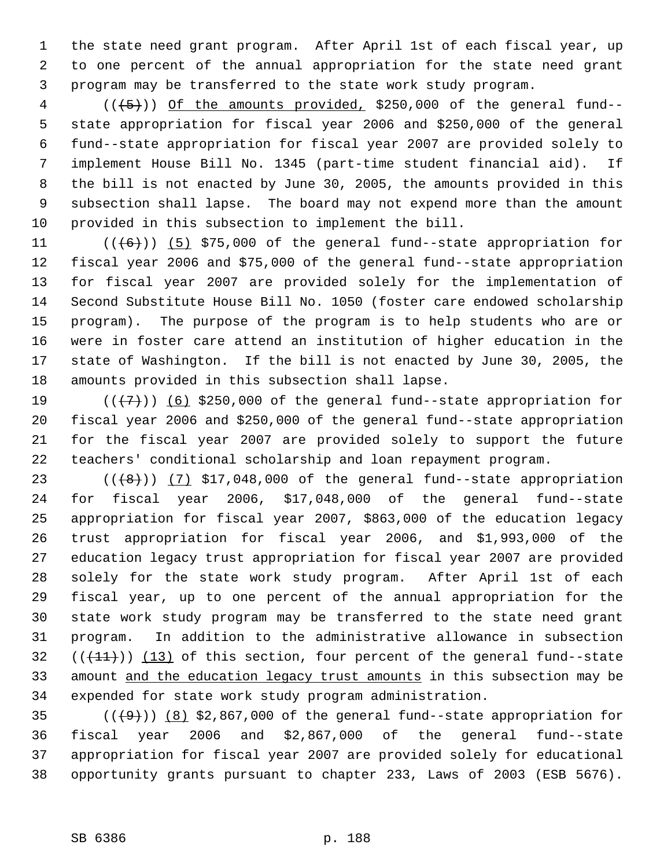the state need grant program. After April 1st of each fiscal year, up to one percent of the annual appropriation for the state need grant program may be transferred to the state work study program.

4 (( $(+5)$ )) Of the amounts provided, \$250,000 of the general fund-- state appropriation for fiscal year 2006 and \$250,000 of the general fund--state appropriation for fiscal year 2007 are provided solely to implement House Bill No. 1345 (part-time student financial aid). If the bill is not enacted by June 30, 2005, the amounts provided in this subsection shall lapse. The board may not expend more than the amount provided in this subsection to implement the bill.

 $((+6))$   $(5)$  \$75,000 of the general fund--state appropriation for fiscal year 2006 and \$75,000 of the general fund--state appropriation for fiscal year 2007 are provided solely for the implementation of Second Substitute House Bill No. 1050 (foster care endowed scholarship program). The purpose of the program is to help students who are or were in foster care attend an institution of higher education in the state of Washington. If the bill is not enacted by June 30, 2005, the amounts provided in this subsection shall lapse.

 $((+7))$  (6) \$250,000 of the general fund--state appropriation for fiscal year 2006 and \$250,000 of the general fund--state appropriation for the fiscal year 2007 are provided solely to support the future teachers' conditional scholarship and loan repayment program.

 $((\langle 8 \rangle)(7), 517,048,000)$  of the general fund--state appropriation for fiscal year 2006, \$17,048,000 of the general fund--state appropriation for fiscal year 2007, \$863,000 of the education legacy trust appropriation for fiscal year 2006, and \$1,993,000 of the education legacy trust appropriation for fiscal year 2007 are provided solely for the state work study program. After April 1st of each fiscal year, up to one percent of the annual appropriation for the state work study program may be transferred to the state need grant program. In addition to the administrative allowance in subsection  $((+11))$   $(13)$  of this section, four percent of the general fund--state 33 amount and the education legacy trust amounts in this subsection may be expended for state work study program administration.

 $((+9))$   $(8)$  \$2,867,000 of the general fund--state appropriation for fiscal year 2006 and \$2,867,000 of the general fund--state appropriation for fiscal year 2007 are provided solely for educational opportunity grants pursuant to chapter 233, Laws of 2003 (ESB 5676).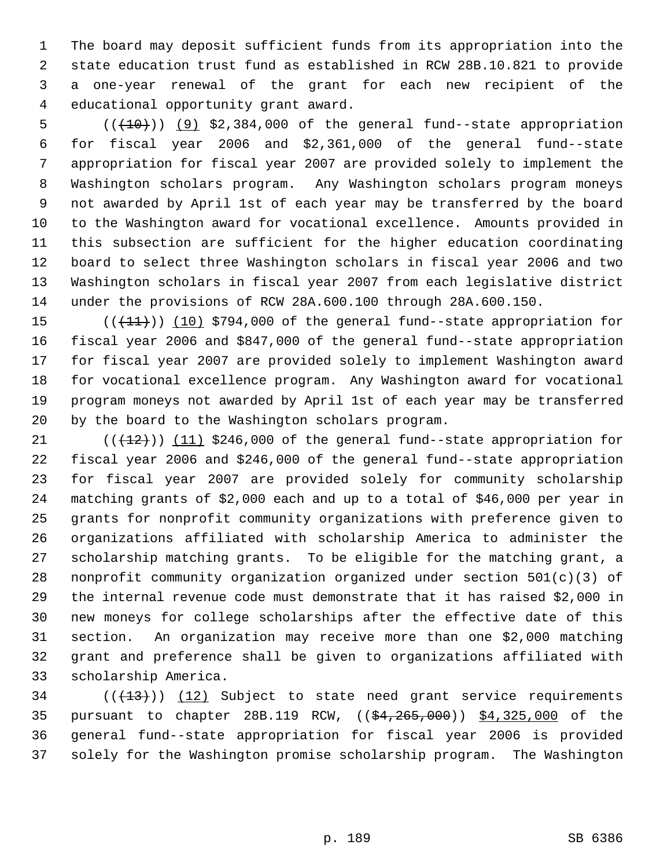The board may deposit sufficient funds from its appropriation into the state education trust fund as established in RCW 28B.10.821 to provide a one-year renewal of the grant for each new recipient of the educational opportunity grant award.

 ( $(\overline{+10})$ )  $(9)$  \$2,384,000 of the general fund--state appropriation for fiscal year 2006 and \$2,361,000 of the general fund--state appropriation for fiscal year 2007 are provided solely to implement the Washington scholars program. Any Washington scholars program moneys not awarded by April 1st of each year may be transferred by the board to the Washington award for vocational excellence. Amounts provided in this subsection are sufficient for the higher education coordinating board to select three Washington scholars in fiscal year 2006 and two Washington scholars in fiscal year 2007 from each legislative district under the provisions of RCW 28A.600.100 through 28A.600.150.

15 (( $(11)$ )) (10) \$794,000 of the general fund--state appropriation for fiscal year 2006 and \$847,000 of the general fund--state appropriation for fiscal year 2007 are provided solely to implement Washington award for vocational excellence program. Any Washington award for vocational program moneys not awarded by April 1st of each year may be transferred by the board to the Washington scholars program.

 $((+12))$  (11) \$246,000 of the general fund--state appropriation for fiscal year 2006 and \$246,000 of the general fund--state appropriation for fiscal year 2007 are provided solely for community scholarship matching grants of \$2,000 each and up to a total of \$46,000 per year in grants for nonprofit community organizations with preference given to organizations affiliated with scholarship America to administer the scholarship matching grants. To be eligible for the matching grant, a nonprofit community organization organized under section 501(c)(3) of the internal revenue code must demonstrate that it has raised \$2,000 in new moneys for college scholarships after the effective date of this section. An organization may receive more than one \$2,000 matching grant and preference shall be given to organizations affiliated with scholarship America.

 (( $(13)$ )) (12) Subject to state need grant service requirements 35 pursuant to chapter 28B.119 RCW, ((\$4,265,000)) \$4,325,000 of the general fund--state appropriation for fiscal year 2006 is provided solely for the Washington promise scholarship program. The Washington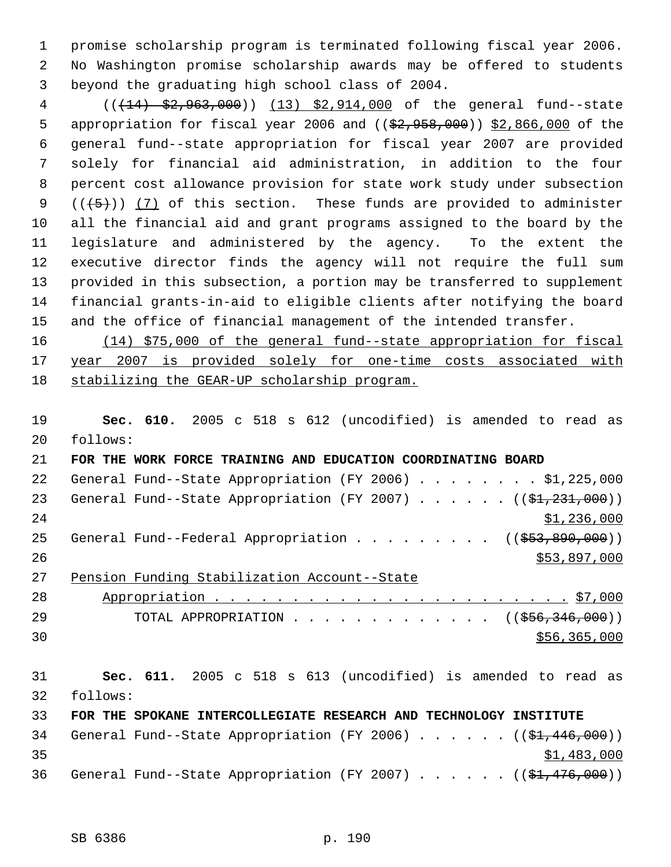promise scholarship program is terminated following fiscal year 2006. No Washington promise scholarship awards may be offered to students beyond the graduating high school class of 2004.

 (((14) \$2,963,000)) (13) \$2,914,000 of the general fund--state 5 appropriation for fiscal year 2006 and ((\$2,958,000)) \$2,866,000 of the general fund--state appropriation for fiscal year 2007 are provided solely for financial aid administration, in addition to the four percent cost allowance provision for state work study under subsection  $((+5+))$  (7) of this section. These funds are provided to administer all the financial aid and grant programs assigned to the board by the legislature and administered by the agency. To the extent the executive director finds the agency will not require the full sum provided in this subsection, a portion may be transferred to supplement financial grants-in-aid to eligible clients after notifying the board and the office of financial management of the intended transfer.

 (14) \$75,000 of the general fund--state appropriation for fiscal year 2007 is provided solely for one-time costs associated with 18 stabilizing the GEAR-UP scholarship program.

 **Sec. 610.** 2005 c 518 s 612 (uncodified) is amended to read as follows:

 **FOR THE WORK FORCE TRAINING AND EDUCATION COORDINATING BOARD** 22 General Fund--State Appropriation (FY 2006) . . . . . . . . \$1,225,000 23 General Fund--State Appropriation (FY 2007) . . . . . . ((\$1,231,000)) \$1,236,000 25 General Fund--Federal Appropriation . . . . . . . . ((\$53,890,000))  $\frac{$53,897,000}{20}$  Pension Funding Stabilization Account--State Appropriation . . . . . . . . . . . . . . . . . . . . . . . \$7,000 29 TOTAL APPROPRIATION . . . . . . . . . . . . ((\$56,346,000))  $\frac{$56,365,000}{556,365,000}$ 

 **Sec. 611.** 2005 c 518 s 613 (uncodified) is amended to read as follows: **FOR THE SPOKANE INTERCOLLEGIATE RESEARCH AND TECHNOLOGY INSTITUTE** 34 General Fund--State Appropriation (FY 2006) . . . . . . ((\$1,446,000))

  $\frac{1}{3}$ ,483,000 36 General Fund--State Appropriation (FY 2007) . . . . . ((\$1,476,000))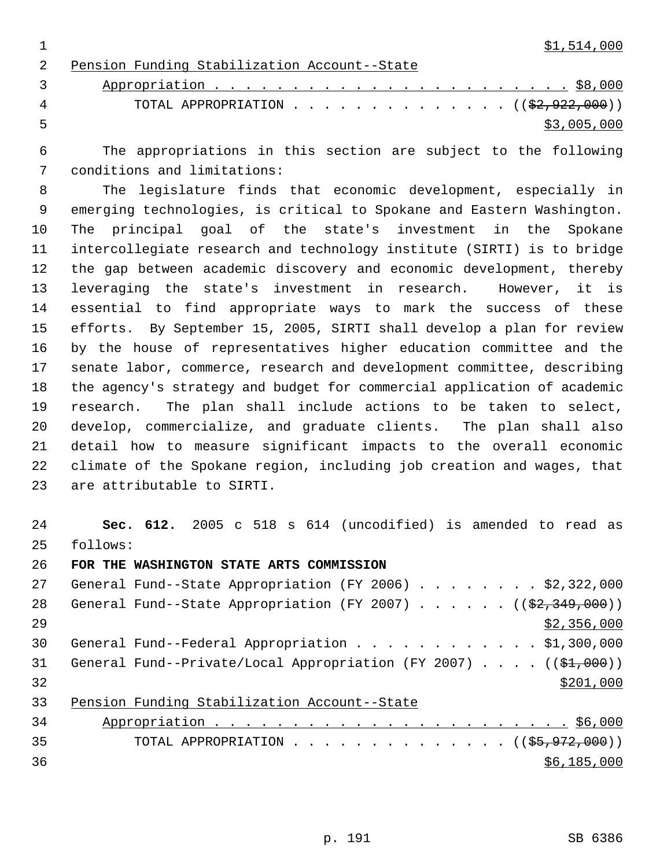Pension Funding Stabilization Account--State Appropriation . . . . . . . . . . . . . . . . . . . . . . . \$8,000 4 TOTAL APPROPRIATION . . . . . . . . . . . . . ((\$2,922,000))  $5 \times 3,005,000$ 

 The appropriations in this section are subject to the following conditions and limitations:

 The legislature finds that economic development, especially in emerging technologies, is critical to Spokane and Eastern Washington. The principal goal of the state's investment in the Spokane intercollegiate research and technology institute (SIRTI) is to bridge the gap between academic discovery and economic development, thereby leveraging the state's investment in research. However, it is essential to find appropriate ways to mark the success of these efforts. By September 15, 2005, SIRTI shall develop a plan for review by the house of representatives higher education committee and the senate labor, commerce, research and development committee, describing the agency's strategy and budget for commercial application of academic research. The plan shall include actions to be taken to select, develop, commercialize, and graduate clients. The plan shall also detail how to measure significant impacts to the overall economic climate of the Spokane region, including job creation and wages, that are attributable to SIRTI.

 **Sec. 612.** 2005 c 518 s 614 (uncodified) is amended to read as follows:

**FOR THE WASHINGTON STATE ARTS COMMISSION**

| 27 | General Fund--State Appropriation (FY 2006) \$2,322,000                |
|----|------------------------------------------------------------------------|
| 28 | General Fund--State Appropriation (FY 2007) $($ $(\frac{27.349}{100})$ |
| 29 | \$2,356,000                                                            |
| 30 | General Fund--Federal Appropriation \$1,300,000                        |
| 31 | General Fund--Private/Local Appropriation (FY 2007) $($ $($ \$1,000))  |
| 32 | \$201,000                                                              |
| 33 | Pension Funding Stabilization Account--State                           |

| 34 |                                                                      |
|----|----------------------------------------------------------------------|
| 35 | TOTAL APPROPRIATION ( $(\frac{\text{S5}}, \frac{972}{\text{S00}})$ ) |
| 36 | \$6,185,000                                                          |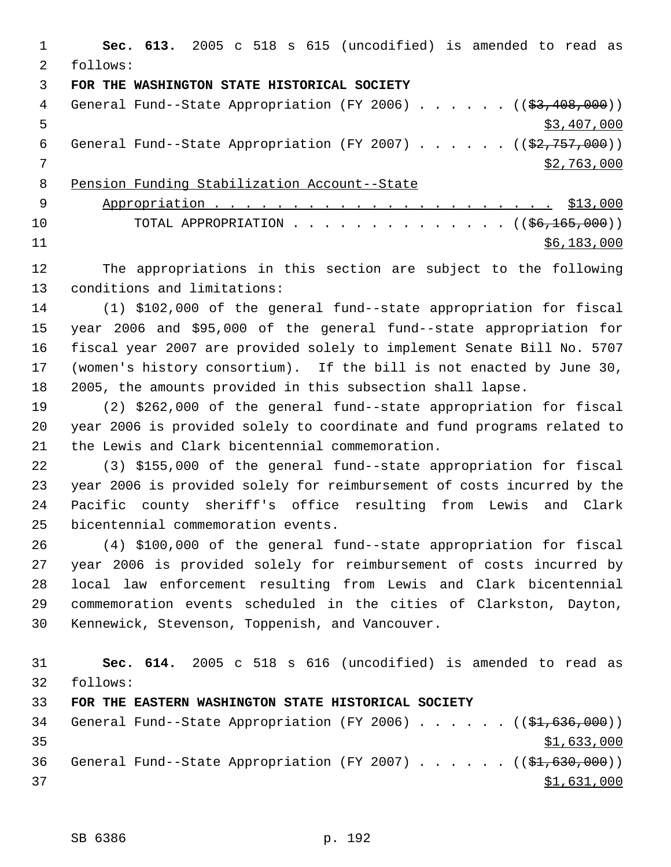**Sec. 613.** 2005 c 518 s 615 (uncodified) is amended to read as follows: **FOR THE WASHINGTON STATE HISTORICAL SOCIETY** 4 General Fund--State Appropriation (FY 2006) . . . . . . ((\$3,408,000))  $\frac{1}{5}$  5 6 General Fund--State Appropriation (FY 2007) . . . . .  $($   $($ \$2,757,000)) \$2,763,000 Pension Funding Stabilization Account--State Appropriation . . . . . . . . . . . . . . . . . . . . . . \$13,000 10 TOTAL APPROPRIATION . . . . . . . . . . . . . ((<del>\$6,165,000</del>)) \$6,183,000 The appropriations in this section are subject to the following

conditions and limitations:

 (1) \$102,000 of the general fund--state appropriation for fiscal year 2006 and \$95,000 of the general fund--state appropriation for fiscal year 2007 are provided solely to implement Senate Bill No. 5707 (women's history consortium). If the bill is not enacted by June 30, 2005, the amounts provided in this subsection shall lapse.

 (2) \$262,000 of the general fund--state appropriation for fiscal year 2006 is provided solely to coordinate and fund programs related to the Lewis and Clark bicentennial commemoration.

 (3) \$155,000 of the general fund--state appropriation for fiscal year 2006 is provided solely for reimbursement of costs incurred by the Pacific county sheriff's office resulting from Lewis and Clark bicentennial commemoration events.

 (4) \$100,000 of the general fund--state appropriation for fiscal year 2006 is provided solely for reimbursement of costs incurred by local law enforcement resulting from Lewis and Clark bicentennial commemoration events scheduled in the cities of Clarkston, Dayton, Kennewick, Stevenson, Toppenish, and Vancouver.

 **Sec. 614.** 2005 c 518 s 616 (uncodified) is amended to read as follows: **FOR THE EASTERN WASHINGTON STATE HISTORICAL SOCIETY** 34 General Fund--State Appropriation (FY 2006) . . . . . . ((\$1,636,000))

 \$1,633,000 36 General Fund--State Appropriation (FY 2007)  $\ldots$  . . . . ((\$1,630,000)) 37 \$1,631,000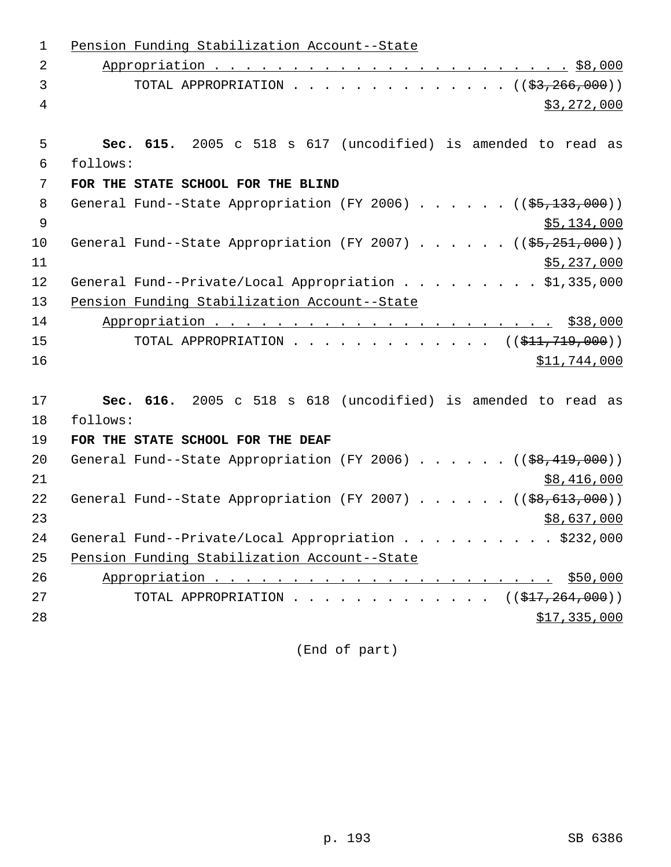| $\mathbf{1}$ | Pension Funding Stabilization Account--State                           |
|--------------|------------------------------------------------------------------------|
| 2            |                                                                        |
| 3            | TOTAL APPROPRIATION ( $(\frac{2}{3}, \frac{266}{100})$ )               |
| 4            | \$3,272,000                                                            |
|              |                                                                        |
| 5            | Sec. 615. 2005 c 518 s 617 (uncodified) is amended to read as          |
| 6            | follows:                                                               |
| 7            | FOR THE STATE SCHOOL FOR THE BLIND                                     |
| 8            | General Fund--State Appropriation (FY 2006) $($ $($ \$5,133,000))      |
| $\mathsf 9$  | \$5,134,000                                                            |
| 10           | General Fund--State Appropriation (FY 2007) $($ $($ \$5,251,000))      |
| 11           | \$5,237,000                                                            |
| 12           | General Fund--Private/Local Appropriation \$1,335,000                  |
| 13           | Pension Funding Stabilization Account--State                           |
| 14           |                                                                        |
| 15           | TOTAL APPROPRIATION ( $(\frac{11}{719}, 000)$ )                        |
| 16           | \$11,744,000                                                           |
|              |                                                                        |
| 17           | Sec. 616. 2005 c 518 s 618 (uncodified) is amended to read as          |
| 18           | follows:                                                               |
| 19           | FOR THE STATE SCHOOL FOR THE DEAF                                      |
| 20           | General Fund--State Appropriation (FY 2006) ( $(\frac{28}{19}, 000)$ ) |
| 21           | \$8,416,000                                                            |
| 22           | General Fund--State Appropriation (FY 2007) $($ $($ \$8,613,000))      |
| 23           | \$8,637,000                                                            |
| 24           | General Fund--Private/Local Appropriation \$232,000                    |
| 25           | Pension Funding Stabilization Account--State                           |
| 26           |                                                                        |
| 27           | TOTAL APPROPRIATION ( $(\frac{17}{217}, 264, 000)$ )                   |
| 28           | \$17,335,000                                                           |
|              |                                                                        |

(End of part)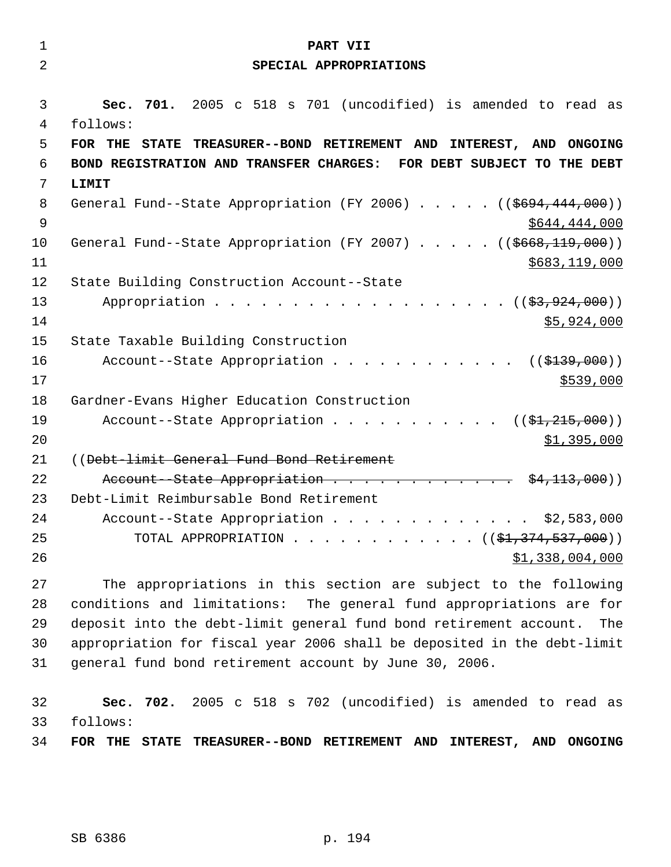| $\mathbf 1$ | PART VII                                                                  |
|-------------|---------------------------------------------------------------------------|
| 2           | SPECIAL APPROPRIATIONS                                                    |
| 3           | 701. 2005 c 518 s 701 (uncodified) is amended to read as<br>Sec.          |
| 4           | follows:                                                                  |
| 5           | STATE TREASURER--BOND RETIREMENT AND INTEREST, AND ONGOING<br>FOR THE     |
| 6           | BOND REGISTRATION AND TRANSFER CHARGES: FOR DEBT SUBJECT TO THE DEBT      |
| 7           | LIMIT                                                                     |
| 8           | General Fund--State Appropriation (FY 2006) $($ $($ $$694, 444, 000)$ )   |
| 9           | \$644,444,000                                                             |
| 10          | General Fund--State Appropriation (FY 2007) $($ $($ $$668,119,000)$ )     |
| 11          | \$683,119,000                                                             |
| 12          | State Building Construction Account--State                                |
| 13          | Appropriation $($ $(\frac{27}{27})$                                       |
| 14          | \$5,924,000                                                               |
| 15          | State Taxable Building Construction                                       |
| 16          | Account--State Appropriation ( $(\frac{2139}{100})$ )                     |
| 17          | \$539,000                                                                 |
| 18          | Gardner-Evans Higher Education Construction                               |
| 19          | Account--State Appropriation $($ $($ \$1,215,000))                        |
| 20          | \$1,395,000                                                               |
| 21          | ((Debt-limit General Fund Bond Retirement                                 |
| 22          | Account--State Appropriation \$4,113,000))                                |
| 23          | Debt-Limit Reimbursable Bond Retirement                                   |
| 24          | Account--State Appropriation \$2,583,000                                  |
| 25          | TOTAL APPROPRIATION ( $(\frac{1}{2}, \frac{374}{537}, \frac{537}{900})$ ) |
| 26          | \$1,338,004,000                                                           |
|             |                                                                           |

 The appropriations in this section are subject to the following conditions and limitations: The general fund appropriations are for deposit into the debt-limit general fund bond retirement account. The appropriation for fiscal year 2006 shall be deposited in the debt-limit general fund bond retirement account by June 30, 2006.

 **Sec. 702.** 2005 c 518 s 702 (uncodified) is amended to read as follows: **FOR THE STATE TREASURER--BOND RETIREMENT AND INTEREST, AND ONGOING**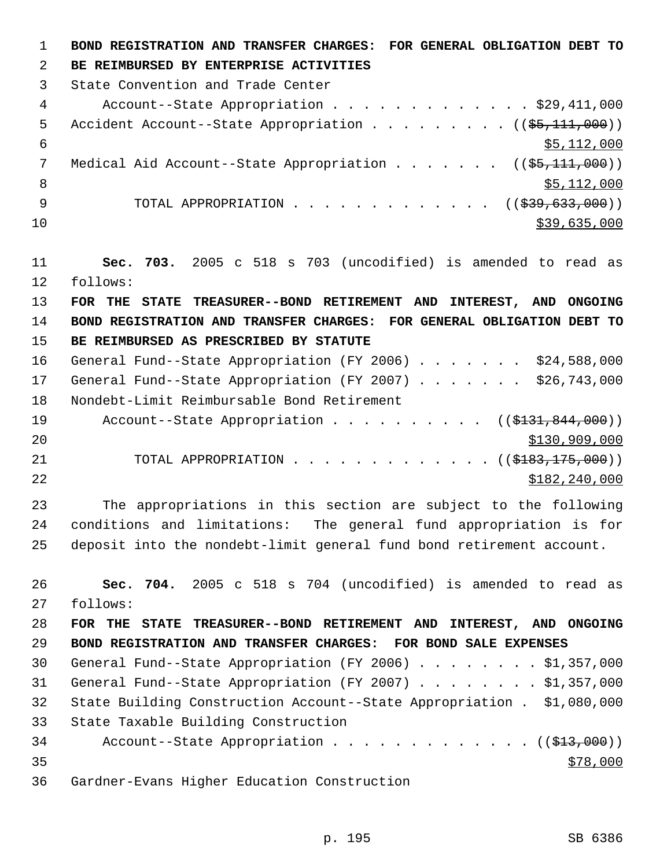**BOND REGISTRATION AND TRANSFER CHARGES: FOR GENERAL OBLIGATION DEBT TO BE REIMBURSED BY ENTERPRISE ACTIVITIES**  State Convention and Trade Center Account--State Appropriation . . . . . . . . . . . . . \$29,411,000 5 Accident Account--State Appropriation . . . . . . . . ((\$5,111,000))  $\frac{$5,112,000}{5}$ 7 Medical Aid Account--State Appropriation . . . . . . ((\$5,111,000))  $\frac{112,000}{ }$ 9 TOTAL APPROPRIATION . . . . . . . . . . . . ((<del>\$39,633,000</del>)) \$39,635,000 **Sec. 703.** 2005 c 518 s 703 (uncodified) is amended to read as follows: **FOR THE STATE TREASURER--BOND RETIREMENT AND INTEREST, AND ONGOING BOND REGISTRATION AND TRANSFER CHARGES: FOR GENERAL OBLIGATION DEBT TO BE REIMBURSED AS PRESCRIBED BY STATUTE**  General Fund--State Appropriation (FY 2006) . . . . . . . \$24,588,000 General Fund--State Appropriation (FY 2007) . . . . . . . \$26,743,000 Nondebt-Limit Reimbursable Bond Retirement 19 Account--State Appropriation . . . . . . . . . ((\$131,844,000)) \$130,909,000 21 TOTAL APPROPRIATION . . . . . . . . . . . . ((\$<del>183,175,000</del>)) \$182,240,000

 The appropriations in this section are subject to the following conditions and limitations: The general fund appropriation is for deposit into the nondebt-limit general fund bond retirement account.

 **Sec. 704.** 2005 c 518 s 704 (uncodified) is amended to read as follows: **FOR THE STATE TREASURER--BOND RETIREMENT AND INTEREST, AND ONGOING BOND REGISTRATION AND TRANSFER CHARGES: FOR BOND SALE EXPENSES**  General Fund--State Appropriation (FY 2006) . . . . . . . . \$1,357,000 General Fund--State Appropriation (FY 2007) . . . . . . . . \$1,357,000 State Building Construction Account--State Appropriation . \$1,080,000 State Taxable Building Construction 34 Account--State Appropriation . . . . . . . . . . . . ((\$13,000)) Gardner-Evans Higher Education Construction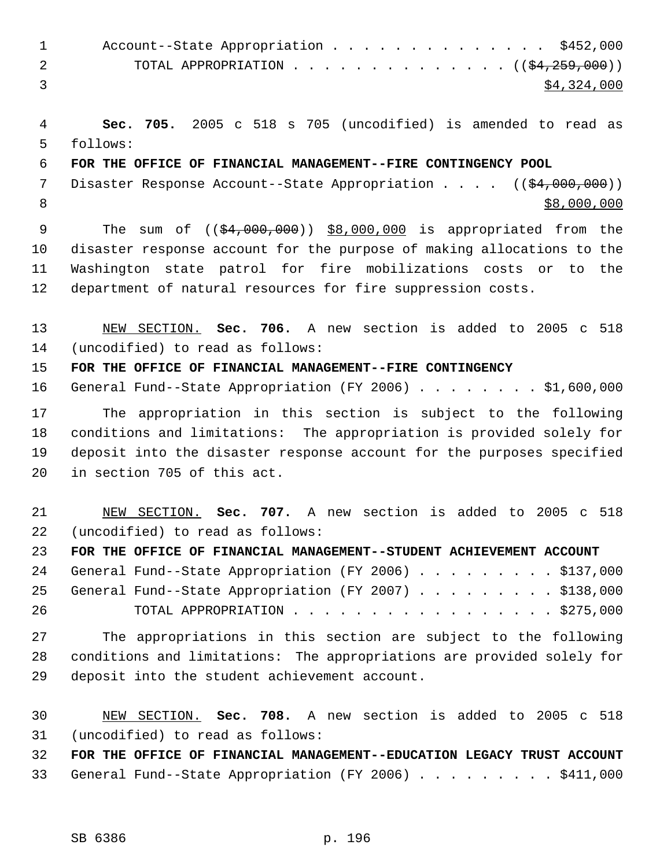| Account--State Appropriation \$452,000                                              |
|-------------------------------------------------------------------------------------|
| TOTAL APPROPRIATION $($ $($ $\frac{259}{129})$<br>$\overline{2}$ and $\overline{2}$ |
| \$4,324,000                                                                         |

 **Sec. 705.** 2005 c 518 s 705 (uncodified) is amended to read as follows:

## **FOR THE OFFICE OF FINANCIAL MANAGEMENT--FIRE CONTINGENCY POOL**

7 Disaster Response Account--State Appropriation . . . . ((\$4,000,000))  $$8,000,000$ 

9 The sum of ((\$4,000,000)) \$8,000,000 is appropriated from the disaster response account for the purpose of making allocations to the Washington state patrol for fire mobilizations costs or to the department of natural resources for fire suppression costs.

## NEW SECTION. **Sec. 706.** A new section is added to 2005 c 518 (uncodified) to read as follows:

**FOR THE OFFICE OF FINANCIAL MANAGEMENT--FIRE CONTINGENCY**

General Fund--State Appropriation (FY 2006) . . . . . . . . \$1,600,000

 The appropriation in this section is subject to the following conditions and limitations: The appropriation is provided solely for deposit into the disaster response account for the purposes specified in section 705 of this act.

 NEW SECTION. **Sec. 707.** A new section is added to 2005 c 518 (uncodified) to read as follows:

**FOR THE OFFICE OF FINANCIAL MANAGEMENT--STUDENT ACHIEVEMENT ACCOUNT**

|    |  | 24 General Fund--State Appropriation (FY 2006) \$137,000 |  |  |  |  |  |  |
|----|--|----------------------------------------------------------|--|--|--|--|--|--|
|    |  | 25 General Fund--State Appropriation (FY 2007) \$138,000 |  |  |  |  |  |  |
| 26 |  | TOTAL APPROPRIATION \$275,000                            |  |  |  |  |  |  |

 The appropriations in this section are subject to the following conditions and limitations: The appropriations are provided solely for deposit into the student achievement account.

 NEW SECTION. **Sec. 708.** A new section is added to 2005 c 518 (uncodified) to read as follows:

 **FOR THE OFFICE OF FINANCIAL MANAGEMENT--EDUCATION LEGACY TRUST ACCOUNT** 33 General Fund--State Appropriation (FY 2006) . . . . . . . . \$411,000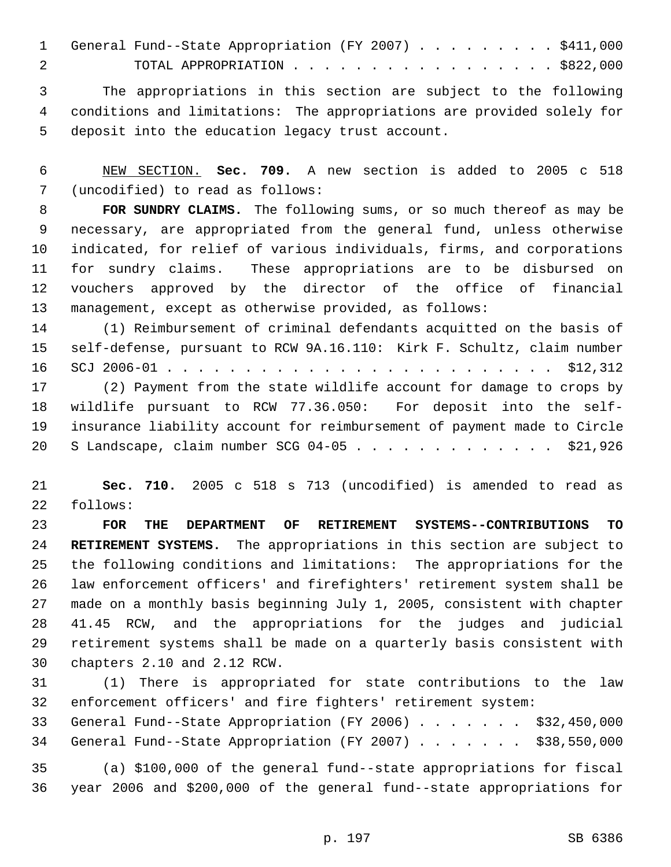|  |  |  |  |  |  |  |  |  |  | 1 General Fund--State Appropriation (FY 2007) \$411,000 |
|--|--|--|--|--|--|--|--|--|--|---------------------------------------------------------|
|  |  |  |  |  |  |  |  |  |  | TOTAL APPROPRIATION \$822,000                           |

 The appropriations in this section are subject to the following conditions and limitations: The appropriations are provided solely for deposit into the education legacy trust account.

 NEW SECTION. **Sec. 709.** A new section is added to 2005 c 518 (uncodified) to read as follows:

 **FOR SUNDRY CLAIMS.** The following sums, or so much thereof as may be necessary, are appropriated from the general fund, unless otherwise indicated, for relief of various individuals, firms, and corporations for sundry claims. These appropriations are to be disbursed on vouchers approved by the director of the office of financial management, except as otherwise provided, as follows:

 (1) Reimbursement of criminal defendants acquitted on the basis of self-defense, pursuant to RCW 9A.16.110: Kirk F. Schultz, claim number SCJ 2006-01 . . . . . . . . . . . . . . . . . . . . . . . . . \$12,312

 (2) Payment from the state wildlife account for damage to crops by wildlife pursuant to RCW 77.36.050: For deposit into the self- insurance liability account for reimbursement of payment made to Circle S Landscape, claim number SCG 04-05 . . . . . . . . . . . . . \$21,926

 **Sec. 710.** 2005 c 518 s 713 (uncodified) is amended to read as follows:

 **FOR THE DEPARTMENT OF RETIREMENT SYSTEMS--CONTRIBUTIONS TO RETIREMENT SYSTEMS.** The appropriations in this section are subject to the following conditions and limitations: The appropriations for the law enforcement officers' and firefighters' retirement system shall be made on a monthly basis beginning July 1, 2005, consistent with chapter 41.45 RCW, and the appropriations for the judges and judicial retirement systems shall be made on a quarterly basis consistent with chapters 2.10 and 2.12 RCW.

 (1) There is appropriated for state contributions to the law enforcement officers' and fire fighters' retirement system: General Fund--State Appropriation (FY 2006) . . . . . . . \$32,450,000

General Fund--State Appropriation (FY 2007) . . . . . . . \$38,550,000

 (a) \$100,000 of the general fund--state appropriations for fiscal year 2006 and \$200,000 of the general fund--state appropriations for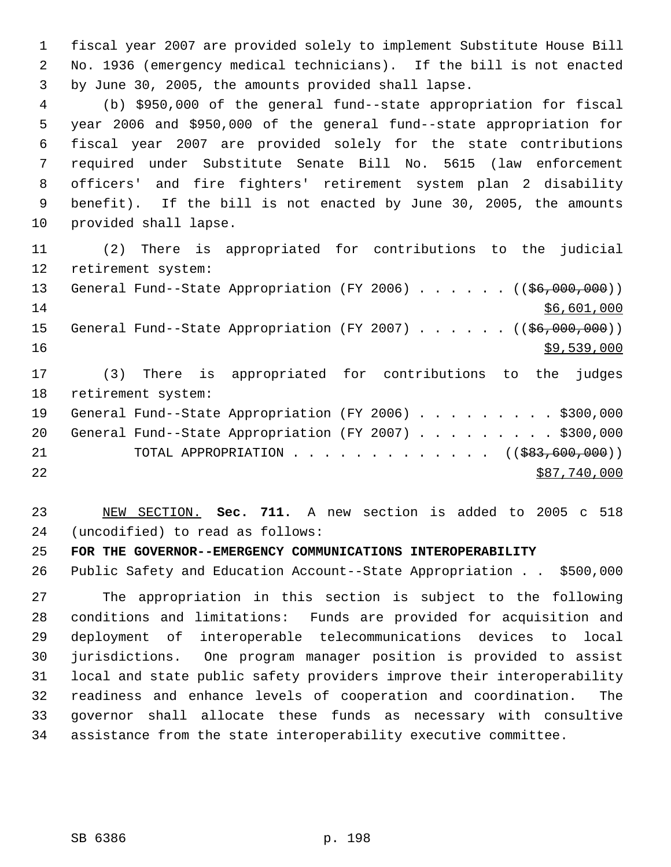fiscal year 2007 are provided solely to implement Substitute House Bill No. 1936 (emergency medical technicians). If the bill is not enacted by June 30, 2005, the amounts provided shall lapse.

 (b) \$950,000 of the general fund--state appropriation for fiscal year 2006 and \$950,000 of the general fund--state appropriation for fiscal year 2007 are provided solely for the state contributions required under Substitute Senate Bill No. 5615 (law enforcement officers' and fire fighters' retirement system plan 2 disability benefit). If the bill is not enacted by June 30, 2005, the amounts provided shall lapse.

 (2) There is appropriated for contributions to the judicial retirement system: 13 General Fund--State Appropriation (FY 2006) . . . . . . ((\$6,000,000)) \$6,601,000 15 General Fund--State Appropriation (FY 2007) . . . . . . ((\$6,000,000))  $\frac{$9,539,000}{ }$  (3) There is appropriated for contributions to the judges retirement system: General Fund--State Appropriation (FY 2006) . . . . . . . . . \$300,000 20 General Fund--State Appropriation (FY 2007) . . . . . . . . . \$300,000 21 TOTAL APPROPRIATION . . . . . . . . . . . . . ((\$83,600,000)) \$87,740,000

 NEW SECTION. **Sec. 711.** A new section is added to 2005 c 518 (uncodified) to read as follows:

**FOR THE GOVERNOR--EMERGENCY COMMUNICATIONS INTEROPERABILITY**

Public Safety and Education Account--State Appropriation . . \$500,000

 The appropriation in this section is subject to the following conditions and limitations: Funds are provided for acquisition and deployment of interoperable telecommunications devices to local jurisdictions. One program manager position is provided to assist local and state public safety providers improve their interoperability readiness and enhance levels of cooperation and coordination. The governor shall allocate these funds as necessary with consultive assistance from the state interoperability executive committee.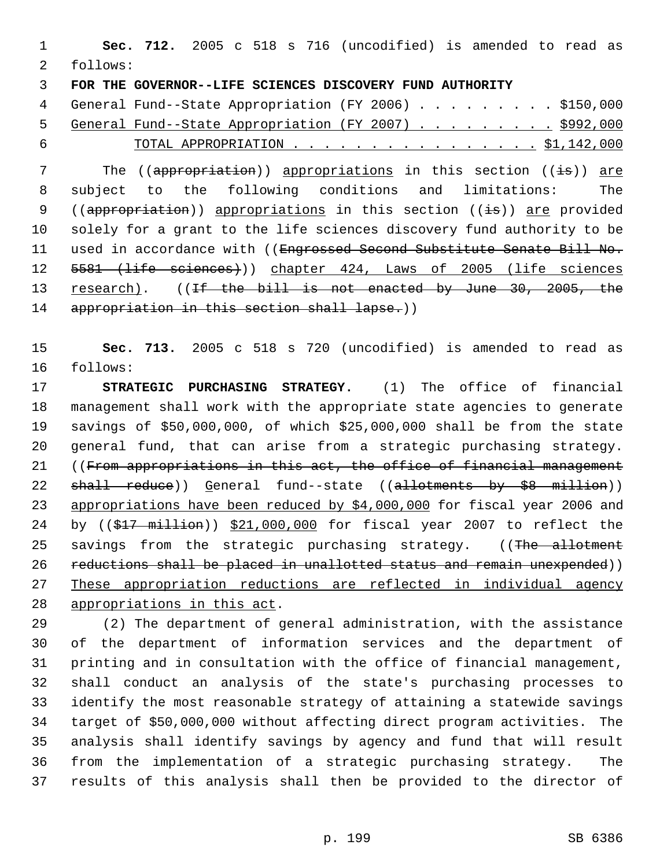**Sec. 712.** 2005 c 518 s 716 (uncodified) is amended to read as follows: **FOR THE GOVERNOR--LIFE SCIENCES DISCOVERY FUND AUTHORITY** 

4 General Fund--State Appropriation (FY 2006) . . . . . . . . \$150,000 5 General Fund--State Appropriation (FY 2007) . . . . . . . . \$992,000 6 TOTAL APPROPRIATION . . . . . . . . . . . . . . . . \$1,142,000

7 The ((appropriation)) appropriations in this section ((is)) are subject to the following conditions and limitations: The 9 ((appropriation)) appropriations in this section ( $(i\pm s)$ ) are provided solely for a grant to the life sciences discovery fund authority to be 11 used in accordance with ((Engrossed Second Substitute Senate Bill No. 12 5581 (life sciences))) chapter 424, Laws of 2005 (life sciences 13 research). ((If the bill is not enacted by June 30, 2005, the 14 appropriation in this section shall lapse.))

 **Sec. 713.** 2005 c 518 s 720 (uncodified) is amended to read as follows:

 **STRATEGIC PURCHASING STRATEGY.** (1) The office of financial management shall work with the appropriate state agencies to generate savings of \$50,000,000, of which \$25,000,000 shall be from the state general fund, that can arise from a strategic purchasing strategy. ((From appropriations in this act, the office of financial management 22 shall reduce)) General fund--state ((allotments by \$8 million)) 23 appropriations have been reduced by \$4,000,000 for fiscal year 2006 and 24 by ((\$17 million)) \$21,000,000 for fiscal year 2007 to reflect the 25 savings from the strategic purchasing strategy. ((The allotment 26 reductions shall be placed in unallotted status and remain unexpended)) These appropriation reductions are reflected in individual agency appropriations in this act.

 (2) The department of general administration, with the assistance of the department of information services and the department of printing and in consultation with the office of financial management, shall conduct an analysis of the state's purchasing processes to identify the most reasonable strategy of attaining a statewide savings target of \$50,000,000 without affecting direct program activities. The analysis shall identify savings by agency and fund that will result from the implementation of a strategic purchasing strategy. The results of this analysis shall then be provided to the director of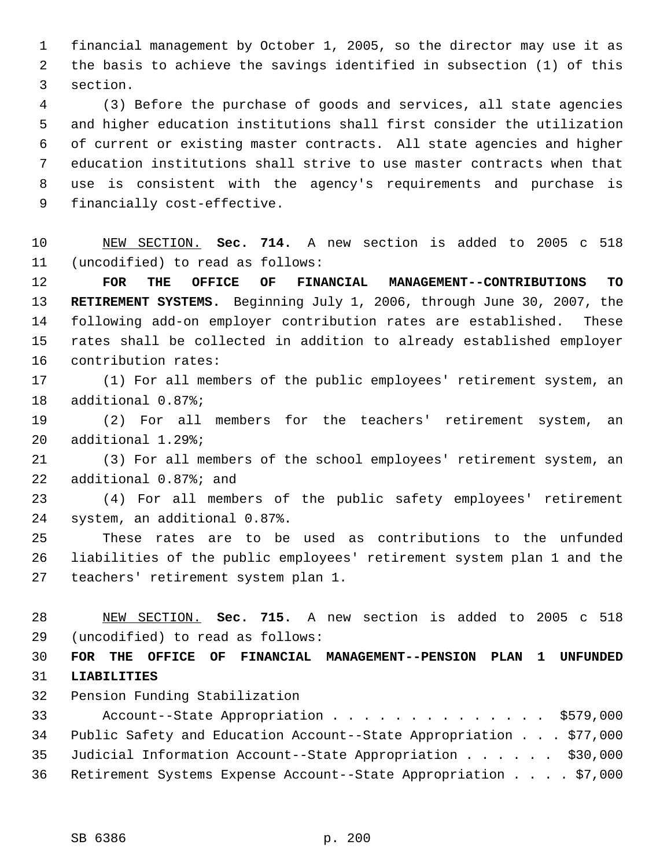financial management by October 1, 2005, so the director may use it as the basis to achieve the savings identified in subsection (1) of this section.

 (3) Before the purchase of goods and services, all state agencies and higher education institutions shall first consider the utilization of current or existing master contracts. All state agencies and higher education institutions shall strive to use master contracts when that use is consistent with the agency's requirements and purchase is financially cost-effective.

 NEW SECTION. **Sec. 714.** A new section is added to 2005 c 518 (uncodified) to read as follows:

 **FOR THE OFFICE OF FINANCIAL MANAGEMENT--CONTRIBUTIONS TO RETIREMENT SYSTEMS.** Beginning July 1, 2006, through June 30, 2007, the following add-on employer contribution rates are established. These rates shall be collected in addition to already established employer contribution rates:

 (1) For all members of the public employees' retirement system, an additional 0.87%;

 (2) For all members for the teachers' retirement system, an additional 1.29%;

 (3) For all members of the school employees' retirement system, an additional 0.87%; and

 (4) For all members of the public safety employees' retirement system, an additional 0.87%.

 These rates are to be used as contributions to the unfunded liabilities of the public employees' retirement system plan 1 and the teachers' retirement system plan 1.

 NEW SECTION. **Sec. 715.** A new section is added to 2005 c 518 (uncodified) to read as follows:

 **FOR THE OFFICE OF FINANCIAL MANAGEMENT--PENSION PLAN 1 UNFUNDED LIABILITIES**

Pension Funding Stabilization

 Account--State Appropriation . . . . . . . . . . . . . . \$579,000 Public Safety and Education Account--State Appropriation . . . \$77,000 Judicial Information Account--State Appropriation . . . . . . \$30,000 Retirement Systems Expense Account--State Appropriation . . . . \$7,000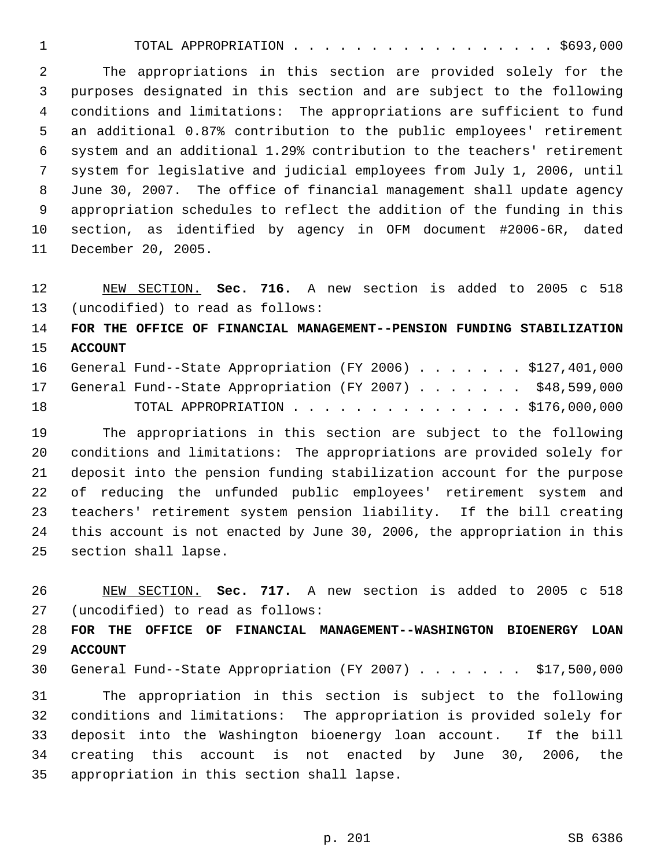TOTAL APPROPRIATION . . . . . . . . . . . . . . . . . \$693,000

 The appropriations in this section are provided solely for the purposes designated in this section and are subject to the following conditions and limitations: The appropriations are sufficient to fund an additional 0.87% contribution to the public employees' retirement system and an additional 1.29% contribution to the teachers' retirement system for legislative and judicial employees from July 1, 2006, until June 30, 2007. The office of financial management shall update agency appropriation schedules to reflect the addition of the funding in this section, as identified by agency in OFM document #2006-6R, dated December 20, 2005.

 NEW SECTION. **Sec. 716.** A new section is added to 2005 c 518 (uncodified) to read as follows:

 **FOR THE OFFICE OF FINANCIAL MANAGEMENT--PENSION FUNDING STABILIZATION ACCOUNT**

|    |  | 16 General Fund--State Appropriation (FY 2006) \$127,401,000 |  |  |  |  |  |
|----|--|--------------------------------------------------------------|--|--|--|--|--|
|    |  | 17 General Fund--State Appropriation (FY 2007) \$48,599,000  |  |  |  |  |  |
| 18 |  | TOTAL APPROPRIATION \$176,000,000                            |  |  |  |  |  |

 The appropriations in this section are subject to the following conditions and limitations: The appropriations are provided solely for deposit into the pension funding stabilization account for the purpose of reducing the unfunded public employees' retirement system and teachers' retirement system pension liability. If the bill creating this account is not enacted by June 30, 2006, the appropriation in this section shall lapse.

 NEW SECTION. **Sec. 717.** A new section is added to 2005 c 518 (uncodified) to read as follows:

 **FOR THE OFFICE OF FINANCIAL MANAGEMENT--WASHINGTON BIOENERGY LOAN ACCOUNT**

General Fund--State Appropriation (FY 2007) . . . . . . . \$17,500,000

 The appropriation in this section is subject to the following conditions and limitations: The appropriation is provided solely for deposit into the Washington bioenergy loan account. If the bill creating this account is not enacted by June 30, 2006, the appropriation in this section shall lapse.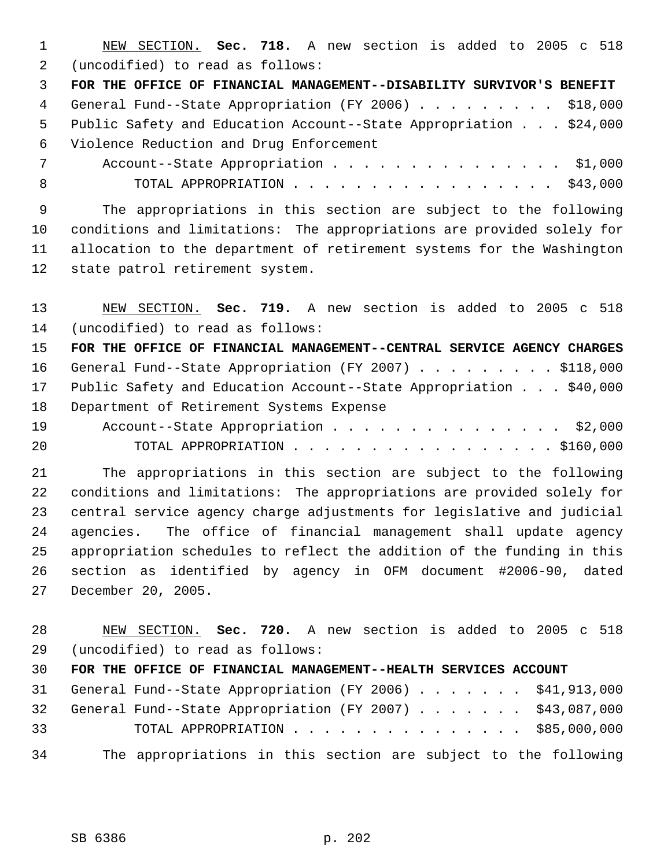NEW SECTION. **Sec. 718.** A new section is added to 2005 c 518 (uncodified) to read as follows:

 **FOR THE OFFICE OF FINANCIAL MANAGEMENT--DISABILITY SURVIVOR'S BENEFIT** 4 General Fund--State Appropriation (FY 2006) . . . . . . . . . \$18,000 Public Safety and Education Account--State Appropriation . . . \$24,000 Violence Reduction and Drug Enforcement

7 Account--State Appropriation . . . . . . . . . . . . . . \$1,000 8 TOTAL APPROPRIATION . . . . . . . . . . . . . . . . \$43,000

 The appropriations in this section are subject to the following conditions and limitations: The appropriations are provided solely for allocation to the department of retirement systems for the Washington state patrol retirement system.

 NEW SECTION. **Sec. 719.** A new section is added to 2005 c 518 (uncodified) to read as follows:

 **FOR THE OFFICE OF FINANCIAL MANAGEMENT--CENTRAL SERVICE AGENCY CHARGES** 16 General Fund--State Appropriation (FY 2007) . . . . . . . . \$118,000 Public Safety and Education Account--State Appropriation . . . \$40,000 Department of Retirement Systems Expense 19 Account--State Appropriation . . . . . . . . . . . . . . \$2,000

TOTAL APPROPRIATION . . . . . . . . . . . . . . . . . \$160,000

 The appropriations in this section are subject to the following conditions and limitations: The appropriations are provided solely for central service agency charge adjustments for legislative and judicial agencies. The office of financial management shall update agency appropriation schedules to reflect the addition of the funding in this section as identified by agency in OFM document #2006-90, dated December 20, 2005.

 NEW SECTION. **Sec. 720.** A new section is added to 2005 c 518 (uncodified) to read as follows:

**FOR THE OFFICE OF FINANCIAL MANAGEMENT--HEALTH SERVICES ACCOUNT**

 General Fund--State Appropriation (FY 2006) . . . . . . . \$41,913,000 General Fund--State Appropriation (FY 2007) . . . . . . . \$43,087,000 TOTAL APPROPRIATION . . . . . . . . . . . . . . . \$85,000,000 The appropriations in this section are subject to the following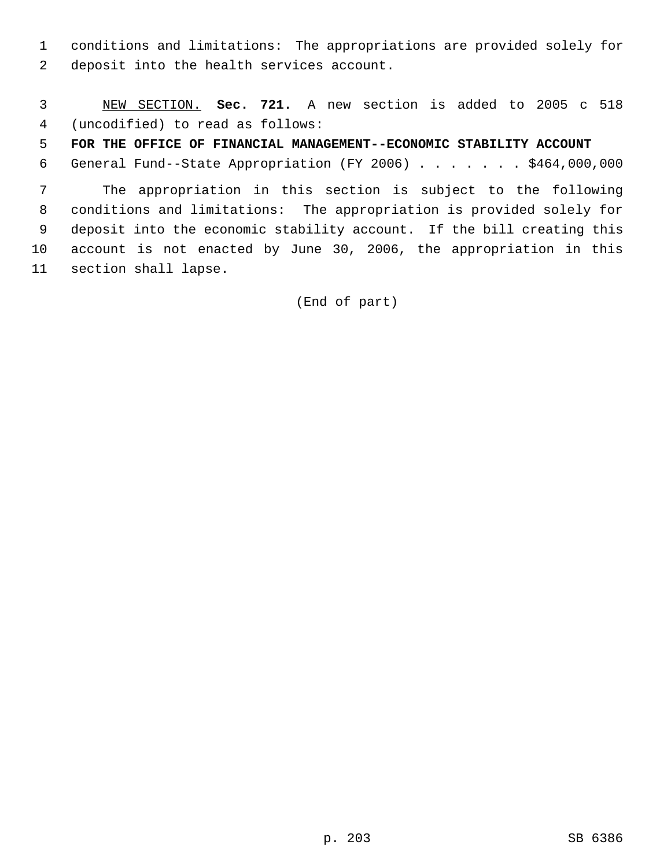conditions and limitations: The appropriations are provided solely for deposit into the health services account.

 NEW SECTION. **Sec. 721.** A new section is added to 2005 c 518 (uncodified) to read as follows:

**FOR THE OFFICE OF FINANCIAL MANAGEMENT--ECONOMIC STABILITY ACCOUNT**

General Fund--State Appropriation (FY 2006) . . . . . . . \$464,000,000

 The appropriation in this section is subject to the following conditions and limitations: The appropriation is provided solely for deposit into the economic stability account. If the bill creating this account is not enacted by June 30, 2006, the appropriation in this section shall lapse.

(End of part)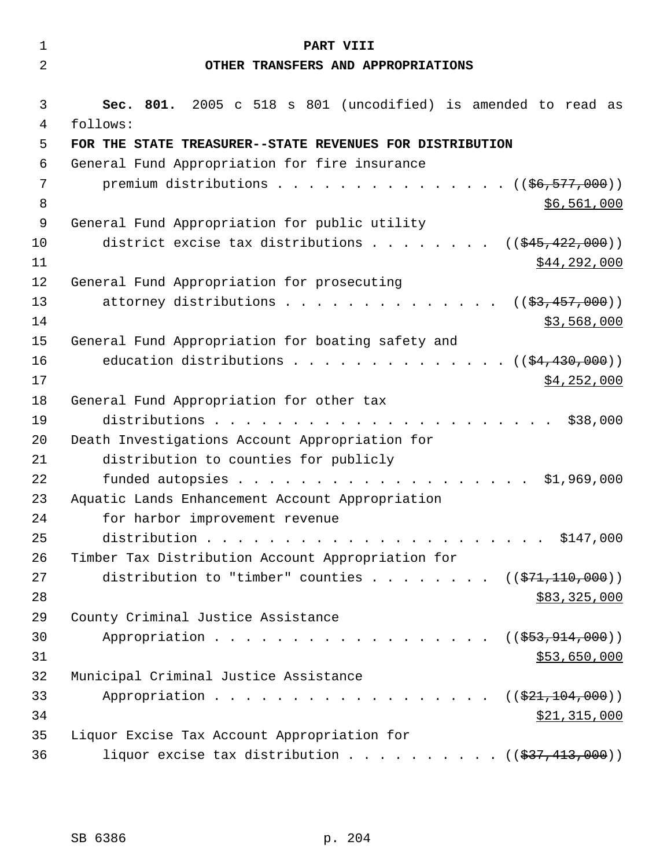| $\mathbf 1$         | PART VIII                                                                 |
|---------------------|---------------------------------------------------------------------------|
| 2                   | OTHER TRANSFERS AND APPROPRIATIONS                                        |
|                     |                                                                           |
| 3<br>$\overline{4}$ | Sec. 801. 2005 c 518 s 801 (uncodified) is amended to read as<br>follows: |
| 5                   | FOR THE STATE TREASURER--STATE REVENUES FOR DISTRIBUTION                  |
| 6                   | General Fund Appropriation for fire insurance                             |
| 7                   | premium distributions $($ $($ $\frac{6}{6}$ , $\frac{577}{600})$          |
| 8                   | \$6,561,000                                                               |
| 9                   | General Fund Appropriation for public utility                             |
| 10                  | district excise tax distributions<br>$((\frac{1545}{122},000))$           |
| 11                  | \$44,292,000                                                              |
| 12                  | General Fund Appropriation for prosecuting                                |
| 13                  | attorney distributions<br>$((\frac{25}{7}, \frac{457}{7}, 000))$          |
| 14                  | \$3,568,000                                                               |
| 15                  | General Fund Appropriation for boating safety and                         |
| 16                  | education distributions $($ $($ $\frac{24}{1}$ , 430, 000) $)$            |
| 17                  | \$4,252,000                                                               |
| 18                  | General Fund Appropriation for other tax                                  |
| 19                  | distributions<br>\$38,000                                                 |
| 20                  | Death Investigations Account Appropriation for                            |
| 21                  | distribution to counties for publicly                                     |
| 22                  | \$1,969,000                                                               |
| 23                  | Aquatic Lands Enhancement Account Appropriation                           |
| 24                  | for harbor improvement revenue                                            |
| 25                  | distribution<br>$\cdot$ \$147,000                                         |
| 26                  | Timber Tax Distribution Account Appropriation for                         |
| 27                  | distribution to "timber" counties<br>(( <del>\$71,110,000</del> ))        |
| 28                  | \$83,325,000                                                              |
| 29                  | County Criminal Justice Assistance                                        |
| 30                  | $((\frac{253}{7}, \frac{914}{7}, 000))$<br>Appropriation                  |
| 31                  | \$53,650,000                                                              |
| 32                  | Municipal Criminal Justice Assistance                                     |
| 33                  | Appropriation<br>((\$21,104,000))                                         |
| 34                  | \$21,315,000                                                              |
| 35                  | Liquor Excise Tax Account Appropriation for                               |
| 36                  | liquor excise tax distribution ( $(\frac{237}{413},000)$ )                |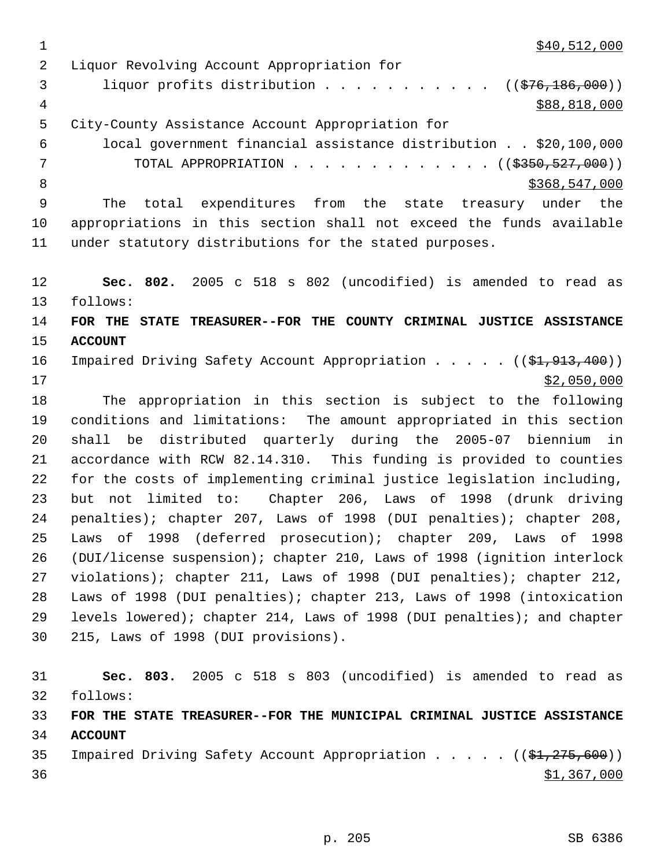$\frac{1}{340,512,000}$ 

 Liquor Revolving Account Appropriation for 3 liquor profits distribution . . . . . . . . . . ((\$76,186,000))  $\frac{4}{388,818,000}$  City-County Assistance Account Appropriation for local government financial assistance distribution . . \$20,100,000 7 TOTAL APPROPRIATION . . . . . . . . . . . . ((\$350,527,000)) 8 \$368,547,000 \$368,547,000 The total expenditures from the state treasury under the appropriations in this section shall not exceed the funds available under statutory distributions for the stated purposes. **Sec. 802.** 2005 c 518 s 802 (uncodified) is amended to read as follows: **FOR THE STATE TREASURER--FOR THE COUNTY CRIMINAL JUSTICE ASSISTANCE ACCOUNT**  16 Impaired Driving Safety Account Appropriation . . . . ((\$1,913,400)) \$2,050,000 The appropriation in this section is subject to the following conditions and limitations: The amount appropriated in this section shall be distributed quarterly during the 2005-07 biennium in accordance with RCW 82.14.310. This funding is provided to counties for the costs of implementing criminal justice legislation including, but not limited to: Chapter 206, Laws of 1998 (drunk driving penalties); chapter 207, Laws of 1998 (DUI penalties); chapter 208, Laws of 1998 (deferred prosecution); chapter 209, Laws of 1998 (DUI/license suspension); chapter 210, Laws of 1998 (ignition interlock violations); chapter 211, Laws of 1998 (DUI penalties); chapter 212, Laws of 1998 (DUI penalties); chapter 213, Laws of 1998 (intoxication levels lowered); chapter 214, Laws of 1998 (DUI penalties); and chapter 215, Laws of 1998 (DUI provisions). **Sec. 803.** 2005 c 518 s 803 (uncodified) is amended to read as follows: **FOR THE STATE TREASURER--FOR THE MUNICIPAL CRIMINAL JUSTICE ASSISTANCE ACCOUNT** 

35 Impaired Driving Safety Account Appropriation . . . . ((\$1,275,600))  $\frac{$1,367,000}{9}$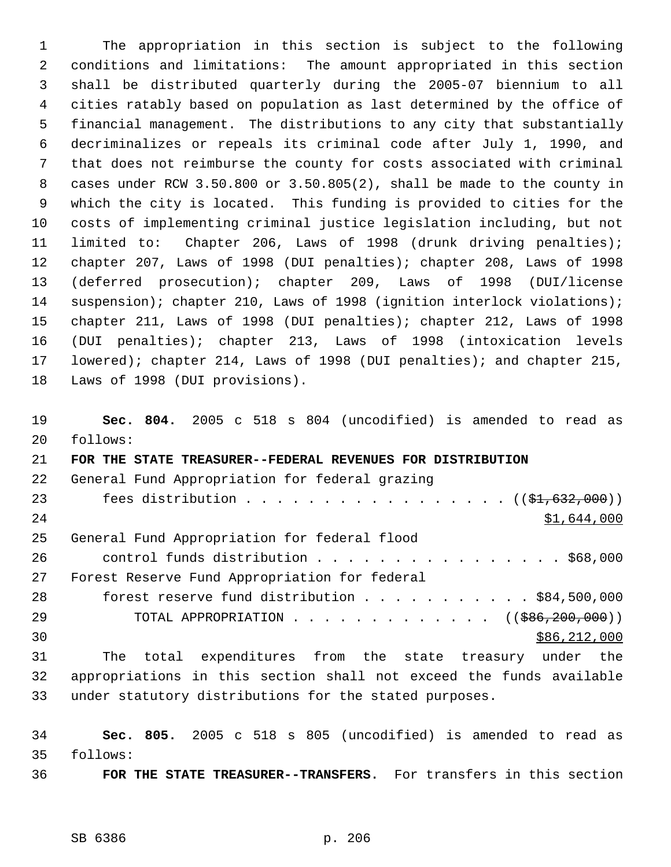The appropriation in this section is subject to the following conditions and limitations: The amount appropriated in this section shall be distributed quarterly during the 2005-07 biennium to all cities ratably based on population as last determined by the office of financial management. The distributions to any city that substantially decriminalizes or repeals its criminal code after July 1, 1990, and that does not reimburse the county for costs associated with criminal cases under RCW 3.50.800 or 3.50.805(2), shall be made to the county in which the city is located. This funding is provided to cities for the costs of implementing criminal justice legislation including, but not limited to: Chapter 206, Laws of 1998 (drunk driving penalties); chapter 207, Laws of 1998 (DUI penalties); chapter 208, Laws of 1998 (deferred prosecution); chapter 209, Laws of 1998 (DUI/license 14 suspension); chapter 210, Laws of 1998 (ignition interlock violations); chapter 211, Laws of 1998 (DUI penalties); chapter 212, Laws of 1998 (DUI penalties); chapter 213, Laws of 1998 (intoxication levels lowered); chapter 214, Laws of 1998 (DUI penalties); and chapter 215, Laws of 1998 (DUI provisions).

 **Sec. 804.** 2005 c 518 s 804 (uncodified) is amended to read as follows: **FOR THE STATE TREASURER--FEDERAL REVENUES FOR DISTRIBUTION** General Fund Appropriation for federal grazing 23 fees distribution . . . . . . . . . . . . . . . . ((\$1,632,000)) 24 \$1,644,000 General Fund Appropriation for federal flood 26 control funds distribution . . . . . . . . . . . . . . . \$68,000 Forest Reserve Fund Appropriation for federal forest reserve fund distribution . . . . . . . . . . . \$84,500,000 29 TOTAL APPROPRIATION . . . . . . . . . . . . . ((\$86,200,000))  $30 \,$  \$86,212,000 The total expenditures from the state treasury under the appropriations in this section shall not exceed the funds available under statutory distributions for the stated purposes.

 **Sec. 805.** 2005 c 518 s 805 (uncodified) is amended to read as follows:

**FOR THE STATE TREASURER--TRANSFERS.** For transfers in this section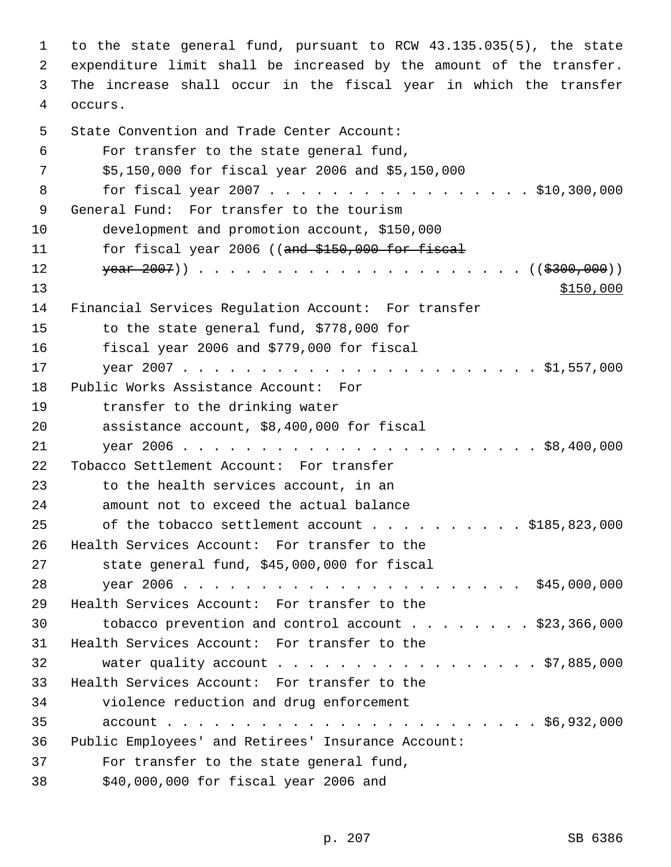to the state general fund, pursuant to RCW 43.135.035(5), the state expenditure limit shall be increased by the amount of the transfer. The increase shall occur in the fiscal year in which the transfer occurs. State Convention and Trade Center Account: For transfer to the state general fund, \$5,150,000 for fiscal year 2006 and \$5,150,000 8 for fiscal year 2007 . . . . . . . . . . . . . . . . \$10,300,000 General Fund: For transfer to the tourism development and promotion account, \$150,000 11 for fiscal year 2006 ((and \$150,000 for fiscal year 2007)) . . . . . . . . . . . . . . . . . . . . . ((\$300,000))  $\frac{$150,000}{ }$  Financial Services Regulation Account: For transfer to the state general fund, \$778,000 for fiscal year 2006 and \$779,000 for fiscal year 2007 . . . . . . . . . . . . . . . . . . . . . . . \$1,557,000 Public Works Assistance Account: For transfer to the drinking water assistance account, \$8,400,000 for fiscal year 2006 . . . . . . . . . . . . . . . . . . . . . . . \$8,400,000 Tobacco Settlement Account: For transfer to the health services account, in an amount not to exceed the actual balance 25 of the tobacco settlement account . . . . . . . . . \$185,823,000 Health Services Account: For transfer to the state general fund, \$45,000,000 for fiscal year 2006 . . . . . . . . . . . . . . . . . . . . . . \$45,000,000 Health Services Account: For transfer to the tobacco prevention and control account . . . . . . . . \$23,366,000 Health Services Account: For transfer to the 32 water quality account . . . . . . . . . . . . . . . . \$7,885,000 Health Services Account: For transfer to the violence reduction and drug enforcement account . . . . . . . . . . . . . . . . . . . . . . . . \$6,932,000 Public Employees' and Retirees' Insurance Account: For transfer to the state general fund, \$40,000,000 for fiscal year 2006 and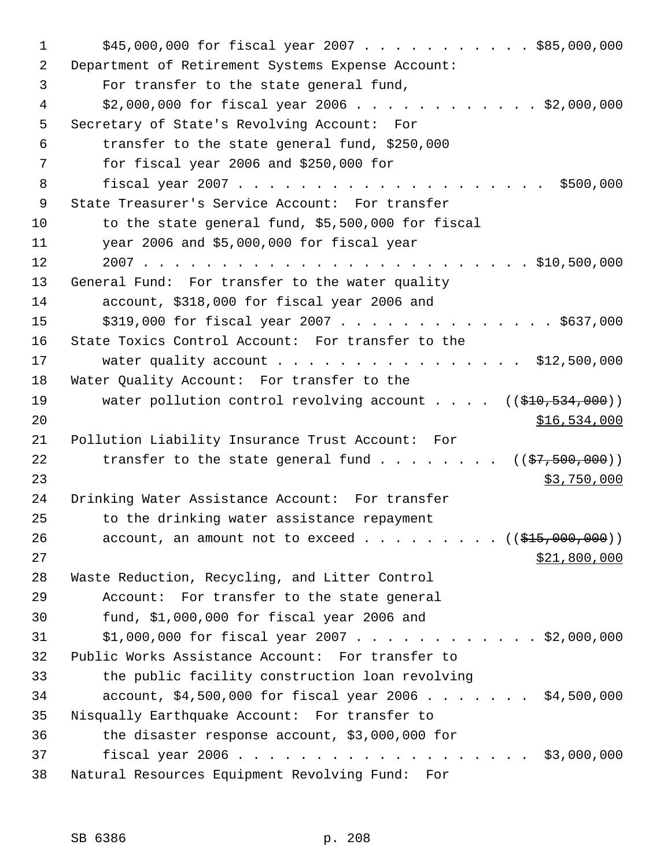| $\mathbf 1$ | $$45,000,000$ for fiscal year 2007 \$85,000,000                                      |
|-------------|--------------------------------------------------------------------------------------|
| 2           | Department of Retirement Systems Expense Account:                                    |
| 3           | For transfer to the state general fund,                                              |
| 4           | $$2,000,000$ for fiscal year 2006 \$2,000,000                                        |
| 5           | Secretary of State's Revolving Account: For                                          |
| 6           | transfer to the state general fund, \$250,000                                        |
| 7           | for fiscal year 2006 and $$250,000$ for                                              |
| 8           | \$500,000                                                                            |
| 9           | State Treasurer's Service Account: For transfer                                      |
| 10          | to the state general fund, \$5,500,000 for fiscal                                    |
| 11          | year 2006 and \$5,000,000 for fiscal year                                            |
| 12          |                                                                                      |
| 13          | General Fund: For transfer to the water quality                                      |
| 14          | account, \$318,000 for fiscal year 2006 and                                          |
| 15          | $$319,000$ for fiscal year 2007 \$637,000                                            |
| 16          | State Toxics Control Account: For transfer to the                                    |
| 17          | water quality account \$12,500,000                                                   |
| 18          | Water Quality Account: For transfer to the                                           |
| 19          | water pollution control revolving account $($ $($ $\frac{210}{534}, \frac{000}{10})$ |
| 20          | \$16,534,000                                                                         |
| 21          | Pollution Liability Insurance Trust Account: For                                     |
| 22          | transfer to the state general fund $($ $($ \$7,500,000) $)$                          |
| 23          | \$3,750,000                                                                          |
| 24          | Drinking Water Assistance Account: For transfer                                      |
| 25          | to the drinking water assistance repayment                                           |
| 26          | account, an amount not to exceed $($ $($ $\frac{15}{615},000,000) )$                 |
| 27          | \$21,800,000                                                                         |
| 28          | Waste Reduction, Recycling, and Litter Control                                       |
| 29          | Account: For transfer to the state general                                           |
| 30          | fund, $$1,000,000$ for fiscal year 2006 and                                          |
| 31          | $$1,000,000$ for fiscal year 2007 \$2,000,000                                        |
| 32          | Public Works Assistance Account: For transfer to                                     |
| 33          | the public facility construction loan revolving                                      |
| 34          | account, $$4,500,000$ for fiscal year 2006 $$4,500,000$                              |
| 35          | Nisqually Earthquake Account: For transfer to                                        |
| 36          | the disaster response account, \$3,000,000 for                                       |
| 37          | \$3,000,000                                                                          |
| 38          | Natural Resources Equipment Revolving Fund: For                                      |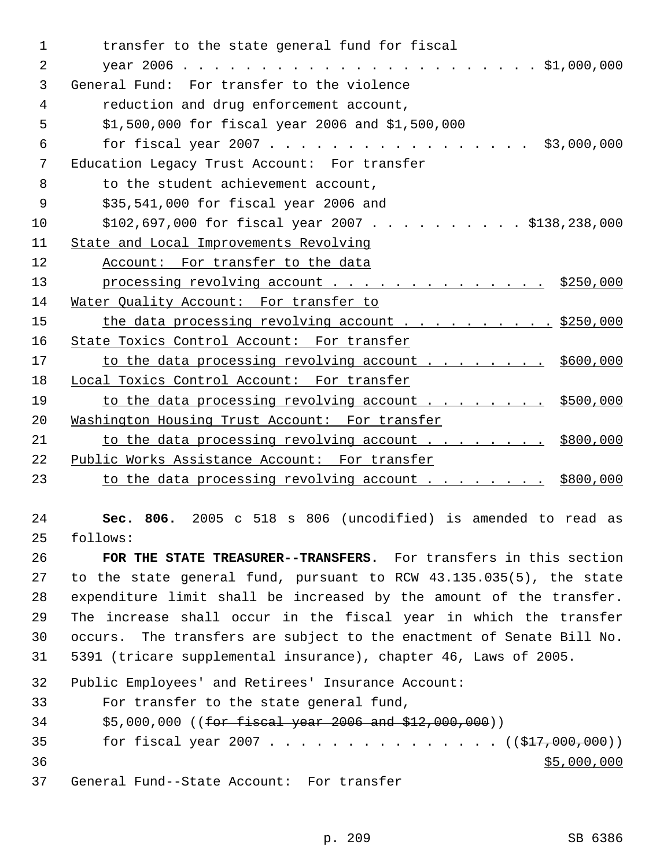transfer to the state general fund for fiscal year 2006 . . . . . . . . . . . . . . . . . . . . . . . \$1,000,000 General Fund: For transfer to the violence reduction and drug enforcement account, \$1,500,000 for fiscal year 2006 and \$1,500,000 for fiscal year 2007 . . . . . . . . . . . . . . . . . \$3,000,000 Education Legacy Trust Account: For transfer 8 to the student achievement account, \$35,541,000 for fiscal year 2006 and \$102,697,000 for fiscal year 2007 . . . . . . . . . . \$138,238,000 State and Local Improvements Revolving 12 Account: For transfer to the data 13 processing revolving account . . . . . . . . . . . . . . \$250,000 Water Quality Account: For transfer to 15 the data processing revolving account . . . . . . . . . . \$250,000 16 State Toxics Control Account: For transfer 17 to the data processing revolving account . . . . . . . \$600,000 Local Toxics Control Account: For transfer 19 to the data processing revolving account . . . . . . . \$500,000 20 Washington Housing Trust Account: For transfer 21 to the data processing revolving account . . . . . . . \$800,000 Public Works Assistance Account: For transfer 23 to the data processing revolving account . . . . . . . . \$800,000

 **Sec. 806.** 2005 c 518 s 806 (uncodified) is amended to read as follows:

 **FOR THE STATE TREASURER--TRANSFERS.** For transfers in this section to the state general fund, pursuant to RCW 43.135.035(5), the state expenditure limit shall be increased by the amount of the transfer. The increase shall occur in the fiscal year in which the transfer occurs. The transfers are subject to the enactment of Senate Bill No. 5391 (tricare supplemental insurance), chapter 46, Laws of 2005.

Public Employees' and Retirees' Insurance Account:

For transfer to the state general fund,

\$5,000,000 ((for fiscal year 2006 and \$12,000,000))

35 for fiscal year 2007 . . . . . . . . . . . . . . ((\$17,000,000))  $$5,000,000$ 

General Fund--State Account: For transfer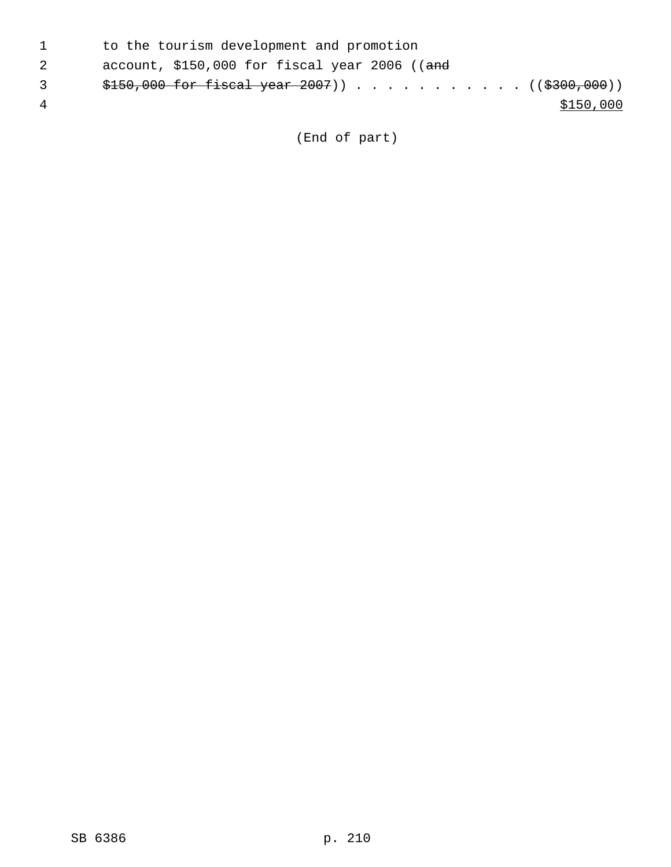|              | to the tourism development and promotion       |
|--------------|------------------------------------------------|
|              | account, $$150,000$ for fiscal year 2006 ((and |
| $\mathbf{3}$ |                                                |
|              | \$150,000                                      |
|              |                                                |

(End of part)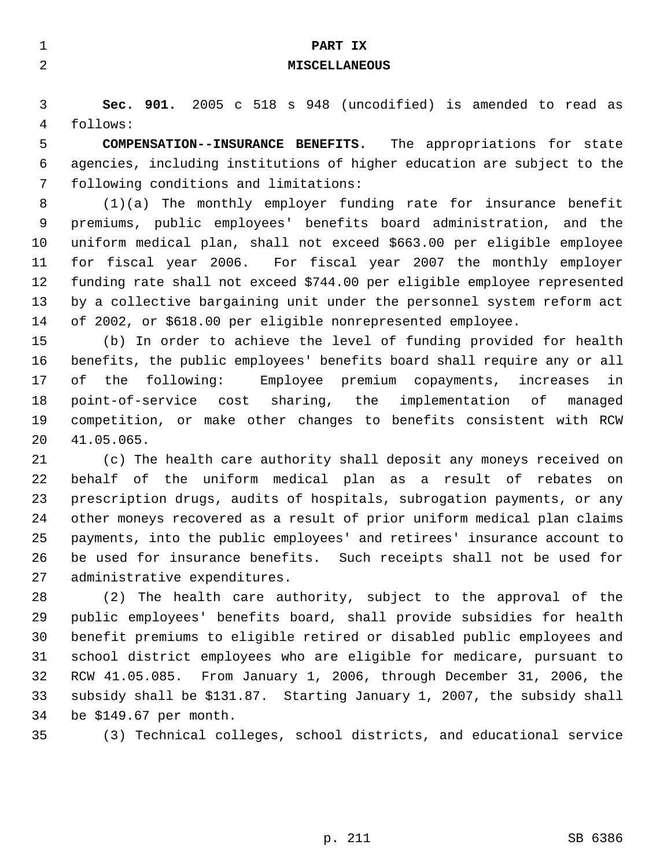| $\mathbf{1}$ | PART IX                                                                  |
|--------------|--------------------------------------------------------------------------|
| 2            | <b>MISCELLANEOUS</b>                                                     |
|              |                                                                          |
| 3            | Sec. 901. 2005 c 518 s 948 (uncodified) is amended to read as            |
| 4            | follows:                                                                 |
| 5            | <b>COMPENSATION--INSURANCE BENEFITS.</b> The appropriations for state    |
| 6            | agencies, including institutions of higher education are subject to the  |
| 7            | following conditions and limitations:                                    |
| 8            | $(1)(a)$ The monthly employer funding rate for insurance benefit         |
| 9            | premiums, public employees' benefits board administration, and the       |
| 10           | uniform medical plan, shall not exceed \$663.00 per eligible employee    |
| 11           | for fiscal year 2006. For fiscal year 2007 the monthly employer          |
| 12           | funding rate shall not exceed \$744.00 per eligible employee represented |
| 13           | by a collective bargaining unit under the personnel system reform act    |
| 14           | of 2002, or \$618.00 per eligible nonrepresented employee.               |
| 15           | (b) In order to achieve the level of funding provided for health         |
| 16           | benefits, the public employees' benefits board shall require any or all  |
| 17           | the following:<br>Employee premium copayments, increases<br>оf<br>in.    |
| 18           | point-of-service cost sharing, the implementation of<br>managed          |
| 19           | competition, or make other changes to benefits consistent with RCW       |
| 20           | 41.05.065.                                                               |
| 21           | (c) The health care authority shall deposit any moneys received on       |
| 22           | behalf of the uniform medical plan as a result of rebates on             |
| 23           | prescription drugs, audits of hospitals, subrogation payments, or any    |
| 24           | other moneys recovered as a result of prior uniform medical plan claims  |
| 25           | payments, into the public employees' and retirees' insurance account to  |
| 26           | be used for insurance benefits. Such receipts shall not be used for      |

 (2) The health care authority, subject to the approval of the public employees' benefits board, shall provide subsidies for health benefit premiums to eligible retired or disabled public employees and school district employees who are eligible for medicare, pursuant to RCW 41.05.085. From January 1, 2006, through December 31, 2006, the subsidy shall be \$131.87. Starting January 1, 2007, the subsidy shall be \$149.67 per month.

administrative expenditures.

(3) Technical colleges, school districts, and educational service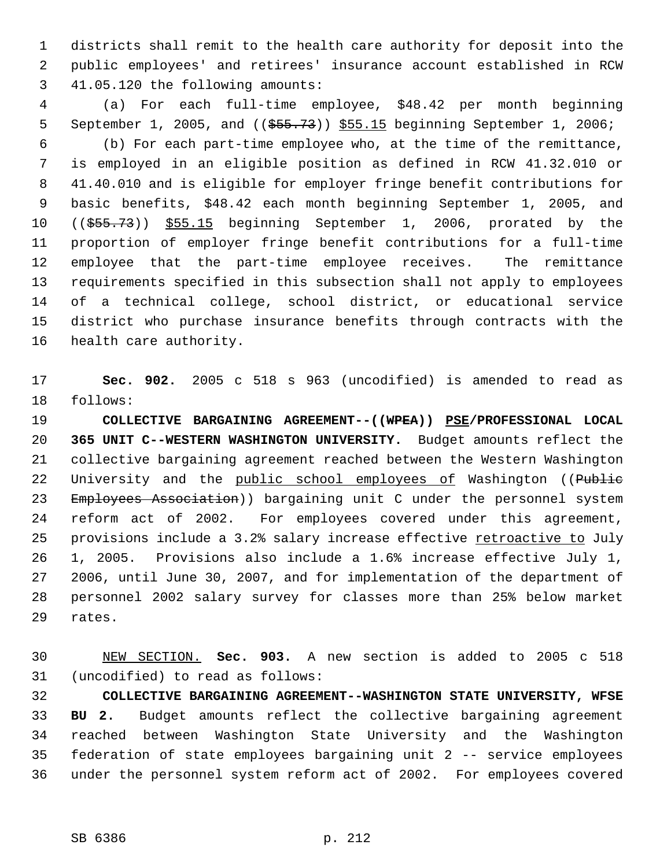districts shall remit to the health care authority for deposit into the public employees' and retirees' insurance account established in RCW 41.05.120 the following amounts:

 (a) For each full-time employee, \$48.42 per month beginning 5 September 1, 2005, and (( $\frac{2005}{1000}$ ,  $\frac{555.15}{1000}$  beginning September 1, 2006; (b) For each part-time employee who, at the time of the remittance, is employed in an eligible position as defined in RCW 41.32.010 or 41.40.010 and is eligible for employer fringe benefit contributions for basic benefits, \$48.42 each month beginning September 1, 2005, and ((\$55.73)) \$55.15 beginning September 1, 2006, prorated by the proportion of employer fringe benefit contributions for a full-time employee that the part-time employee receives. The remittance requirements specified in this subsection shall not apply to employees of a technical college, school district, or educational service district who purchase insurance benefits through contracts with the health care authority.

 **Sec. 902.** 2005 c 518 s 963 (uncodified) is amended to read as follows:

 **COLLECTIVE BARGAINING AGREEMENT--((WPEA)) PSE/PROFESSIONAL LOCAL 365 UNIT C--WESTERN WASHINGTON UNIVERSITY.** Budget amounts reflect the collective bargaining agreement reached between the Western Washington 22 University and the public school employees of Washington ((Public 23 Employees Association)) bargaining unit C under the personnel system reform act of 2002. For employees covered under this agreement, 25 provisions include a 3.2% salary increase effective retroactive to July 1, 2005. Provisions also include a 1.6% increase effective July 1, 2006, until June 30, 2007, and for implementation of the department of personnel 2002 salary survey for classes more than 25% below market rates.

 NEW SECTION. **Sec. 903.** A new section is added to 2005 c 518 (uncodified) to read as follows:

 **COLLECTIVE BARGAINING AGREEMENT--WASHINGTON STATE UNIVERSITY, WFSE BU 2.** Budget amounts reflect the collective bargaining agreement reached between Washington State University and the Washington federation of state employees bargaining unit 2 -- service employees under the personnel system reform act of 2002. For employees covered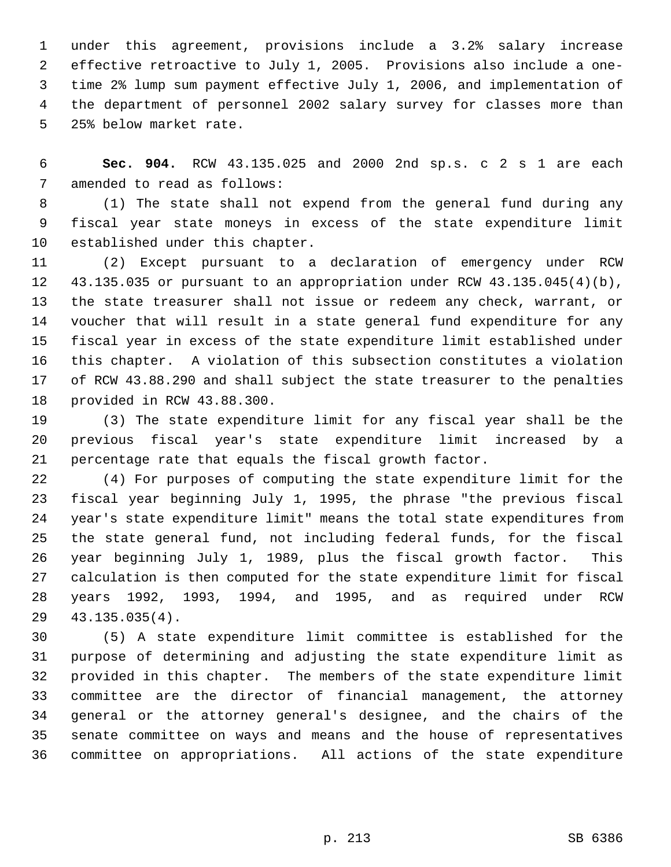under this agreement, provisions include a 3.2% salary increase effective retroactive to July 1, 2005. Provisions also include a one- time 2% lump sum payment effective July 1, 2006, and implementation of the department of personnel 2002 salary survey for classes more than 25% below market rate.

 **Sec. 904.** RCW 43.135.025 and 2000 2nd sp.s. c 2 s 1 are each amended to read as follows:

 (1) The state shall not expend from the general fund during any fiscal year state moneys in excess of the state expenditure limit established under this chapter.

 (2) Except pursuant to a declaration of emergency under RCW 43.135.035 or pursuant to an appropriation under RCW 43.135.045(4)(b), the state treasurer shall not issue or redeem any check, warrant, or voucher that will result in a state general fund expenditure for any fiscal year in excess of the state expenditure limit established under this chapter. A violation of this subsection constitutes a violation of RCW 43.88.290 and shall subject the state treasurer to the penalties provided in RCW 43.88.300.

 (3) The state expenditure limit for any fiscal year shall be the previous fiscal year's state expenditure limit increased by a percentage rate that equals the fiscal growth factor.

 (4) For purposes of computing the state expenditure limit for the fiscal year beginning July 1, 1995, the phrase "the previous fiscal year's state expenditure limit" means the total state expenditures from the state general fund, not including federal funds, for the fiscal year beginning July 1, 1989, plus the fiscal growth factor. This calculation is then computed for the state expenditure limit for fiscal years 1992, 1993, 1994, and 1995, and as required under RCW 43.135.035(4).

 (5) A state expenditure limit committee is established for the purpose of determining and adjusting the state expenditure limit as provided in this chapter. The members of the state expenditure limit committee are the director of financial management, the attorney general or the attorney general's designee, and the chairs of the senate committee on ways and means and the house of representatives committee on appropriations. All actions of the state expenditure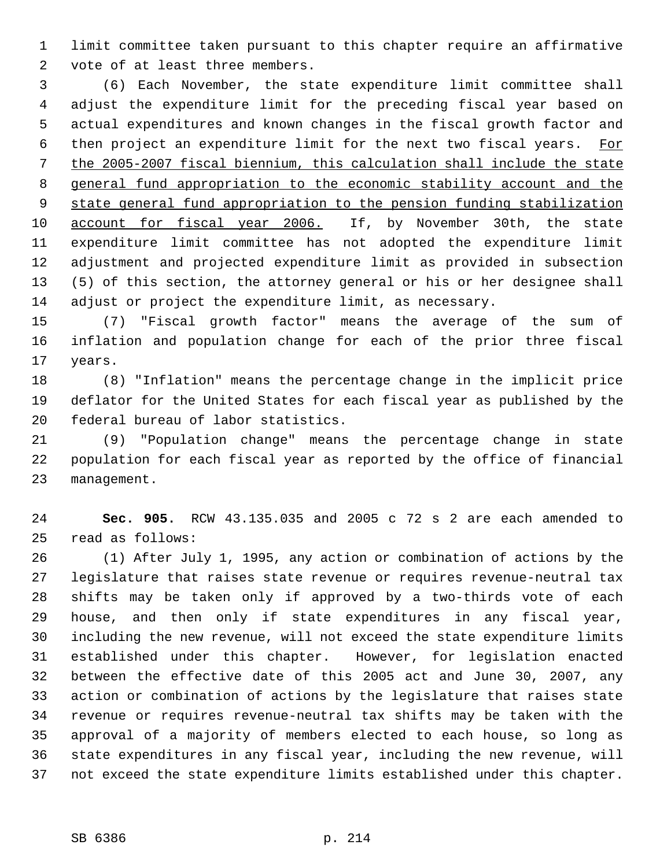limit committee taken pursuant to this chapter require an affirmative vote of at least three members.

 (6) Each November, the state expenditure limit committee shall adjust the expenditure limit for the preceding fiscal year based on actual expenditures and known changes in the fiscal growth factor and 6 then project an expenditure limit for the next two fiscal years. For the 2005-2007 fiscal biennium, this calculation shall include the state general fund appropriation to the economic stability account and the state general fund appropriation to the pension funding stabilization account for fiscal year 2006. If, by November 30th, the state expenditure limit committee has not adopted the expenditure limit adjustment and projected expenditure limit as provided in subsection (5) of this section, the attorney general or his or her designee shall adjust or project the expenditure limit, as necessary.

 (7) "Fiscal growth factor" means the average of the sum of inflation and population change for each of the prior three fiscal years.

 (8) "Inflation" means the percentage change in the implicit price deflator for the United States for each fiscal year as published by the federal bureau of labor statistics.

 (9) "Population change" means the percentage change in state population for each fiscal year as reported by the office of financial management.

 **Sec. 905.** RCW 43.135.035 and 2005 c 72 s 2 are each amended to read as follows:

 (1) After July 1, 1995, any action or combination of actions by the legislature that raises state revenue or requires revenue-neutral tax shifts may be taken only if approved by a two-thirds vote of each house, and then only if state expenditures in any fiscal year, including the new revenue, will not exceed the state expenditure limits established under this chapter. However, for legislation enacted between the effective date of this 2005 act and June 30, 2007, any action or combination of actions by the legislature that raises state revenue or requires revenue-neutral tax shifts may be taken with the approval of a majority of members elected to each house, so long as state expenditures in any fiscal year, including the new revenue, will not exceed the state expenditure limits established under this chapter.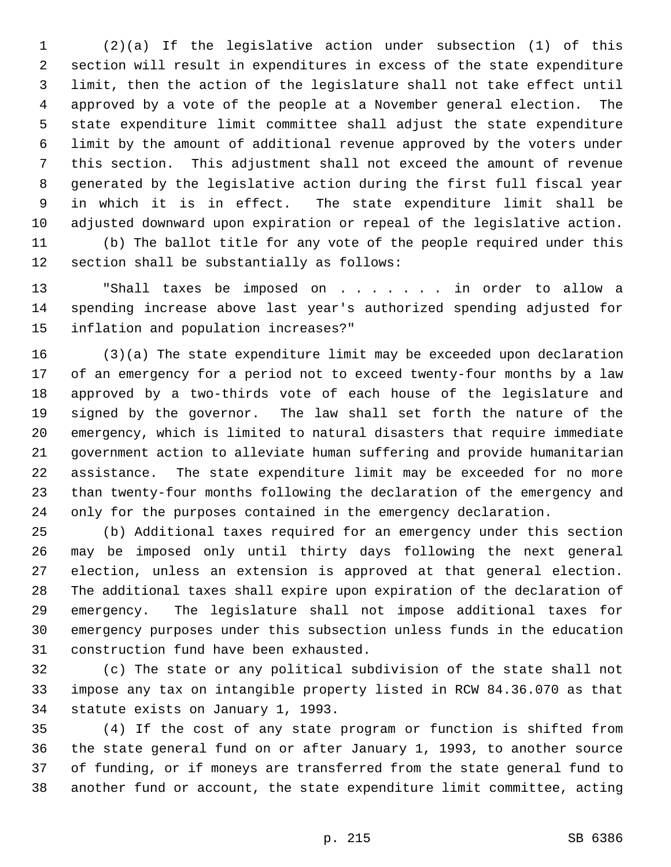(2)(a) If the legislative action under subsection (1) of this section will result in expenditures in excess of the state expenditure limit, then the action of the legislature shall not take effect until approved by a vote of the people at a November general election. The state expenditure limit committee shall adjust the state expenditure limit by the amount of additional revenue approved by the voters under this section. This adjustment shall not exceed the amount of revenue generated by the legislative action during the first full fiscal year in which it is in effect. The state expenditure limit shall be adjusted downward upon expiration or repeal of the legislative action.

 (b) The ballot title for any vote of the people required under this section shall be substantially as follows:

 "Shall taxes be imposed on . . . . . . . in order to allow a spending increase above last year's authorized spending adjusted for inflation and population increases?"

 (3)(a) The state expenditure limit may be exceeded upon declaration of an emergency for a period not to exceed twenty-four months by a law approved by a two-thirds vote of each house of the legislature and signed by the governor. The law shall set forth the nature of the emergency, which is limited to natural disasters that require immediate government action to alleviate human suffering and provide humanitarian assistance. The state expenditure limit may be exceeded for no more than twenty-four months following the declaration of the emergency and only for the purposes contained in the emergency declaration.

 (b) Additional taxes required for an emergency under this section may be imposed only until thirty days following the next general election, unless an extension is approved at that general election. The additional taxes shall expire upon expiration of the declaration of emergency. The legislature shall not impose additional taxes for emergency purposes under this subsection unless funds in the education construction fund have been exhausted.

 (c) The state or any political subdivision of the state shall not impose any tax on intangible property listed in RCW 84.36.070 as that statute exists on January 1, 1993.

 (4) If the cost of any state program or function is shifted from the state general fund on or after January 1, 1993, to another source of funding, or if moneys are transferred from the state general fund to another fund or account, the state expenditure limit committee, acting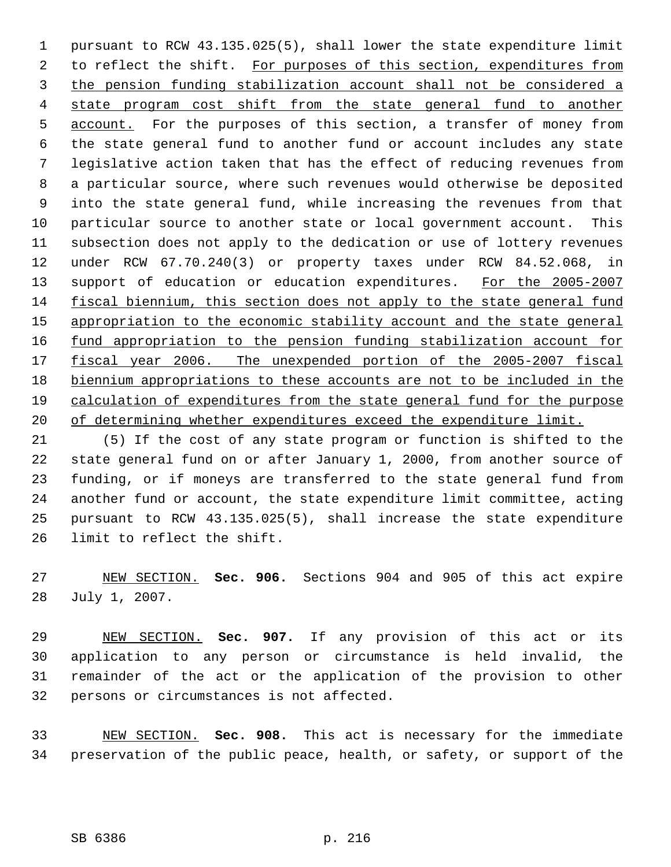pursuant to RCW 43.135.025(5), shall lower the state expenditure limit 2 to reflect the shift. For purposes of this section, expenditures from the pension funding stabilization account shall not be considered a state program cost shift from the state general fund to another 5 account. For the purposes of this section, a transfer of money from the state general fund to another fund or account includes any state legislative action taken that has the effect of reducing revenues from a particular source, where such revenues would otherwise be deposited into the state general fund, while increasing the revenues from that particular source to another state or local government account. This subsection does not apply to the dedication or use of lottery revenues under RCW 67.70.240(3) or property taxes under RCW 84.52.068, in 13 support of education or education expenditures. For the 2005-2007 fiscal biennium, this section does not apply to the state general fund 15 appropriation to the economic stability account and the state general fund appropriation to the pension funding stabilization account for 17 fiscal year 2006. The unexpended portion of the 2005-2007 fiscal biennium appropriations to these accounts are not to be included in the calculation of expenditures from the state general fund for the purpose 20 of determining whether expenditures exceed the expenditure limit.

 (5) If the cost of any state program or function is shifted to the state general fund on or after January 1, 2000, from another source of funding, or if moneys are transferred to the state general fund from another fund or account, the state expenditure limit committee, acting pursuant to RCW 43.135.025(5), shall increase the state expenditure limit to reflect the shift.

 NEW SECTION. **Sec. 906.** Sections 904 and 905 of this act expire July 1, 2007.

 NEW SECTION. **Sec. 907.** If any provision of this act or its application to any person or circumstance is held invalid, the remainder of the act or the application of the provision to other persons or circumstances is not affected.

 NEW SECTION. **Sec. 908.** This act is necessary for the immediate preservation of the public peace, health, or safety, or support of the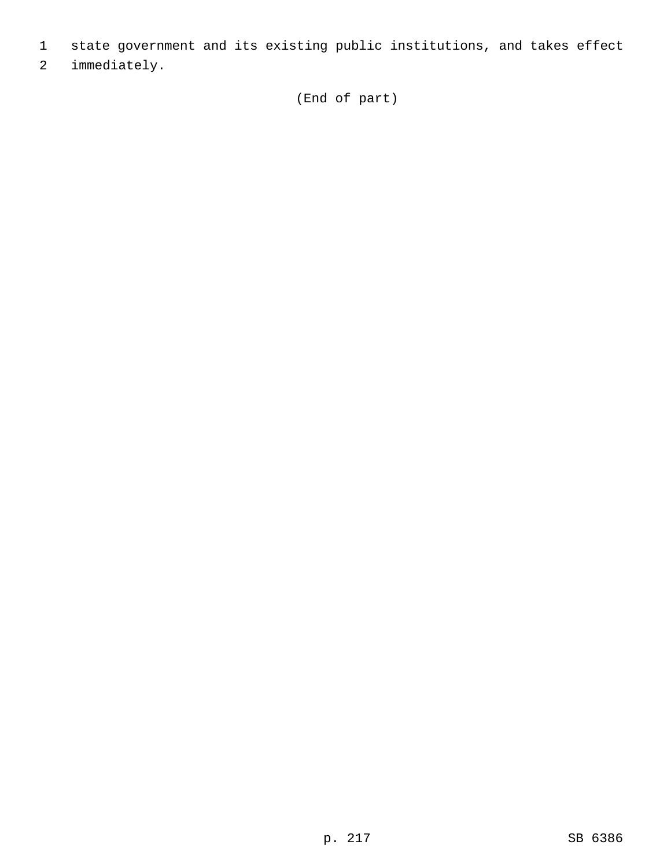- 1 state government and its existing public institutions, and takes effect
- 2 immediately.

(End of part)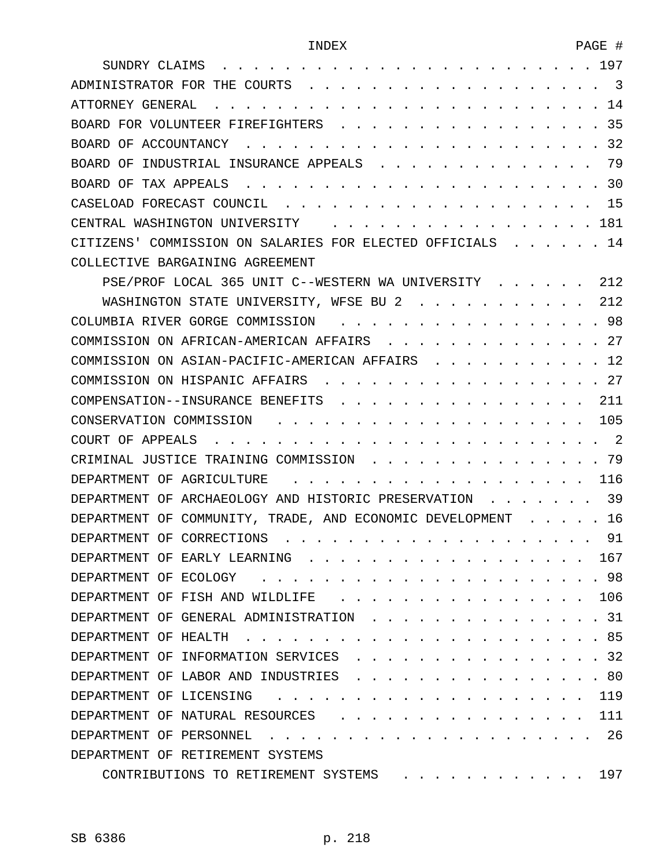| 197<br>SUNDRY CLAIMS                                                 |
|----------------------------------------------------------------------|
| 3<br>ADMINISTRATOR FOR THE COURTS                                    |
| 14<br>ATTORNEY GENERAL                                               |
| 35<br>BOARD FOR VOLUNTEER FIREFIGHTERS                               |
| 32<br>BOARD OF ACCOUNTANCY                                           |
| 79<br>BOARD OF<br>INDUSTRIAL INSURANCE APPEALS                       |
| 30<br>BOARD OF<br>TAX APPEALS                                        |
| 15<br>CASELOAD FORECAST COUNCIL                                      |
| 181<br>CENTRAL WASHINGTON UNIVERSITY                                 |
| 14<br>CITIZENS' COMMISSION ON SALARIES FOR ELECTED OFFICIALS         |
| COLLECTIVE BARGAINING AGREEMENT                                      |
| 212<br>PSE/PROF LOCAL 365 UNIT C--WESTERN WA UNIVERSITY              |
| 212<br>WASHINGTON STATE UNIVERSITY, WFSE BU 2                        |
| 98<br>COLUMBIA RIVER GORGE COMMISSION                                |
| 27<br>COMMISSION ON AFRICAN-AMERICAN AFFAIRS                         |
| 12.<br>COMMISSION ON ASIAN-PACIFIC-AMERICAN AFFAIRS                  |
| 27<br>COMMISSION ON HISPANIC AFFAIRS                                 |
| 211<br>COMPENSATION--INSURANCE BENEFITS                              |
| 105<br>CONSERVATION COMMISSION                                       |
| -2<br>COURT OF APPEALS                                               |
| 79<br>CRIMINAL JUSTICE TRAINING COMMISSION                           |
| 116<br>DEPARTMENT OF AGRICULTURE                                     |
| 39<br>DEPARTMENT OF ARCHAEOLOGY AND HISTORIC PRESERVATION            |
| 16<br>COMMUNITY, TRADE, AND ECONOMIC DEVELOPMENT<br>DEPARTMENT<br>ΟF |
| 91<br>DEPARTMENT OF CORRECTIONS                                      |
| DEPARTMENT OF EARLY LEARNING<br>167                                  |
| . 98<br>DEPARTMENT OF ECOLOGY                                        |
| DEPARTMENT OF FISH AND WILDLIFE<br>106                               |
| . 31<br>DEPARTMENT OF GENERAL ADMINISTRATION                         |
| . 85<br>DEPARTMENT OF HEALTH                                         |
| .32<br>DEPARTMENT OF INFORMATION SERVICES                            |
| . 80<br>DEPARTMENT OF LABOR AND INDUSTRIES                           |
| 119<br>DEPARTMENT OF LICENSING                                       |
| 111<br>DEPARTMENT OF NATURAL RESOURCES                               |
| 26<br>DEPARTMENT OF PERSONNEL                                        |
| DEPARTMENT OF RETIREMENT SYSTEMS                                     |
| CONTRIBUTIONS TO RETIREMENT SYSTEMS 197                              |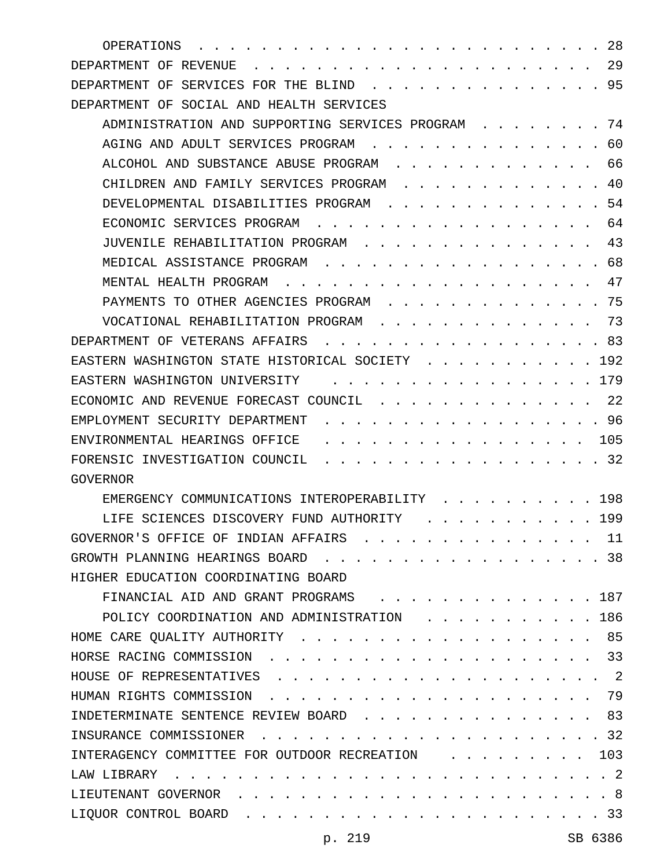| 28<br>OPERATIONS                                       |
|--------------------------------------------------------|
| 29<br>DEPARTMENT OF REVENUE                            |
| 95<br>DEPARTMENT OF<br>SERVICES<br>FOR THE<br>BLTND    |
| DEPARTMENT OF<br>SOCIAL AND HEALTH SERVICES            |
| ADMINISTRATION AND SUPPORTING SERVICES PROGRAM<br>74   |
| 60<br>AGING AND ADULT SERVICES PROGRAM                 |
| 66<br>ALCOHOL AND SUBSTANCE ABUSE PROGRAM              |
| 40<br>CHILDREN AND FAMILY SERVICES PROGRAM             |
| 54<br>DEVELOPMENTAL DISABILITIES PROGRAM               |
| 64<br>ECONOMIC SERVICES PROGRAM                        |
| 43<br>JUVENILE REHABILITATION PROGRAM                  |
| 68<br>MEDICAL ASSISTANCE PROGRAM                       |
| 47<br>MENTAL HEALTH PROGRAM                            |
| 75<br>PAYMENTS TO OTHER AGENCIES PROGRAM               |
| 73<br>VOCATIONAL REHABILITATION PROGRAM                |
| 83<br>DEPARTMENT OF VETERANS AFFAIRS                   |
| 192<br>EASTERN WASHINGTON STATE HISTORICAL SOCIETY     |
| 179<br>EASTERN WASHINGTON UNIVERSITY                   |
| 22<br>ECONOMIC AND REVENUE FORECAST COUNCIL            |
| 96<br>EMPLOYMENT SECURITY DEPARTMENT                   |
| 105<br>ENVIRONMENTAL HEARINGS OFFICE                   |
| 32<br>FORENSIC INVESTIGATION COUNCIL                   |
| GOVERNOR                                               |
| 198<br>EMERGENCY COMMUNICATIONS INTEROPERABILITY       |
| 199<br>LIFE SCIENCES DISCOVERY FUND AUTHORITY          |
| GOVERNOR'S OFFICE OF INDIAN AFFAIRS<br>11              |
| GROWTH PLANNING HEARINGS BOARD<br>. 38                 |
| HIGHER EDUCATION COORDINATING BOARD                    |
| . 187<br>FINANCIAL AID AND GRANT PROGRAMS              |
|                                                        |
| POLICY COORDINATION AND ADMINISTRATION<br>186          |
| 85<br>HOME CARE QUALITY AUTHORITY                      |
| HORSE RACING COMMISSION.<br>33                         |
| $\overline{\phantom{0}}^2$<br>HOUSE OF REPRESENTATIVES |
| HUMAN RIGHTS COMMISSION<br>79                          |
| 83<br>INDETERMINATE SENTENCE REVIEW BOARD.             |
| . 32<br>INSURANCE COMMISSIONER                         |
| INTERAGENCY COMMITTEE FOR OUTDOOR RECREATION<br>103    |
| LAW LIBRARY<br>. 2                                     |
| LIEUTENANT GOVERNOR<br>. . 8                           |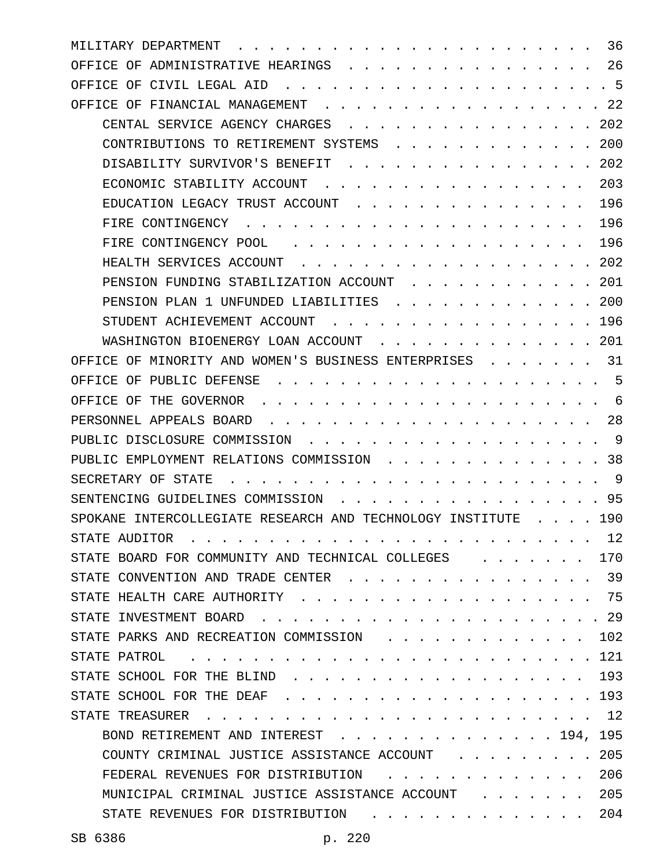| 36<br>MILITARY DEPARTMENT                                                                                                                                                                                                                                                   |
|-----------------------------------------------------------------------------------------------------------------------------------------------------------------------------------------------------------------------------------------------------------------------------|
| 26<br>ADMINISTRATIVE HEARINGS<br><b>OFFICE</b><br>OF                                                                                                                                                                                                                        |
| - 5<br>OFFICE OF<br>CIVIL LEGAL AID                                                                                                                                                                                                                                         |
| 22<br>OFFICE OF<br>FINANCIAL MANAGEMENT                                                                                                                                                                                                                                     |
| CENTAL SERVICE AGENCY CHARGES<br>202                                                                                                                                                                                                                                        |
| 200<br>CONTRIBUTIONS TO RETIREMENT SYSTEMS                                                                                                                                                                                                                                  |
| 202<br>DISABILITY SURVIVOR'S BENEFIT                                                                                                                                                                                                                                        |
| 203<br>ECONOMIC STABILITY ACCOUNT                                                                                                                                                                                                                                           |
| 196<br>EDUCATION LEGACY TRUST ACCOUNT                                                                                                                                                                                                                                       |
| 196<br>FIRE CONTINGENCY                                                                                                                                                                                                                                                     |
| 196<br>FIRE CONTINGENCY POOL                                                                                                                                                                                                                                                |
| 202<br>HEALTH SERVICES ACCOUNT                                                                                                                                                                                                                                              |
| PENSION FUNDING STABILIZATION ACCOUNT<br>201                                                                                                                                                                                                                                |
| 200<br>PENSION PLAN 1 UNFUNDED LIABILITIES                                                                                                                                                                                                                                  |
| STUDENT ACHIEVEMENT ACCOUNT<br>196                                                                                                                                                                                                                                          |
| WASHINGTON BIOENERGY LOAN ACCOUNT<br>201                                                                                                                                                                                                                                    |
| OFFICE OF MINORITY AND WOMEN'S BUSINESS ENTERPRISES<br>31                                                                                                                                                                                                                   |
| 5<br>PUBLIC DEFENSE<br>OFFICE OF                                                                                                                                                                                                                                            |
| THE GOVERNOR<br>OFFICE OF<br>6                                                                                                                                                                                                                                              |
| PERSONNEL APPEALS BOARD<br>28                                                                                                                                                                                                                                               |
| PUBLIC DISCLOSURE COMMISSION<br>-9                                                                                                                                                                                                                                          |
| PUBLIC EMPLOYMENT RELATIONS COMMISSION<br>38                                                                                                                                                                                                                                |
| SECRETARY OF<br>-9<br>STATE                                                                                                                                                                                                                                                 |
| SENTENCING GUIDELINES<br>COMMISSION<br>95                                                                                                                                                                                                                                   |
| SPOKANE INTERCOLLEGIATE RESEARCH AND TECHNOLOGY INSTITUTE<br>190                                                                                                                                                                                                            |
| 12<br>STATE AUDITOR                                                                                                                                                                                                                                                         |
| STATE BOARD FOR COMMUNITY AND TECHNICAL COLLEGES<br>170<br>$\mathbf{r}$ , $\mathbf{r}$ , $\mathbf{r}$ , $\mathbf{r}$                                                                                                                                                        |
| STATE CONVENTION AND TRADE CENTER<br>. 39                                                                                                                                                                                                                                   |
| . 75<br>STATE HEALTH CARE AUTHORITY                                                                                                                                                                                                                                         |
| STATE INVESTMENT BOARD<br>. 29                                                                                                                                                                                                                                              |
| STATE PARKS AND RECREATION COMMISSION<br>. 102                                                                                                                                                                                                                              |
| STATE PATROL<br>. 121<br>$\frac{1}{2}$<br>$\mathbf{r}$ . The set of the set of the set of the set of the set of the set of the set of the set of the set of the set of the set of the set of the set of the set of the set of the set of the set of the set of the set of t |
| STATE SCHOOL FOR THE BLIND<br>193<br>$\cdots$                                                                                                                                                                                                                               |
| STATE SCHOOL FOR THE DEAF<br>$\cdots$ 193<br>$\sim$<br>$\sim$ $\sim$ $\sim$ $\sim$                                                                                                                                                                                          |
| . 12<br>STATE TREASURER<br>$\mathbf{L}$<br>$\mathbf{r}$ and $\mathbf{r}$                                                                                                                                                                                                    |
| BOND RETIREMENT AND INTEREST 194, 195                                                                                                                                                                                                                                       |
| COUNTY CRIMINAL JUSTICE ASSISTANCE ACCOUNT<br>205                                                                                                                                                                                                                           |
| 206<br>FEDERAL REVENUES FOR DISTRIBUTION                                                                                                                                                                                                                                    |
| MUNICIPAL CRIMINAL JUSTICE ASSISTANCE ACCOUNT<br>205                                                                                                                                                                                                                        |
| 204<br>STATE REVENUES FOR DISTRIBUTION                                                                                                                                                                                                                                      |